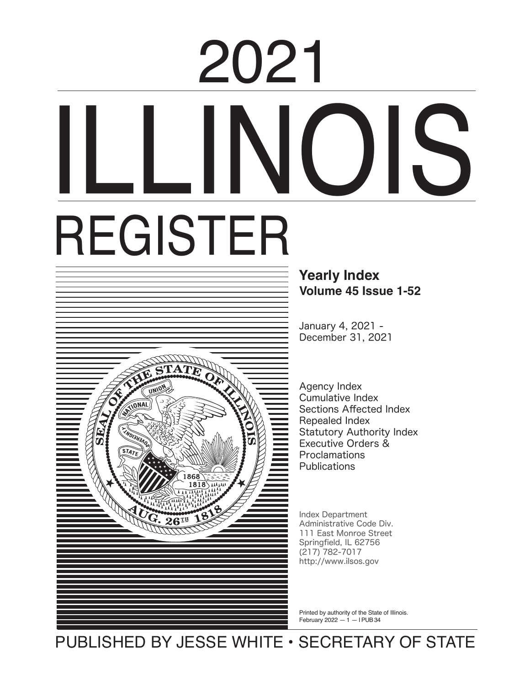# ILLI REGISTER 2021



## **Yearly Index Volume 45 Issue 1-52**

January 4, 2021 -December 31, 2021

Agency Index Cumulative Index Sections Affected Index Repealed Index Statutory Authority Index Executive Orders & Proclamations **Publications** 

Index Department Administrative Code Div.<br>111 East Monroe Street Springfield, IL 62756 ا ۱۲م المحمد بن المحمد بن المحمد بن المحمد بن المحمد بن المحمد بن المحمد بن المحمد بن المحمد بن الم<br>http://www.ilsos.gov 111 East Monroe Street (217) 782‒7017

Printed by authority of the State of Illinois. February 2022  $-1$  – I PUB 34

PUBLISHED BY JESSE WHITE • SECRETARY OF STATE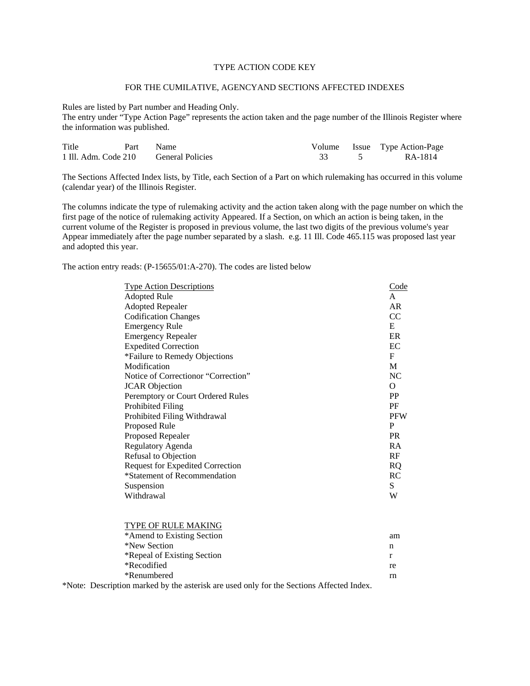### TYPE ACTION CODE KEY

#### FOR THE CUMILATIVE, AGENCYAND SECTIONS AFFECTED INDEXES

Rules are listed by Part number and Heading Only.

The entry under "Type Action Page" represents the action taken and the page number of the Illinois Register where the information was published.

| Title | Part | Name                                  |  | Volume Issue Type Action-Page |
|-------|------|---------------------------------------|--|-------------------------------|
|       |      | 1 Ill. Adm. Code 210 General Policies |  | RA-1814                       |

The Sections Affected Index lists, by Title, each Section of a Part on which rulemaking has occurred in this volume (calendar year) of the Illinois Register.

The columns indicate the type of rulemaking activity and the action taken along with the page number on which the first page of the notice of rulemaking activity Appeared. If a Section, on which an action is being taken, in the current volume of the Register is proposed in previous volume, the last two digits of the previous volume's year Appear immediately after the page number separated by a slash. e.g. 11 Ill. Code 465.115 was proposed last year and adopted this year.

The action entry reads: (P-15655/01:A-270). The codes are listed below

| <b>Type Action Descriptions</b>         | Code       |
|-----------------------------------------|------------|
| <b>Adopted Rule</b>                     | A          |
| <b>Adopted Repealer</b>                 | AR         |
| <b>Codification Changes</b>             | CC         |
| <b>Emergency Rule</b>                   | E          |
| <b>Emergency Repealer</b>               | ER         |
| <b>Expedited Correction</b>             | EС         |
| *Failure to Remedy Objections           | F          |
| Modification                            | M          |
| Notice of Correction or "Correction"    | NC         |
| <b>JCAR</b> Objection                   | $\Omega$   |
| Peremptory or Court Ordered Rules       | <b>PP</b>  |
| Prohibited Filing                       | PF         |
| Prohibited Filing Withdrawal            | <b>PFW</b> |
| Proposed Rule                           | P          |
| Proposed Repealer                       | <b>PR</b>  |
| Regulatory Agenda                       | RA         |
| Refusal to Objection                    | RF         |
| <b>Request for Expedited Correction</b> | <b>RQ</b>  |
| *Statement of Recommendation            | RC         |
| Suspension                              | S          |
| Withdrawal                              | W          |
|                                         |            |

| TYPE OF RULE MAKING         |    |
|-----------------------------|----|
| *Amend to Existing Section  | am |
| *New Section                | n  |
| *Repeal of Existing Section | r  |
| *Recodified                 | re |
| *Renumbered                 | rn |
|                             |    |

\*Note: Description marked by the asterisk are used only for the Sections Affected Index.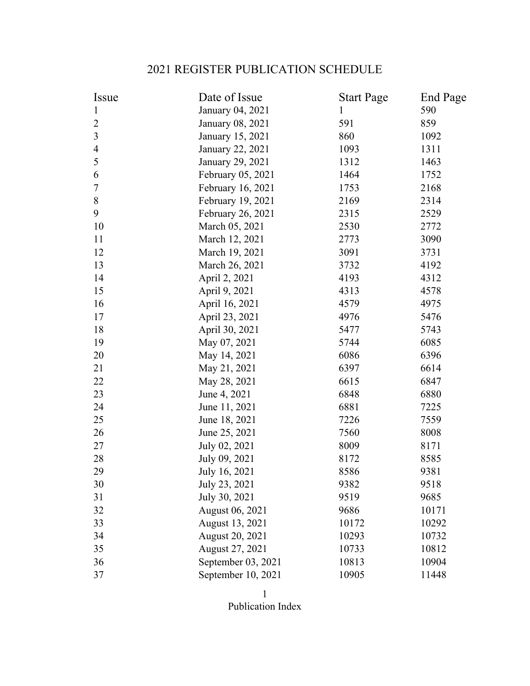# 2021 REGISTER PUBLICATION SCHEDULE

| Issue          | Date of Issue      | <b>Start Page</b> | <b>End Page</b> |
|----------------|--------------------|-------------------|-----------------|
| 1              | January 04, 2021   | $\mathbf 1$       | 590             |
| $\overline{2}$ | January 08, 2021   | 591               | 859             |
| $\overline{3}$ | January 15, 2021   | 860               | 1092            |
| $\overline{4}$ | January 22, 2021   | 1093              | 1311            |
| 5              | January 29, 2021   | 1312              | 1463            |
| 6              | February 05, 2021  | 1464              | 1752            |
| $\overline{7}$ | February 16, 2021  | 1753              | 2168            |
| 8              | February 19, 2021  | 2169              | 2314            |
| 9              | February 26, 2021  | 2315              | 2529            |
| 10             | March 05, 2021     | 2530              | 2772            |
| 11             | March 12, 2021     | 2773              | 3090            |
| 12             | March 19, 2021     | 3091              | 3731            |
| 13             | March 26, 2021     | 3732              | 4192            |
| 14             | April 2, 2021      | 4193              | 4312            |
| 15             | April 9, 2021      | 4313              | 4578            |
| 16             | April 16, 2021     | 4579              | 4975            |
| 17             | April 23, 2021     | 4976              | 5476            |
| 18             | April 30, 2021     | 5477              | 5743            |
| 19             | May 07, 2021       | 5744              | 6085            |
| 20             | May 14, 2021       | 6086              | 6396            |
| 21             | May 21, 2021       | 6397              | 6614            |
| 22             | May 28, 2021       | 6615              | 6847            |
| 23             | June 4, 2021       | 6848              | 6880            |
| 24             | June 11, 2021      | 6881              | 7225            |
| 25             | June 18, 2021      | 7226              | 7559            |
| 26             | June 25, 2021      | 7560              | 8008            |
| 27             | July 02, 2021      | 8009              | 8171            |
| 28             | July 09, 2021      | 8172              | 8585            |
| 29             | July 16, 2021      | 8586              | 9381            |
| 30             | July 23, 2021      | 9382              | 9518            |
| 31             | July 30, 2021      | 9519              | 9685            |
| 32             | August 06, 2021    | 9686              | 10171           |
| 33             | August 13, 2021    | 10172             | 10292           |
| 34             | August 20, 2021    | 10293             | 10732           |
| 35             | August 27, 2021    | 10733             | 10812           |
| 36             | September 03, 2021 | 10813             | 10904           |
| 37             | September 10, 2021 | 10905             | 11448           |

1 Publication Index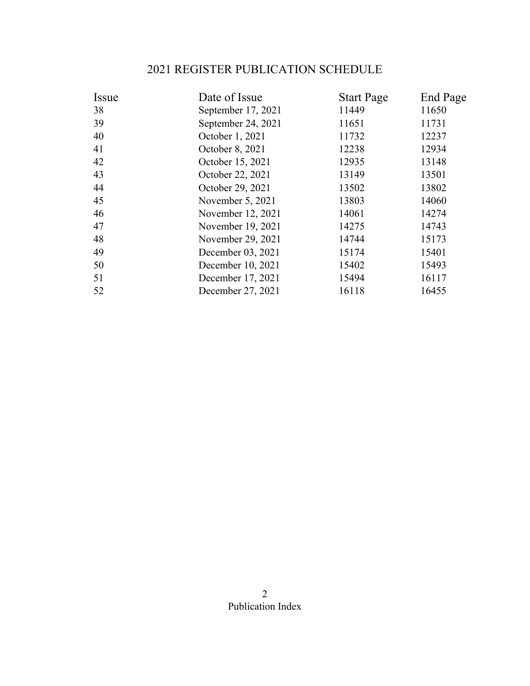# 2021 REGISTER PUBLICATION SCHEDULE

| Issue | Date of Issue      | <b>Start Page</b> | End Page |
|-------|--------------------|-------------------|----------|
| 38    | September 17, 2021 | 11449             | 11650    |
| 39    | September 24, 2021 | 11651             | 11731    |
| 40    | October 1, 2021    | 11732             | 12237    |
| 41    | October 8, 2021    | 12238             | 12934    |
| 42    | October 15, 2021   | 12935             | 13148    |
| 43    | October 22, 2021   | 13149             | 13501    |
| 44    | October 29, 2021   | 13502             | 13802    |
| 45    | November 5, 2021   | 13803             | 14060    |
| 46    | November 12, 2021  | 14061             | 14274    |
| 47    | November 19, 2021  | 14275             | 14743    |
| 48    | November 29, 2021  | 14744             | 15173    |
| 49    | December 03, 2021  | 15174             | 15401    |
| 50    | December 10, 2021  | 15402             | 15493    |
| 51    | December 17, 2021  | 15494             | 16117    |
| 52    | December 27, 2021  | 16118             | 16455    |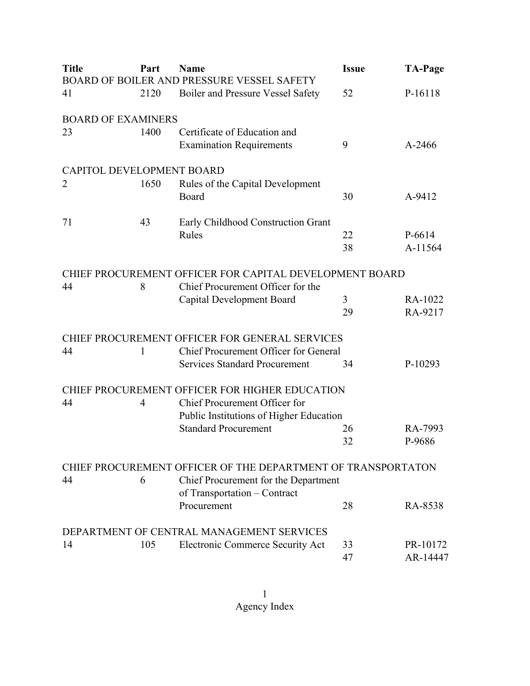| <b>Title</b>              | Part | <b>Name</b>                                                  | <b>Issue</b> | <b>TA-Page</b> |
|---------------------------|------|--------------------------------------------------------------|--------------|----------------|
|                           |      | BOARD OF BOILER AND PRESSURE VESSEL SAFETY                   |              |                |
| 41                        | 2120 | <b>Boiler and Pressure Vessel Safety</b>                     | 52           | P-16118        |
| <b>BOARD OF EXAMINERS</b> |      |                                                              |              |                |
| 23                        | 1400 | Certificate of Education and                                 |              |                |
|                           |      | <b>Examination Requirements</b>                              | 9            | A-2466         |
| CAPITOL DEVELOPMENT BOARD |      |                                                              |              |                |
| 2                         | 1650 | Rules of the Capital Development                             |              |                |
|                           |      | Board                                                        | 30           | A-9412         |
| 71                        | 43   | Early Childhood Construction Grant                           |              |                |
|                           |      | Rules                                                        | 22           | P-6614         |
|                           |      |                                                              | 38           | A-11564        |
|                           |      | CHIEF PROCUREMENT OFFICER FOR CAPITAL DEVELOPMENT BOARD      |              |                |
| 44                        | 8    | Chief Procurement Officer for the                            |              |                |
|                           |      | <b>Capital Development Board</b>                             | 3            | RA-1022        |
|                           |      |                                                              | 29           | RA-9217        |
|                           |      | CHIEF PROCUREMENT OFFICER FOR GENERAL SERVICES               |              |                |
| 44                        | 1    | Chief Procurement Officer for General                        |              |                |
|                           |      | <b>Services Standard Procurement</b>                         | 34           | P-10293        |
|                           |      | CHIEF PROCUREMENT OFFICER FOR HIGHER EDUCATION               |              |                |
| 44                        | 4    | Chief Procurement Officer for                                |              |                |
|                           |      | Public Institutions of Higher Education                      |              |                |
|                           |      | <b>Standard Procurement</b>                                  | 26           | RA-7993        |
|                           |      |                                                              | 32           | P-9686         |
|                           |      | CHIEF PROCUREMENT OFFICER OF THE DEPARTMENT OF TRANSPORTATON |              |                |
| 44                        | 6    | Chief Procurement for the Department                         |              |                |
|                           |      | of Transportation - Contract                                 |              |                |
|                           |      | Procurement                                                  | 28           | RA-8538        |
|                           |      | DEPARTMENT OF CENTRAL MANAGEMENT SERVICES                    |              |                |
| 14                        | 105  | Electronic Commerce Security Act                             | 33           | PR-10172       |
|                           |      |                                                              | 47           | AR-14447       |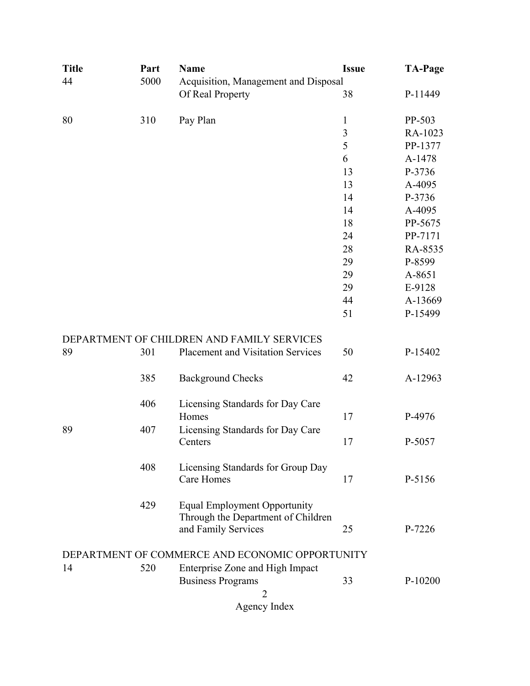| <b>Title</b> | Part | <b>Name</b>                                                                                      | <b>Issue</b> | <b>TA-Page</b> |
|--------------|------|--------------------------------------------------------------------------------------------------|--------------|----------------|
| 44           | 5000 | Acquisition, Management and Disposal                                                             |              |                |
|              |      | Of Real Property                                                                                 | 38           | P-11449        |
| 80           | 310  | Pay Plan                                                                                         | $\mathbf{1}$ | PP-503         |
|              |      |                                                                                                  | 3            | RA-1023        |
|              |      |                                                                                                  | 5            | PP-1377        |
|              |      |                                                                                                  | 6            | A-1478         |
|              |      |                                                                                                  | 13           | P-3736         |
|              |      |                                                                                                  | 13           | A-4095         |
|              |      |                                                                                                  | 14           | P-3736         |
|              |      |                                                                                                  | 14           | A-4095         |
|              |      |                                                                                                  | 18           | PP-5675        |
|              |      |                                                                                                  | 24           | PP-7171        |
|              |      |                                                                                                  | 28           | RA-8535        |
|              |      |                                                                                                  | 29           | P-8599         |
|              |      |                                                                                                  | 29           | A-8651         |
|              |      |                                                                                                  | 29           | E-9128         |
|              |      |                                                                                                  | 44           | A-13669        |
|              |      |                                                                                                  | 51           | P-15499        |
|              |      | DEPARTMENT OF CHILDREN AND FAMILY SERVICES                                                       |              |                |
| 89           | 301  | Placement and Visitation Services                                                                | 50           | P-15402        |
|              | 385  | <b>Background Checks</b>                                                                         | 42           | A-12963        |
|              | 406  | Licensing Standards for Day Care                                                                 |              |                |
|              |      | Homes                                                                                            | 17           | P-4976         |
| 89           | 407  | Licensing Standards for Day Care                                                                 |              |                |
|              |      | Centers                                                                                          | 17           | P-5057         |
|              | 408  | Licensing Standards for Group Day<br><b>Care Homes</b>                                           | 17           | P-5156         |
|              | 429  | <b>Equal Employment Opportunity</b><br>Through the Department of Children<br>and Family Services | 25           | P-7226         |
|              |      |                                                                                                  |              |                |
|              |      | DEPARTMENT OF COMMERCE AND ECONOMIC OPPORTUNITY                                                  |              |                |
| 14           | 520  | Enterprise Zone and High Impact                                                                  |              |                |
|              |      | <b>Business Programs</b>                                                                         | 33           | $P-10200$      |
|              |      | 2                                                                                                |              |                |
|              |      | Agency Index                                                                                     |              |                |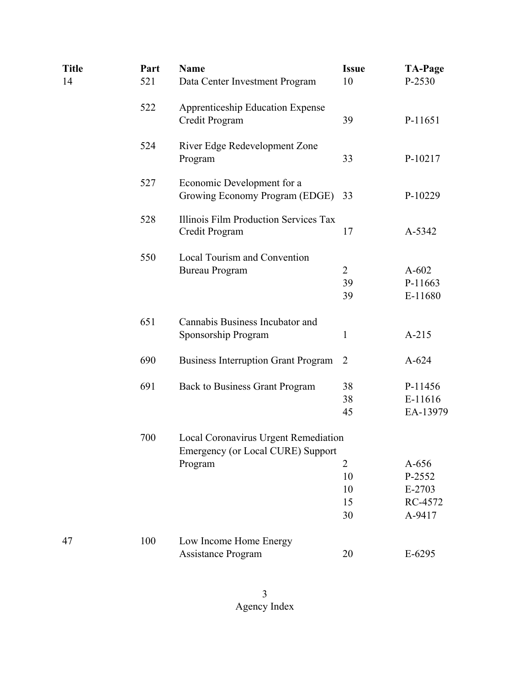| <b>Title</b><br>14 | Part<br>521 | <b>Name</b><br>Data Center Investment Program                                        | <b>Issue</b><br>10         | <b>TA-Page</b><br>P-2530                         |
|--------------------|-------------|--------------------------------------------------------------------------------------|----------------------------|--------------------------------------------------|
|                    | 522         | <b>Apprenticeship Education Expense</b><br>Credit Program                            | 39                         | P-11651                                          |
|                    | 524         | River Edge Redevelopment Zone<br>Program                                             | 33                         | P-10217                                          |
|                    | 527         | Economic Development for a<br>Growing Economy Program (EDGE)                         | 33                         | P-10229                                          |
|                    | 528         | Illinois Film Production Services Tax<br>Credit Program                              | 17                         | A-5342                                           |
|                    | 550         | Local Tourism and Convention<br><b>Bureau Program</b>                                | $\overline{2}$<br>39<br>39 | $A-602$<br>P-11663<br>E-11680                    |
|                    | 651         | Cannabis Business Incubator and<br>Sponsorship Program                               | $\mathbf{1}$               | $A-215$                                          |
|                    | 690         | <b>Business Interruption Grant Program</b>                                           | $\overline{2}$             | $A-624$                                          |
|                    | 691         | <b>Back to Business Grant Program</b>                                                | 38<br>38<br>45             | P-11456<br>E-11616<br>EA-13979                   |
|                    | 700         | Local Coronavirus Urgent Remediation<br>Emergency (or Local CURE) Support<br>Program | 2<br>10<br>10<br>15<br>30  | $A-656$<br>P-2552<br>E-2703<br>RC-4572<br>A-9417 |
| 47                 | 100         | Low Income Home Energy<br><b>Assistance Program</b>                                  | 20                         | $E-6295$                                         |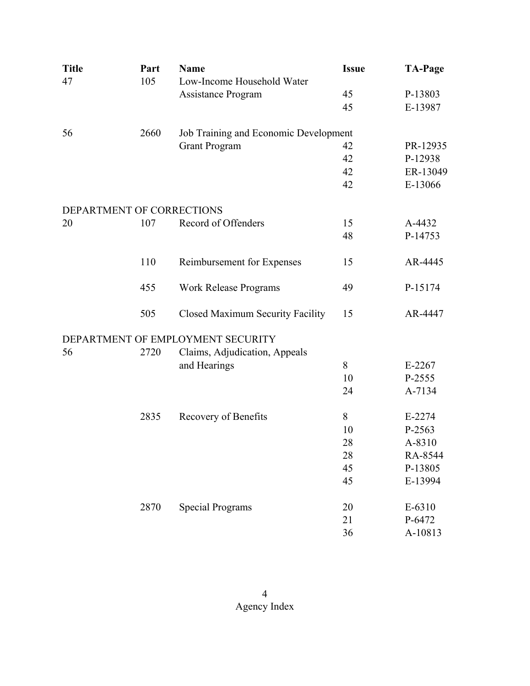| <b>Title</b>              | Part | <b>Name</b>                             | <b>Issue</b> | <b>TA-Page</b> |
|---------------------------|------|-----------------------------------------|--------------|----------------|
| 47                        | 105  | Low-Income Household Water              |              |                |
|                           |      | Assistance Program                      | 45           | P-13803        |
|                           |      |                                         | 45           | E-13987        |
| 56                        | 2660 | Job Training and Economic Development   |              |                |
|                           |      | <b>Grant Program</b>                    | 42           | PR-12935       |
|                           |      |                                         | 42           | P-12938        |
|                           |      |                                         | 42           | ER-13049       |
|                           |      |                                         | 42           | E-13066        |
| DEPARTMENT OF CORRECTIONS |      |                                         |              |                |
| 20                        | 107  | Record of Offenders                     | 15           | A-4432         |
|                           |      |                                         | 48           | P-14753        |
|                           | 110  | Reimbursement for Expenses              | 15           | AR-4445        |
|                           | 455  | <b>Work Release Programs</b>            | 49           | P-15174        |
|                           | 505  | <b>Closed Maximum Security Facility</b> | 15           | AR-4447        |
|                           |      | DEPARTMENT OF EMPLOYMENT SECURITY       |              |                |
| 56                        | 2720 | Claims, Adjudication, Appeals           |              |                |
|                           |      | and Hearings                            | 8            | $E-2267$       |
|                           |      |                                         | 10           | P-2555         |
|                           |      |                                         | 24           | A-7134         |
|                           | 2835 | Recovery of Benefits                    | 8            | E-2274         |
|                           |      |                                         | 10           | P-2563         |
|                           |      |                                         | 28           | A-8310         |
|                           |      |                                         | 28           | RA-8544        |
|                           |      |                                         | 45           | P-13805        |
|                           |      |                                         | 45           | E-13994        |
|                           | 2870 | <b>Special Programs</b>                 | 20           | E-6310         |
|                           |      |                                         | 21           | P-6472         |
|                           |      |                                         | 36           | A-10813        |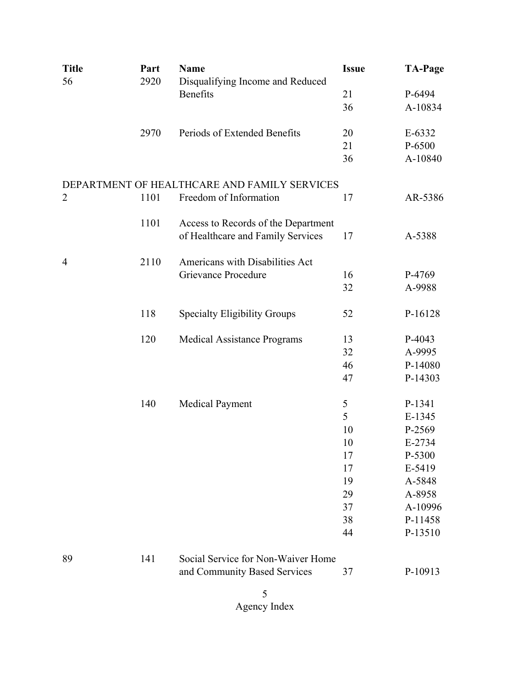| <b>Title</b>   | Part | <b>Name</b>                                  | <b>Issue</b> | <b>TA-Page</b> |
|----------------|------|----------------------------------------------|--------------|----------------|
| 56             | 2920 | Disqualifying Income and Reduced             |              |                |
|                |      | Benefits                                     | 21           | P-6494         |
|                |      |                                              | 36           | A-10834        |
|                | 2970 | Periods of Extended Benefits                 | 20           | E-6332         |
|                |      |                                              | 21           | P-6500         |
|                |      |                                              | 36           | A-10840        |
|                |      | DEPARTMENT OF HEALTHCARE AND FAMILY SERVICES |              |                |
| $\overline{2}$ | 1101 | Freedom of Information                       | 17           | AR-5386        |
|                | 1101 | Access to Records of the Department          |              |                |
|                |      | of Healthcare and Family Services            | 17           | A-5388         |
| $\overline{4}$ | 2110 | Americans with Disabilities Act              |              |                |
|                |      | Grievance Procedure                          | 16           | P-4769         |
|                |      |                                              | 32           | A-9988         |
|                | 118  | <b>Specialty Eligibility Groups</b>          | 52           | P-16128        |
|                | 120  | Medical Assistance Programs                  | 13           | P-4043         |
|                |      |                                              | 32           | A-9995         |
|                |      |                                              | 46           | P-14080        |
|                |      |                                              | 47           | P-14303        |
|                | 140  | <b>Medical Payment</b>                       | 5            | P-1341         |
|                |      |                                              | 5            | $E-1345$       |
|                |      |                                              | 10           | P-2569         |
|                |      |                                              | 10           | E-2734         |
|                |      |                                              | 17           | P-5300         |
|                |      |                                              | 17           | E-5419         |
|                |      |                                              | 19           | A-5848         |
|                |      |                                              | 29           | A-8958         |
|                |      |                                              | 37           | A-10996        |
|                |      |                                              | 38           | P-11458        |
|                |      |                                              | 44           | P-13510        |
| 89             | 141  | Social Service for Non-Waiver Home           |              |                |
|                |      | and Community Based Services                 | 37           | P-10913        |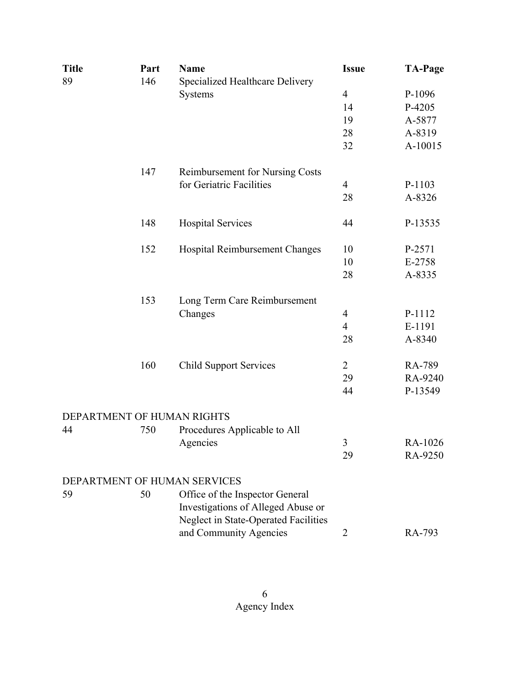| <b>Title</b> | Part | <b>Name</b>                            | <b>Issue</b>   | <b>TA-Page</b> |
|--------------|------|----------------------------------------|----------------|----------------|
| 89           | 146  | Specialized Healthcare Delivery        |                |                |
|              |      | Systems                                | $\overline{4}$ | P-1096         |
|              |      |                                        | 14             | P-4205         |
|              |      |                                        | 19             | A-5877         |
|              |      |                                        | 28             | A-8319         |
|              |      |                                        | 32             | A-10015        |
|              | 147  | <b>Reimbursement for Nursing Costs</b> |                |                |
|              |      | for Geriatric Facilities               | 4              | P-1103         |
|              |      |                                        | 28             | A-8326         |
|              | 148  | <b>Hospital Services</b>               | 44             | P-13535        |
|              | 152  | Hospital Reimbursement Changes         | 10             | P-2571         |
|              |      |                                        | 10             | E-2758         |
|              |      |                                        | 28             | A-8335         |
|              | 153  | Long Term Care Reimbursement           |                |                |
|              |      | Changes                                | $\overline{4}$ | P-1112         |
|              |      |                                        | $\overline{4}$ | E-1191         |
|              |      |                                        | 28             | A-8340         |
|              | 160  | <b>Child Support Services</b>          | $\overline{2}$ | RA-789         |
|              |      |                                        | 29             | RA-9240        |
|              |      |                                        | 44             | P-13549        |
|              |      | DEPARTMENT OF HUMAN RIGHTS             |                |                |
| 44           | 750  | Procedures Applicable to All           |                |                |
|              |      | Agencies                               | 3              | RA-1026        |
|              |      |                                        | 29             | RA-9250        |
|              |      | DEPARTMENT OF HUMAN SERVICES           |                |                |
| 59           | 50   | Office of the Inspector General        |                |                |
|              |      | Investigations of Alleged Abuse or     |                |                |
|              |      | Neglect in State-Operated Facilities   |                |                |
|              |      | and Community Agencies                 | 2              | RA-793         |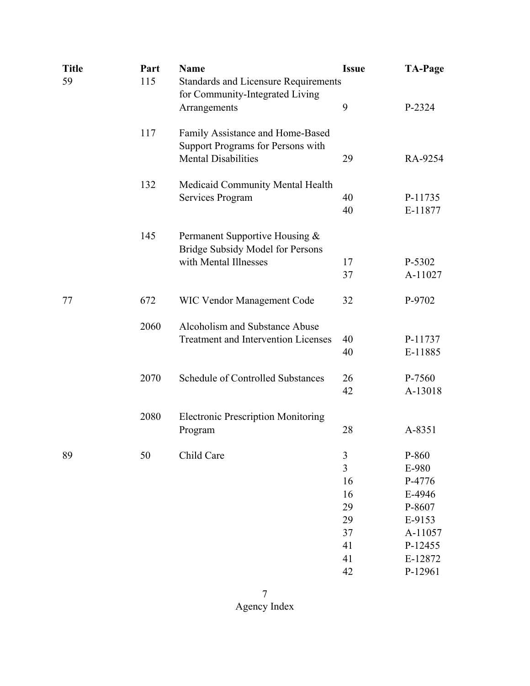| <b>Title</b> | Part | <b>Name</b>                                               | <b>Issue</b>   | <b>TA-Page</b> |
|--------------|------|-----------------------------------------------------------|----------------|----------------|
| 59           | 115  | <b>Standards and Licensure Requirements</b>               |                |                |
|              |      | for Community-Integrated Living                           |                |                |
|              |      | Arrangements                                              | 9              | P-2324         |
|              |      |                                                           |                |                |
|              | 117  | Family Assistance and Home-Based                          |                |                |
|              |      | Support Programs for Persons with                         |                |                |
|              |      | <b>Mental Disabilities</b>                                | 29             | RA-9254        |
|              | 132  | Medicaid Community Mental Health                          |                |                |
|              |      | Services Program                                          | 40             | P-11735        |
|              |      |                                                           | 40             | E-11877        |
|              | 145  |                                                           |                |                |
|              |      | Permanent Supportive Housing &                            |                |                |
|              |      | Bridge Subsidy Model for Persons<br>with Mental Illnesses | 17             | P-5302         |
|              |      |                                                           |                |                |
|              |      |                                                           | 37             | A-11027        |
| 77           | 672  | <b>WIC Vendor Management Code</b>                         | 32             | P-9702         |
|              | 2060 | Alcoholism and Substance Abuse                            |                |                |
|              |      | <b>Treatment and Intervention Licenses</b>                | 40             | P-11737        |
|              |      |                                                           | 40             | E-11885        |
|              | 2070 | <b>Schedule of Controlled Substances</b>                  | 26             | P-7560         |
|              |      |                                                           | 42             | A-13018        |
|              | 2080 | <b>Electronic Prescription Monitoring</b>                 |                |                |
|              |      | Program                                                   | 28             | A-8351         |
|              |      |                                                           |                |                |
| 89           | 50   | Child Care                                                | $\mathfrak{Z}$ | P-860          |
|              |      |                                                           | $\overline{3}$ | E-980          |
|              |      |                                                           | 16             | P-4776         |
|              |      |                                                           | 16             | E-4946         |
|              |      |                                                           | 29             | P-8607         |
|              |      |                                                           | 29             | E-9153         |
|              |      |                                                           | 37             | A-11057        |
|              |      |                                                           | 41             | P-12455        |
|              |      |                                                           | 41             | E-12872        |
|              |      |                                                           | 42             | P-12961        |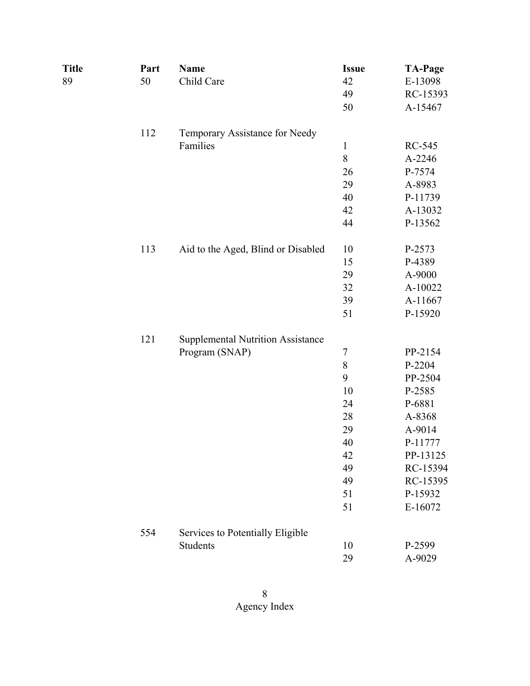| Title | Part | <b>Name</b>                              | <b>Issue</b>   | <b>TA-Page</b> |
|-------|------|------------------------------------------|----------------|----------------|
| 89    | 50   | Child Care                               | 42             | E-13098        |
|       |      |                                          | 49             | RC-15393       |
|       |      |                                          | 50             | A-15467        |
|       | 112  | Temporary Assistance for Needy           |                |                |
|       |      | Families                                 | $\mathbf{1}$   | RC-545         |
|       |      |                                          | $\,8$          | A-2246         |
|       |      |                                          | 26             | P-7574         |
|       |      |                                          | 29             | A-8983         |
|       |      |                                          | 40             | P-11739        |
|       |      |                                          | 42             | A-13032        |
|       |      |                                          | 44             | P-13562        |
|       | 113  | Aid to the Aged, Blind or Disabled       | 10             | P-2573         |
|       |      |                                          | 15             | P-4389         |
|       |      |                                          | 29             | A-9000         |
|       |      |                                          | 32             | A-10022        |
|       |      |                                          | 39             | A-11667        |
|       |      |                                          | 51             | P-15920        |
|       | 121  | <b>Supplemental Nutrition Assistance</b> |                |                |
|       |      | Program (SNAP)                           | $\overline{7}$ | PP-2154        |
|       |      |                                          | $\,$ $\,$      | P-2204         |
|       |      |                                          | 9              | PP-2504        |
|       |      |                                          | 10             | P-2585         |
|       |      |                                          | 24             | P-6881         |
|       |      |                                          | 28             | A-8368         |
|       |      |                                          | 29             | A-9014         |
|       |      |                                          | 40             | P-11777        |
|       |      |                                          | 42             | PP-13125       |
|       |      |                                          | 49             | RC-15394       |
|       |      |                                          | 49             | RC-15395       |
|       |      |                                          | 51             | P-15932        |
|       |      |                                          | 51             | E-16072        |
|       | 554  | Services to Potentially Eligible         |                |                |
|       |      | Students                                 | 10             | P-2599         |
|       |      |                                          | 29             | A-9029         |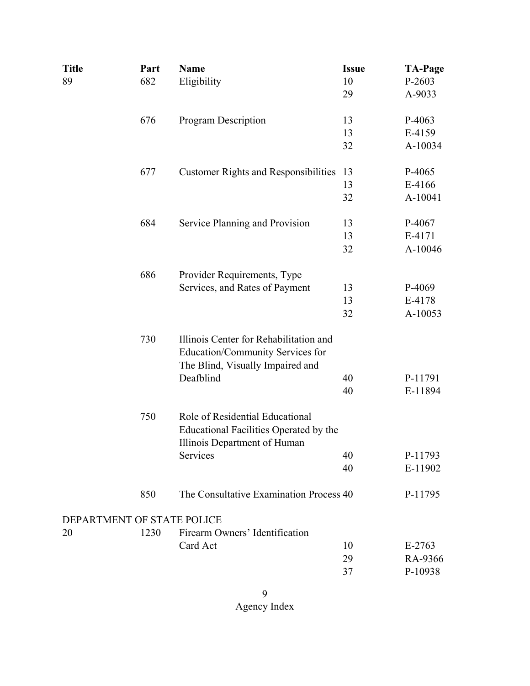| <b>Title</b> | Part                       | <b>Name</b>                                                                                                    | <b>Issue</b> | <b>TA-Page</b> |
|--------------|----------------------------|----------------------------------------------------------------------------------------------------------------|--------------|----------------|
| 89           | 682                        | Eligibility                                                                                                    | 10           | P-2603         |
|              |                            |                                                                                                                | 29           | A-9033         |
|              | 676                        | <b>Program Description</b>                                                                                     | 13           | P-4063         |
|              |                            |                                                                                                                | 13           | E-4159         |
|              |                            |                                                                                                                | 32           | A-10034        |
|              | 677                        | <b>Customer Rights and Responsibilities</b>                                                                    | 13           | P-4065         |
|              |                            |                                                                                                                | 13           | E-4166         |
|              |                            |                                                                                                                | 32           | A-10041        |
|              | 684                        | Service Planning and Provision                                                                                 | 13           | P-4067         |
|              |                            |                                                                                                                | 13           | E-4171         |
|              |                            |                                                                                                                | 32           | A-10046        |
|              | 686                        | Provider Requirements, Type                                                                                    |              |                |
|              |                            | Services, and Rates of Payment                                                                                 | 13           | P-4069         |
|              |                            |                                                                                                                | 13           | E-4178         |
|              |                            |                                                                                                                | 32           | A-10053        |
|              | 730                        | Illinois Center for Rehabilitation and<br>Education/Community Services for<br>The Blind, Visually Impaired and |              |                |
|              |                            | Deafblind                                                                                                      | 40           | P-11791        |
|              |                            |                                                                                                                | 40           | E-11894        |
|              | 750                        | Role of Residential Educational<br>Educational Facilities Operated by the<br>Illinois Department of Human      |              |                |
|              |                            | Services                                                                                                       | 40           | P-11793        |
|              |                            |                                                                                                                | 40           | E-11902        |
|              | 850                        | The Consultative Examination Process 40                                                                        |              | P-11795        |
|              | DEPARTMENT OF STATE POLICE |                                                                                                                |              |                |
| 20           | 1230                       | Firearm Owners' Identification                                                                                 |              |                |
|              |                            | Card Act                                                                                                       | 10           | $E-2763$       |
|              |                            |                                                                                                                | 29           | RA-9366        |
|              |                            |                                                                                                                | 37           | P-10938        |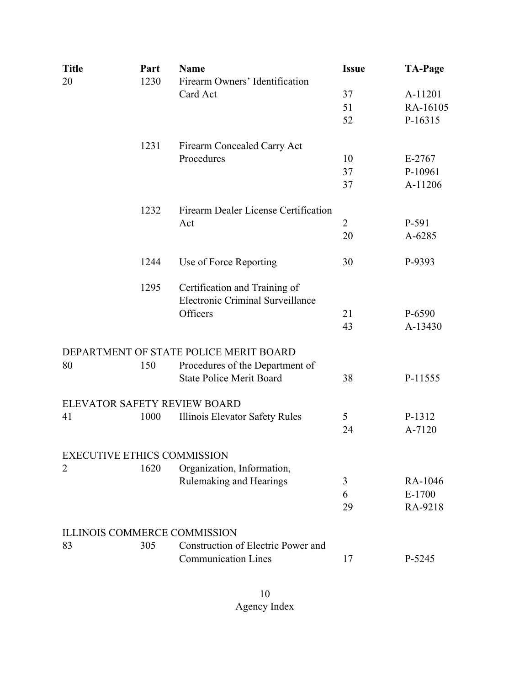| <b>Title</b> | Part | <b>Name</b>                                                       | <b>Issue</b>   | <b>TA-Page</b> |
|--------------|------|-------------------------------------------------------------------|----------------|----------------|
| 20           | 1230 | Firearm Owners' Identification                                    |                |                |
|              |      | Card Act                                                          | 37             | A-11201        |
|              |      |                                                                   | 51             | RA-16105       |
|              |      |                                                                   | 52             | P-16315        |
|              | 1231 | Firearm Concealed Carry Act                                       |                |                |
|              |      | Procedures                                                        | 10             | $E-2767$       |
|              |      |                                                                   | 37             | P-10961        |
|              |      |                                                                   | 37             | A-11206        |
|              | 1232 | Firearm Dealer License Certification                              |                |                |
|              |      | Act                                                               | $\overline{2}$ | P-591          |
|              |      |                                                                   | 20             | A-6285         |
|              | 1244 | Use of Force Reporting                                            | 30             | P-9393         |
|              | 1295 | Certification and Training of<br>Electronic Criminal Surveillance |                |                |
|              |      | Officers                                                          | 21             | P-6590         |
|              |      |                                                                   | 43             | A-13430        |
|              |      | DEPARTMENT OF STATE POLICE MERIT BOARD                            |                |                |
| 80           | 150  | Procedures of the Department of                                   |                |                |
|              |      | <b>State Police Merit Board</b>                                   | 38             | P-11555        |
|              |      | ELEVATOR SAFETY REVIEW BOARD                                      |                |                |
| 41           | 1000 | Illinois Elevator Safety Rules                                    | 5              | P-1312         |
|              |      |                                                                   | 24             | A-7120         |
|              |      | <b>EXECUTIVE ETHICS COMMISSION</b>                                |                |                |
| 2            | 1620 | Organization, Information,                                        |                |                |
|              |      | Rulemaking and Hearings                                           | 3              | RA-1046        |
|              |      |                                                                   | 6              | E-1700         |
|              |      |                                                                   | 29             | RA-9218        |
|              |      | <b>ILLINOIS COMMERCE COMMISSION</b>                               |                |                |
| 83           | 305  | Construction of Electric Power and                                |                |                |
|              |      | <b>Communication Lines</b>                                        | 17             | P-5245         |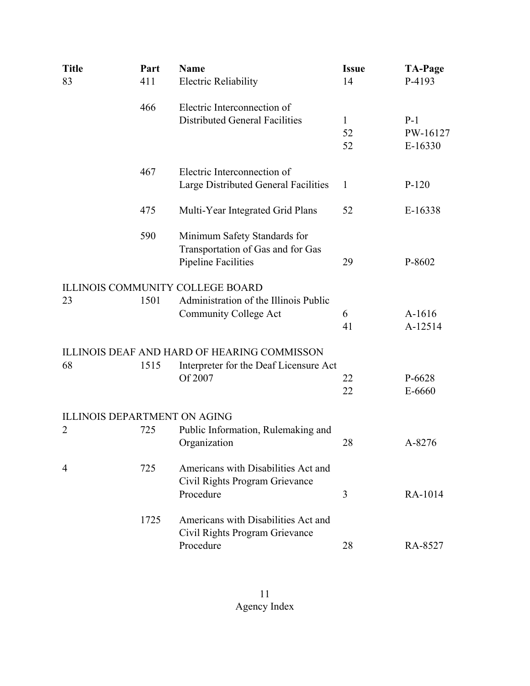| <b>Title</b>   | Part | <b>Name</b>                                        | <b>Issue</b> | <b>TA-Page</b> |
|----------------|------|----------------------------------------------------|--------------|----------------|
| 83             | 411  | <b>Electric Reliability</b>                        | 14           | P-4193         |
|                | 466  | Electric Interconnection of                        |              |                |
|                |      | <b>Distributed General Facilities</b>              | $\mathbf{1}$ | $P-1$          |
|                |      |                                                    | 52           | PW-16127       |
|                |      |                                                    | 52           | E-16330        |
|                | 467  | Electric Interconnection of                        |              |                |
|                |      | Large Distributed General Facilities               | $\mathbf{1}$ | $P-120$        |
|                | 475  | Multi-Year Integrated Grid Plans                   | 52           | E-16338        |
|                | 590  | Minimum Safety Standards for                       |              |                |
|                |      | Transportation of Gas and for Gas                  |              |                |
|                |      | <b>Pipeline Facilities</b>                         | 29           | P-8602         |
|                |      | <b>ILLINOIS COMMUNITY COLLEGE BOARD</b>            |              |                |
| 23             | 1501 | Administration of the Illinois Public              |              |                |
|                |      | <b>Community College Act</b>                       | 6            | A-1616         |
|                |      |                                                    | 41           | A-12514        |
|                |      | <b>ILLINOIS DEAF AND HARD OF HEARING COMMISSON</b> |              |                |
| 68             | 1515 | Interpreter for the Deaf Licensure Act             |              |                |
|                |      | Of 2007                                            | 22           | P-6628         |
|                |      |                                                    | 22           | E-6660         |
|                |      | <b>ILLINOIS DEPARTMENT ON AGING</b>                |              |                |
| $\overline{2}$ | 725  | Public Information, Rulemaking and                 |              |                |
|                |      | Organization                                       | 28           | A-8276         |
| 4              | 725  | Americans with Disabilities Act and                |              |                |
|                |      | Civil Rights Program Grievance                     |              |                |
|                |      | Procedure                                          | 3            | RA-1014        |
|                | 1725 | Americans with Disabilities Act and                |              |                |
|                |      | Civil Rights Program Grievance                     |              |                |
|                |      | Procedure                                          | 28           | RA-8527        |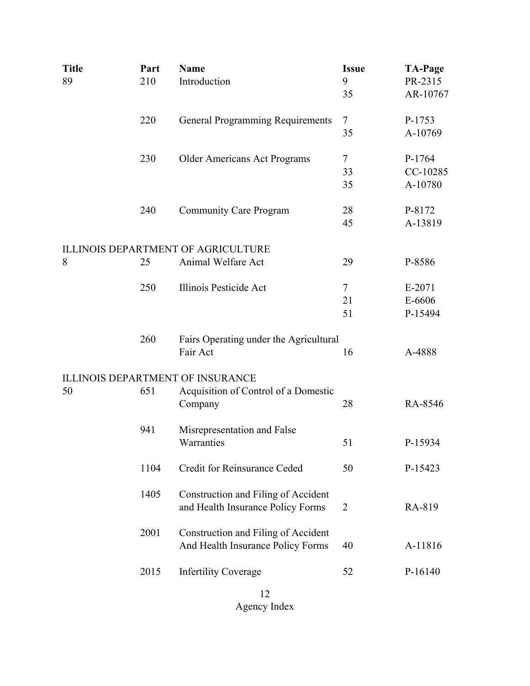| <b>Title</b> | Part | <b>Name</b>                               | <b>Issue</b>   | <b>TA-Page</b>      |
|--------------|------|-------------------------------------------|----------------|---------------------|
| 89           | 210  | Introduction                              | 9<br>35        | PR-2315<br>AR-10767 |
|              |      |                                           |                |                     |
|              | 220  | <b>General Programming Requirements</b>   | $\tau$         | P-1753              |
|              |      |                                           | 35             | A-10769             |
|              | 230  | Older Americans Act Programs              | 7              | P-1764              |
|              |      |                                           | 33             | CC-10285            |
|              |      |                                           | 35             | A-10780             |
|              | 240  | <b>Community Care Program</b>             | 28             | P-8172              |
|              |      |                                           | 45             | A-13819             |
|              |      |                                           |                |                     |
|              |      | <b>ILLINOIS DEPARTMENT OF AGRICULTURE</b> |                |                     |
| 8            | 25   | Animal Welfare Act                        | 29             | P-8586              |
|              | 250  | Illinois Pesticide Act                    | $\tau$         | E-2071              |
|              |      |                                           | 21             | E-6606              |
|              |      |                                           | 51             | P-15494             |
|              |      |                                           |                |                     |
|              | 260  | Fairs Operating under the Agricultural    |                |                     |
|              |      | Fair Act                                  | 16             | A-4888              |
|              |      | <b>ILLINOIS DEPARTMENT OF INSURANCE</b>   |                |                     |
| 50           | 651  | Acquisition of Control of a Domestic      |                |                     |
|              |      | Company                                   | 28             | RA-8546             |
|              |      |                                           |                |                     |
|              | 941  | Misrepresentation and False               |                |                     |
|              |      | Warranties                                | 51             | P-15934             |
|              | 1104 | Credit for Reinsurance Ceded              | 50             | P-15423             |
|              |      |                                           |                |                     |
|              | 1405 | Construction and Filing of Accident       |                | RA-819              |
|              |      | and Health Insurance Policy Forms         | $\overline{2}$ |                     |
|              | 2001 | Construction and Filing of Accident       |                |                     |
|              |      | And Health Insurance Policy Forms         | 40             | A-11816             |
|              |      |                                           |                |                     |
|              | 2015 | <b>Infertility Coverage</b>               | 52             | P-16140             |
|              |      |                                           |                |                     |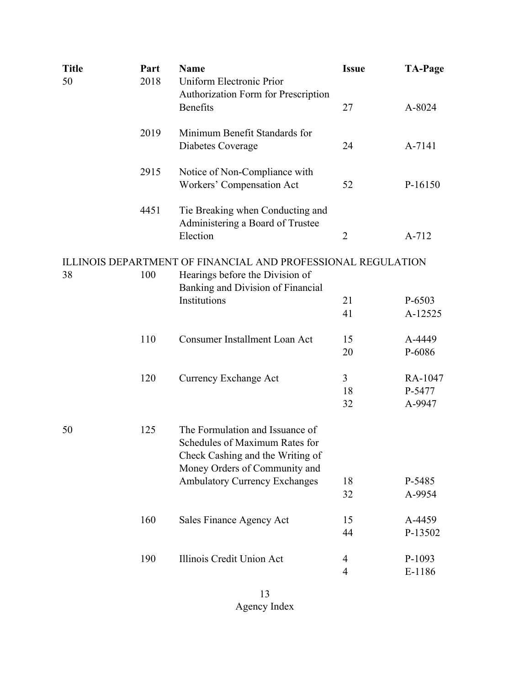| <b>Title</b> | Part | <b>Name</b>                                                          | <b>Issue</b>   | <b>TA-Page</b> |
|--------------|------|----------------------------------------------------------------------|----------------|----------------|
| 50           | 2018 | Uniform Electronic Prior<br>Authorization Form for Prescription      |                |                |
|              |      | <b>Benefits</b>                                                      | 27             | A-8024         |
|              | 2019 | Minimum Benefit Standards for                                        |                |                |
|              |      | Diabetes Coverage                                                    | 24             | A-7141         |
|              | 2915 | Notice of Non-Compliance with<br>Workers' Compensation Act           | 52             | P-16150        |
|              |      |                                                                      |                |                |
|              | 4451 | Tie Breaking when Conducting and<br>Administering a Board of Trustee |                |                |
|              |      | Election                                                             | 2              | A-712          |
|              |      | ILLINOIS DEPARTMENT OF FINANCIAL AND PROFESSIONAL REGULATION         |                |                |
| 38           | 100  | Hearings before the Division of<br>Banking and Division of Financial |                |                |
|              |      | Institutions                                                         | 21             | P-6503         |
|              |      |                                                                      | 41             | A-12525        |
|              | 110  | <b>Consumer Installment Loan Act</b>                                 | 15             | A-4449         |
|              |      |                                                                      | 20             | P-6086         |
|              | 120  | Currency Exchange Act                                                | $\overline{3}$ | RA-1047        |
|              |      |                                                                      | 18             | P-5477         |
|              |      |                                                                      | 32             | A-9947         |
| 50           | 125  | The Formulation and Issuance of<br>Schedules of Maximum Rates for    |                |                |
|              |      | Check Cashing and the Writing of                                     |                |                |
|              |      | Money Orders of Community and                                        |                |                |
|              |      | <b>Ambulatory Currency Exchanges</b>                                 | 18             | P-5485         |
|              |      |                                                                      | 32             | A-9954         |
|              | 160  | Sales Finance Agency Act                                             | 15             | A-4459         |
|              |      |                                                                      | 44             | P-13502        |
|              | 190  | Illinois Credit Union Act                                            | 4              | P-1093         |
|              |      |                                                                      | $\overline{4}$ | E-1186         |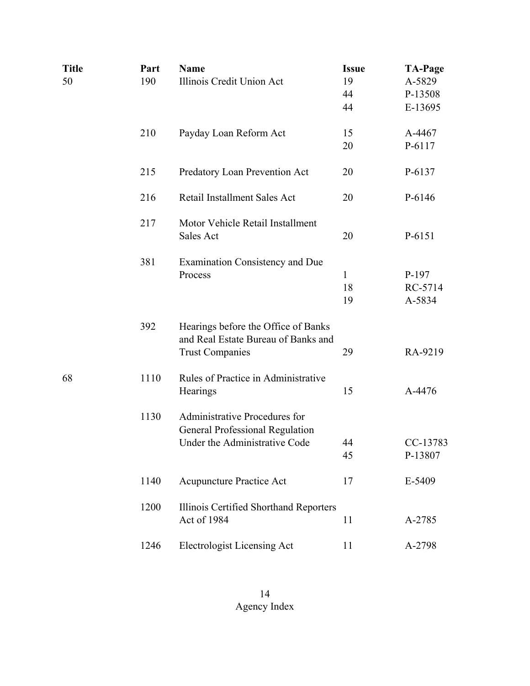| <b>Title</b><br>50 | Part<br>190 | <b>Name</b><br>Illinois Credit Union Act                                   | <b>Issue</b><br>19 | <b>TA-Page</b><br>A-5829 |
|--------------------|-------------|----------------------------------------------------------------------------|--------------------|--------------------------|
|                    |             |                                                                            | 44                 | P-13508                  |
|                    |             |                                                                            | 44                 | E-13695                  |
|                    | 210         | Payday Loan Reform Act                                                     | 15                 | A-4467                   |
|                    |             |                                                                            | 20                 | P-6117                   |
|                    | 215         | Predatory Loan Prevention Act                                              | 20                 | P-6137                   |
|                    | 216         | Retail Installment Sales Act                                               | 20                 | P-6146                   |
|                    | 217         | Motor Vehicle Retail Installment                                           |                    |                          |
|                    |             | Sales Act                                                                  | 20                 | P-6151                   |
|                    | 381         | <b>Examination Consistency and Due</b>                                     |                    |                          |
|                    |             | Process                                                                    | $\mathbf{1}$       | P-197                    |
|                    |             |                                                                            | 18                 | RC-5714                  |
|                    |             |                                                                            | 19                 | A-5834                   |
|                    | 392         | Hearings before the Office of Banks<br>and Real Estate Bureau of Banks and |                    |                          |
|                    |             | <b>Trust Companies</b>                                                     | 29                 | RA-9219                  |
| 68                 | 1110        | Rules of Practice in Administrative                                        |                    |                          |
|                    |             | Hearings                                                                   | 15                 | A-4476                   |
|                    | 1130        | Administrative Procedures for<br>General Professional Regulation           |                    |                          |
|                    |             | Under the Administrative Code                                              | 44                 | CC-13783                 |
|                    |             |                                                                            | 45                 | P-13807                  |
|                    | 1140        | Acupuncture Practice Act                                                   | 17                 | E-5409                   |
|                    | 1200        | Illinois Certified Shorthand Reporters                                     |                    |                          |
|                    |             | Act of 1984                                                                | 11                 | A-2785                   |
|                    | 1246        | <b>Electrologist Licensing Act</b>                                         | 11                 | A-2798                   |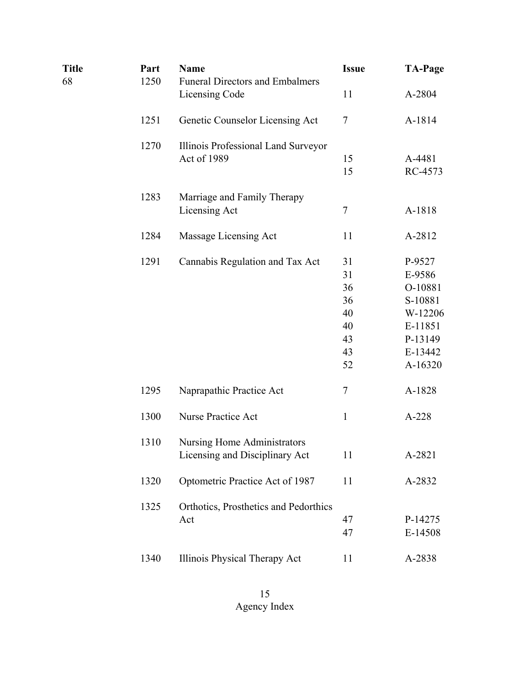| <b>Title</b><br>68 | Part<br>1250 | <b>Name</b><br><b>Funeral Directors and Embalmers</b>                | <b>Issue</b> | <b>TA-Page</b>    |
|--------------------|--------------|----------------------------------------------------------------------|--------------|-------------------|
|                    |              | Licensing Code                                                       | 11           | A-2804            |
|                    | 1251         | Genetic Counselor Licensing Act                                      | 7            | A-1814            |
|                    | 1270         | Illinois Professional Land Surveyor                                  |              |                   |
|                    |              | Act of 1989                                                          | 15<br>15     | A-4481<br>RC-4573 |
|                    | 1283         | Marriage and Family Therapy                                          |              |                   |
|                    |              | Licensing Act                                                        | 7            | A-1818            |
|                    | 1284         | Massage Licensing Act                                                | 11           | A-2812            |
|                    | 1291         | Cannabis Regulation and Tax Act                                      | 31           | P-9527            |
|                    |              |                                                                      | 31           | E-9586            |
|                    |              |                                                                      | 36           | O-10881           |
|                    |              |                                                                      | 36           | S-10881           |
|                    |              |                                                                      | 40           | W-12206           |
|                    |              |                                                                      | 40           | E-11851           |
|                    |              |                                                                      | 43           | P-13149           |
|                    |              |                                                                      | 43           | E-13442           |
|                    |              |                                                                      | 52           | A-16320           |
|                    | 1295         | Naprapathic Practice Act                                             | 7            | A-1828            |
|                    | 1300         | Nurse Practice Act                                                   | $\mathbf{1}$ | A-228             |
|                    | 1310         | <b>Nursing Home Administrators</b><br>Licensing and Disciplinary Act | 11           | A-2821            |
|                    | 1320         | Optometric Practice Act of 1987                                      | 11           | A-2832            |
|                    | 1325         | Orthotics, Prosthetics and Pedorthics                                |              |                   |
|                    |              | Act                                                                  | 47           | P-14275           |
|                    |              |                                                                      | 47           | E-14508           |
|                    | 1340         | Illinois Physical Therapy Act                                        | 11           | A-2838            |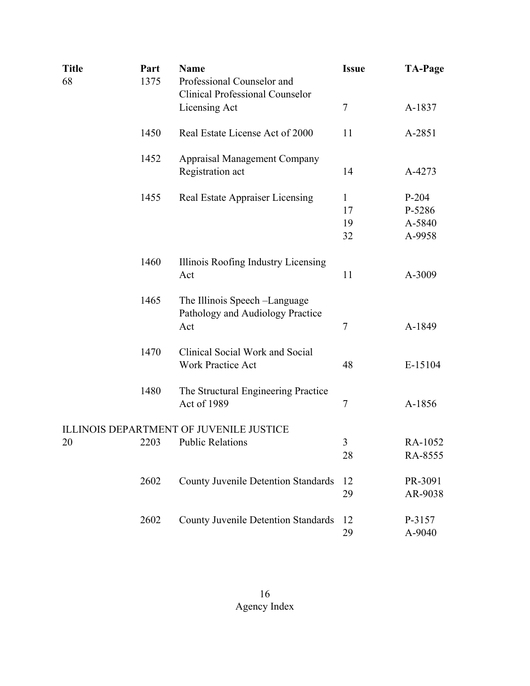| <b>Title</b><br>68 | Part<br>1375 | <b>Name</b><br>Professional Counselor and<br><b>Clinical Professional Counselor</b> | <b>Issue</b>                   | <b>TA-Page</b>                        |
|--------------------|--------------|-------------------------------------------------------------------------------------|--------------------------------|---------------------------------------|
|                    |              | Licensing Act                                                                       | $\tau$                         | A-1837                                |
|                    | 1450         | Real Estate License Act of 2000                                                     | 11                             | A-2851                                |
|                    | 1452         | <b>Appraisal Management Company</b><br>Registration act                             | 14                             | A-4273                                |
|                    | 1455         | Real Estate Appraiser Licensing                                                     | $\mathbf{1}$<br>17<br>19<br>32 | $P-204$<br>P-5286<br>A-5840<br>A-9958 |
|                    | 1460         | Illinois Roofing Industry Licensing<br>Act                                          | 11                             | A-3009                                |
|                    | 1465         | The Illinois Speech - Language<br>Pathology and Audiology Practice<br>Act           | $\tau$                         | A-1849                                |
|                    | 1470         | Clinical Social Work and Social<br><b>Work Practice Act</b>                         | 48                             | E-15104                               |
|                    | 1480         | The Structural Engineering Practice<br>Act of 1989                                  | $\tau$                         | A-1856                                |
| 20                 | 2203         | ILLINOIS DEPARTMENT OF JUVENILE JUSTICE<br><b>Public Relations</b>                  | 3<br>28                        | RA-1052<br>RA-8555                    |
|                    | 2602         | <b>County Juvenile Detention Standards</b>                                          | 12<br>29                       | PR-3091<br>AR-9038                    |
|                    | 2602         | <b>County Juvenile Detention Standards</b>                                          | 12<br>29                       | P-3157<br>A-9040                      |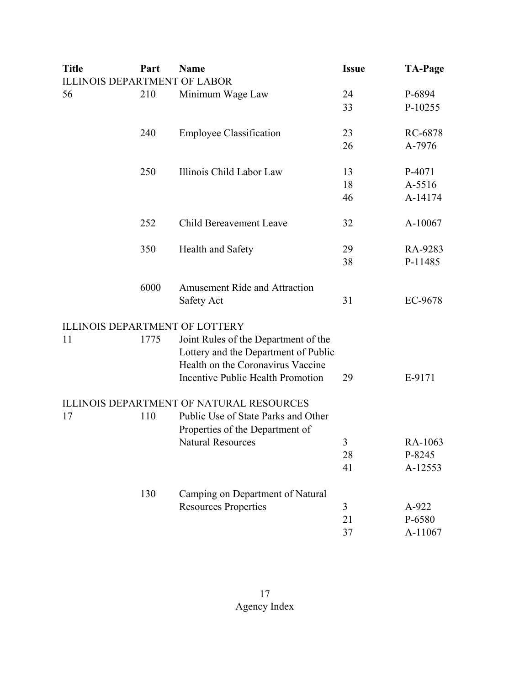| <b>Title</b> | Part | <b>Name</b>                                                                                                       | <b>Issue</b> | <b>TA-Page</b> |
|--------------|------|-------------------------------------------------------------------------------------------------------------------|--------------|----------------|
|              |      | <b>ILLINOIS DEPARTMENT OF LABOR</b>                                                                               |              |                |
| 56           | 210  | Minimum Wage Law                                                                                                  | 24           | P-6894         |
|              |      |                                                                                                                   | 33           | P-10255        |
|              | 240  | <b>Employee Classification</b>                                                                                    | 23           | RC-6878        |
|              |      |                                                                                                                   | 26           | A-7976         |
|              | 250  | Illinois Child Labor Law                                                                                          | 13           | P-4071         |
|              |      |                                                                                                                   | 18           | A-5516         |
|              |      |                                                                                                                   | 46           | A-14174        |
|              | 252  | <b>Child Bereavement Leave</b>                                                                                    | 32           | A-10067        |
|              | 350  | Health and Safety                                                                                                 | 29           | RA-9283        |
|              |      |                                                                                                                   | 38           | P-11485        |
|              | 6000 | <b>Amusement Ride and Attraction</b>                                                                              |              |                |
|              |      | Safety Act                                                                                                        | 31           | EC-9678        |
|              |      | <b>ILLINOIS DEPARTMENT OF LOTTERY</b>                                                                             |              |                |
| 11           | 1775 | Joint Rules of the Department of the<br>Lottery and the Department of Public<br>Health on the Coronavirus Vaccine |              |                |
|              |      | <b>Incentive Public Health Promotion</b>                                                                          | 29           | E-9171         |
|              |      | <b>ILLINOIS DEPARTMENT OF NATURAL RESOURCES</b>                                                                   |              |                |
| 17           | 110  | Public Use of State Parks and Other                                                                               |              |                |
|              |      | Properties of the Department of                                                                                   |              |                |
|              |      | <b>Natural Resources</b>                                                                                          | 3            | RA-1063        |
|              |      |                                                                                                                   | 28           | P-8245         |
|              |      |                                                                                                                   | 41           | A-12553        |
|              | 130  | Camping on Department of Natural                                                                                  |              |                |
|              |      | <b>Resources Properties</b>                                                                                       | 3            | A-922          |
|              |      |                                                                                                                   | 21           | P-6580         |
|              |      |                                                                                                                   | 37           | A-11067        |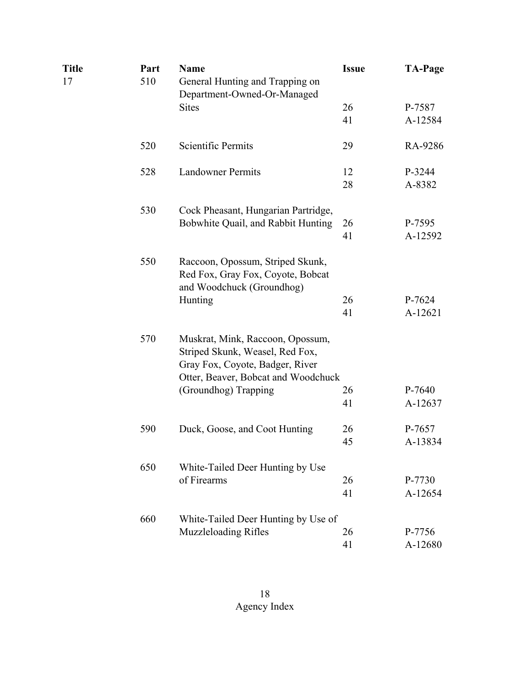| Title<br>17 | Part<br>510 | <b>Name</b><br>General Hunting and Trapping on<br>Department-Owned-Or-Managed                                                                 | <b>Issue</b> | <b>TA-Page</b>    |
|-------------|-------------|-----------------------------------------------------------------------------------------------------------------------------------------------|--------------|-------------------|
|             |             | <b>Sites</b>                                                                                                                                  | 26<br>41     | P-7587<br>A-12584 |
|             | 520         | Scientific Permits                                                                                                                            | 29           | RA-9286           |
|             | 528         | <b>Landowner Permits</b>                                                                                                                      | 12<br>28     | P-3244<br>A-8382  |
|             | 530         | Cock Pheasant, Hungarian Partridge,<br>Bobwhite Quail, and Rabbit Hunting                                                                     | 26<br>41     | P-7595<br>A-12592 |
|             | 550         | Raccoon, Opossum, Striped Skunk,<br>Red Fox, Gray Fox, Coyote, Bobcat<br>and Woodchuck (Groundhog)                                            |              |                   |
|             |             | Hunting                                                                                                                                       | 26<br>41     | P-7624<br>A-12621 |
|             | 570         | Muskrat, Mink, Raccoon, Opossum,<br>Striped Skunk, Weasel, Red Fox,<br>Gray Fox, Coyote, Badger, River<br>Otter, Beaver, Bobcat and Woodchuck |              |                   |
|             |             | (Groundhog) Trapping                                                                                                                          | 26<br>41     | P-7640<br>A-12637 |
|             | 590         | Duck, Goose, and Coot Hunting                                                                                                                 | 26<br>45     | P-7657<br>A-13834 |
|             | 650         | White-Tailed Deer Hunting by Use<br>of Firearms                                                                                               | 26<br>41     | P-7730<br>A-12654 |
|             | 660         | White-Tailed Deer Hunting by Use of<br>Muzzleloading Rifles                                                                                   | 26<br>41     | P-7756<br>A-12680 |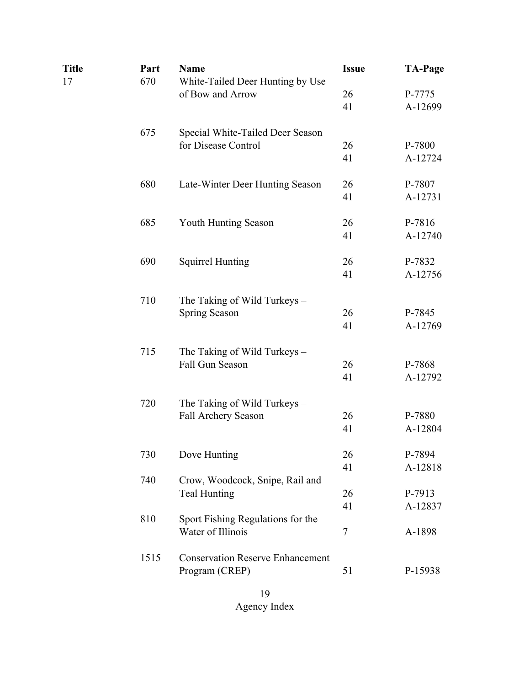| <b>Title</b> | Part | <b>Name</b>                             | <b>Issue</b> | <b>TA-Page</b>    |
|--------------|------|-----------------------------------------|--------------|-------------------|
| 17           | 670  | White-Tailed Deer Hunting by Use        |              |                   |
|              |      | of Bow and Arrow                        | 26<br>41     | P-7775<br>A-12699 |
|              |      |                                         |              |                   |
|              | 675  | Special White-Tailed Deer Season        |              |                   |
|              |      | for Disease Control                     | 26           | P-7800            |
|              |      |                                         | 41           | A-12724           |
|              | 680  | Late-Winter Deer Hunting Season         | 26           | P-7807            |
|              |      |                                         | 41           | A-12731           |
|              | 685  | Youth Hunting Season                    | 26           | P-7816            |
|              |      |                                         | 41           | A-12740           |
|              | 690  | <b>Squirrel Hunting</b>                 | 26           | P-7832            |
|              |      |                                         | 41           | A-12756           |
|              |      |                                         |              |                   |
|              | 710  | The Taking of Wild Turkeys -            |              |                   |
|              |      | Spring Season                           | 26           | P-7845            |
|              |      |                                         | 41           | A-12769           |
|              | 715  | The Taking of Wild Turkeys -            |              |                   |
|              |      | Fall Gun Season                         | 26           | P-7868            |
|              |      |                                         | 41           | A-12792           |
|              | 720  | The Taking of Wild Turkeys -            |              |                   |
|              |      | Fall Archery Season                     | 26           | P-7880            |
|              |      |                                         | 41           | A-12804           |
|              | 730  | Dove Hunting                            | 26           | P-7894            |
|              |      |                                         | 41           | A-12818           |
|              | 740  | Crow, Woodcock, Snipe, Rail and         |              |                   |
|              |      | <b>Teal Hunting</b>                     | 26           | P-7913            |
|              |      |                                         | 41           | A-12837           |
|              | 810  | Sport Fishing Regulations for the       |              |                   |
|              |      | Water of Illinois                       | 7            | A-1898            |
|              | 1515 | <b>Conservation Reserve Enhancement</b> |              |                   |
|              |      | Program (CREP)                          | 51           | P-15938           |
|              |      |                                         |              |                   |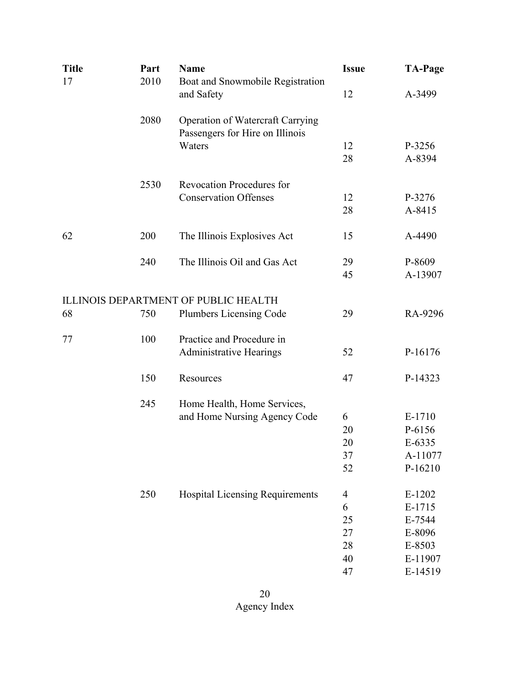| <b>Title</b> | Part | <b>Name</b>                                 | <b>Issue</b>   | <b>TA-Page</b> |
|--------------|------|---------------------------------------------|----------------|----------------|
| 17           | 2010 | Boat and Snowmobile Registration            |                |                |
|              |      | and Safety                                  | 12             | A-3499         |
|              | 2080 | Operation of Watercraft Carrying            |                |                |
|              |      | Passengers for Hire on Illinois             |                |                |
|              |      | Waters                                      | 12             | P-3256         |
|              |      |                                             | 28             | A-8394         |
|              | 2530 | <b>Revocation Procedures for</b>            |                |                |
|              |      | <b>Conservation Offenses</b>                | 12             | P-3276         |
|              |      |                                             | 28             | A-8415         |
| 62           | 200  | The Illinois Explosives Act                 | 15             | A-4490         |
|              | 240  | The Illinois Oil and Gas Act                | 29             | P-8609         |
|              |      |                                             | 45             | A-13907        |
|              |      | <b>ILLINOIS DEPARTMENT OF PUBLIC HEALTH</b> |                |                |
| 68           | 750  | Plumbers Licensing Code                     | 29             | RA-9296        |
| 77           | 100  | Practice and Procedure in                   |                |                |
|              |      | <b>Administrative Hearings</b>              | 52             | P-16176        |
|              | 150  | Resources                                   | 47             | P-14323        |
|              | 245  | Home Health, Home Services,                 |                |                |
|              |      | and Home Nursing Agency Code                | 6              | E-1710         |
|              |      |                                             | 20             | P-6156         |
|              |      |                                             | 20             | E-6335         |
|              |      |                                             | 37             | A-11077        |
|              |      |                                             | 52             | P-16210        |
|              | 250  | <b>Hospital Licensing Requirements</b>      | $\overline{4}$ | E-1202         |
|              |      |                                             | 6              | E-1715         |
|              |      |                                             | 25             | E-7544         |
|              |      |                                             | 27             | E-8096         |
|              |      |                                             | 28             | E-8503         |
|              |      |                                             | 40             | E-11907        |
|              |      |                                             | 47             | E-14519        |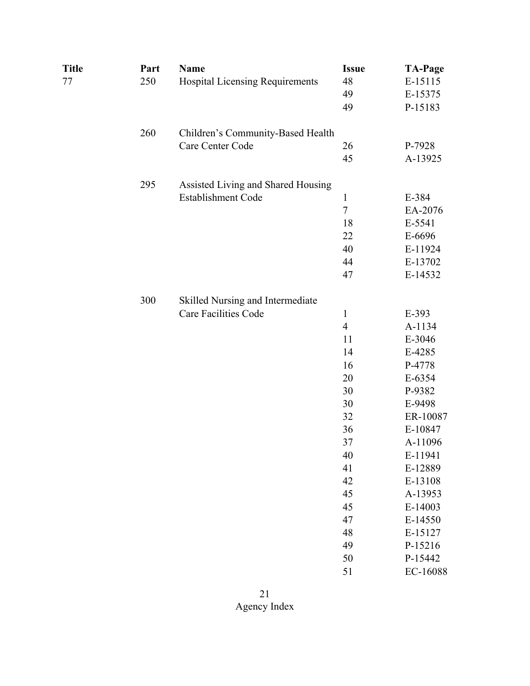| <b>Title</b> | Part | <b>Name</b>                        | <b>Issue</b>   | <b>TA-Page</b> |
|--------------|------|------------------------------------|----------------|----------------|
| 77           | 250  | Hospital Licensing Requirements    | 48             | E-15115        |
|              |      |                                    | 49             | E-15375        |
|              |      |                                    | 49             | P-15183        |
|              | 260  | Children's Community-Based Health  |                |                |
|              |      | Care Center Code                   | 26             | P-7928         |
|              |      |                                    | 45             | A-13925        |
|              | 295  | Assisted Living and Shared Housing |                |                |
|              |      | Establishment Code                 | $\mathbf{1}$   | E-384          |
|              |      |                                    | $\tau$         | EA-2076        |
|              |      |                                    | 18             | E-5541         |
|              |      |                                    | 22             | E-6696         |
|              |      |                                    | 40             | E-11924        |
|              |      |                                    | 44             | E-13702        |
|              |      |                                    | 47             | E-14532        |
|              | 300  | Skilled Nursing and Intermediate   |                |                |
|              |      | <b>Care Facilities Code</b>        | $\mathbf{1}$   | E-393          |
|              |      |                                    | $\overline{4}$ | A-1134         |
|              |      |                                    | 11             | E-3046         |
|              |      |                                    | 14             | E-4285         |
|              |      |                                    | 16             | P-4778         |
|              |      |                                    | 20             | E-6354         |
|              |      |                                    | 30             | P-9382         |
|              |      |                                    | 30             | E-9498         |
|              |      |                                    | 32             | ER-10087       |
|              |      |                                    | 36             | E-10847        |
|              |      |                                    | 37             | A-11096        |
|              |      |                                    | 40             | E-11941        |
|              |      |                                    | 41             | E-12889        |
|              |      |                                    | 42             | E-13108        |
|              |      |                                    | 45             | A-13953        |
|              |      |                                    | 45             | E-14003        |
|              |      |                                    | 47             | E-14550        |
|              |      |                                    | 48             | E-15127        |
|              |      |                                    | 49             | P-15216        |
|              |      |                                    | 50             | P-15442        |
|              |      |                                    | 51             | EC-16088       |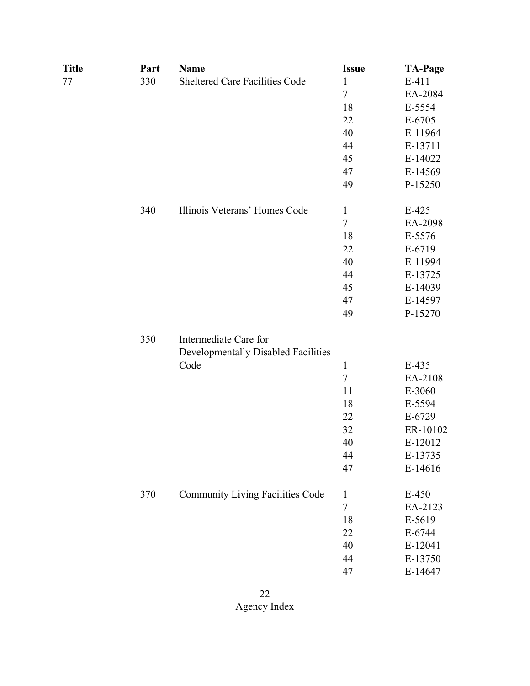| <b>Title</b> | Part | <b>Name</b>                             | <b>Issue</b> | <b>TA-Page</b> |
|--------------|------|-----------------------------------------|--------------|----------------|
| 77           | 330  | Sheltered Care Facilities Code          | $\mathbf{1}$ | $E-411$        |
|              |      |                                         | $\tau$       | EA-2084        |
|              |      |                                         | 18           | E-5554         |
|              |      |                                         | 22           | E-6705         |
|              |      |                                         | 40           | E-11964        |
|              |      |                                         | 44           | E-13711        |
|              |      |                                         | 45           | E-14022        |
|              |      |                                         | 47           | E-14569        |
|              |      |                                         | 49           | P-15250        |
|              | 340  | Illinois Veterans' Homes Code           | $\mathbf{1}$ | $E-425$        |
|              |      |                                         | $\tau$       | EA-2098        |
|              |      |                                         | 18           | E-5576         |
|              |      |                                         | 22           | E-6719         |
|              |      |                                         | 40           | E-11994        |
|              |      |                                         | 44           | E-13725        |
|              |      |                                         | 45           | E-14039        |
|              |      |                                         | 47           | E-14597        |
|              |      |                                         | 49           | P-15270        |
|              | 350  | Intermediate Care for                   |              |                |
|              |      | Developmentally Disabled Facilities     |              |                |
|              |      | Code                                    | $\mathbf{1}$ | E-435          |
|              |      |                                         | $\tau$       | EA-2108        |
|              |      |                                         | 11           | E-3060         |
|              |      |                                         | 18           | E-5594         |
|              |      |                                         | 22           | E-6729         |
|              |      |                                         | 32           | ER-10102       |
|              |      |                                         | 40           | E-12012        |
|              |      |                                         | 44           | E-13735        |
|              |      |                                         | 47           | E-14616        |
|              | 370  | <b>Community Living Facilities Code</b> | $\mathbf{1}$ | $E-450$        |
|              |      |                                         | $\tau$       | EA-2123        |
|              |      |                                         | 18           | E-5619         |
|              |      |                                         | 22           | E-6744         |
|              |      |                                         | 40           | E-12041        |
|              |      |                                         | 44           | E-13750        |
|              |      |                                         | 47           | E-14647        |
|              |      |                                         |              |                |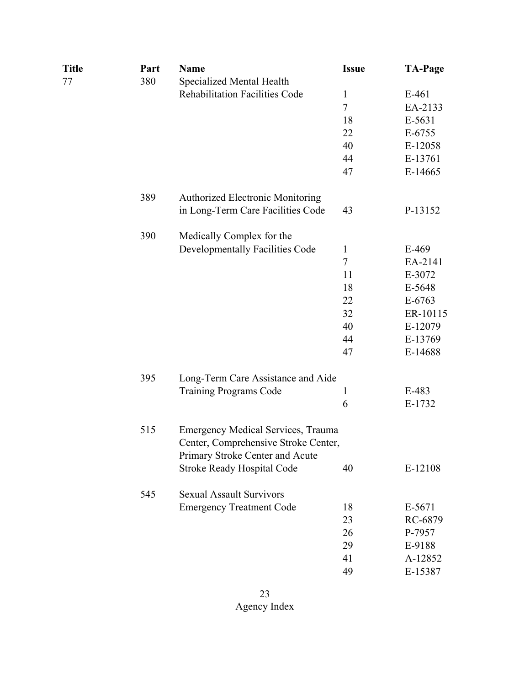| Title | Part | <b>Name</b>                             | <b>Issue</b>   | <b>TA-Page</b> |
|-------|------|-----------------------------------------|----------------|----------------|
| 77    | 380  | Specialized Mental Health               |                |                |
|       |      | <b>Rehabilitation Facilities Code</b>   | 1              | $E-461$        |
|       |      |                                         | $\overline{7}$ | EA-2133        |
|       |      |                                         | 18             | E-5631         |
|       |      |                                         | 22             | $E-6755$       |
|       |      |                                         | 40             | E-12058        |
|       |      |                                         | 44             | E-13761        |
|       |      |                                         | 47             | $E-14665$      |
|       | 389  | <b>Authorized Electronic Monitoring</b> |                |                |
|       |      | in Long-Term Care Facilities Code       | 43             | P-13152        |
|       | 390  | Medically Complex for the               |                |                |
|       |      | Developmentally Facilities Code         | $\mathbf{1}$   | E-469          |
|       |      |                                         | $\tau$         | EA-2141        |
|       |      |                                         | 11             | E-3072         |
|       |      |                                         | 18             | E-5648         |
|       |      |                                         | 22             | $E-6763$       |
|       |      |                                         | 32             | ER-10115       |
|       |      |                                         | 40             | E-12079        |
|       |      |                                         | 44             | E-13769        |
|       |      |                                         | 47             | E-14688        |
|       | 395  | Long-Term Care Assistance and Aide      |                |                |
|       |      | <b>Training Programs Code</b>           | 1              | E-483          |
|       |      |                                         | 6              | E-1732         |
|       | 515  | Emergency Medical Services, Trauma      |                |                |
|       |      | Center, Comprehensive Stroke Center,    |                |                |
|       |      | Primary Stroke Center and Acute         |                |                |
|       |      | <b>Stroke Ready Hospital Code</b>       | 40             | E-12108        |
|       | 545  | <b>Sexual Assault Survivors</b>         |                |                |
|       |      | <b>Emergency Treatment Code</b>         | 18             | E-5671         |
|       |      |                                         | 23             | RC-6879        |
|       |      |                                         | 26             | P-7957         |
|       |      |                                         | 29             | E-9188         |
|       |      |                                         | 41             | A-12852        |
|       |      |                                         | 49             | E-15387        |
|       |      |                                         |                |                |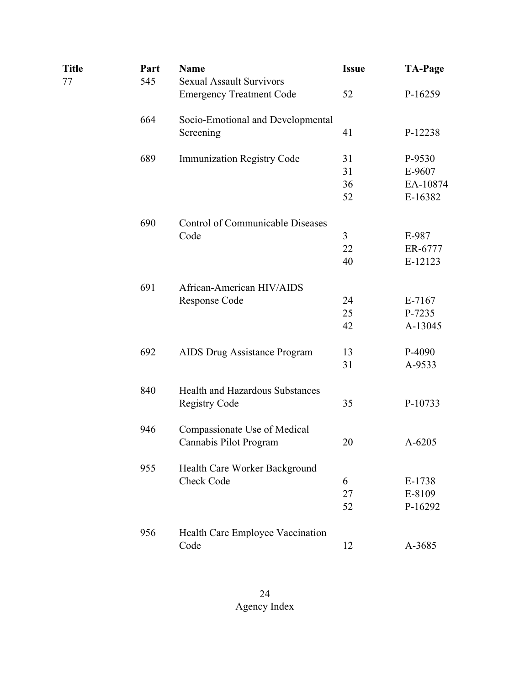| <b>Title</b> | Part | <b>Name</b>                             | <b>Issue</b> | <b>TA-Page</b> |
|--------------|------|-----------------------------------------|--------------|----------------|
| 77           | 545  | <b>Sexual Assault Survivors</b>         |              |                |
|              |      | <b>Emergency Treatment Code</b>         | 52           | P-16259        |
|              | 664  | Socio-Emotional and Developmental       |              |                |
|              |      | Screening                               | 41           | P-12238        |
|              | 689  | <b>Immunization Registry Code</b>       | 31           | P-9530         |
|              |      |                                         | 31           | E-9607         |
|              |      |                                         | 36           | EA-10874       |
|              |      |                                         | 52           | E-16382        |
|              | 690  | <b>Control of Communicable Diseases</b> |              |                |
|              |      | Code                                    | 3            | E-987          |
|              |      |                                         | 22           | ER-6777        |
|              |      |                                         | 40           | E-12123        |
|              | 691  | African-American HIV/AIDS               |              |                |
|              |      | Response Code                           | 24           | $E-7167$       |
|              |      |                                         | 25           | P-7235         |
|              |      |                                         | 42           | A-13045        |
|              | 692  | AIDS Drug Assistance Program            | 13           | P-4090         |
|              |      |                                         | 31           | A-9533         |
|              | 840  | <b>Health and Hazardous Substances</b>  |              |                |
|              |      | <b>Registry Code</b>                    | 35           | P-10733        |
|              | 946  | Compassionate Use of Medical            |              |                |
|              |      | Cannabis Pilot Program                  | 20           | A-6205         |
|              | 955  | Health Care Worker Background           |              |                |
|              |      | Check Code                              | 6            | E-1738         |
|              |      |                                         | 27           | E-8109         |
|              |      |                                         | 52           | P-16292        |
|              | 956  | Health Care Employee Vaccination        |              |                |
|              |      | Code                                    | 12           | A-3685         |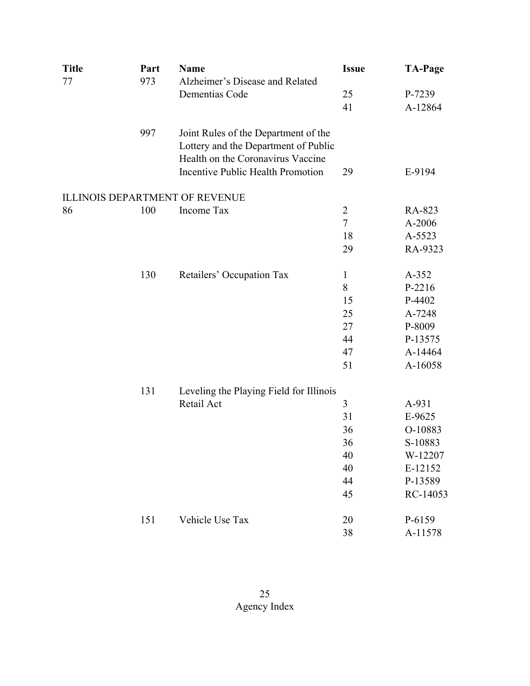| <b>Title</b> | Part | <b>Name</b>                              | <b>Issue</b>   | <b>TA-Page</b> |
|--------------|------|------------------------------------------|----------------|----------------|
| 77           | 973  | Alzheimer's Disease and Related          |                |                |
|              |      | Dementias Code                           | 25             | P-7239         |
|              |      |                                          | 41             | A-12864        |
|              | 997  | Joint Rules of the Department of the     |                |                |
|              |      | Lottery and the Department of Public     |                |                |
|              |      | Health on the Coronavirus Vaccine        |                |                |
|              |      | <b>Incentive Public Health Promotion</b> | 29             | E-9194         |
|              |      | <b>ILLINOIS DEPARTMENT OF REVENUE</b>    |                |                |
| 86           | 100  | Income Tax                               | 2              | RA-823         |
|              |      |                                          | $\overline{7}$ | A-2006         |
|              |      |                                          | 18             | A-5523         |
|              |      |                                          | 29             | RA-9323        |
|              | 130  | Retailers' Occupation Tax                | $\mathbf{1}$   | $A-352$        |
|              |      |                                          | 8              | P-2216         |
|              |      |                                          | 15             | P-4402         |
|              |      |                                          | 25             | A-7248         |
|              |      |                                          | 27             | P-8009         |
|              |      |                                          | 44             | P-13575        |
|              |      |                                          | 47             | A-14464        |
|              |      |                                          | 51             | A-16058        |
|              | 131  | Leveling the Playing Field for Illinois  |                |                |
|              |      | Retail Act                               | 3              | A-931          |
|              |      |                                          | 31             | E-9625         |
|              |      |                                          | 36             | O-10883        |
|              |      |                                          | 36             | S-10883        |
|              |      |                                          | 40             | W-12207        |
|              |      |                                          | 40             | E-12152        |
|              |      |                                          | 44             | P-13589        |
|              |      |                                          | 45             | RC-14053       |
|              | 151  | Vehicle Use Tax                          | 20             | P-6159         |
|              |      |                                          | 38             | A-11578        |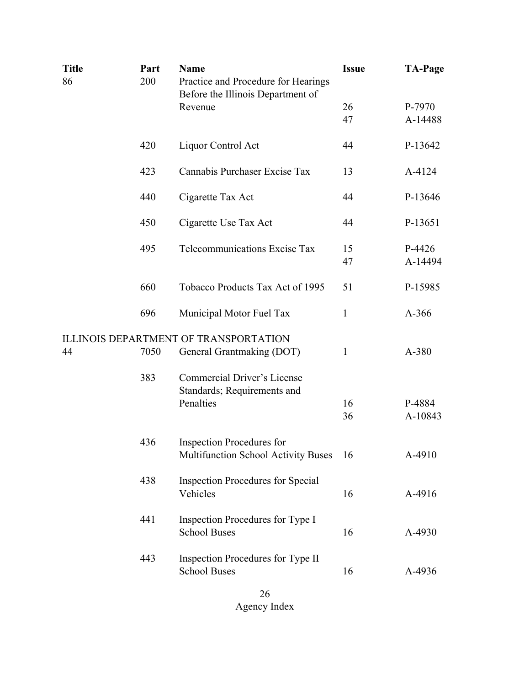| <b>Title</b><br>86 | Part<br>200 | <b>Name</b><br>Practice and Procedure for Hearings<br>Before the Illinois Department of | <b>Issue</b> | <b>TA-Page</b>    |
|--------------------|-------------|-----------------------------------------------------------------------------------------|--------------|-------------------|
|                    |             | Revenue                                                                                 | 26<br>47     | P-7970<br>A-14488 |
|                    | 420         | Liquor Control Act                                                                      | 44           | P-13642           |
|                    | 423         | Cannabis Purchaser Excise Tax                                                           | 13           | A-4124            |
|                    | 440         | Cigarette Tax Act                                                                       | 44           | P-13646           |
|                    | 450         | Cigarette Use Tax Act                                                                   | 44           | P-13651           |
|                    | 495         | <b>Telecommunications Excise Tax</b>                                                    | 15<br>47     | P-4426<br>A-14494 |
|                    | 660         | Tobacco Products Tax Act of 1995                                                        | 51           | P-15985           |
|                    | 696         | Municipal Motor Fuel Tax                                                                | $\mathbf{1}$ | $A-366$           |
| 44                 | 7050        | <b>ILLINOIS DEPARTMENT OF TRANSPORTATION</b><br>General Grantmaking (DOT)               | $\mathbf{1}$ | A-380             |
|                    | 383         | <b>Commercial Driver's License</b><br>Standards; Requirements and<br>Penalties          | 16<br>36     | P-4884<br>A-10843 |
|                    | 436         | <b>Inspection Procedures for</b><br><b>Multifunction School Activity Buses</b>          | 16           | A-4910            |
|                    | 438         | <b>Inspection Procedures for Special</b><br>Vehicles                                    | 16           | A-4916            |
|                    | 441         | Inspection Procedures for Type I<br><b>School Buses</b>                                 | 16           | A-4930            |
|                    | 443         | Inspection Procedures for Type II<br><b>School Buses</b>                                | 16           | A-4936            |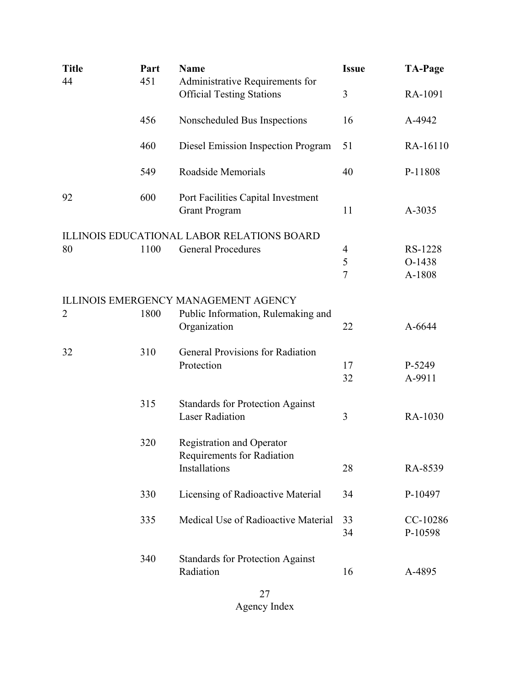| <b>Title</b>   | Part | <b>Name</b>                                                         | <b>Issue</b>        | <b>TA-Page</b>   |
|----------------|------|---------------------------------------------------------------------|---------------------|------------------|
| 44             | 451  | Administrative Requirements for<br><b>Official Testing Stations</b> | 3                   | RA-1091          |
|                | 456  | Nonscheduled Bus Inspections                                        | 16                  | A-4942           |
|                | 460  | Diesel Emission Inspection Program                                  | 51                  | RA-16110         |
|                | 549  | Roadside Memorials                                                  | 40                  | P-11808          |
| 92             | 600  | Port Facilities Capital Investment<br><b>Grant Program</b>          | 11                  | A-3035           |
|                |      | <b>ILLINOIS EDUCATIONAL LABOR RELATIONS BOARD</b>                   |                     |                  |
| 80             | 1100 | <b>General Procedures</b>                                           | $\overline{4}$      | RS-1228          |
|                |      |                                                                     | 5<br>$\overline{7}$ | O-1438<br>A-1808 |
|                |      | <b>ILLINOIS EMERGENCY MANAGEMENT AGENCY</b>                         |                     |                  |
| $\overline{2}$ | 1800 | Public Information, Rulemaking and                                  |                     |                  |
|                |      | Organization                                                        | 22                  | A-6644           |
| 32             | 310  | <b>General Provisions for Radiation</b>                             |                     |                  |
|                |      | Protection                                                          | 17                  | P-5249           |
|                |      |                                                                     | 32                  | A-9911           |
|                | 315  | <b>Standards for Protection Against</b>                             |                     |                  |
|                |      | <b>Laser Radiation</b>                                              | 3                   | RA-1030          |
|                | 320  | <b>Registration and Operator</b><br>Requirements for Radiation      |                     |                  |
|                |      | Installations                                                       | 28                  | RA-8539          |
|                | 330  | Licensing of Radioactive Material                                   | 34                  | P-10497          |
|                | 335  | Medical Use of Radioactive Material                                 | 33                  | CC-10286         |
|                |      |                                                                     | 34                  | P-10598          |
|                | 340  | <b>Standards for Protection Against</b>                             |                     |                  |
|                |      | Radiation                                                           | 16                  | A-4895           |
|                |      |                                                                     |                     |                  |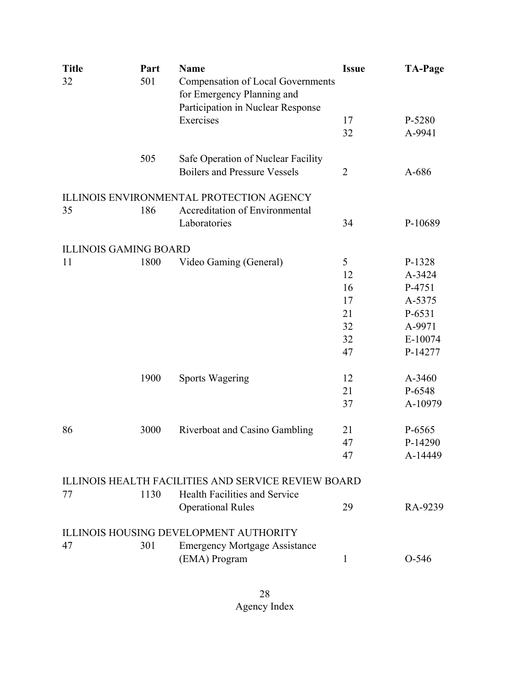| <b>Title</b>                 | Part | <b>Name</b>                                         | <b>Issue</b>   | <b>TA-Page</b> |
|------------------------------|------|-----------------------------------------------------|----------------|----------------|
| 32                           | 501  | <b>Compensation of Local Governments</b>            |                |                |
|                              |      | for Emergency Planning and                          |                |                |
|                              |      | Participation in Nuclear Response                   |                |                |
|                              |      | Exercises                                           | 17             | P-5280         |
|                              |      |                                                     | 32             | A-9941         |
|                              |      |                                                     |                |                |
|                              | 505  | Safe Operation of Nuclear Facility                  |                |                |
|                              |      | <b>Boilers and Pressure Vessels</b>                 | $\overline{2}$ | A-686          |
|                              |      |                                                     |                |                |
|                              |      | ILLINOIS ENVIRONMENTAL PROTECTION AGENCY            |                |                |
| 35                           | 186  | Accreditation of Environmental                      |                |                |
|                              |      | Laboratories                                        | 34             | P-10689        |
|                              |      |                                                     |                |                |
| <b>ILLINOIS GAMING BOARD</b> |      |                                                     |                |                |
| 11                           | 1800 | Video Gaming (General)                              | 5              | P-1328         |
|                              |      |                                                     | 12             | A-3424         |
|                              |      |                                                     | 16             | P-4751         |
|                              |      |                                                     | 17             | A-5375         |
|                              |      |                                                     | 21             | P-6531         |
|                              |      |                                                     | 32             | A-9971         |
|                              |      |                                                     | 32             | E-10074        |
|                              |      |                                                     | 47             | P-14277        |
|                              | 1900 | <b>Sports Wagering</b>                              | 12             | A-3460         |
|                              |      |                                                     | 21             | P-6548         |
|                              |      |                                                     | 37             | A-10979        |
|                              |      |                                                     |                |                |
| 86                           | 3000 | Riverboat and Casino Gambling                       | 21             | P-6565         |
|                              |      |                                                     | 47             | P-14290        |
|                              |      |                                                     | 47             | A-14449        |
|                              |      |                                                     |                |                |
|                              |      | ILLINOIS HEALTH FACILITIES AND SERVICE REVIEW BOARD |                |                |
| 77                           | 1130 | Health Facilities and Service                       |                |                |
|                              |      | <b>Operational Rules</b>                            | 29             | RA-9239        |
|                              |      | ILLINOIS HOUSING DEVELOPMENT AUTHORITY              |                |                |
| 47                           | 301  | <b>Emergency Mortgage Assistance</b>                |                |                |
|                              |      | (EMA) Program                                       | $\mathbf{1}$   | $O-546$        |
|                              |      |                                                     |                |                |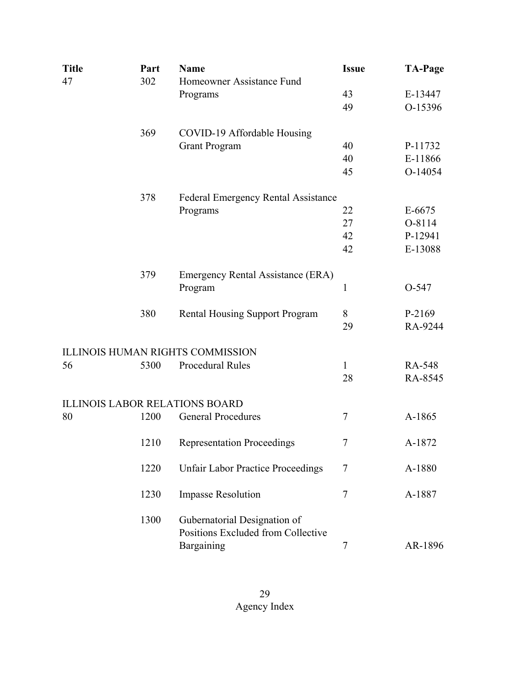| <b>Title</b> | Part | <b>Name</b>                                                        | <b>Issue</b> | <b>TA-Page</b> |
|--------------|------|--------------------------------------------------------------------|--------------|----------------|
| 47           | 302  | Homeowner Assistance Fund                                          |              |                |
|              |      | Programs                                                           | 43           | E-13447        |
|              |      |                                                                    | 49           | O-15396        |
|              | 369  | COVID-19 Affordable Housing                                        |              |                |
|              |      | <b>Grant Program</b>                                               | 40           | P-11732        |
|              |      |                                                                    | 40           | E-11866        |
|              |      |                                                                    | 45           | O-14054        |
|              | 378  | <b>Federal Emergency Rental Assistance</b>                         |              |                |
|              |      | Programs                                                           | 22           | $E-6675$       |
|              |      |                                                                    | 27           | O-8114         |
|              |      |                                                                    | 42           | P-12941        |
|              |      |                                                                    | 42           | E-13088        |
|              | 379  | Emergency Rental Assistance (ERA)                                  |              |                |
|              |      | Program                                                            | 1            | O-547          |
|              | 380  | <b>Rental Housing Support Program</b>                              | 8            | P-2169         |
|              |      |                                                                    | 29           | RA-9244        |
|              |      | <b>ILLINOIS HUMAN RIGHTS COMMISSION</b>                            |              |                |
| 56           | 5300 | <b>Procedural Rules</b>                                            | 1            | RA-548         |
|              |      |                                                                    | 28           | RA-8545        |
|              |      | <b>ILLINOIS LABOR RELATIONS BOARD</b>                              |              |                |
| 80           | 1200 | <b>General Procedures</b>                                          | $\tau$       | A-1865         |
|              | 1210 | <b>Representation Proceedings</b>                                  | 7            | A-1872         |
|              | 1220 | <b>Unfair Labor Practice Proceedings</b>                           | 7            | A-1880         |
|              | 1230 | <b>Impasse Resolution</b>                                          | $\tau$       | A-1887         |
|              | 1300 | Gubernatorial Designation of<br>Positions Excluded from Collective |              |                |
|              |      | Bargaining                                                         | 7            | AR-1896        |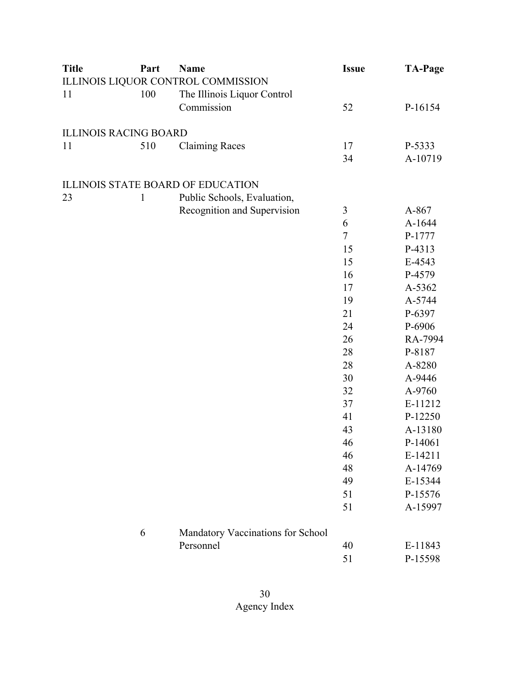| <b>Title</b>                 | Part         | <b>Name</b>                              | <b>Issue</b> | <b>TA-Page</b> |
|------------------------------|--------------|------------------------------------------|--------------|----------------|
|                              |              | ILLINOIS LIQUOR CONTROL COMMISSION       |              |                |
| 11                           | 100          | The Illinois Liquor Control              |              |                |
|                              |              | Commission                               | 52           | P-16154        |
| <b>ILLINOIS RACING BOARD</b> |              |                                          |              |                |
| 11                           | 510          | <b>Claiming Races</b>                    | 17           | P-5333         |
|                              |              |                                          | 34           | A-10719        |
|                              |              | <b>ILLINOIS STATE BOARD OF EDUCATION</b> |              |                |
| 23                           | $\mathbf{1}$ | Public Schools, Evaluation,              |              |                |
|                              |              | Recognition and Supervision              | 3            | A-867          |
|                              |              |                                          | 6            | A-1644         |
|                              |              |                                          | $\tau$       | P-1777         |
|                              |              |                                          | 15           | P-4313         |
|                              |              |                                          | 15           | E-4543         |
|                              |              |                                          | 16           | P-4579         |
|                              |              |                                          | 17           | A-5362         |
|                              |              |                                          | 19           | A-5744         |
|                              |              |                                          | 21           | P-6397         |
|                              |              |                                          | 24           | P-6906         |
|                              |              |                                          | 26           | RA-7994        |
|                              |              |                                          | 28           | P-8187         |
|                              |              |                                          | 28           | A-8280         |
|                              |              |                                          | 30           | A-9446         |
|                              |              |                                          | 32           | A-9760         |
|                              |              |                                          | 37           | E-11212        |
|                              |              |                                          | 41           | P-12250        |
|                              |              |                                          | 43           | A-13180        |
|                              |              |                                          | 46           | P-14061        |
|                              |              |                                          | 46           | E-14211        |
|                              |              |                                          | 48           | A-14769        |
|                              |              |                                          | 49           | E-15344        |
|                              |              |                                          | 51           | P-15576        |
|                              |              |                                          | 51           | A-15997        |
|                              | 6            | Mandatory Vaccinations for School        |              |                |
|                              |              | Personnel                                | 40           | E-11843        |
|                              |              |                                          | 51           | P-15598        |
|                              |              |                                          |              |                |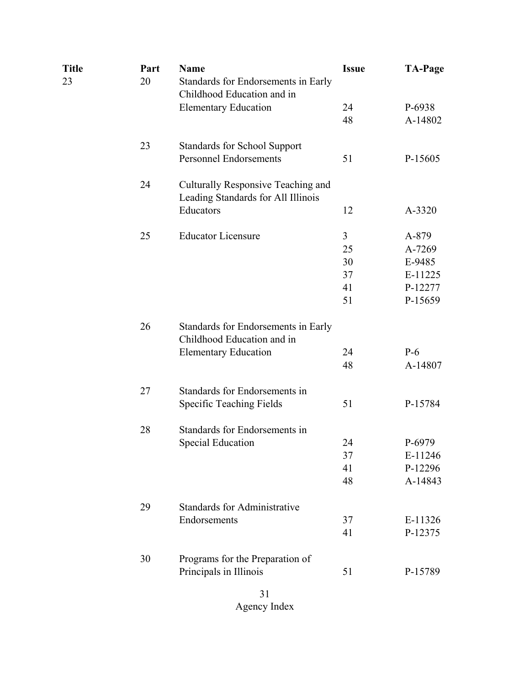| Title<br>23 | Part<br>20 | <b>Name</b><br>Standards for Endorsements in Early<br>Childhood Education and in                 | <b>Issue</b>                    | <b>TA-Page</b>                                             |
|-------------|------------|--------------------------------------------------------------------------------------------------|---------------------------------|------------------------------------------------------------|
|             |            | <b>Elementary Education</b>                                                                      | 24<br>48                        | P-6938<br>A-14802                                          |
|             | 23         | <b>Standards for School Support</b><br><b>Personnel Endorsements</b>                             | 51                              | P-15605                                                    |
|             | 24         | Culturally Responsive Teaching and<br>Leading Standards for All Illinois                         |                                 |                                                            |
|             |            | Educators                                                                                        | 12                              | A-3320                                                     |
|             | 25         | <b>Educator Licensure</b>                                                                        | 3<br>25<br>30<br>37<br>41<br>51 | A-879<br>A-7269<br>E-9485<br>E-11225<br>P-12277<br>P-15659 |
|             | 26         | Standards for Endorsements in Early<br>Childhood Education and in<br><b>Elementary Education</b> | 24<br>48                        | $P-6$<br>A-14807                                           |
|             | 27         | Standards for Endorsements in<br><b>Specific Teaching Fields</b>                                 | 51                              | P-15784                                                    |
|             | 28         | Standards for Endorsements in<br><b>Special Education</b>                                        | 24<br>37<br>41<br>48            | P-6979<br>E-11246<br>P-12296<br>A-14843                    |
|             | 29         | <b>Standards for Administrative</b><br>Endorsements                                              | 37<br>41                        | E-11326<br>P-12375                                         |
|             | 30         | Programs for the Preparation of<br>Principals in Illinois                                        | 51                              | P-15789                                                    |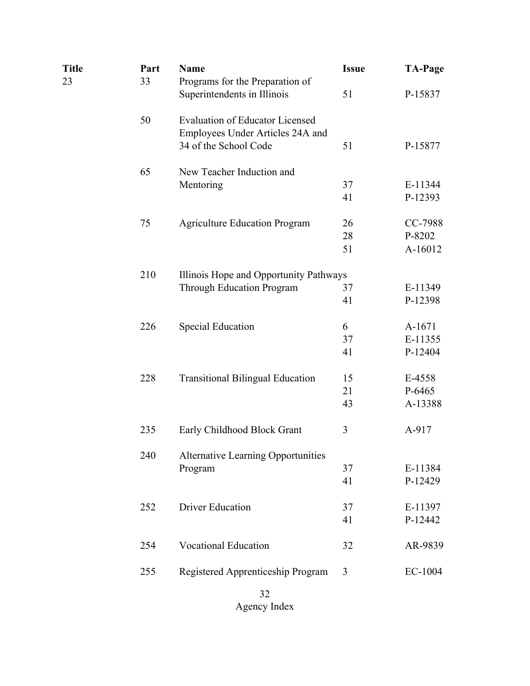| Title | Part | <b>Name</b>                               | <b>Issue</b> | <b>TA-Page</b> |
|-------|------|-------------------------------------------|--------------|----------------|
| 23    | 33   | Programs for the Preparation of           |              |                |
|       |      | Superintendents in Illinois               | 51           | P-15837        |
|       | 50   | <b>Evaluation of Educator Licensed</b>    |              |                |
|       |      | Employees Under Articles 24A and          |              |                |
|       |      | 34 of the School Code                     | 51           | P-15877        |
|       | 65   | New Teacher Induction and                 |              |                |
|       |      | Mentoring                                 | 37           | E-11344        |
|       |      |                                           | 41           | P-12393        |
|       | 75   | <b>Agriculture Education Program</b>      | 26           | CC-7988        |
|       |      |                                           | 28           | P-8202         |
|       |      |                                           | 51           | A-16012        |
|       | 210  | Illinois Hope and Opportunity Pathways    |              |                |
|       |      | <b>Through Education Program</b>          | 37           | E-11349        |
|       |      |                                           | 41           | P-12398        |
|       | 226  | <b>Special Education</b>                  | 6            | A-1671         |
|       |      |                                           | 37           | E-11355        |
|       |      |                                           | 41           | P-12404        |
|       | 228  | <b>Transitional Bilingual Education</b>   | 15           | E-4558         |
|       |      |                                           | 21           | P-6465         |
|       |      |                                           | 43           | A-13388        |
|       | 235  | Early Childhood Block Grant               | 3            | A-917          |
|       | 240  | <b>Alternative Learning Opportunities</b> |              |                |
|       |      | Program                                   | 37           | E-11384        |
|       |      |                                           | 41           | P-12429        |
|       | 252  | <b>Driver Education</b>                   | 37           | E-11397        |
|       |      |                                           | 41           | P-12442        |
|       | 254  | <b>Vocational Education</b>               | 32           | AR-9839        |
|       | 255  | Registered Apprenticeship Program         | 3            | EC-1004        |
|       |      | 32                                        |              |                |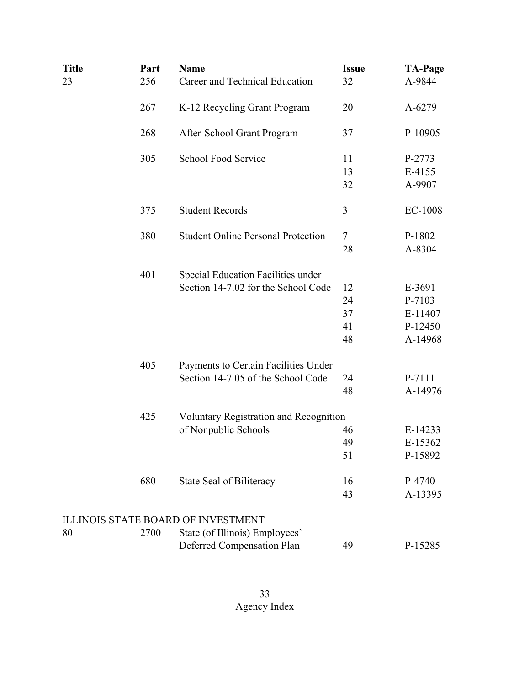| <b>Title</b><br>23 | Part<br>256 | <b>Name</b><br>Career and Technical Education | <b>Issue</b><br>32 | <b>TA-Page</b><br>A-9844 |
|--------------------|-------------|-----------------------------------------------|--------------------|--------------------------|
|                    | 267         | K-12 Recycling Grant Program                  | 20                 | A-6279                   |
|                    | 268         | After-School Grant Program                    | 37                 | P-10905                  |
|                    | 305         | School Food Service                           | 11                 | P-2773                   |
|                    |             |                                               | 13                 | E-4155                   |
|                    |             |                                               | 32                 | A-9907                   |
|                    | 375         | <b>Student Records</b>                        | 3                  | EC-1008                  |
|                    | 380         | <b>Student Online Personal Protection</b>     | $\tau$             | P-1802                   |
|                    |             |                                               | 28                 | A-8304                   |
|                    | 401         | Special Education Facilities under            |                    |                          |
|                    |             | Section 14-7.02 for the School Code           | 12                 | E-3691                   |
|                    |             |                                               | 24                 | P-7103                   |
|                    |             |                                               | 37                 | E-11407                  |
|                    |             |                                               | 41                 | P-12450                  |
|                    |             |                                               | 48                 | A-14968                  |
|                    | 405         | Payments to Certain Facilities Under          |                    |                          |
|                    |             | Section 14-7.05 of the School Code            | 24                 | P-7111                   |
|                    |             |                                               | 48                 | A-14976                  |
|                    | 425         | Voluntary Registration and Recognition        |                    |                          |
|                    |             | of Nonpublic Schools                          | 46                 | E-14233                  |
|                    |             |                                               | 49                 | E-15362                  |
|                    |             |                                               | 51                 | P-15892                  |
|                    | 680         | State Seal of Biliteracy                      | 16                 | P-4740                   |
|                    |             |                                               | 43                 | A-13395                  |
|                    |             | ILLINOIS STATE BOARD OF INVESTMENT            |                    |                          |
| 80                 | 2700        | State (of Illinois) Employees'                |                    |                          |
|                    |             | Deferred Compensation Plan                    | 49                 | P-15285                  |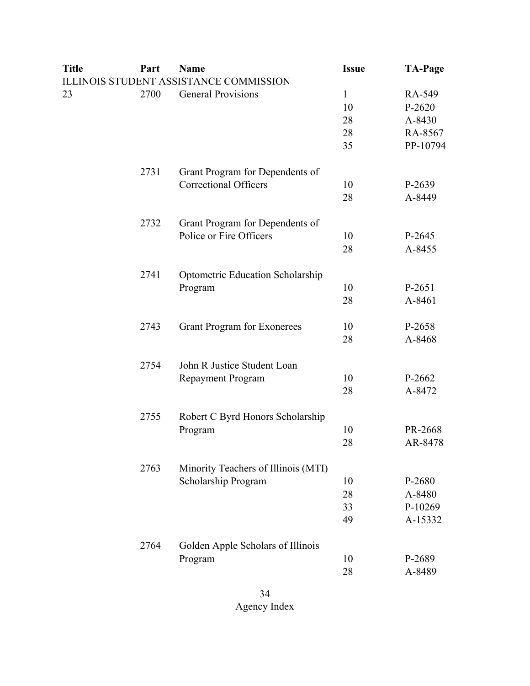| <b>Title</b> | Part | <b>Name</b>                                   | <b>Issue</b> | <b>TA-Page</b> |
|--------------|------|-----------------------------------------------|--------------|----------------|
|              |      | <b>ILLINOIS STUDENT ASSISTANCE COMMISSION</b> |              |                |
| 23           | 2700 | <b>General Provisions</b>                     | $\mathbf{1}$ | RA-549         |
|              |      |                                               | 10           | $P-2620$       |
|              |      |                                               | 28           | A-8430         |
|              |      |                                               | 28           | RA-8567        |
|              |      |                                               | 35           | PP-10794       |
|              | 2731 | Grant Program for Dependents of               |              |                |
|              |      | <b>Correctional Officers</b>                  | 10           | P-2639         |
|              |      |                                               | 28           | A-8449         |
|              | 2732 | Grant Program for Dependents of               |              |                |
|              |      | Police or Fire Officers                       | 10           | P-2645         |
|              |      |                                               | 28           | A-8455         |
|              | 2741 | Optometric Education Scholarship              |              |                |
|              |      | Program                                       | 10           | P-2651         |
|              |      |                                               | 28           | A-8461         |
|              | 2743 | <b>Grant Program for Exonerees</b>            | 10           | P-2658         |
|              |      |                                               | 28           | A-8468         |
|              | 2754 | John R Justice Student Loan                   |              |                |
|              |      | <b>Repayment Program</b>                      | 10           | P-2662         |
|              |      |                                               | 28           | A-8472         |
|              | 2755 | Robert C Byrd Honors Scholarship              |              |                |
|              |      | Program                                       | 10           | PR-2668        |
|              |      |                                               | 28           | AR-8478        |
|              | 2763 | Minority Teachers of Illinois (MTI)           |              |                |
|              |      | Scholarship Program                           | 10           | P-2680         |
|              |      |                                               | 28           | A-8480         |
|              |      |                                               | 33           | P-10269        |
|              |      |                                               | 49           | A-15332        |
|              | 2764 | Golden Apple Scholars of Illinois             |              |                |
|              |      | Program                                       | 10           | P-2689         |
|              |      |                                               | 28           | A-8489         |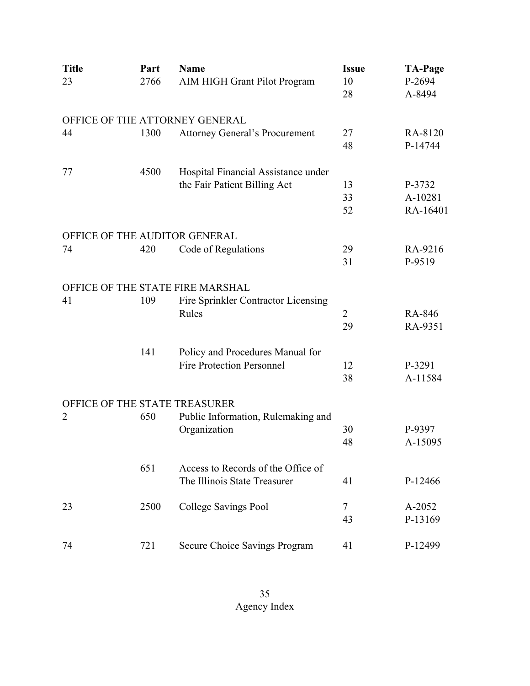| <b>Title</b>                   | Part | <b>Name</b>                           | <b>Issue</b>   | <b>TA-Page</b>   |
|--------------------------------|------|---------------------------------------|----------------|------------------|
| 23                             | 2766 | AIM HIGH Grant Pilot Program          | 10<br>28       | P-2694<br>A-8494 |
| OFFICE OF THE ATTORNEY GENERAL |      |                                       |                |                  |
| 44                             | 1300 | <b>Attorney General's Procurement</b> | 27             | RA-8120          |
|                                |      |                                       | 48             | P-14744          |
| 77                             | 4500 | Hospital Financial Assistance under   |                |                  |
|                                |      | the Fair Patient Billing Act          | 13             | P-3732           |
|                                |      |                                       | 33             | A-10281          |
|                                |      |                                       | 52             | RA-16401         |
| OFFICE OF THE AUDITOR GENERAL  |      |                                       |                |                  |
| 74                             | 420  | Code of Regulations                   | 29             | RA-9216          |
|                                |      |                                       | 31             | P-9519           |
|                                |      | OFFICE OF THE STATE FIRE MARSHAL      |                |                  |
| 41                             | 109  | Fire Sprinkler Contractor Licensing   |                |                  |
|                                |      | Rules                                 | $\overline{2}$ | RA-846           |
|                                |      |                                       | 29             | RA-9351          |
|                                | 141  | Policy and Procedures Manual for      |                |                  |
|                                |      | <b>Fire Protection Personnel</b>      | 12             | P-3291           |
|                                |      |                                       | 38             | A-11584          |
| OFFICE OF THE STATE TREASURER  |      |                                       |                |                  |
| 2                              | 650  | Public Information, Rulemaking and    |                |                  |
|                                |      | Organization                          | 30             | P-9397           |
|                                |      |                                       | 48             | A-15095          |
|                                | 651  | Access to Records of the Office of    |                |                  |
|                                |      | The Illinois State Treasurer          | 41             | P-12466          |
| 23                             | 2500 | College Savings Pool                  | $\tau$         | A-2052           |
|                                |      |                                       | 43             | P-13169          |
| 74                             | 721  | Secure Choice Savings Program         | 41             | P-12499          |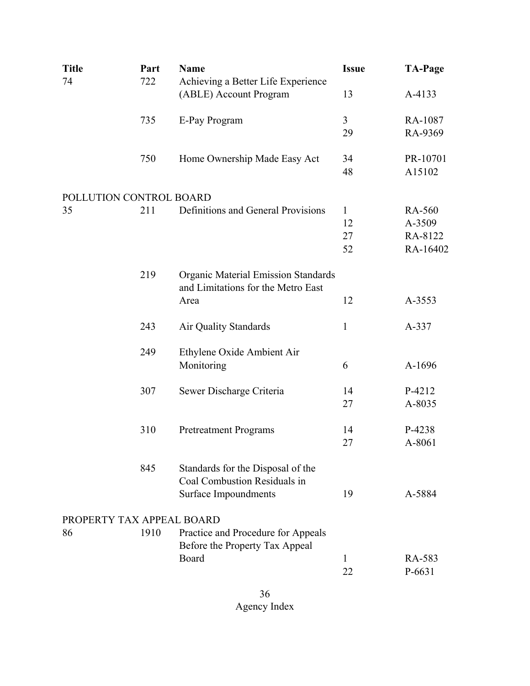| <b>Title</b>              | Part | <b>Name</b>                                                  | <b>Issue</b>         | <b>TA-Page</b>     |
|---------------------------|------|--------------------------------------------------------------|----------------------|--------------------|
| 74                        | 722  | Achieving a Better Life Experience<br>(ABLE) Account Program | 13                   | A-4133             |
|                           |      |                                                              |                      |                    |
|                           | 735  | E-Pay Program                                                | $\mathfrak{Z}$<br>29 | RA-1087<br>RA-9369 |
|                           |      |                                                              |                      |                    |
|                           | 750  | Home Ownership Made Easy Act                                 | 34                   | PR-10701           |
|                           |      |                                                              | 48                   | A15102             |
| POLLUTION CONTROL BOARD   |      |                                                              |                      |                    |
| 35                        | 211  | Definitions and General Provisions                           | $\mathbf{1}$         | RA-560             |
|                           |      |                                                              | 12                   | A-3509             |
|                           |      |                                                              | 27                   | RA-8122            |
|                           |      |                                                              | 52                   | RA-16402           |
|                           | 219  | <b>Organic Material Emission Standards</b>                   |                      |                    |
|                           |      | and Limitations for the Metro East                           |                      |                    |
|                           |      | Area                                                         | 12                   | A-3553             |
|                           |      |                                                              |                      |                    |
|                           | 243  | Air Quality Standards                                        | $\mathbf{1}$         | A-337              |
|                           | 249  | Ethylene Oxide Ambient Air                                   |                      |                    |
|                           |      | Monitoring                                                   | 6                    | A-1696             |
|                           |      |                                                              |                      |                    |
|                           | 307  | Sewer Discharge Criteria                                     | 14                   | P-4212             |
|                           |      |                                                              | 27                   | A-8035             |
|                           |      |                                                              |                      |                    |
|                           | 310  | <b>Pretreatment Programs</b>                                 | 14                   | P-4238<br>A-8061   |
|                           |      |                                                              | 27                   |                    |
|                           | 845  | Standards for the Disposal of the                            |                      |                    |
|                           |      | Coal Combustion Residuals in                                 |                      |                    |
|                           |      | <b>Surface Impoundments</b>                                  | 19                   | A-5884             |
| PROPERTY TAX APPEAL BOARD |      |                                                              |                      |                    |
| 86                        | 1910 | Practice and Procedure for Appeals                           |                      |                    |
|                           |      | Before the Property Tax Appeal                               |                      |                    |
|                           |      | Board                                                        | 1                    | RA-583             |
|                           |      |                                                              | 22                   | P-6631             |
|                           |      |                                                              |                      |                    |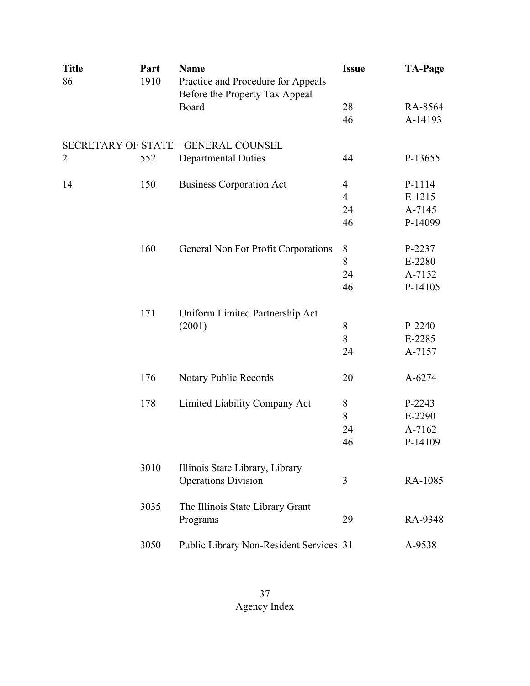| <b>Title</b><br>86 | Part<br>1910 | <b>Name</b><br>Practice and Procedure for Appeals<br>Before the Property Tax Appeal | <b>Issue</b>   | <b>TA-Page</b> |
|--------------------|--------------|-------------------------------------------------------------------------------------|----------------|----------------|
|                    |              | Board                                                                               | 28             | RA-8564        |
|                    |              |                                                                                     | 46             | A-14193        |
|                    |              | SECRETARY OF STATE - GENERAL COUNSEL                                                |                |                |
| 2                  | 552          | <b>Departmental Duties</b>                                                          | 44             | P-13655        |
| 14                 | 150          | <b>Business Corporation Act</b>                                                     | 4              | P-1114         |
|                    |              |                                                                                     | $\overline{4}$ | $E-1215$       |
|                    |              |                                                                                     | 24             | A-7145         |
|                    |              |                                                                                     | 46             | P-14099        |
|                    | 160          | General Non For Profit Corporations                                                 | 8              | P-2237         |
|                    |              |                                                                                     | 8              | E-2280         |
|                    |              |                                                                                     | 24             | A-7152         |
|                    |              |                                                                                     | 46             | P-14105        |
|                    | 171          | Uniform Limited Partnership Act                                                     |                |                |
|                    |              | (2001)                                                                              | 8              | P-2240         |
|                    |              |                                                                                     | 8              | E-2285         |
|                    |              |                                                                                     | 24             | A-7157         |
|                    | 176          | Notary Public Records                                                               | 20             | A-6274         |
|                    | 178          | Limited Liability Company Act                                                       | 8              | P-2243         |
|                    |              |                                                                                     | 8              | E-2290         |
|                    |              |                                                                                     | 24             | A-7162         |
|                    |              |                                                                                     | 46             | P-14109        |
|                    | 3010         | Illinois State Library, Library<br><b>Operations Division</b>                       | 3              | RA-1085        |
|                    | 3035         | The Illinois State Library Grant<br>Programs                                        | 29             | RA-9348        |
|                    | 3050         | Public Library Non-Resident Services 31                                             |                | A-9538         |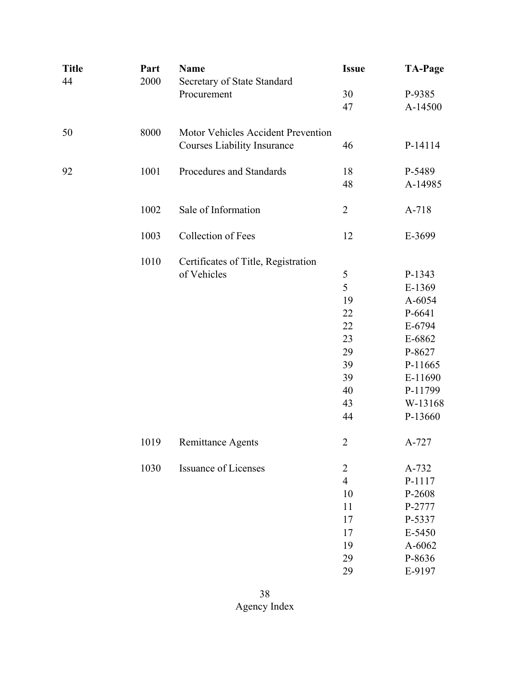| <b>Title</b><br>44 | Part<br>2000 | <b>Name</b><br>Secretary of State Standard | <b>Issue</b>   | <b>TA-Page</b> |
|--------------------|--------------|--------------------------------------------|----------------|----------------|
|                    |              | Procurement                                | 30             | P-9385         |
|                    |              |                                            | 47             | A-14500        |
| 50                 | 8000         | Motor Vehicles Accident Prevention         |                |                |
|                    |              | <b>Courses Liability Insurance</b>         | 46             | P-14114        |
| 92                 | 1001         | Procedures and Standards                   | 18             | P-5489         |
|                    |              |                                            | 48             | A-14985        |
|                    | 1002         | Sale of Information                        | $\overline{2}$ | A-718          |
|                    | 1003         | Collection of Fees                         | 12             | E-3699         |
|                    | 1010         | Certificates of Title, Registration        |                |                |
|                    |              | of Vehicles                                | 5              | P-1343         |
|                    |              |                                            | 5              | E-1369         |
|                    |              |                                            | 19             | A-6054         |
|                    |              |                                            | 22             | P-6641         |
|                    |              |                                            | 22             | E-6794         |
|                    |              |                                            | 23             | E-6862         |
|                    |              |                                            | 29             | P-8627         |
|                    |              |                                            | 39             | P-11665        |
|                    |              |                                            | 39             | E-11690        |
|                    |              |                                            | 40             | P-11799        |
|                    |              |                                            | 43             | W-13168        |
|                    |              |                                            | 44             | P-13660        |
|                    | 1019         | Remittance Agents                          | $\overline{2}$ | A-727          |
|                    | 1030         | <b>Issuance of Licenses</b>                | $\overline{c}$ | A-732          |
|                    |              |                                            | $\overline{4}$ | P-1117         |
|                    |              |                                            | 10             | P-2608         |
|                    |              |                                            | 11             | P-2777         |
|                    |              |                                            | 17             | P-5337         |
|                    |              |                                            | 17             | E-5450         |
|                    |              |                                            | 19             | A-6062         |
|                    |              |                                            | 29             | P-8636         |
|                    |              |                                            | 29             | E-9197         |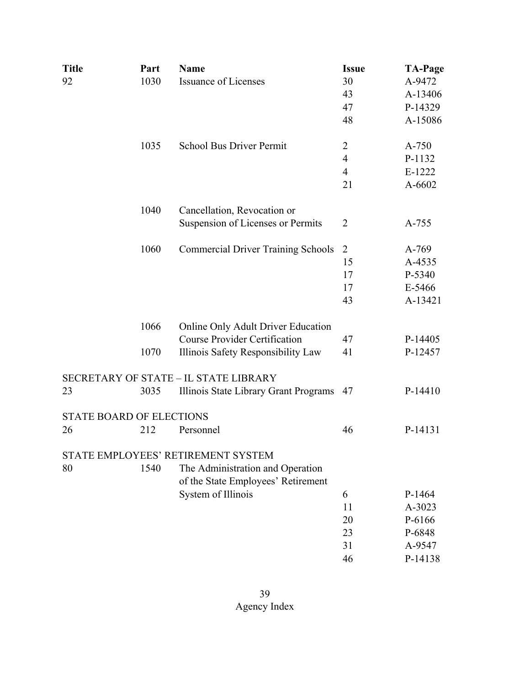| <b>Title</b> | Part                            | <b>Name</b>                                  | <b>Issue</b>   | <b>TA-Page</b> |
|--------------|---------------------------------|----------------------------------------------|----------------|----------------|
| 92           | 1030                            | <b>Issuance of Licenses</b>                  | 30             | A-9472         |
|              |                                 |                                              | 43             | A-13406        |
|              |                                 |                                              | 47             | P-14329        |
|              |                                 |                                              | 48             | A-15086        |
|              | 1035                            | <b>School Bus Driver Permit</b>              | 2              | A-750          |
|              |                                 |                                              | 4              | P-1132         |
|              |                                 |                                              | $\overline{4}$ | E-1222         |
|              |                                 |                                              | 21             | A-6602         |
|              | 1040                            | Cancellation, Revocation or                  |                |                |
|              |                                 | Suspension of Licenses or Permits            | 2              | A-755          |
|              | 1060                            | <b>Commercial Driver Training Schools</b>    | $\overline{2}$ | A-769          |
|              |                                 |                                              | 15             | A-4535         |
|              |                                 |                                              | 17             | P-5340         |
|              |                                 |                                              | 17             | E-5466         |
|              |                                 |                                              | 43             | A-13421        |
|              | 1066                            | Online Only Adult Driver Education           |                |                |
|              |                                 | <b>Course Provider Certification</b>         | 47             | P-14405        |
|              | 1070                            | Illinois Safety Responsibility Law           | 41             | P-12457        |
|              |                                 | <b>SECRETARY OF STATE - IL STATE LIBRARY</b> |                |                |
| 23           | 3035                            | Illinois State Library Grant Programs        | 47             | P-14410        |
|              | <b>STATE BOARD OF ELECTIONS</b> |                                              |                |                |
| 26           | 212                             | Personnel                                    | 46             | P-14131        |
|              |                                 | STATE EMPLOYEES' RETIREMENT SYSTEM           |                |                |
| 80           | 1540                            | The Administration and Operation             |                |                |
|              |                                 | of the State Employees' Retirement           |                |                |
|              |                                 | System of Illinois                           | 6              | P-1464         |
|              |                                 |                                              | 11             | A-3023         |
|              |                                 |                                              | 20             | P-6166         |
|              |                                 |                                              | 23             | P-6848         |
|              |                                 |                                              | 31             | A-9547         |
|              |                                 |                                              | 46             | P-14138        |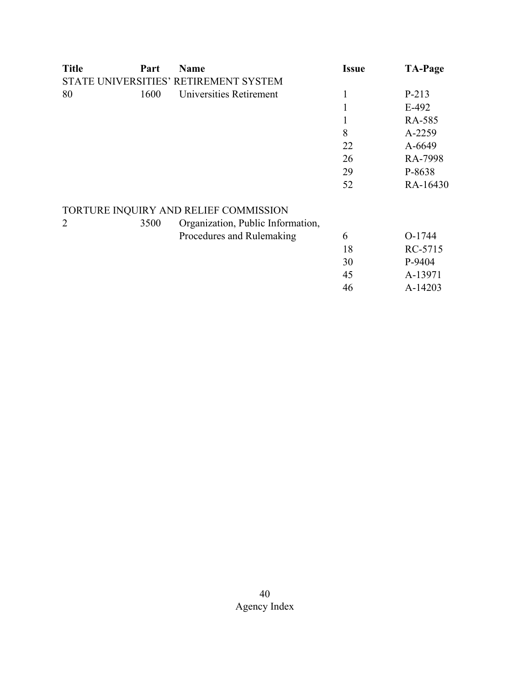| <b>Title</b> | Part | <b>Name</b>                           | <b>Issue</b> | <b>TA-Page</b> |
|--------------|------|---------------------------------------|--------------|----------------|
|              |      | STATE UNIVERSITIES' RETIREMENT SYSTEM |              |                |
| 80           | 1600 | Universities Retirement               | 1            | P-213          |
|              |      |                                       | 1            | $E-492$        |
|              |      |                                       | 1            | RA-585         |
|              |      |                                       | 8            | A-2259         |
|              |      |                                       | 22           | A-6649         |
|              |      |                                       | 26           | RA-7998        |
|              |      |                                       | 29           | P-8638         |
|              |      |                                       | 52           | RA-16430       |
|              |      | TORTURE INQUIRY AND RELIEF COMMISSION |              |                |
| 2            | 3500 | Organization, Public Information,     |              |                |
|              |      | Procedures and Rulemaking             | 6            | O-1744         |
|              |      |                                       | 18           | RC-5715        |
|              |      |                                       | 30           | P-9404         |
|              |      |                                       | 45           | A-13971        |
|              |      |                                       | 46           | A-14203        |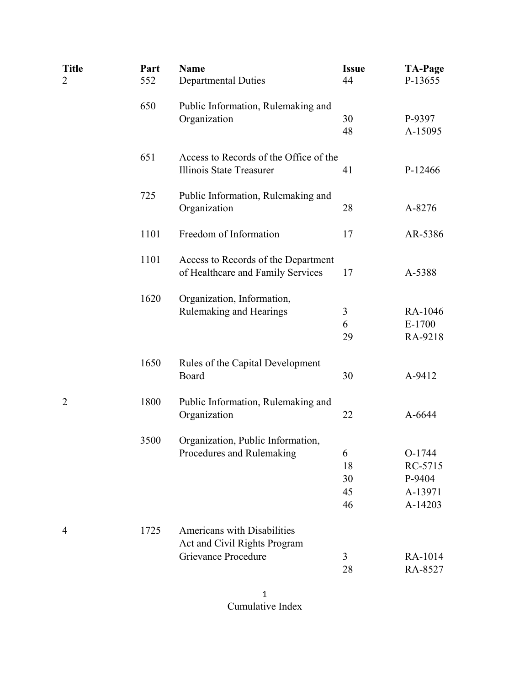| <b>Title</b><br>$\overline{2}$ | Part<br>552 | <b>Name</b><br><b>Departmental Duties</b>                                                 | <b>Issue</b><br>44        | <b>TA-Page</b><br>P-13655                         |
|--------------------------------|-------------|-------------------------------------------------------------------------------------------|---------------------------|---------------------------------------------------|
|                                | 650         | Public Information, Rulemaking and<br>Organization                                        | 30<br>48                  | P-9397<br>A-15095                                 |
|                                | 651         | Access to Records of the Office of the<br>Illinois State Treasurer                        | 41                        | P-12466                                           |
|                                | 725         | Public Information, Rulemaking and<br>Organization                                        | 28                        | A-8276                                            |
|                                | 1101        | Freedom of Information                                                                    | 17                        | AR-5386                                           |
|                                | 1101        | Access to Records of the Department<br>of Healthcare and Family Services                  | 17                        | A-5388                                            |
|                                | 1620        | Organization, Information,<br>Rulemaking and Hearings                                     | 3<br>6<br>29              | RA-1046<br>$E-1700$<br>RA-9218                    |
|                                | 1650        | Rules of the Capital Development<br>Board                                                 | 30                        | A-9412                                            |
| $\overline{2}$                 | 1800        | Public Information, Rulemaking and<br>Organization                                        | 22                        | A-6644                                            |
|                                | 3500        | Organization, Public Information,<br>Procedures and Rulemaking                            | 6<br>18<br>30<br>45<br>46 | O-1744<br>RC-5715<br>P-9404<br>A-13971<br>A-14203 |
| 4                              | 1725        | <b>Americans with Disabilities</b><br>Act and Civil Rights Program<br>Grievance Procedure | 3<br>28                   | RA-1014<br>RA-8527                                |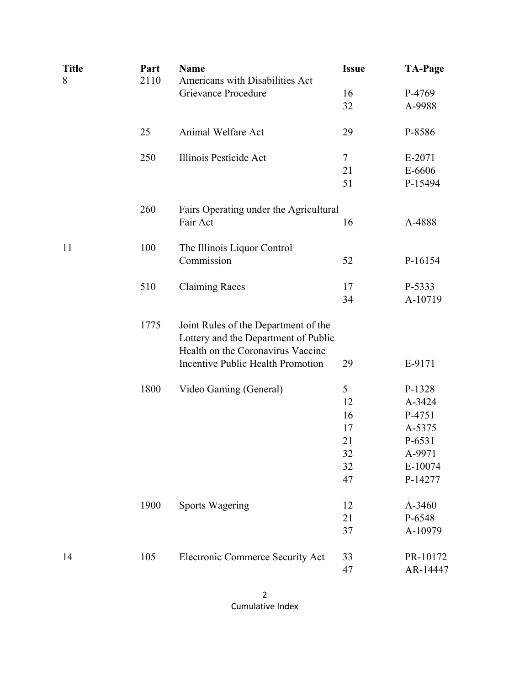| <b>Title</b><br>8 | Part<br>2110 | <b>Name</b><br>Americans with Disabilities Act | <b>Issue</b> | <b>TA-Page</b>    |
|-------------------|--------------|------------------------------------------------|--------------|-------------------|
|                   |              | Grievance Procedure                            | 16           | P-4769            |
|                   |              |                                                | 32           | A-9988            |
|                   |              |                                                |              |                   |
|                   | 25           | Animal Welfare Act                             | 29           | P-8586            |
|                   | 250          | Illinois Pesticide Act                         | 7            | E-2071            |
|                   |              |                                                | 21           | E-6606            |
|                   |              |                                                | 51           | P-15494           |
|                   | 260          | Fairs Operating under the Agricultural         |              |                   |
|                   |              | Fair Act                                       | 16           | A-4888            |
|                   |              |                                                |              |                   |
| 11                | 100          | The Illinois Liquor Control                    |              |                   |
|                   |              | Commission                                     | 52           | P-16154           |
|                   |              |                                                |              |                   |
|                   | 510          | <b>Claiming Races</b>                          | 17<br>34     | P-5333<br>A-10719 |
|                   |              |                                                |              |                   |
|                   | 1775         | Joint Rules of the Department of the           |              |                   |
|                   |              | Lottery and the Department of Public           |              |                   |
|                   |              | Health on the Coronavirus Vaccine              |              |                   |
|                   |              | Incentive Public Health Promotion              | 29           | E-9171            |
|                   | 1800         | Video Gaming (General)                         | 5            | P-1328            |
|                   |              |                                                | 12           | A-3424            |
|                   |              |                                                | 16           | P-4751            |
|                   |              |                                                | 17           | A-5375            |
|                   |              |                                                | 21           | P-6531            |
|                   |              |                                                | 32           | A-9971            |
|                   |              |                                                | 32           | E-10074           |
|                   |              |                                                | 47           | P-14277           |
|                   | 1900         | <b>Sports Wagering</b>                         | 12           | A-3460            |
|                   |              |                                                | 21           | P-6548            |
|                   |              |                                                | 37           | A-10979           |
| 14                | 105          | Electronic Commerce Security Act               | 33           | PR-10172          |
|                   |              |                                                | 47           | AR-14447          |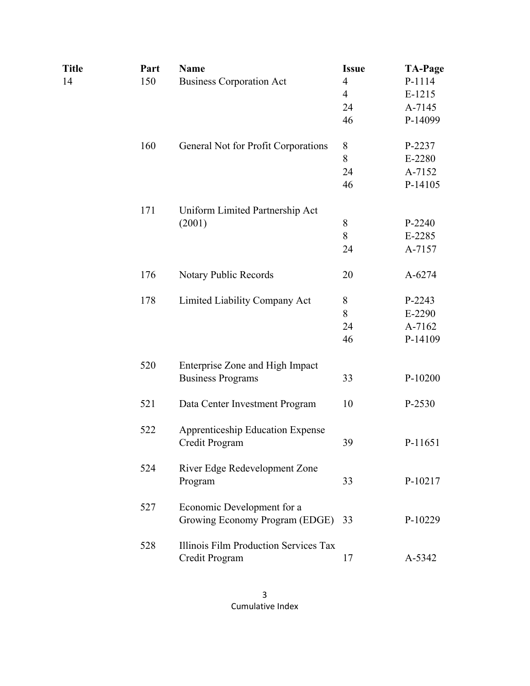| Title | Part | <b>Name</b>                                                  | <b>Issue</b>   | <b>TA-Page</b> |
|-------|------|--------------------------------------------------------------|----------------|----------------|
| 14    | 150  | <b>Business Corporation Act</b>                              | $\overline{4}$ | P-1114         |
|       |      |                                                              | $\overline{4}$ | E-1215         |
|       |      |                                                              | 24             | A-7145         |
|       |      |                                                              | 46             | P-14099        |
|       | 160  | General Not for Profit Corporations                          | 8              | P-2237         |
|       |      |                                                              | 8              | E-2280         |
|       |      |                                                              | 24             | A-7152         |
|       |      |                                                              | 46             | P-14105        |
|       | 171  | Uniform Limited Partnership Act                              |                |                |
|       |      | (2001)                                                       | $8\,$          | P-2240         |
|       |      |                                                              | 8              | E-2285         |
|       |      |                                                              | 24             | A-7157         |
|       | 176  | Notary Public Records                                        | 20             | A-6274         |
| 178   |      | Limited Liability Company Act                                | 8              | P-2243         |
|       |      |                                                              | 8              | E-2290         |
|       |      |                                                              | 24             | A-7162         |
|       |      |                                                              | 46             | P-14109        |
|       | 520  | Enterprise Zone and High Impact                              |                |                |
|       |      | <b>Business Programs</b>                                     | 33             | P-10200        |
|       | 521  | Data Center Investment Program                               | 10             | P-2530         |
|       | 522  | <b>Apprenticeship Education Expense</b><br>Credit Program    | 39             | P-11651        |
|       | 524  | River Edge Redevelopment Zone<br>Program                     | 33             | P-10217        |
|       | 527  | Economic Development for a<br>Growing Economy Program (EDGE) | 33             | P-10229        |
|       | 528  | Illinois Film Production Services Tax<br>Credit Program      | 17             | A-5342         |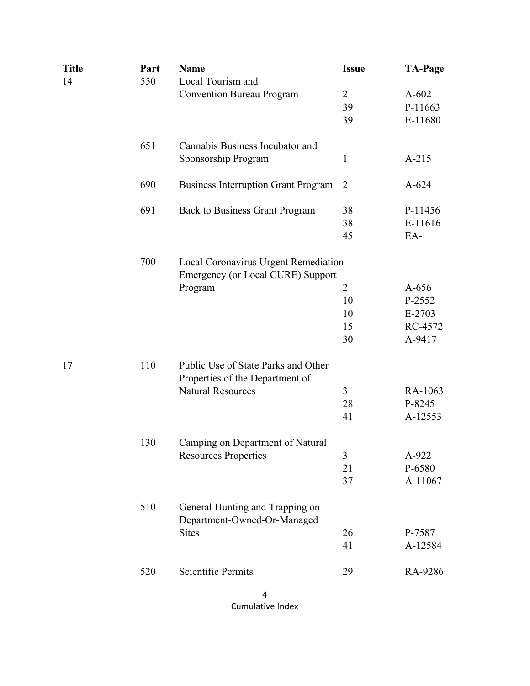| <b>Name</b><br>Part<br>550                        | <b>Issue</b>                                                                                                                                                                   | <b>TA-Page</b>                                                                                     |  |  |
|---------------------------------------------------|--------------------------------------------------------------------------------------------------------------------------------------------------------------------------------|----------------------------------------------------------------------------------------------------|--|--|
|                                                   | $\overline{2}$                                                                                                                                                                 | $A-602$                                                                                            |  |  |
|                                                   | 39                                                                                                                                                                             | P-11663                                                                                            |  |  |
|                                                   | 39                                                                                                                                                                             | E-11680                                                                                            |  |  |
| 651<br>Cannabis Business Incubator and            |                                                                                                                                                                                |                                                                                                    |  |  |
| Sponsorship Program                               | 1                                                                                                                                                                              | $A-215$                                                                                            |  |  |
| 690<br><b>Business Interruption Grant Program</b> | 2                                                                                                                                                                              | $A - 624$                                                                                          |  |  |
| 691<br><b>Back to Business Grant Program</b>      | 38                                                                                                                                                                             | P-11456                                                                                            |  |  |
|                                                   | 38                                                                                                                                                                             | E-11616                                                                                            |  |  |
|                                                   | 45                                                                                                                                                                             | EA-                                                                                                |  |  |
| 700<br>Local Coronavirus Urgent Remediation       |                                                                                                                                                                                |                                                                                                    |  |  |
|                                                   |                                                                                                                                                                                |                                                                                                    |  |  |
|                                                   |                                                                                                                                                                                | $A-656$                                                                                            |  |  |
|                                                   |                                                                                                                                                                                | P-2552                                                                                             |  |  |
|                                                   |                                                                                                                                                                                | $E-2703$                                                                                           |  |  |
|                                                   |                                                                                                                                                                                | RC-4572                                                                                            |  |  |
|                                                   |                                                                                                                                                                                | A-9417                                                                                             |  |  |
| Public Use of State Parks and Other<br>110        |                                                                                                                                                                                |                                                                                                    |  |  |
|                                                   |                                                                                                                                                                                |                                                                                                    |  |  |
|                                                   |                                                                                                                                                                                | RA-1063                                                                                            |  |  |
|                                                   |                                                                                                                                                                                | P-8245                                                                                             |  |  |
|                                                   |                                                                                                                                                                                | A-12553                                                                                            |  |  |
| 130<br>Camping on Department of Natural           |                                                                                                                                                                                |                                                                                                    |  |  |
| <b>Resources Properties</b>                       | 3                                                                                                                                                                              | A-922                                                                                              |  |  |
|                                                   | 21                                                                                                                                                                             | P-6580                                                                                             |  |  |
|                                                   | 37                                                                                                                                                                             | A-11067                                                                                            |  |  |
| 510<br>General Hunting and Trapping on            |                                                                                                                                                                                |                                                                                                    |  |  |
|                                                   |                                                                                                                                                                                | P-7587                                                                                             |  |  |
|                                                   | 41                                                                                                                                                                             | A-12584                                                                                            |  |  |
| <b>Scientific Permits</b><br>520                  | 29                                                                                                                                                                             | RA-9286                                                                                            |  |  |
|                                                   | Local Tourism and<br><b>Convention Bureau Program</b><br>Program<br>Properties of the Department of<br><b>Natural Resources</b><br>Department-Owned-Or-Managed<br><b>Sites</b> | Emergency (or Local CURE) Support<br>$\overline{2}$<br>10<br>10<br>15<br>30<br>3<br>28<br>41<br>26 |  |  |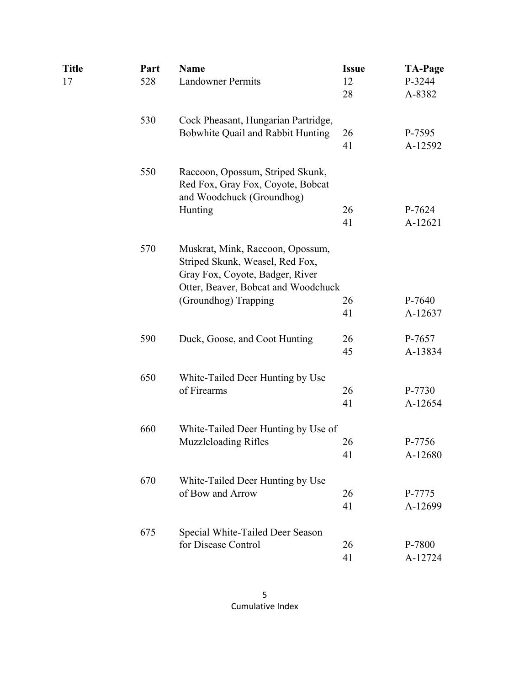| Title<br>17 | Part<br>528 | <b>Name</b><br><b>Landowner Permits</b>                                                                                                       | <b>Issue</b><br>12 | <b>TA-Page</b><br>P-3244 |
|-------------|-------------|-----------------------------------------------------------------------------------------------------------------------------------------------|--------------------|--------------------------|
|             |             |                                                                                                                                               | 28                 | A-8382                   |
|             | 530         | Cock Pheasant, Hungarian Partridge,                                                                                                           |                    |                          |
|             |             | Bobwhite Quail and Rabbit Hunting                                                                                                             | 26                 | P-7595                   |
|             |             |                                                                                                                                               | 41                 | A-12592                  |
|             | 550         | Raccoon, Opossum, Striped Skunk,<br>Red Fox, Gray Fox, Coyote, Bobcat                                                                         |                    |                          |
|             |             | and Woodchuck (Groundhog)                                                                                                                     |                    |                          |
|             |             | Hunting                                                                                                                                       | 26                 | P-7624                   |
|             |             |                                                                                                                                               | 41                 | A-12621                  |
|             | 570         | Muskrat, Mink, Raccoon, Opossum,<br>Striped Skunk, Weasel, Red Fox,<br>Gray Fox, Coyote, Badger, River<br>Otter, Beaver, Bobcat and Woodchuck |                    |                          |
|             |             | (Groundhog) Trapping                                                                                                                          | 26                 | P-7640                   |
|             |             |                                                                                                                                               | 41                 | A-12637                  |
|             |             |                                                                                                                                               |                    |                          |
|             | 590         | Duck, Goose, and Coot Hunting                                                                                                                 | 26                 | P-7657                   |
|             |             |                                                                                                                                               | 45                 | A-13834                  |
|             | 650         | White-Tailed Deer Hunting by Use                                                                                                              |                    |                          |
|             |             | of Firearms                                                                                                                                   | 26                 | P-7730                   |
|             |             |                                                                                                                                               | 41                 | A-12654                  |
|             | 660         | White-Tailed Deer Hunting by Use of                                                                                                           |                    |                          |
|             |             | <b>Muzzleloading Rifles</b>                                                                                                                   | 26                 | P-7756                   |
|             |             |                                                                                                                                               | 41                 | A-12680                  |
|             | 670         | White-Tailed Deer Hunting by Use                                                                                                              |                    |                          |
|             |             | of Bow and Arrow                                                                                                                              | 26                 | P-7775                   |
|             |             |                                                                                                                                               | 41                 | A-12699                  |
|             | 675         | Special White-Tailed Deer Season                                                                                                              |                    |                          |
|             |             | for Disease Control                                                                                                                           | 26                 | P-7800                   |
|             |             |                                                                                                                                               | 41                 | A-12724                  |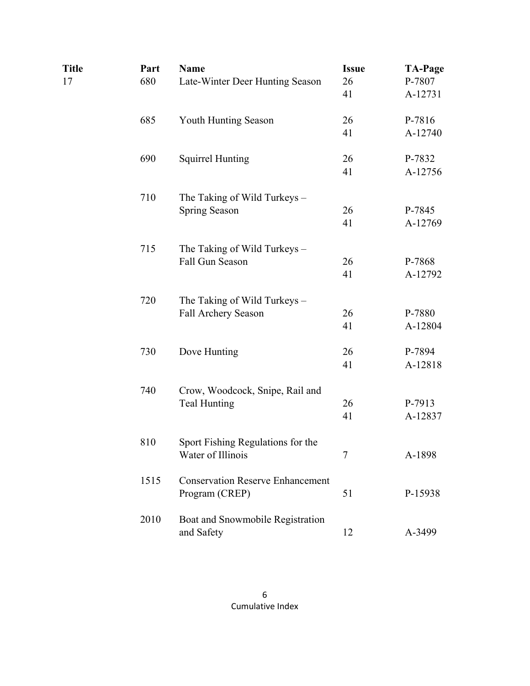| <b>Title</b> | Part | <b>Name</b>                             | <b>Issue</b> | <b>TA-Page</b> |
|--------------|------|-----------------------------------------|--------------|----------------|
| 17           | 680  | Late-Winter Deer Hunting Season         | 26           | P-7807         |
|              |      |                                         | 41           | A-12731        |
|              | 685  | Youth Hunting Season                    | 26           | P-7816         |
|              |      |                                         | 41           | A-12740        |
|              | 690  | <b>Squirrel Hunting</b>                 | 26           | P-7832         |
|              |      |                                         | 41           | A-12756        |
|              | 710  | The Taking of Wild Turkeys -            |              |                |
|              |      | Spring Season                           | 26           | P-7845         |
|              |      |                                         | 41           | A-12769        |
|              | 715  | The Taking of Wild Turkeys -            |              |                |
|              |      | Fall Gun Season                         | 26           | P-7868         |
|              |      |                                         | 41           | A-12792        |
|              | 720  | The Taking of Wild Turkeys -            |              |                |
|              |      | Fall Archery Season                     | 26           | P-7880         |
|              |      |                                         | 41           | A-12804        |
|              | 730  | Dove Hunting                            | 26           | P-7894         |
|              |      |                                         | 41           | A-12818        |
|              | 740  | Crow, Woodcock, Snipe, Rail and         |              |                |
|              |      | <b>Teal Hunting</b>                     | 26           | P-7913         |
|              |      |                                         | 41           | A-12837        |
|              | 810  | Sport Fishing Regulations for the       |              |                |
|              |      | Water of Illinois                       |              | A-1898         |
|              | 1515 | <b>Conservation Reserve Enhancement</b> |              |                |
|              |      | Program (CREP)                          | 51           | P-15938        |
|              | 2010 | Boat and Snowmobile Registration        |              |                |
|              |      | and Safety                              | 12           | A-3499         |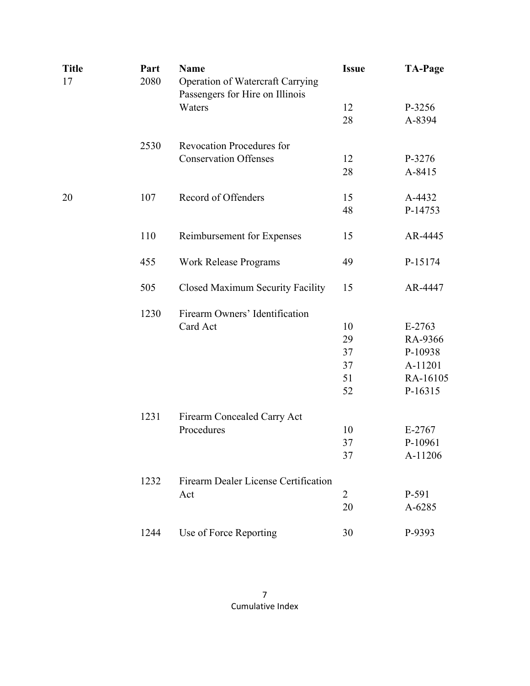| <b>Title</b> | Part | <b>Name</b>                             | <b>Issue</b>   | <b>TA-Page</b> |
|--------------|------|-----------------------------------------|----------------|----------------|
| 17           | 2080 | Operation of Watercraft Carrying        |                |                |
|              |      | Passengers for Hire on Illinois         |                |                |
|              |      | Waters                                  | 12             | P-3256         |
|              |      |                                         | 28             | A-8394         |
|              | 2530 | <b>Revocation Procedures for</b>        |                |                |
|              |      | <b>Conservation Offenses</b>            | 12             | P-3276         |
|              |      |                                         | 28             | A-8415         |
| 20           | 107  | Record of Offenders                     | 15             | A-4432         |
|              |      |                                         | 48             | P-14753        |
|              | 110  | Reimbursement for Expenses              | 15             | AR-4445        |
|              | 455  | <b>Work Release Programs</b>            | 49             | P-15174        |
|              | 505  | <b>Closed Maximum Security Facility</b> | 15             | AR-4447        |
|              | 1230 | Firearm Owners' Identification          |                |                |
|              |      | Card Act                                | 10             | $E-2763$       |
|              |      |                                         | 29             | RA-9366        |
|              |      |                                         | 37             | P-10938        |
|              |      |                                         | 37             | A-11201        |
|              |      |                                         | 51             | RA-16105       |
|              |      |                                         | 52             | P-16315        |
|              | 1231 | Firearm Concealed Carry Act             |                |                |
|              |      | Procedures                              | 10             | E-2767         |
|              |      |                                         | 37             | P-10961        |
|              |      |                                         | 37             | A-11206        |
|              | 1232 | Firearm Dealer License Certification    |                |                |
|              |      | Act                                     | $\overline{2}$ | P-591          |
|              |      |                                         | 20             | A-6285         |
|              | 1244 | Use of Force Reporting                  | 30             | P-9393         |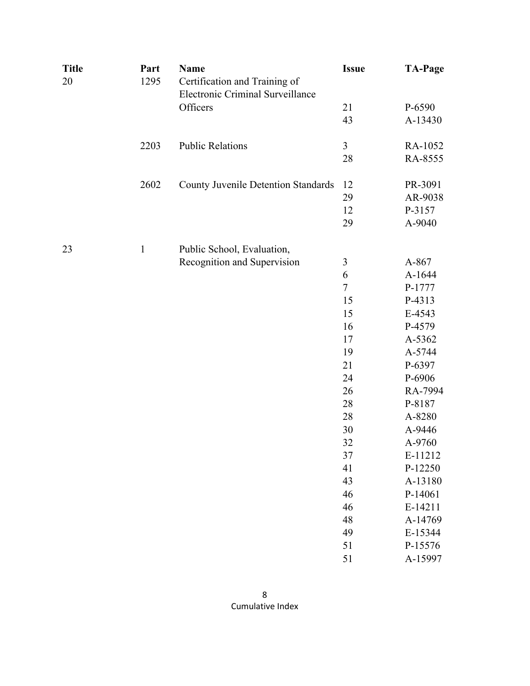| <b>Title</b><br>20 | Part<br>1295 | <b>Name</b><br>Certification and Training of<br>Electronic Criminal Surveillance | <b>Issue</b> | <b>TA-Page</b> |
|--------------------|--------------|----------------------------------------------------------------------------------|--------------|----------------|
|                    |              | Officers                                                                         | 21           | P-6590         |
|                    |              |                                                                                  | 43           | A-13430        |
|                    | 2203         | <b>Public Relations</b>                                                          | 3            | RA-1052        |
|                    |              |                                                                                  | 28           | RA-8555        |
|                    | 2602         | <b>County Juvenile Detention Standards</b>                                       | 12           | PR-3091        |
|                    |              |                                                                                  | 29           | AR-9038        |
|                    |              |                                                                                  | 12           | P-3157         |
|                    |              |                                                                                  | 29           | A-9040         |
| 23                 | $\mathbf{1}$ | Public School, Evaluation,                                                       |              |                |
|                    |              | Recognition and Supervision                                                      | 3            | A-867          |
|                    |              |                                                                                  | 6            | A-1644         |
|                    |              |                                                                                  | $\tau$       | P-1777         |
|                    |              |                                                                                  | 15           | P-4313         |
|                    |              |                                                                                  | 15           | E-4543         |
|                    |              |                                                                                  | 16           | P-4579         |
|                    |              |                                                                                  | 17           | A-5362         |
|                    |              |                                                                                  | 19           | A-5744         |
|                    |              |                                                                                  | 21           | P-6397         |
|                    |              |                                                                                  | 24           | P-6906         |
|                    |              |                                                                                  | 26           | RA-7994        |
|                    |              |                                                                                  | 28           | P-8187         |
|                    |              |                                                                                  | 28           | A-8280         |
|                    |              |                                                                                  | 30           | A-9446         |
|                    |              |                                                                                  | 32           | A-9760         |
|                    |              |                                                                                  | 37           | E-11212        |
|                    |              |                                                                                  | 41           | P-12250        |
|                    |              |                                                                                  | 43           | A-13180        |
|                    |              |                                                                                  | 46           | P-14061        |
|                    |              |                                                                                  | 46           | E-14211        |
|                    |              |                                                                                  | 48           | A-14769        |
|                    |              |                                                                                  | 49           | E-15344        |
|                    |              |                                                                                  | 51           | P-15576        |
|                    |              |                                                                                  | 51           | A-15997        |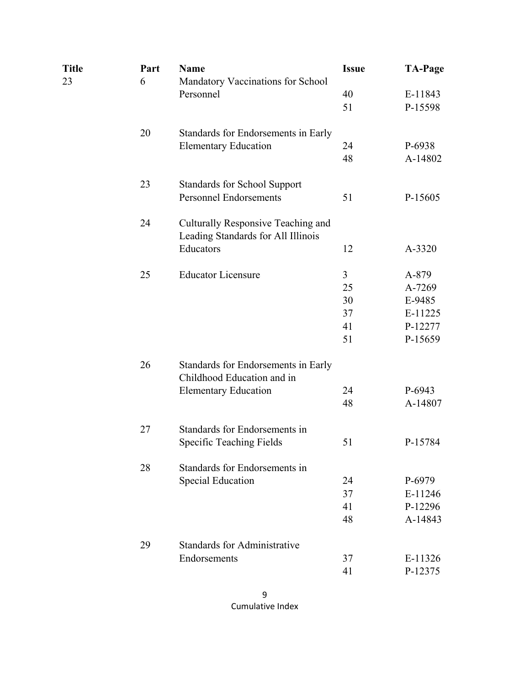| Title<br>23 | Part<br>6 | <b>Name</b><br>Mandatory Vaccinations for School                                                 | <b>Issue</b>                    | <b>TA-Page</b>                                             |
|-------------|-----------|--------------------------------------------------------------------------------------------------|---------------------------------|------------------------------------------------------------|
|             |           | Personnel                                                                                        | 40<br>51                        | E-11843<br>P-15598                                         |
|             | 20        | Standards for Endorsements in Early<br><b>Elementary Education</b>                               | 24<br>48                        | P-6938<br>A-14802                                          |
|             | 23        | <b>Standards for School Support</b><br><b>Personnel Endorsements</b>                             | 51                              | P-15605                                                    |
|             | 24        | Culturally Responsive Teaching and<br>Leading Standards for All Illinois                         |                                 |                                                            |
|             |           | Educators                                                                                        | 12                              | A-3320                                                     |
|             | 25        | <b>Educator Licensure</b>                                                                        | 3<br>25<br>30<br>37<br>41<br>51 | A-879<br>A-7269<br>E-9485<br>E-11225<br>P-12277<br>P-15659 |
|             | 26        | Standards for Endorsements in Early<br>Childhood Education and in<br><b>Elementary Education</b> | 24<br>48                        | P-6943<br>A-14807                                          |
|             | 27        | Standards for Endorsements in                                                                    |                                 |                                                            |
|             |           | Specific Teaching Fields                                                                         | 51                              | P-15784                                                    |
|             | 28        | Standards for Endorsements in                                                                    |                                 |                                                            |
|             |           | <b>Special Education</b>                                                                         | 24                              | P-6979                                                     |
|             |           |                                                                                                  | 37                              | E-11246                                                    |
|             |           |                                                                                                  | 41<br>48                        | P-12296<br>A-14843                                         |
|             | 29        | <b>Standards for Administrative</b>                                                              |                                 |                                                            |
|             |           | Endorsements                                                                                     | 37                              | E-11326                                                    |
|             |           |                                                                                                  | 41                              | P-12375                                                    |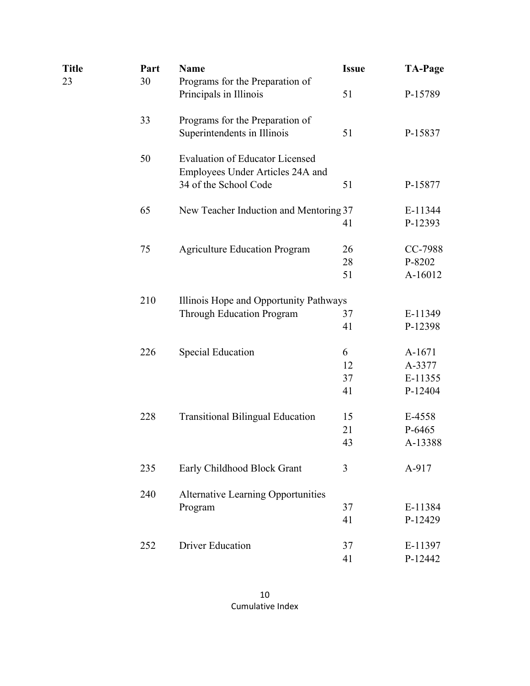| Title | Part | <b>Name</b>                               | <b>Issue</b> | <b>TA-Page</b> |  |  |
|-------|------|-------------------------------------------|--------------|----------------|--|--|
| 23    | 30   | Programs for the Preparation of           |              |                |  |  |
|       |      | Principals in Illinois                    | 51           | P-15789        |  |  |
|       | 33   | Programs for the Preparation of           |              |                |  |  |
|       |      | Superintendents in Illinois               | 51           | P-15837        |  |  |
|       | 50   | <b>Evaluation of Educator Licensed</b>    |              |                |  |  |
|       |      | Employees Under Articles 24A and          |              |                |  |  |
|       |      | 34 of the School Code                     | 51           | P-15877        |  |  |
|       | 65   | New Teacher Induction and Mentoring 37    |              | E-11344        |  |  |
|       |      |                                           | 41           | P-12393        |  |  |
|       | 75   | <b>Agriculture Education Program</b>      | 26           | CC-7988        |  |  |
|       |      |                                           | 28           | P-8202         |  |  |
|       |      |                                           | 51           | A-16012        |  |  |
|       | 210  | Illinois Hope and Opportunity Pathways    |              |                |  |  |
|       |      | <b>Through Education Program</b>          | 37           | E-11349        |  |  |
|       |      |                                           | 41           | P-12398        |  |  |
|       | 226  | <b>Special Education</b>                  | 6            | A-1671         |  |  |
|       |      |                                           | 12           | A-3377         |  |  |
|       |      |                                           | 37           | E-11355        |  |  |
|       |      |                                           | 41           | P-12404        |  |  |
|       | 228  | <b>Transitional Bilingual Education</b>   | 15           | E-4558         |  |  |
|       |      |                                           | 21           | P-6465         |  |  |
|       |      |                                           | 43           | A-13388        |  |  |
|       | 235  | Early Childhood Block Grant               | 3            | A-917          |  |  |
|       | 240  | <b>Alternative Learning Opportunities</b> |              |                |  |  |
|       |      | Program                                   | 37           | E-11384        |  |  |
|       |      |                                           | 41           | P-12429        |  |  |
|       | 252  | <b>Driver Education</b>                   | 37           | E-11397        |  |  |
|       |      |                                           | 41           | P-12442        |  |  |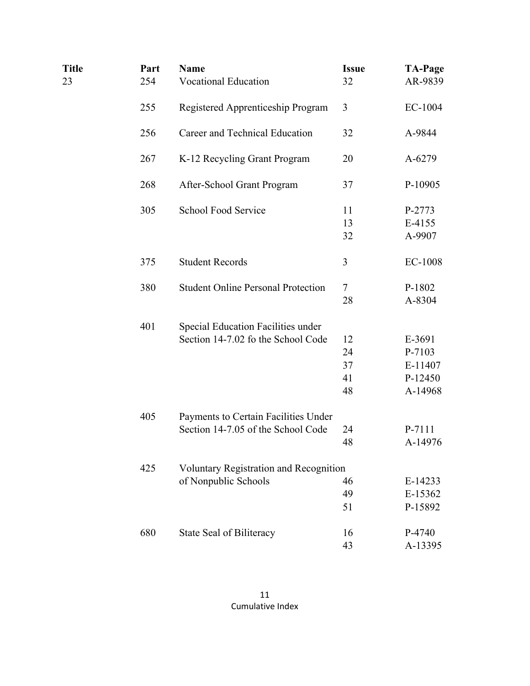| <b>Title</b><br>23 | Part<br>254 | <b>Name</b><br><b>Vocational Education</b>                                 | <b>Issue</b><br>32         | <b>TA-Page</b><br>AR-9839                         |
|--------------------|-------------|----------------------------------------------------------------------------|----------------------------|---------------------------------------------------|
|                    | 255         | Registered Apprenticeship Program                                          | 3                          | EC-1004                                           |
|                    | 256         | Career and Technical Education                                             | 32                         | A-9844                                            |
|                    | 267         | K-12 Recycling Grant Program                                               | 20                         | A-6279                                            |
|                    | 268         | After-School Grant Program                                                 | 37                         | P-10905                                           |
|                    | 305         | <b>School Food Service</b>                                                 | 11<br>13<br>32             | P-2773<br>E-4155<br>A-9907                        |
|                    | 375         | <b>Student Records</b>                                                     | 3                          | EC-1008                                           |
|                    | 380         | <b>Student Online Personal Protection</b>                                  | 7<br>28                    | P-1802<br>A-8304                                  |
|                    | 401         | Special Education Facilities under<br>Section 14-7.02 fo the School Code   | 12<br>24<br>37<br>41<br>48 | E-3691<br>P-7103<br>E-11407<br>P-12450<br>A-14968 |
|                    | 405         | Payments to Certain Facilities Under<br>Section 14-7.05 of the School Code | 24<br>48                   | P-7111<br>A-14976                                 |
|                    | 425         | Voluntary Registration and Recognition<br>of Nonpublic Schools             | 46<br>49<br>51             | E-14233<br>E-15362<br>P-15892                     |
|                    | 680         | State Seal of Biliteracy                                                   | 16<br>43                   | P-4740<br>A-13395                                 |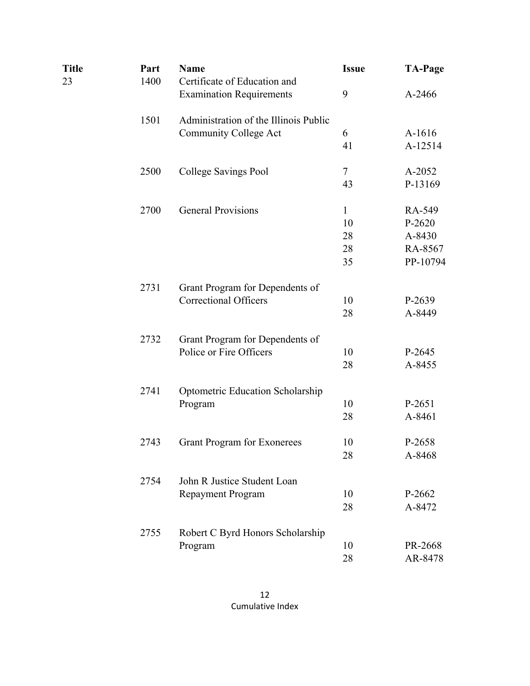| Title | Part | <b>Name</b>                             | <b>Issue</b> | <b>TA-Page</b> |
|-------|------|-----------------------------------------|--------------|----------------|
| 23    | 1400 | Certificate of Education and            |              |                |
|       |      | <b>Examination Requirements</b>         | 9            | A-2466         |
|       | 1501 | Administration of the Illinois Public   |              |                |
|       |      | <b>Community College Act</b>            | 6            | A-1616         |
|       |      |                                         | 41           | A-12514        |
|       | 2500 | College Savings Pool                    | $\tau$       | A-2052         |
|       |      |                                         | 43           | P-13169        |
|       | 2700 | <b>General Provisions</b>               | $\mathbf{1}$ | RA-549         |
|       |      |                                         | 10           | $P-2620$       |
|       |      |                                         | 28           | A-8430         |
|       |      |                                         | 28           | RA-8567        |
|       |      |                                         | 35           | PP-10794       |
|       | 2731 | Grant Program for Dependents of         |              |                |
|       |      | <b>Correctional Officers</b>            | 10           | P-2639         |
|       |      |                                         | 28           | A-8449         |
|       | 2732 | Grant Program for Dependents of         |              |                |
|       |      | Police or Fire Officers                 | 10           | P-2645         |
|       |      |                                         | 28           | A-8455         |
|       | 2741 | <b>Optometric Education Scholarship</b> |              |                |
|       |      | Program                                 | 10           | P-2651         |
|       |      |                                         | 28           | A-8461         |
|       | 2743 | <b>Grant Program for Exonerees</b>      | 10           | P-2658         |
|       |      |                                         | 28           | A-8468         |
|       | 2754 | John R Justice Student Loan             |              |                |
|       |      | Repayment Program                       | 10           | P-2662         |
|       |      |                                         | 28           | A-8472         |
|       | 2755 | Robert C Byrd Honors Scholarship        |              |                |
|       |      | Program                                 | 10           | PR-2668        |
|       |      |                                         | 28           | AR-8478        |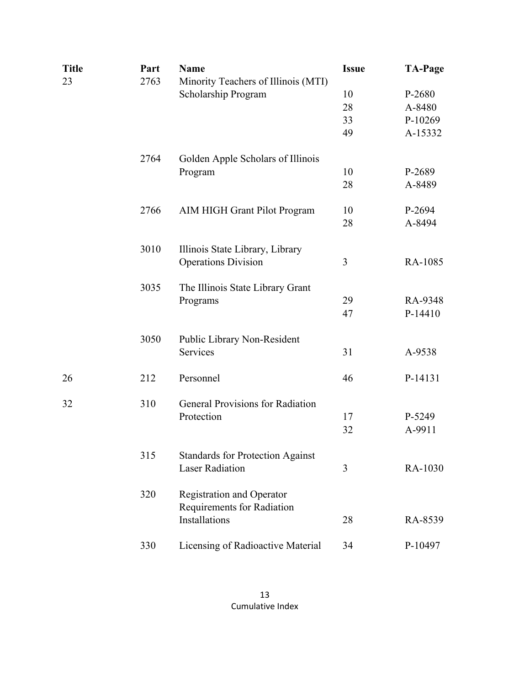| <b>Title</b> | Part | <b>Name</b>                                                    | <b>Issue</b> | <b>TA-Page</b> |
|--------------|------|----------------------------------------------------------------|--------------|----------------|
| 23           | 2763 | Minority Teachers of Illinois (MTI)                            |              |                |
|              |      | Scholarship Program                                            | 10           | P-2680         |
|              |      |                                                                | 28           | A-8480         |
|              |      |                                                                | 33           | P-10269        |
|              |      |                                                                | 49           | A-15332        |
|              | 2764 | Golden Apple Scholars of Illinois                              |              |                |
|              |      | Program                                                        | 10           | P-2689         |
|              |      |                                                                | 28           | A-8489         |
|              | 2766 | <b>AIM HIGH Grant Pilot Program</b>                            | 10           | P-2694         |
|              |      |                                                                | 28           | A-8494         |
|              | 3010 | Illinois State Library, Library                                |              |                |
|              |      | <b>Operations Division</b>                                     | 3            | RA-1085        |
|              | 3035 | The Illinois State Library Grant                               |              |                |
|              |      | Programs                                                       | 29           | RA-9348        |
|              |      |                                                                | 47           | P-14410        |
|              | 3050 | Public Library Non-Resident                                    |              |                |
|              |      | Services                                                       | 31           | A-9538         |
| 26           | 212  | Personnel                                                      | 46           | P-14131        |
| 32           | 310  | <b>General Provisions for Radiation</b>                        |              |                |
|              |      | Protection                                                     | 17           | P-5249         |
|              |      |                                                                | 32           | A-9911         |
|              | 315  | <b>Standards for Protection Against</b>                        |              |                |
|              |      | <b>Laser Radiation</b>                                         | 3            | RA-1030        |
|              | 320  | <b>Registration and Operator</b><br>Requirements for Radiation |              |                |
|              |      | Installations                                                  | 28           | RA-8539        |
|              | 330  | Licensing of Radioactive Material                              | 34           | P-10497        |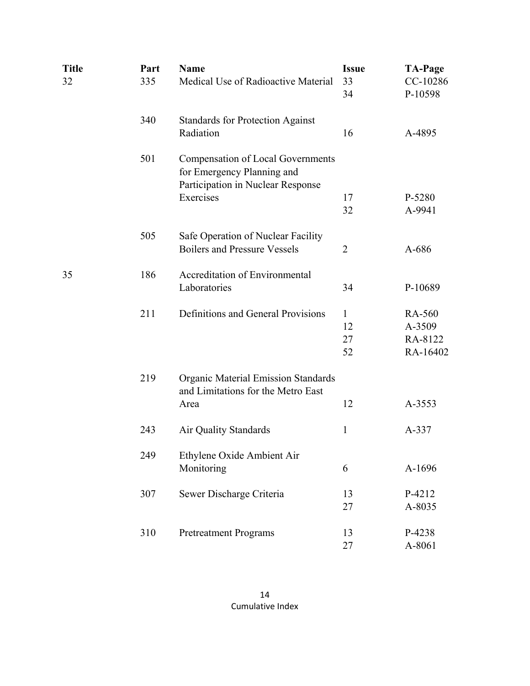| <b>Title</b><br>32 | Part<br>335 | <b>Name</b><br>Medical Use of Radioactive Material                                                          | <b>Issue</b><br>33<br>34 | <b>TA-Page</b><br>CC-10286<br>P-10598 |
|--------------------|-------------|-------------------------------------------------------------------------------------------------------------|--------------------------|---------------------------------------|
|                    | 340         | <b>Standards for Protection Against</b><br>Radiation                                                        | 16                       | A-4895                                |
|                    | 501         | <b>Compensation of Local Governments</b><br>for Emergency Planning and<br>Participation in Nuclear Response |                          |                                       |
|                    |             | Exercises                                                                                                   | 17                       | P-5280                                |
|                    |             |                                                                                                             | 32                       | A-9941                                |
|                    |             |                                                                                                             |                          |                                       |
|                    | 505         | Safe Operation of Nuclear Facility                                                                          |                          |                                       |
|                    |             | <b>Boilers and Pressure Vessels</b>                                                                         | $\overline{2}$           | A-686                                 |
| 35                 | 186         | <b>Accreditation of Environmental</b>                                                                       |                          |                                       |
|                    |             | Laboratories                                                                                                | 34                       | P-10689                               |
|                    | 211         | Definitions and General Provisions                                                                          | $\mathbf{1}$             | RA-560                                |
|                    |             |                                                                                                             | 12                       | A-3509                                |
|                    |             |                                                                                                             | 27                       | RA-8122                               |
|                    |             |                                                                                                             | 52                       | RA-16402                              |
|                    |             |                                                                                                             |                          |                                       |
|                    | 219         | <b>Organic Material Emission Standards</b><br>and Limitations for the Metro East                            |                          |                                       |
|                    |             |                                                                                                             | 12                       | A-3553                                |
|                    |             | Area                                                                                                        |                          |                                       |
|                    | 243         | Air Quality Standards                                                                                       | $\mathbf{1}$             | A-337                                 |
|                    | 249         | Ethylene Oxide Ambient Air                                                                                  |                          |                                       |
|                    |             | Monitoring                                                                                                  | 6                        | A-1696                                |
|                    |             |                                                                                                             |                          |                                       |
|                    | 307         | Sewer Discharge Criteria                                                                                    | 13                       | P-4212                                |
|                    |             |                                                                                                             | 27                       | A-8035                                |
|                    | 310         | <b>Pretreatment Programs</b>                                                                                | 13                       | P-4238                                |
|                    |             |                                                                                                             | 27                       | A-8061                                |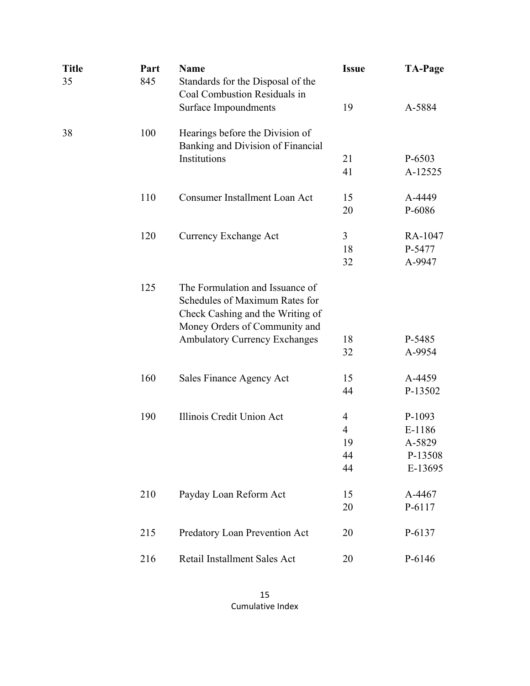| Title<br>35 | Part<br>845 | <b>Name</b><br>Standards for the Disposal of the<br>Coal Combustion Residuals in                                                       | <b>Issue</b> | <b>TA-Page</b> |
|-------------|-------------|----------------------------------------------------------------------------------------------------------------------------------------|--------------|----------------|
|             |             | Surface Impoundments                                                                                                                   | 19           | A-5884         |
| 38          | 100         | Hearings before the Division of<br>Banking and Division of Financial                                                                   |              |                |
|             |             | Institutions                                                                                                                           | 21           | P-6503         |
|             |             |                                                                                                                                        | 41           | A-12525        |
|             | 110         | <b>Consumer Installment Loan Act</b>                                                                                                   | 15           | A-4449         |
|             |             |                                                                                                                                        | 20           | P-6086         |
|             | 120         | Currency Exchange Act                                                                                                                  | 3            | RA-1047        |
|             |             |                                                                                                                                        | 18           | P-5477         |
|             |             |                                                                                                                                        | 32           | A-9947         |
|             | 125         | The Formulation and Issuance of<br>Schedules of Maximum Rates for<br>Check Cashing and the Writing of<br>Money Orders of Community and |              |                |
|             |             | <b>Ambulatory Currency Exchanges</b>                                                                                                   | 18           | P-5485         |
|             |             |                                                                                                                                        | 32           | A-9954         |
|             | 160         | Sales Finance Agency Act                                                                                                               | 15           | A-4459         |
|             |             |                                                                                                                                        | 44           | P-13502        |
|             | 190         | Illinois Credit Union Act                                                                                                              | 4            | P-1093         |
|             |             |                                                                                                                                        | 4            | E-1186         |
|             |             |                                                                                                                                        | 19           | A-5829         |
|             |             |                                                                                                                                        | 44           | P-13508        |
|             |             |                                                                                                                                        | 44           | E-13695        |
|             | 210         | Payday Loan Reform Act                                                                                                                 | 15           | A-4467         |
|             |             |                                                                                                                                        | 20           | P-6117         |
|             | 215         | Predatory Loan Prevention Act                                                                                                          | 20           | P-6137         |
|             | 216         | Retail Installment Sales Act                                                                                                           | 20           | P-6146         |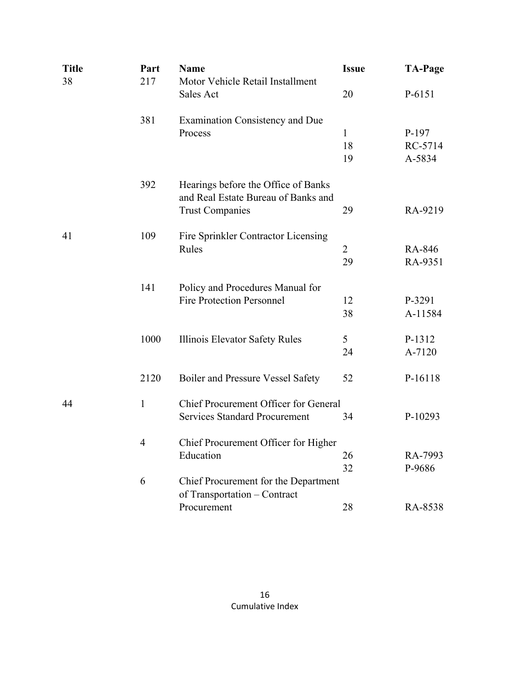| <b>Title</b> | Part           | <b>Name</b>                                                          | <b>Issue</b>   | <b>TA-Page</b> |
|--------------|----------------|----------------------------------------------------------------------|----------------|----------------|
| 38           | 217            | Motor Vehicle Retail Installment                                     |                |                |
|              |                | Sales Act                                                            | 20             | P-6151         |
|              | 381            | <b>Examination Consistency and Due</b>                               |                |                |
|              |                | Process                                                              | $\mathbf{1}$   | P-197          |
|              |                |                                                                      | 18             | RC-5714        |
|              |                |                                                                      | 19             | A-5834         |
|              | 392            | Hearings before the Office of Banks                                  |                |                |
|              |                | and Real Estate Bureau of Banks and                                  |                |                |
|              |                | <b>Trust Companies</b>                                               | 29             | RA-9219        |
| 41           | 109            | Fire Sprinkler Contractor Licensing                                  |                |                |
|              |                | Rules                                                                | $\overline{2}$ | RA-846         |
|              |                |                                                                      | 29             | RA-9351        |
|              | 141            | Policy and Procedures Manual for                                     |                |                |
|              |                | <b>Fire Protection Personnel</b>                                     | 12             | P-3291         |
|              |                |                                                                      | 38             | A-11584        |
|              | 1000           | Illinois Elevator Safety Rules                                       | 5              | P-1312         |
|              |                |                                                                      | 24             | A-7120         |
|              | 2120           | Boiler and Pressure Vessel Safety                                    | 52             | P-16118        |
| 44           | $\mathbf{1}$   | Chief Procurement Officer for General                                |                |                |
|              |                | <b>Services Standard Procurement</b>                                 | 34             | P-10293        |
|              | $\overline{4}$ | Chief Procurement Officer for Higher                                 |                |                |
|              |                | Education                                                            | 26             | RA-7993        |
|              |                |                                                                      | 32             | P-9686         |
|              | 6              | Chief Procurement for the Department<br>of Transportation - Contract |                |                |
|              |                | Procurement                                                          | 28             | RA-8538        |
|              |                |                                                                      |                |                |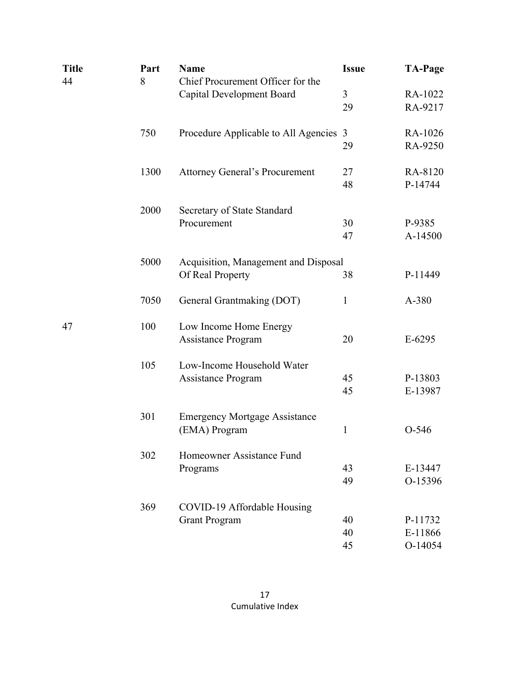| <b>Title</b> | Part | <b>Name</b>                            | <b>Issue</b> | <b>TA-Page</b> |
|--------------|------|----------------------------------------|--------------|----------------|
| 44           | 8    | Chief Procurement Officer for the      |              |                |
|              |      | <b>Capital Development Board</b>       | 3            | RA-1022        |
|              |      |                                        | 29           | RA-9217        |
|              | 750  | Procedure Applicable to All Agencies 3 |              | RA-1026        |
|              |      |                                        | 29           | RA-9250        |
|              | 1300 | <b>Attorney General's Procurement</b>  | 27           | RA-8120        |
|              |      |                                        | 48           | P-14744        |
|              | 2000 | Secretary of State Standard            |              |                |
|              |      | Procurement                            | 30           | P-9385         |
|              |      |                                        | 47           | A-14500        |
|              | 5000 | Acquisition, Management and Disposal   |              |                |
|              |      | Of Real Property                       | 38           | P-11449        |
|              | 7050 | General Grantmaking (DOT)              | $\mathbf{1}$ | A-380          |
| 47           | 100  | Low Income Home Energy                 |              |                |
|              |      | Assistance Program                     | 20           | $E-6295$       |
|              | 105  | Low-Income Household Water             |              |                |
|              |      | Assistance Program                     | 45           | P-13803        |
|              |      |                                        | 45           | E-13987        |
|              | 301  | <b>Emergency Mortgage Assistance</b>   |              |                |
|              |      | (EMA) Program                          | $\mathbf{1}$ | $O-546$        |
|              | 302  | Homeowner Assistance Fund              |              |                |
|              |      | Programs                               | 43           | E-13447        |
|              |      |                                        | 49           | O-15396        |
|              | 369  | COVID-19 Affordable Housing            |              |                |
|              |      | <b>Grant Program</b>                   | 40           | P-11732        |
|              |      |                                        | 40           | E-11866        |
|              |      |                                        | 45           | O-14054        |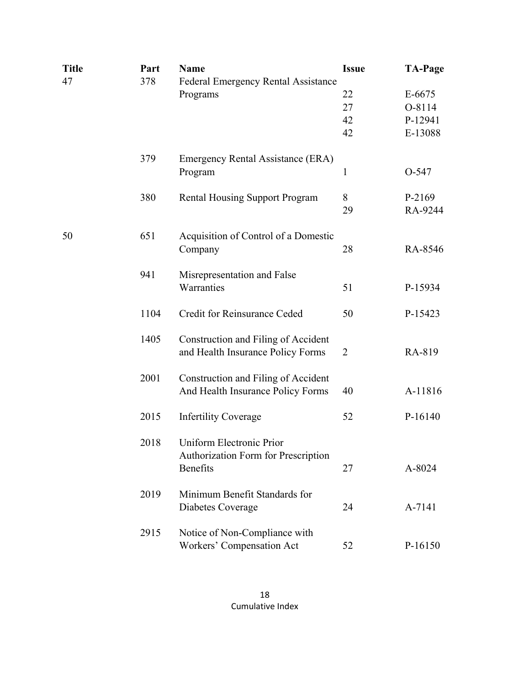| <b>Title</b> | Part | <b>Name</b>                                | <b>Issue</b> | <b>TA-Page</b> |
|--------------|------|--------------------------------------------|--------------|----------------|
| 47           | 378  | <b>Federal Emergency Rental Assistance</b> |              |                |
|              |      | Programs                                   | 22           | E-6675         |
|              |      |                                            | 27           | O-8114         |
|              |      |                                            | 42           | P-12941        |
|              |      |                                            | 42           | E-13088        |
|              | 379  | Emergency Rental Assistance (ERA)          |              |                |
|              |      | Program                                    | 1            | O-547          |
|              | 380  | <b>Rental Housing Support Program</b>      | 8            | P-2169         |
|              |      |                                            | 29           | RA-9244        |
| 50           | 651  | Acquisition of Control of a Domestic       |              |                |
|              |      | Company                                    | 28           | RA-8546        |
|              | 941  | Misrepresentation and False                |              |                |
|              |      | Warranties                                 | 51           | P-15934        |
|              | 1104 | Credit for Reinsurance Ceded               | 50           | P-15423        |
|              | 1405 | Construction and Filing of Accident        |              |                |
|              |      | and Health Insurance Policy Forms          | 2            | RA-819         |
|              | 2001 | Construction and Filing of Accident        |              |                |
|              |      | And Health Insurance Policy Forms          | 40           | A-11816        |
|              | 2015 | <b>Infertility Coverage</b>                | 52           | P-16140        |
|              | 2018 | Uniform Electronic Prior                   |              |                |
|              |      | Authorization Form for Prescription        |              |                |
|              |      | <b>Benefits</b>                            | 27           | A-8024         |
|              | 2019 | Minimum Benefit Standards for              |              |                |
|              |      | Diabetes Coverage                          | 24           | A-7141         |
|              | 2915 | Notice of Non-Compliance with              |              |                |
|              |      | Workers' Compensation Act                  | 52           | P-16150        |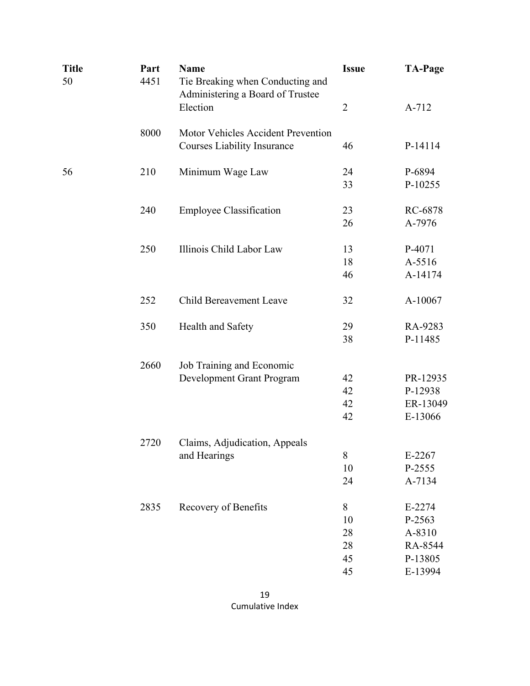| <b>Title</b><br>50 | Part<br>4451 | <b>Name</b><br>Tie Breaking when Conducting and<br>Administering a Board of Trustee | <b>Issue</b>   | <b>TA-Page</b> |
|--------------------|--------------|-------------------------------------------------------------------------------------|----------------|----------------|
|                    |              | Election                                                                            | $\overline{2}$ | A-712          |
|                    | 8000         | Motor Vehicles Accident Prevention                                                  |                |                |
|                    |              | <b>Courses Liability Insurance</b>                                                  | 46             | P-14114        |
| 56                 | 210          | Minimum Wage Law                                                                    | 24             | P-6894         |
|                    |              |                                                                                     | 33             | P-10255        |
|                    | 240          | <b>Employee Classification</b>                                                      | 23             | RC-6878        |
|                    |              |                                                                                     | 26             | A-7976         |
|                    | 250          | Illinois Child Labor Law                                                            | 13             | P-4071         |
|                    |              |                                                                                     | 18             | A-5516         |
|                    |              |                                                                                     | 46             | A-14174        |
|                    | 252          | Child Bereavement Leave                                                             | 32             | A-10067        |
|                    | 350          | Health and Safety                                                                   | 29             | RA-9283        |
|                    |              |                                                                                     | 38             | P-11485        |
|                    | 2660         | Job Training and Economic                                                           |                |                |
|                    |              | Development Grant Program                                                           | 42             | PR-12935       |
|                    |              |                                                                                     | 42             | P-12938        |
|                    |              |                                                                                     | 42             | ER-13049       |
|                    |              |                                                                                     | 42             | E-13066        |
|                    | 2720         | Claims, Adjudication, Appeals                                                       |                |                |
|                    |              | and Hearings                                                                        | $8\,$          | E-2267         |
|                    |              |                                                                                     | 10             | P-2555         |
|                    |              |                                                                                     | 24             | A-7134         |
|                    | 2835         | Recovery of Benefits                                                                | 8              | E-2274         |
|                    |              |                                                                                     | 10             | P-2563         |
|                    |              |                                                                                     | 28             | A-8310         |
|                    |              |                                                                                     | 28             | RA-8544        |
|                    |              |                                                                                     | 45             | P-13805        |
|                    |              |                                                                                     | 45             | E-13994        |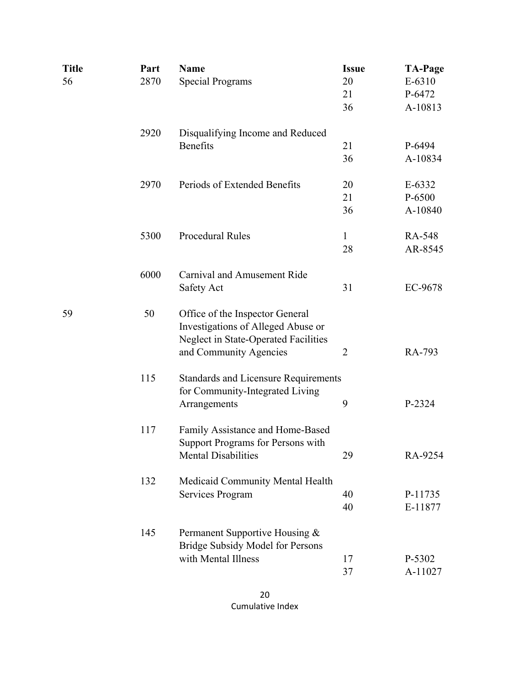| <b>Title</b> | Part | <b>Name</b>                                                                                                          | <b>Issue</b>   | <b>TA-Page</b> |
|--------------|------|----------------------------------------------------------------------------------------------------------------------|----------------|----------------|
| 56           | 2870 | <b>Special Programs</b>                                                                                              | 20             | E-6310         |
|              |      |                                                                                                                      | 21             | P-6472         |
|              |      |                                                                                                                      | 36             | A-10813        |
|              | 2920 | Disqualifying Income and Reduced                                                                                     |                |                |
|              |      | <b>Benefits</b>                                                                                                      | 21             | P-6494         |
|              |      |                                                                                                                      | 36             | A-10834        |
|              | 2970 | Periods of Extended Benefits                                                                                         | 20             | E-6332         |
|              |      |                                                                                                                      | 21             | P-6500         |
|              |      |                                                                                                                      | 36             | A-10840        |
|              | 5300 | <b>Procedural Rules</b>                                                                                              | 1              | RA-548         |
|              |      |                                                                                                                      | 28             | AR-8545        |
|              | 6000 | Carnival and Amusement Ride                                                                                          |                |                |
|              |      | Safety Act                                                                                                           | 31             | EC-9678        |
| 59           | 50   | Office of the Inspector General<br>Investigations of Alleged Abuse or<br><b>Neglect in State-Operated Facilities</b> |                |                |
|              |      | and Community Agencies                                                                                               | $\overline{2}$ | RA-793         |
|              | 115  | <b>Standards and Licensure Requirements</b><br>for Community-Integrated Living                                       |                |                |
|              |      | Arrangements                                                                                                         | 9              | P-2324         |
|              | 117  | Family Assistance and Home-Based<br>Support Programs for Persons with                                                |                |                |
|              |      | <b>Mental Disabilities</b>                                                                                           | 29             | RA-9254        |
|              | 132  | Medicaid Community Mental Health                                                                                     |                |                |
|              |      | Services Program                                                                                                     | 40             | P-11735        |
|              |      |                                                                                                                      | 40             | E-11877        |
|              | 145  | Permanent Supportive Housing &<br>Bridge Subsidy Model for Persons                                                   |                |                |
|              |      | with Mental Illness                                                                                                  | 17             | P-5302         |
|              |      |                                                                                                                      | 37             | A-11027        |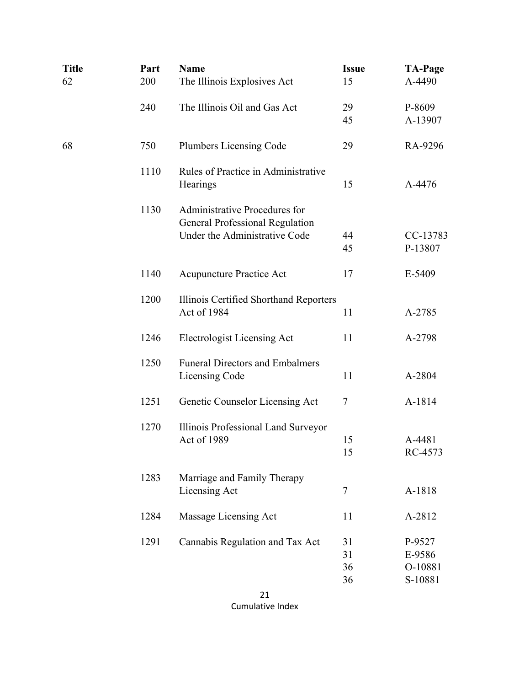| <b>Title</b><br>62 | Part<br>200 | <b>Name</b><br>The Illinois Explosives Act                                     | <b>Issue</b><br>15 | <b>TA-Page</b><br>A-4490 |
|--------------------|-------------|--------------------------------------------------------------------------------|--------------------|--------------------------|
|                    | 240         | The Illinois Oil and Gas Act                                                   | 29                 | P-8609                   |
|                    |             |                                                                                | 45                 | A-13907                  |
| 68                 | 750         | <b>Plumbers Licensing Code</b>                                                 | 29                 | RA-9296                  |
|                    | 1110        | Rules of Practice in Administrative<br>Hearings                                | 15                 | A-4476                   |
|                    | 1130        | <b>Administrative Procedures for</b><br><b>General Professional Regulation</b> |                    |                          |
|                    |             | Under the Administrative Code                                                  | 44                 | CC-13783                 |
|                    |             |                                                                                | 45                 | P-13807                  |
|                    | 1140        | <b>Acupuncture Practice Act</b>                                                | 17                 | E-5409                   |
|                    | 1200        | Illinois Certified Shorthand Reporters                                         |                    |                          |
|                    |             | Act of 1984                                                                    | 11                 | A-2785                   |
|                    | 1246        | <b>Electrologist Licensing Act</b>                                             | 11                 | A-2798                   |
|                    | 1250        | <b>Funeral Directors and Embalmers</b>                                         |                    |                          |
|                    |             | Licensing Code                                                                 | 11                 | A-2804                   |
|                    | 1251        | Genetic Counselor Licensing Act                                                | 7                  | A-1814                   |
|                    | 1270        | Illinois Professional Land Surveyor                                            |                    |                          |
|                    |             | Act of 1989                                                                    | 15                 | A-4481                   |
|                    |             |                                                                                | 15                 | RC-4573                  |
|                    | 1283        | Marriage and Family Therapy                                                    |                    |                          |
|                    |             | Licensing Act                                                                  | $\overline{7}$     | A-1818                   |
|                    | 1284        | Massage Licensing Act                                                          | 11                 | A-2812                   |
|                    | 1291        | Cannabis Regulation and Tax Act                                                | 31                 | P-9527                   |
|                    |             |                                                                                | 31                 | E-9586                   |
|                    |             |                                                                                | 36                 | O-10881                  |
|                    |             |                                                                                | 36                 | S-10881                  |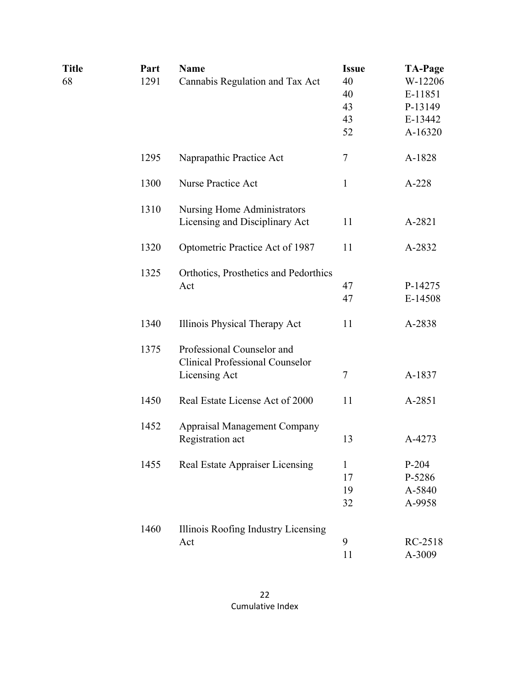| <b>Title</b> | Part | <b>Name</b>                            | <b>Issue</b> | <b>TA-Page</b> |
|--------------|------|----------------------------------------|--------------|----------------|
| 68           | 1291 | Cannabis Regulation and Tax Act        | 40           | W-12206        |
|              |      |                                        | 40           | E-11851        |
|              |      |                                        | 43           | P-13149        |
|              |      |                                        | 43           | E-13442        |
|              |      |                                        | 52           | A-16320        |
|              | 1295 | Naprapathic Practice Act               | 7            | A-1828         |
|              | 1300 | <b>Nurse Practice Act</b>              | $\mathbf{1}$ | $A-228$        |
|              | 1310 | <b>Nursing Home Administrators</b>     |              |                |
|              |      | Licensing and Disciplinary Act         | 11           | A-2821         |
|              | 1320 | Optometric Practice Act of 1987        | 11           | A-2832         |
|              | 1325 | Orthotics, Prosthetics and Pedorthics  |              |                |
|              |      | Act                                    | 47           | P-14275        |
|              |      |                                        | 47           | E-14508        |
|              | 1340 | Illinois Physical Therapy Act          | 11           | A-2838         |
|              | 1375 | Professional Counselor and             |              |                |
|              |      | <b>Clinical Professional Counselor</b> |              |                |
|              |      | Licensing Act                          | $\tau$       | A-1837         |
|              | 1450 | Real Estate License Act of 2000        | 11           | A-2851         |
|              | 1452 | <b>Appraisal Management Company</b>    |              |                |
|              |      | Registration act                       | 13           | A-4273         |
|              | 1455 | Real Estate Appraiser Licensing        | 1            | $P-204$        |
|              |      |                                        | 17           | P-5286         |
|              |      |                                        | 19           | A-5840         |
|              |      |                                        | 32           | A-9958         |
|              | 1460 | Illinois Roofing Industry Licensing    |              |                |
|              |      | Act                                    | 9            | RC-2518        |
|              |      |                                        | 11           | A-3009         |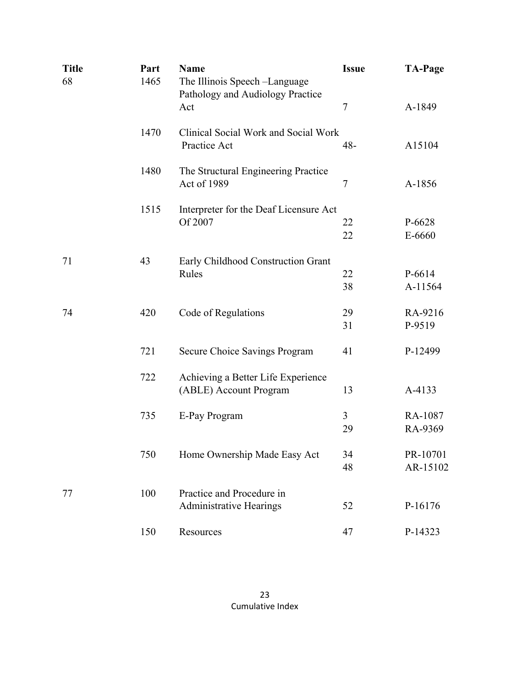| <b>Title</b><br>68 | Part<br>1465 | <b>Name</b><br>The Illinois Speech -Language<br>Pathology and Audiology Practice | <b>Issue</b>   | <b>TA-Page</b>       |
|--------------------|--------------|----------------------------------------------------------------------------------|----------------|----------------------|
|                    |              | Act                                                                              | $\overline{7}$ | A-1849               |
|                    | 1470         | Clinical Social Work and Social Work<br>Practice Act                             | 48-            | A15104               |
|                    | 1480         | The Structural Engineering Practice<br>Act of 1989                               | 7              | A-1856               |
|                    | 1515         | Interpreter for the Deaf Licensure Act<br>Of 2007                                | 22<br>22       | P-6628<br>E-6660     |
| 71                 | 43           | Early Childhood Construction Grant<br>Rules                                      | 22<br>38       | P-6614<br>A-11564    |
| 74                 | 420          | Code of Regulations                                                              | 29<br>31       | RA-9216<br>P-9519    |
|                    | 721          | Secure Choice Savings Program                                                    | 41             | P-12499              |
|                    | 722          | Achieving a Better Life Experience<br>(ABLE) Account Program                     | 13             | A-4133               |
|                    | 735          | E-Pay Program                                                                    | 3<br>29        | RA-1087<br>RA-9369   |
|                    | 750          | Home Ownership Made Easy Act                                                     | 34<br>48       | PR-10701<br>AR-15102 |
| 77                 | 100          | Practice and Procedure in<br><b>Administrative Hearings</b>                      | 52             | P-16176              |
|                    | 150          | Resources                                                                        | 47             | P-14323              |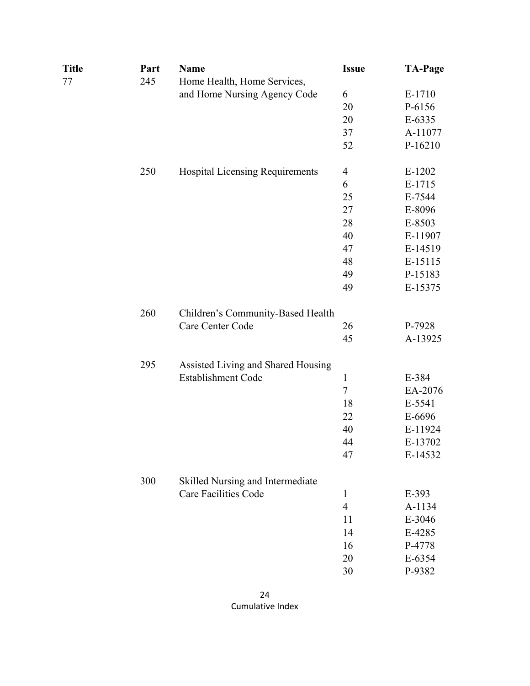| <b>Title</b><br>77 | Part<br>245 | Name<br>Home Health, Home Services,    | <b>Issue</b>             | <b>TA-Page</b> |
|--------------------|-------------|----------------------------------------|--------------------------|----------------|
|                    |             | and Home Nursing Agency Code           | 6                        | E-1710         |
|                    |             |                                        | 20                       | P-6156         |
|                    |             |                                        | 20                       | E-6335         |
|                    |             |                                        | 37                       | A-11077        |
|                    |             |                                        | 52                       | P-16210        |
|                    | 250         | <b>Hospital Licensing Requirements</b> | $\overline{\mathcal{A}}$ | $E-1202$       |
|                    |             |                                        | 6                        | E-1715         |
|                    |             |                                        | 25                       | E-7544         |
|                    |             |                                        | 27                       | E-8096         |
|                    |             |                                        | 28                       | E-8503         |
|                    |             |                                        | 40                       | E-11907        |
|                    |             |                                        | 47                       | E-14519        |
|                    |             |                                        | 48                       | E-15115        |
|                    |             |                                        | 49                       | P-15183        |
|                    |             |                                        | 49                       | E-15375        |
|                    | 260         | Children's Community-Based Health      |                          |                |
|                    |             | Care Center Code                       | 26                       | P-7928         |
|                    |             |                                        | 45                       | A-13925        |
|                    | 295         | Assisted Living and Shared Housing     |                          |                |
|                    |             | Establishment Code                     | $\mathbf{1}$             | E-384          |
|                    |             |                                        | $\overline{7}$           | EA-2076        |
|                    |             |                                        | 18                       | E-5541         |
|                    |             |                                        | 22                       | E-6696         |
|                    |             |                                        | 40                       | E-11924        |
|                    |             |                                        | 44                       | E-13702        |
|                    |             |                                        | 47                       | E-14532        |
|                    | 300         | Skilled Nursing and Intermediate       |                          |                |
|                    |             | <b>Care Facilities Code</b>            | $\mathbf{1}$             | E-393          |
|                    |             |                                        | $\overline{4}$           | A-1134         |
|                    |             |                                        | 11                       | E-3046         |
|                    |             |                                        | 14                       | E-4285         |
|                    |             |                                        | 16                       | P-4778         |
|                    |             |                                        | 20                       | E-6354         |
|                    |             |                                        | 30                       | P-9382         |
|                    |             |                                        |                          |                |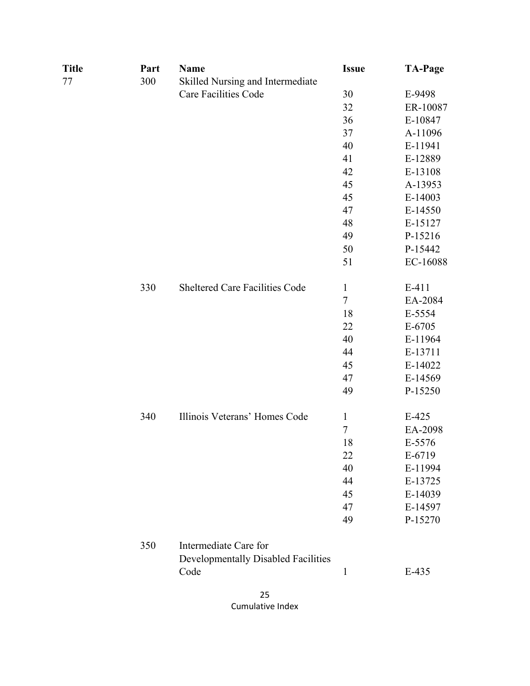| Title | Part | <b>Name</b>                                | <b>Issue</b> | <b>TA-Page</b> |
|-------|------|--------------------------------------------|--------------|----------------|
| 77    | 300  | Skilled Nursing and Intermediate           |              |                |
|       |      | <b>Care Facilities Code</b>                | 30           | E-9498         |
|       |      |                                            | 32           | ER-10087       |
|       |      |                                            | 36           | E-10847        |
|       |      |                                            | 37           | A-11096        |
|       |      |                                            | 40           | E-11941        |
|       |      |                                            | 41           | E-12889        |
|       |      |                                            | 42           | E-13108        |
|       |      |                                            | 45           | A-13953        |
|       |      |                                            | 45           | E-14003        |
|       |      |                                            | 47           | E-14550        |
|       |      |                                            | 48           | E-15127        |
|       |      |                                            | 49           | P-15216        |
|       |      |                                            | 50           | P-15442        |
|       |      |                                            | 51           | EC-16088       |
|       | 330  | Sheltered Care Facilities Code             | $\mathbf{1}$ | $E-411$        |
|       |      |                                            | $\tau$       | EA-2084        |
|       |      |                                            | 18           | E-5554         |
|       |      |                                            | 22           | E-6705         |
|       |      |                                            | 40           | E-11964        |
|       |      |                                            | 44           | E-13711        |
|       |      |                                            | 45           | E-14022        |
|       |      |                                            | 47           | E-14569        |
|       |      |                                            | 49           | P-15250        |
|       | 340  | Illinois Veterans' Homes Code              | $\mathbf{1}$ | $E-425$        |
|       |      |                                            | $\tau$       | EA-2098        |
|       |      |                                            | 18           | E-5576         |
|       |      |                                            | 22           | E-6719         |
|       |      |                                            | 40           | E-11994        |
|       |      |                                            | 44           | E-13725        |
|       |      |                                            | 45           | E-14039        |
|       |      |                                            | 47           | E-14597        |
|       |      |                                            | 49           | P-15270        |
|       | 350  | Intermediate Care for                      |              |                |
|       |      | <b>Developmentally Disabled Facilities</b> |              |                |
|       |      | Code                                       | $\mathbf{1}$ | E-435          |
|       |      |                                            |              |                |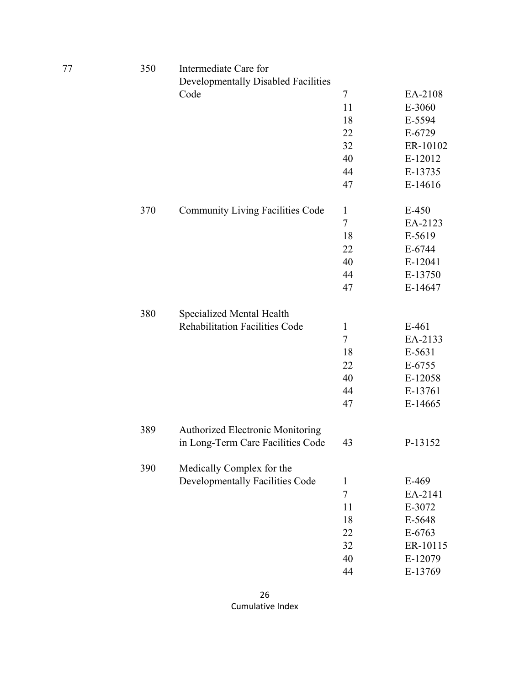| 77 | 350 | Intermediate Care for                   |                  |          |
|----|-----|-----------------------------------------|------------------|----------|
|    |     | Developmentally Disabled Facilities     |                  |          |
|    |     | Code                                    | $\tau$           | EA-2108  |
|    |     |                                         | 11               | E-3060   |
|    |     |                                         | 18               | E-5594   |
|    |     |                                         | 22               | E-6729   |
|    |     |                                         | 32               | ER-10102 |
|    |     |                                         | 40               | E-12012  |
|    |     |                                         | 44               | E-13735  |
|    |     |                                         | 47               | E-14616  |
|    | 370 | <b>Community Living Facilities Code</b> | $\mathbf{1}$     | $E-450$  |
|    |     |                                         | $\boldsymbol{7}$ | EA-2123  |
|    |     |                                         | 18               | E-5619   |
|    |     |                                         | 22               | $E-6744$ |
|    |     |                                         | 40               | E-12041  |
|    |     |                                         | 44               | E-13750  |
|    |     |                                         | 47               | E-14647  |
|    | 380 | Specialized Mental Health               |                  |          |
|    |     | <b>Rehabilitation Facilities Code</b>   | $\mathbf{1}$     | $E-461$  |
|    |     |                                         | $\tau$           | EA-2133  |
|    |     |                                         | 18               | E-5631   |
|    |     |                                         | 22               | E-6755   |
|    |     |                                         | 40               | E-12058  |
|    |     |                                         | 44               | E-13761  |
|    |     |                                         | 47               | E-14665  |
|    | 389 | Authorized Electronic Monitoring        |                  |          |
|    |     | in Long-Term Care Facilities Code       | 43               | P-13152  |
|    | 390 | Medically Complex for the               |                  |          |
|    |     | Developmentally Facilities Code         | $\mathbf{1}$     | E-469    |
|    |     |                                         | $\overline{7}$   | EA-2141  |
|    |     |                                         | 11               | E-3072   |
|    |     |                                         | 18               | E-5648   |
|    |     |                                         | 22               | E-6763   |
|    |     |                                         | 32               | ER-10115 |
|    |     |                                         | 40               | E-12079  |
|    |     |                                         | 44               | E-13769  |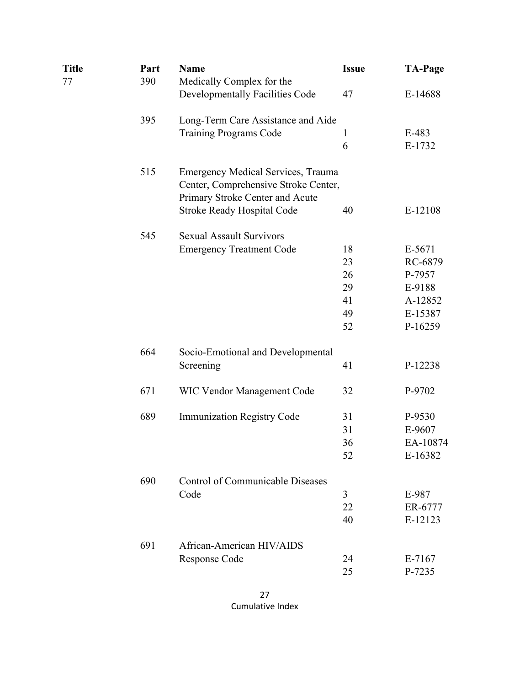| Title<br>77 | Part<br>390 | <b>Name</b><br>Medically Complex for the                                          | <b>Issue</b> | <b>TA-Page</b> |
|-------------|-------------|-----------------------------------------------------------------------------------|--------------|----------------|
|             |             | Developmentally Facilities Code                                                   | 47           | E-14688        |
|             | 395         | Long-Term Care Assistance and Aide                                                |              |                |
|             |             | <b>Training Programs Code</b>                                                     | $\mathbf{1}$ | $E-483$        |
|             |             |                                                                                   | 6            | E-1732         |
|             | 515         | <b>Emergency Medical Services, Trauma</b><br>Center, Comprehensive Stroke Center, |              |                |
|             |             | Primary Stroke Center and Acute<br><b>Stroke Ready Hospital Code</b>              | 40           | E-12108        |
|             | 545         | <b>Sexual Assault Survivors</b>                                                   |              |                |
|             |             | <b>Emergency Treatment Code</b>                                                   | 18           | E-5671         |
|             |             |                                                                                   | 23           | RC-6879        |
|             |             |                                                                                   | 26           | P-7957         |
|             |             |                                                                                   | 29           | E-9188         |
|             |             |                                                                                   | 41           | A-12852        |
|             |             |                                                                                   | 49           | E-15387        |
|             |             |                                                                                   | 52           | P-16259        |
|             | 664         | Socio-Emotional and Developmental                                                 |              |                |
|             |             | Screening                                                                         | 41           | P-12238        |
|             | 671         | <b>WIC Vendor Management Code</b>                                                 | 32           | P-9702         |
|             | 689         | <b>Immunization Registry Code</b>                                                 | 31           | P-9530         |
|             |             |                                                                                   | 31           | E-9607         |
|             |             |                                                                                   | 36           | EA-10874       |
|             |             |                                                                                   | 52           | E-16382        |
|             | 690         | <b>Control of Communicable Diseases</b>                                           |              |                |
|             |             | Code                                                                              | 3            | E-987          |
|             |             |                                                                                   | 22           | ER-6777        |
|             |             |                                                                                   | 40           | E-12123        |
|             | 691         | African-American HIV/AIDS                                                         |              |                |
|             |             | Response Code                                                                     | 24           | E-7167         |
|             |             |                                                                                   | 25           | P-7235         |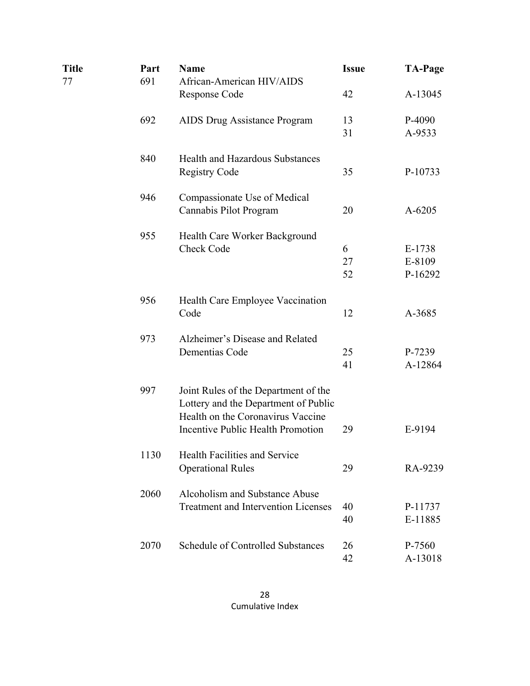| <b>Title</b><br>77 | Part<br>691 | <b>Name</b><br>African-American HIV/AIDS                                                                                                                      | <b>Issue</b>  | <b>TA-Page</b>              |
|--------------------|-------------|---------------------------------------------------------------------------------------------------------------------------------------------------------------|---------------|-----------------------------|
|                    |             | Response Code                                                                                                                                                 | 42            | A-13045                     |
|                    | 692         | AIDS Drug Assistance Program                                                                                                                                  | 13<br>31      | P-4090<br>A-9533            |
|                    | 840         | <b>Health and Hazardous Substances</b><br><b>Registry Code</b>                                                                                                | 35            | P-10733                     |
|                    | 946         | Compassionate Use of Medical<br>Cannabis Pilot Program                                                                                                        | 20            | A-6205                      |
|                    | 955         | Health Care Worker Background<br>Check Code                                                                                                                   | 6<br>27<br>52 | E-1738<br>E-8109<br>P-16292 |
|                    | 956         | Health Care Employee Vaccination<br>Code                                                                                                                      | 12            | A-3685                      |
|                    | 973         | Alzheimer's Disease and Related<br>Dementias Code                                                                                                             | 25<br>41      | P-7239<br>A-12864           |
|                    | 997         | Joint Rules of the Department of the<br>Lottery and the Department of Public<br>Health on the Coronavirus Vaccine<br><b>Incentive Public Health Promotion</b> | 29            | E-9194                      |
|                    | 1130        | <b>Health Facilities and Service</b><br><b>Operational Rules</b>                                                                                              | 29            | RA-9239                     |
|                    | 2060        | Alcoholism and Substance Abuse<br><b>Treatment and Intervention Licenses</b>                                                                                  | 40<br>40      | P-11737<br>E-11885          |
|                    | 2070        | <b>Schedule of Controlled Substances</b>                                                                                                                      | 26<br>42      | P-7560<br>A-13018           |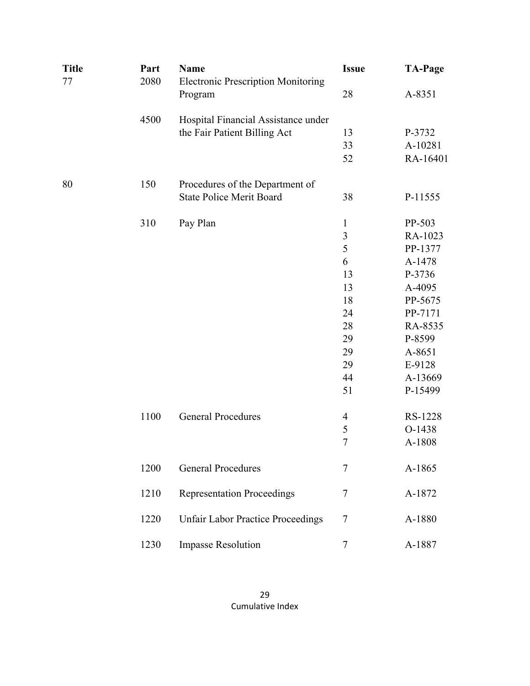| <b>Title</b> | Part | <b>Name</b>                                          | <b>Issue</b>             | <b>TA-Page</b> |
|--------------|------|------------------------------------------------------|--------------------------|----------------|
| 77           | 2080 | <b>Electronic Prescription Monitoring</b><br>Program | 28                       | A-8351         |
|              | 4500 | Hospital Financial Assistance under                  |                          |                |
|              |      | the Fair Patient Billing Act                         | 13                       | P-3732         |
|              |      |                                                      | 33                       | A-10281        |
|              |      |                                                      | 52                       | RA-16401       |
| 80           | 150  | Procedures of the Department of                      |                          |                |
|              |      | <b>State Police Merit Board</b>                      | 38                       | P-11555        |
|              | 310  | Pay Plan                                             | $\mathbf{1}$             | PP-503         |
|              |      |                                                      | $\mathfrak{Z}$           | RA-1023        |
|              |      |                                                      | 5                        | PP-1377        |
|              |      |                                                      | 6                        | A-1478         |
|              |      |                                                      | 13                       | P-3736         |
|              |      |                                                      | 13                       | A-4095         |
|              |      |                                                      | 18                       | PP-5675        |
|              |      |                                                      | 24                       | PP-7171        |
|              |      |                                                      | 28                       | RA-8535        |
|              |      |                                                      | 29                       | P-8599         |
|              |      |                                                      | 29                       | A-8651         |
|              |      |                                                      | 29                       | E-9128         |
|              |      |                                                      | 44                       | A-13669        |
|              |      |                                                      | 51                       | P-15499        |
|              | 1100 | <b>General Procedures</b>                            | $\overline{\mathcal{A}}$ | RS-1228        |
|              |      |                                                      | 5                        | O-1438         |
|              |      |                                                      | $\overline{7}$           | A-1808         |
|              | 1200 | <b>General Procedures</b>                            | $\tau$                   | A-1865         |
|              | 1210 | <b>Representation Proceedings</b>                    | $\tau$                   | A-1872         |
|              | 1220 | <b>Unfair Labor Practice Proceedings</b>             | 7                        | A-1880         |
|              | 1230 | <b>Impasse Resolution</b>                            | $\tau$                   | A-1887         |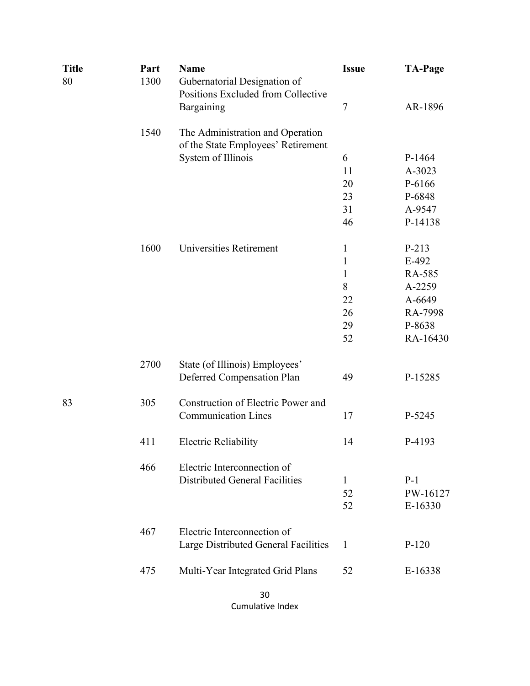| <b>Title</b><br>80 | Part<br>1300 | <b>Name</b><br>Gubernatorial Designation of<br>Positions Excluded from Collective | <b>Issue</b><br>7 | <b>TA-Page</b> |
|--------------------|--------------|-----------------------------------------------------------------------------------|-------------------|----------------|
|                    |              | Bargaining                                                                        |                   | AR-1896        |
|                    | 1540         | The Administration and Operation<br>of the State Employees' Retirement            |                   |                |
|                    |              | System of Illinois                                                                | 6                 | P-1464         |
|                    |              |                                                                                   | 11                | A-3023         |
|                    |              |                                                                                   | 20                | P-6166         |
|                    |              |                                                                                   | 23                | P-6848         |
|                    |              |                                                                                   | 31                | A-9547         |
|                    |              |                                                                                   | 46                | P-14138        |
|                    | 1600         | <b>Universities Retirement</b>                                                    | $\mathbf 1$       | P-213          |
|                    |              |                                                                                   | $\mathbf{1}$      | E-492          |
|                    |              |                                                                                   | $\mathbf{1}$      | RA-585         |
|                    |              |                                                                                   | 8                 | A-2259         |
|                    |              |                                                                                   | 22                | A-6649         |
|                    |              |                                                                                   | 26                | RA-7998        |
|                    |              |                                                                                   | 29                | P-8638         |
|                    |              |                                                                                   | 52                | RA-16430       |
|                    | 2700         | State (of Illinois) Employees'                                                    |                   |                |
|                    |              | Deferred Compensation Plan                                                        | 49                | P-15285        |
| 83                 | 305          | Construction of Electric Power and                                                |                   |                |
|                    |              | <b>Communication Lines</b>                                                        | 17                | P-5245         |
|                    | 411          | <b>Electric Reliability</b>                                                       | 14                | P-4193         |
|                    | 466          | Electric Interconnection of                                                       |                   |                |
|                    |              | <b>Distributed General Facilities</b>                                             | 1                 | $P-1$          |
|                    |              |                                                                                   | 52                | PW-16127       |
|                    |              |                                                                                   | 52                | E-16330        |
|                    | 467          | Electric Interconnection of                                                       |                   |                |
|                    |              | Large Distributed General Facilities                                              | 1                 | $P-120$        |
|                    | 475          | Multi-Year Integrated Grid Plans                                                  | 52                | E-16338        |
|                    |              | 30                                                                                |                   |                |

Cumulative Index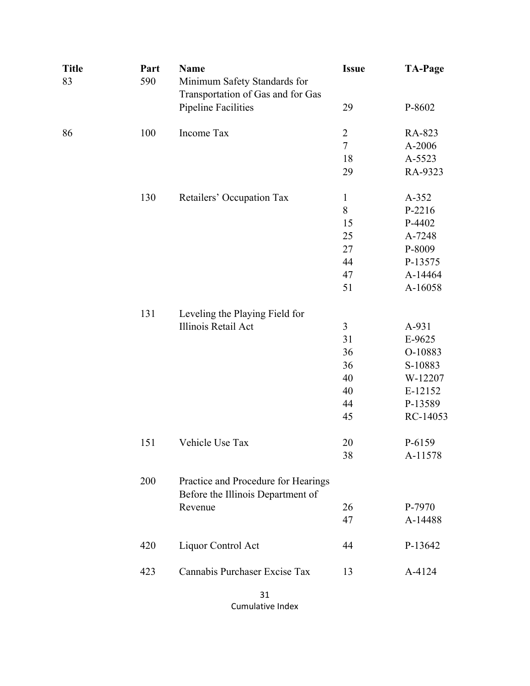| <b>Title</b><br>83 | Part<br>590 | <b>Name</b><br>Minimum Safety Standards for<br>Transportation of Gas and for Gas<br><b>Pipeline Facilities</b> | <b>Issue</b><br>29       | <b>TA-Page</b><br>P-8602 |
|--------------------|-------------|----------------------------------------------------------------------------------------------------------------|--------------------------|--------------------------|
| 86                 | 100         | Income Tax                                                                                                     | $\overline{c}$<br>$\tau$ | RA-823<br>A-2006         |
|                    |             |                                                                                                                | 18                       | A-5523                   |
|                    |             |                                                                                                                | 29                       | RA-9323                  |
|                    | 130         | Retailers' Occupation Tax                                                                                      | $\mathbf{1}$             | A-352                    |
|                    |             |                                                                                                                | 8                        | P-2216                   |
|                    |             |                                                                                                                | 15                       | P-4402                   |
|                    |             |                                                                                                                | 25                       | A-7248                   |
|                    |             |                                                                                                                | 27                       | P-8009                   |
|                    |             |                                                                                                                | 44                       | P-13575                  |
|                    |             |                                                                                                                | 47                       | A-14464                  |
|                    |             |                                                                                                                | 51                       | A-16058                  |
|                    | 131         | Leveling the Playing Field for                                                                                 |                          |                          |
|                    |             | Illinois Retail Act                                                                                            | 3                        | A-931                    |
|                    |             |                                                                                                                | 31                       | E-9625                   |
|                    |             |                                                                                                                | 36                       | O-10883                  |
|                    |             |                                                                                                                | 36                       | S-10883                  |
|                    |             |                                                                                                                | 40                       | W-12207                  |
|                    |             |                                                                                                                | 40                       | E-12152                  |
|                    |             |                                                                                                                | 44                       | P-13589                  |
|                    |             |                                                                                                                | 45                       | RC-14053                 |
|                    | 151         | Vehicle Use Tax                                                                                                | 20                       | P-6159                   |
|                    |             |                                                                                                                | 38                       | A-11578                  |
|                    | 200         | Practice and Procedure for Hearings<br>Before the Illinois Department of                                       |                          |                          |
|                    |             | Revenue                                                                                                        | 26                       | P-7970                   |
|                    |             |                                                                                                                | 47                       | A-14488                  |
|                    | 420         | Liquor Control Act                                                                                             | 44                       | P-13642                  |
|                    | 423         | Cannabis Purchaser Excise Tax                                                                                  | 13                       | A-4124                   |
|                    |             |                                                                                                                |                          |                          |

31 Cumulative Index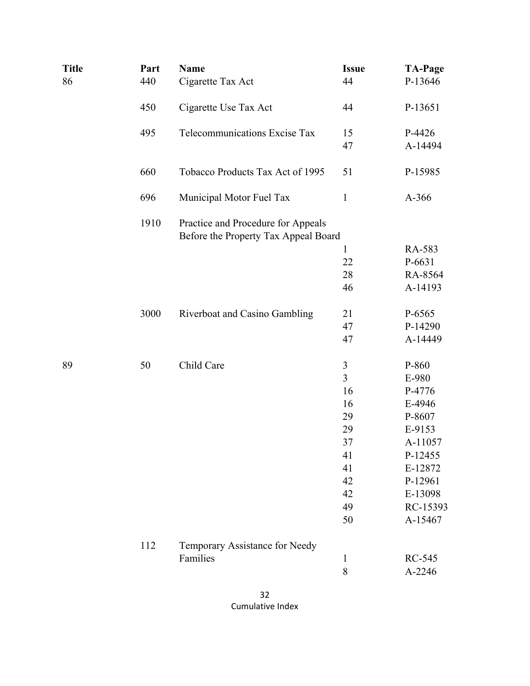| <b>Title</b> | Part | <b>Name</b>                                                                | <b>Issue</b>   | <b>TA-Page</b> |
|--------------|------|----------------------------------------------------------------------------|----------------|----------------|
| 86           | 440  | Cigarette Tax Act                                                          | 44             | P-13646        |
|              | 450  | Cigarette Use Tax Act                                                      | 44             | P-13651        |
|              | 495  | Telecommunications Excise Tax                                              | 15             | P-4426         |
|              |      |                                                                            | 47             | A-14494        |
|              | 660  | Tobacco Products Tax Act of 1995                                           | 51             | P-15985        |
|              | 696  | Municipal Motor Fuel Tax                                                   | $\mathbf{1}$   | A-366          |
|              | 1910 | Practice and Procedure for Appeals<br>Before the Property Tax Appeal Board |                |                |
|              |      |                                                                            | $\mathbf{1}$   | RA-583         |
|              |      |                                                                            | 22             | P-6631         |
|              |      |                                                                            | 28             | RA-8564        |
|              |      |                                                                            | 46             | A-14193        |
|              | 3000 | Riverboat and Casino Gambling                                              | 21             | P-6565         |
|              |      |                                                                            | 47             | P-14290        |
|              |      |                                                                            | 47             | A-14449        |
| 89           | 50   | Child Care                                                                 | $\mathfrak{Z}$ | P-860          |
|              |      |                                                                            | $\overline{3}$ | E-980          |
|              |      |                                                                            | 16             | P-4776         |
|              |      |                                                                            | 16             | E-4946         |
|              |      |                                                                            | 29             | P-8607         |
|              |      |                                                                            | 29             | E-9153         |
|              |      |                                                                            | 37             | A-11057        |
|              |      |                                                                            | 41             | P-12455        |
|              |      |                                                                            | 41             | E-12872        |
|              |      |                                                                            | 42             | P-12961        |
|              |      |                                                                            | 42             | E-13098        |
|              |      |                                                                            | 49             | RC-15393       |
|              |      |                                                                            | 50             | A-15467        |
|              | 112  | Temporary Assistance for Needy                                             |                |                |
|              |      | Families                                                                   | $\mathbf{1}$   | RC-545         |
|              |      |                                                                            | 8              | A-2246         |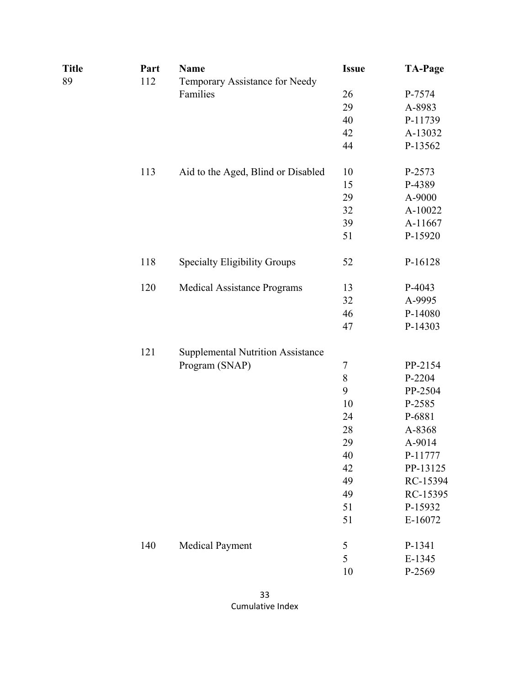| <b>Title</b> | Part | <b>Name</b>                              | <b>Issue</b>   | <b>TA-Page</b> |
|--------------|------|------------------------------------------|----------------|----------------|
| 89           | 112  | Temporary Assistance for Needy           |                |                |
|              |      | Families                                 | 26             | P-7574         |
|              |      |                                          | 29             | A-8983         |
|              |      |                                          | 40             | P-11739        |
|              |      |                                          | 42             | A-13032        |
|              |      |                                          | 44             | P-13562        |
|              | 113  | Aid to the Aged, Blind or Disabled       | 10             | P-2573         |
|              |      |                                          | 15             | P-4389         |
|              |      |                                          | 29             | A-9000         |
|              |      |                                          | 32             | A-10022        |
|              |      |                                          | 39             | A-11667        |
|              |      |                                          | 51             | P-15920        |
|              | 118  | <b>Specialty Eligibility Groups</b>      | 52             | P-16128        |
|              | 120  | <b>Medical Assistance Programs</b>       | 13             | P-4043         |
|              |      |                                          | 32             | A-9995         |
|              |      |                                          | 46             | P-14080        |
|              |      |                                          | 47             | P-14303        |
|              | 121  | <b>Supplemental Nutrition Assistance</b> |                |                |
|              |      | Program (SNAP)                           | $\overline{7}$ | PP-2154        |
|              |      |                                          | 8              | P-2204         |
|              |      |                                          | 9              | PP-2504        |
|              |      |                                          | 10             | P-2585         |
|              |      |                                          | 24             | P-6881         |
|              |      |                                          | 28             | A-8368         |
|              |      |                                          | 29             | A-9014         |
|              |      |                                          | 40             | P-11777        |
|              |      |                                          | 42             | PP-13125       |
|              |      |                                          | 49             | RC-15394       |
|              |      |                                          | 49             | RC-15395       |
|              |      |                                          | 51             | P-15932        |
|              |      |                                          | 51             | E-16072        |
|              | 140  | <b>Medical Payment</b>                   | $\sqrt{5}$     | P-1341         |
|              |      |                                          | 5              | E-1345         |
|              |      |                                          | 10             | P-2569         |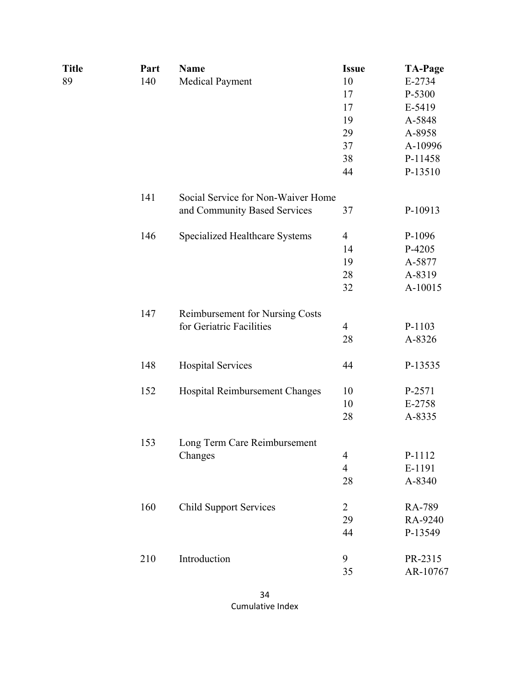| <b>Title</b> | Part | <b>Name</b>                        | <b>Issue</b>             | <b>TA-Page</b> |
|--------------|------|------------------------------------|--------------------------|----------------|
| 89           | 140  | Medical Payment                    | 10                       | E-2734         |
|              |      |                                    | 17                       | P-5300         |
|              |      |                                    | 17                       | E-5419         |
|              |      |                                    | 19                       | A-5848         |
|              |      |                                    | 29                       | A-8958         |
|              |      |                                    | 37                       | A-10996        |
|              |      |                                    | 38                       | P-11458        |
|              |      |                                    | 44                       | P-13510        |
|              | 141  | Social Service for Non-Waiver Home |                          |                |
|              |      | and Community Based Services       | 37                       | P-10913        |
|              | 146  | Specialized Healthcare Systems     | $\overline{4}$           | P-1096         |
|              |      |                                    | 14                       | P-4205         |
|              |      |                                    | 19                       | A-5877         |
|              |      |                                    | 28                       | A-8319         |
|              |      |                                    | 32                       | A-10015        |
|              | 147  | Reimbursement for Nursing Costs    |                          |                |
|              |      | for Geriatric Facilities           | $\overline{4}$           | P-1103         |
|              |      |                                    | 28                       | A-8326         |
|              | 148  | <b>Hospital Services</b>           | 44                       | P-13535        |
|              | 152  | Hospital Reimbursement Changes     | 10                       | P-2571         |
|              |      |                                    | 10                       | E-2758         |
|              |      |                                    | 28                       | A-8335         |
|              | 153  | Long Term Care Reimbursement       |                          |                |
|              |      | Changes                            | 4                        | P-1112         |
|              |      |                                    | $\overline{\mathcal{A}}$ | E-1191         |
|              |      |                                    | 28                       | A-8340         |
|              | 160  | <b>Child Support Services</b>      | 2                        | RA-789         |
|              |      |                                    | 29                       | RA-9240        |
|              |      |                                    | 44                       | P-13549        |
|              | 210  | Introduction                       | 9                        | PR-2315        |
|              |      |                                    | 35                       | AR-10767       |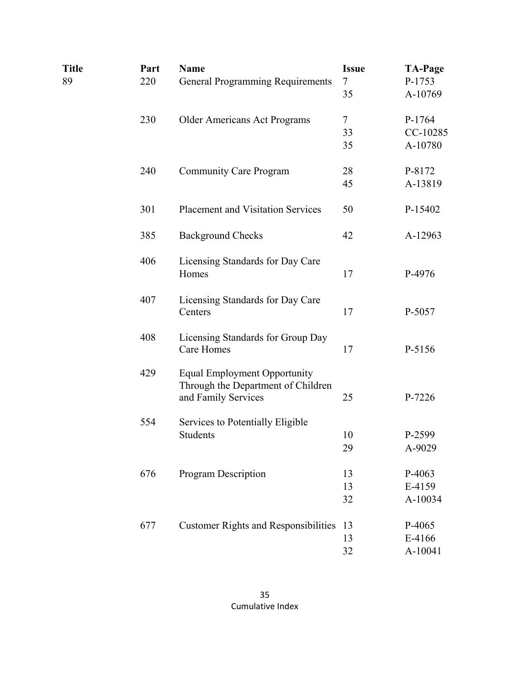| <b>Title</b> | Part | <b>Name</b>                                     | <b>Issue</b> | <b>TA-Page</b> |
|--------------|------|-------------------------------------------------|--------------|----------------|
| 89           | 220  | <b>General Programming Requirements</b>         | $\tau$       | P-1753         |
|              |      |                                                 | 35           | A-10769        |
|              | 230  | <b>Older Americans Act Programs</b>             | $\tau$       | P-1764         |
|              |      |                                                 | 33           | CC-10285       |
|              |      |                                                 | 35           | A-10780        |
|              | 240  | <b>Community Care Program</b>                   | 28           | P-8172         |
|              |      |                                                 | 45           | A-13819        |
|              | 301  | <b>Placement and Visitation Services</b>        | 50           | P-15402        |
|              | 385  | <b>Background Checks</b>                        | 42           | A-12963        |
|              | 406  | Licensing Standards for Day Care<br>Homes       | 17           | P-4976         |
|              |      |                                                 |              |                |
|              | 407  | Licensing Standards for Day Care<br>Centers     | 17           | P-5057         |
|              |      |                                                 |              |                |
|              | 408  | Licensing Standards for Group Day<br>Care Homes | 17           | P-5156         |
|              | 429  | <b>Equal Employment Opportunity</b>             |              |                |
|              |      | Through the Department of Children              |              |                |
|              |      | and Family Services                             | 25           | P-7226         |
|              | 554  | Services to Potentially Eligible                |              |                |
|              |      | <b>Students</b>                                 | 10           | P-2599         |
|              |      |                                                 | 29           | A-9029         |
|              | 676  | Program Description                             | 13           | P-4063         |
|              |      |                                                 | 13           | E-4159         |
|              |      |                                                 | 32           | A-10034        |
|              | 677  | <b>Customer Rights and Responsibilities</b>     | 13           | P-4065         |
|              |      |                                                 | 13           | E-4166         |
|              |      |                                                 | 32           | A-10041        |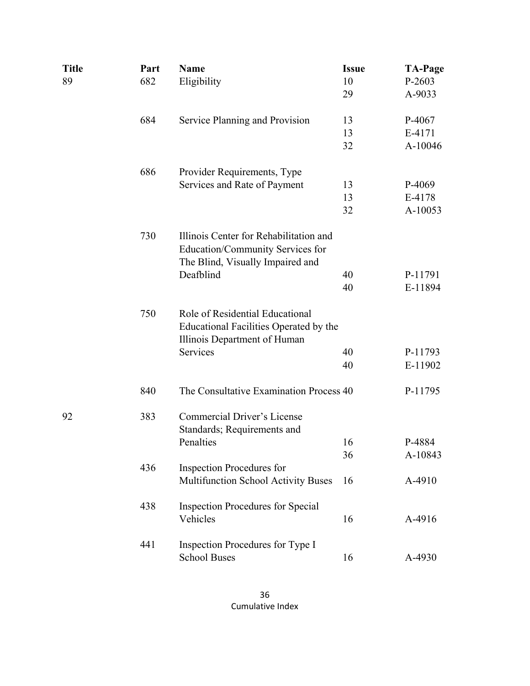| Title | Part | <b>Name</b>                                                                                                    | <b>Issue</b> | <b>TA-Page</b> |
|-------|------|----------------------------------------------------------------------------------------------------------------|--------------|----------------|
| 89    | 682  | Eligibility                                                                                                    | 10           | P-2603         |
|       |      |                                                                                                                | 29           | A-9033         |
|       | 684  | Service Planning and Provision                                                                                 | 13           | P-4067         |
|       |      |                                                                                                                | 13           | E-4171         |
|       |      |                                                                                                                | 32           | A-10046        |
|       | 686  | Provider Requirements, Type                                                                                    |              |                |
|       |      | Services and Rate of Payment                                                                                   | 13           | P-4069         |
|       |      |                                                                                                                | 13           | E-4178         |
|       |      |                                                                                                                | 32           | A-10053        |
|       | 730  | Illinois Center for Rehabilitation and<br>Education/Community Services for<br>The Blind, Visually Impaired and |              |                |
|       |      | Deafblind                                                                                                      | 40           | P-11791        |
|       |      |                                                                                                                | 40           | E-11894        |
|       | 750  | Role of Residential Educational<br>Educational Facilities Operated by the<br>Illinois Department of Human      |              |                |
|       |      | Services                                                                                                       | 40           | P-11793        |
|       |      |                                                                                                                | 40           | E-11902        |
|       | 840  | The Consultative Examination Process 40                                                                        |              | P-11795        |
| 92    | 383  | <b>Commercial Driver's License</b><br>Standards; Requirements and                                              |              |                |
|       |      | Penalties                                                                                                      | 16           | P-4884         |
|       |      |                                                                                                                | 36           | A-10843        |
|       | 436  | <b>Inspection Procedures for</b><br>Multifunction School Activity Buses                                        | 16           | A-4910         |
|       | 438  | <b>Inspection Procedures for Special</b>                                                                       |              |                |
|       |      | Vehicles                                                                                                       | 16           | A-4916         |
|       | 441  | Inspection Procedures for Type I<br><b>School Buses</b>                                                        | 16           | A-4930         |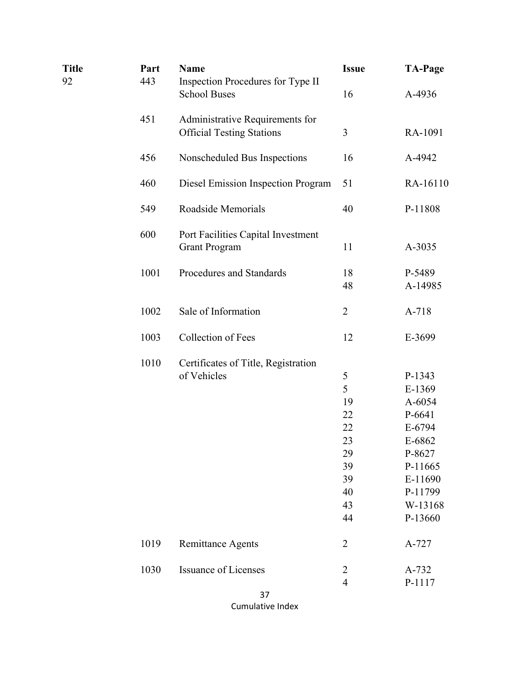| <b>Title</b><br>92 | Part<br>443 | <b>Name</b><br>Inspection Procedures for Type II                    | <b>Issue</b>   | <b>TA-Page</b>    |
|--------------------|-------------|---------------------------------------------------------------------|----------------|-------------------|
|                    |             | <b>School Buses</b>                                                 | 16             | A-4936            |
|                    | 451         | Administrative Requirements for<br><b>Official Testing Stations</b> | 3              | RA-1091           |
|                    | 456         | Nonscheduled Bus Inspections                                        | 16             | A-4942            |
|                    | 460         | Diesel Emission Inspection Program                                  | 51             | RA-16110          |
|                    | 549         | Roadside Memorials                                                  | 40             | P-11808           |
|                    | 600         | Port Facilities Capital Investment<br><b>Grant Program</b>          | 11             | A-3035            |
|                    | 1001        | Procedures and Standards                                            | 18<br>48       | P-5489<br>A-14985 |
|                    | 1002        | Sale of Information                                                 | $\overline{2}$ | A-718             |
|                    | 1003        | Collection of Fees                                                  | 12             | E-3699            |
|                    | 1010        | Certificates of Title, Registration                                 |                |                   |
|                    |             | of Vehicles                                                         | 5              | P-1343            |
|                    |             |                                                                     | 5              | E-1369            |
|                    |             |                                                                     | 19             | A-6054            |
|                    |             |                                                                     | 22             | P-6641            |
|                    |             |                                                                     | 22             | E-6794            |
|                    |             |                                                                     | 23             | E-6862            |
|                    |             |                                                                     | 29             | P-8627            |
|                    |             |                                                                     | 39             | P-11665           |
|                    |             |                                                                     | 39             | E-11690           |
|                    |             |                                                                     | 40             | P-11799           |
|                    |             |                                                                     | 43             | W-13168           |
|                    |             |                                                                     | 44             | P-13660           |
|                    | 1019        | <b>Remittance Agents</b>                                            | $\overline{2}$ | A-727             |
|                    | 1030        | <b>Issuance of Licenses</b>                                         | $\overline{c}$ | A-732             |
|                    |             |                                                                     | $\overline{4}$ | P-1117            |
|                    |             | 37                                                                  |                |                   |

Cumulative Index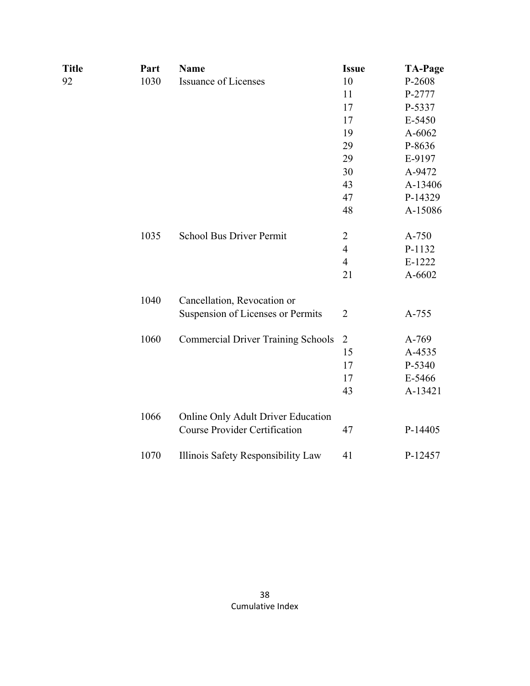| 10<br>11<br>17<br>17<br>19<br>29 | P-2608<br>P-2777<br>P-5337<br>E-5450<br>A-6062 |
|----------------------------------|------------------------------------------------|
|                                  |                                                |
|                                  |                                                |
|                                  |                                                |
|                                  |                                                |
|                                  |                                                |
|                                  | P-8636                                         |
|                                  | E-9197                                         |
| 30                               | A-9472                                         |
| 43                               | A-13406                                        |
| 47                               | P-14329                                        |
| 48                               | A-15086                                        |
|                                  | A-750                                          |
| $\overline{4}$                   | P-1132                                         |
| $\overline{4}$                   | E-1222                                         |
| 21                               | A-6602                                         |
|                                  |                                                |
| $\overline{2}$                   | A-755                                          |
| $\overline{2}$                   | A-769                                          |
| 15                               | A-4535                                         |
| 17                               | P-5340                                         |
| 17                               | E-5466                                         |
| 43                               | A-13421                                        |
|                                  |                                                |
| 47                               | P-14405                                        |
| 41                               | P-12457                                        |
|                                  | 29<br>$\overline{2}$                           |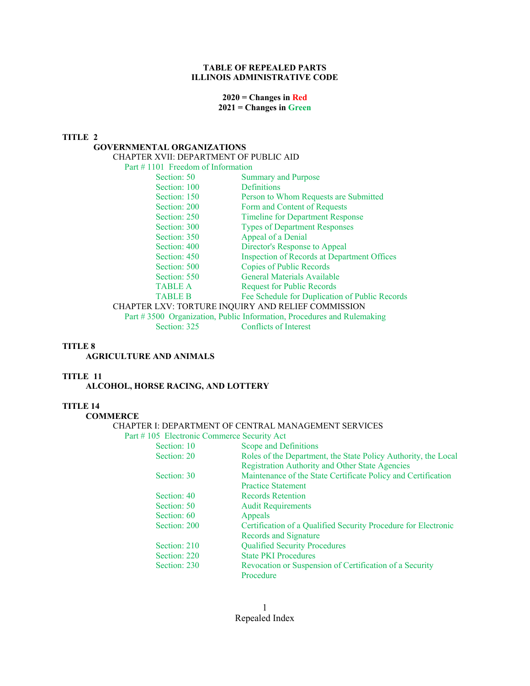### **TABLE OF REPEALED PARTS ILLINOIS ADMINISTRATIVE CODE**

### **2020 = Changes in Red 2021 = Changes in Green**

#### **TITLE 2**

### **GOVERNMENTAL ORGANIZATIONS**

CHAPTER XVII: DEPARTMENT OF PUBLIC AID

#### Part # 1101 Freedom of Information

| Section: 50    | <b>Summary and Purpose</b>                         |
|----------------|----------------------------------------------------|
| Section: 100   | <b>Definitions</b>                                 |
| Section: 150   | Person to Whom Requests are Submitted              |
| Section: 200   | Form and Content of Requests                       |
| Section: 250   | <b>Timeline for Department Response</b>            |
| Section: 300   | <b>Types of Department Responses</b>               |
| Section: 350   | Appeal of a Denial                                 |
| Section: 400   | Director's Response to Appeal                      |
| Section: 450   | <b>Inspection of Records at Department Offices</b> |
| Section: 500   | <b>Copies of Public Records</b>                    |
| Section: 550   | General Materials Available                        |
| <b>TABLE A</b> | <b>Request for Public Records</b>                  |
| <b>TABLE B</b> | Fee Schedule for Duplication of Public Records     |
|                | CHAPTER LXV: TORTURE INQUIRY AND RELIEF COMMISSION |

 Part # 3500 Organization, Public Information, Procedures and Rulemaking Section: 325 Conflicts of Interest

#### **TITLE 8**

#### **AGRICULTURE AND ANIMALS**

### **TITLE 11**

 **ALCOHOL, HORSE RACING, AND LOTTERY** 

#### **TITLE 14**

 **COMMERCE** 

#### CHAPTER I: DEPARTMENT OF CENTRAL MANAGEMENT SERVICES

Part # 105 Electronic Commerce Security Act

| Section: 10  | Scope and Definitions                                          |
|--------------|----------------------------------------------------------------|
| Section: 20  | Roles of the Department, the State Policy Authority, the Local |
|              | <b>Registration Authority and Other State Agencies</b>         |
| Section: 30  | Maintenance of the State Certificate Policy and Certification  |
|              | <b>Practice Statement</b>                                      |
| Section: 40  | Records Retention                                              |
| Section: 50  | <b>Audit Requirements</b>                                      |
| Section: 60  | Appeals                                                        |
| Section: 200 | Certification of a Qualified Security Procedure for Electronic |
|              | Records and Signature                                          |
| Section: 210 | <b>Qualified Security Procedures</b>                           |
| Section: 220 | <b>State PKI Procedures</b>                                    |
| Section: 230 | Revocation or Suspension of Certification of a Security        |
|              | Procedure                                                      |
|              |                                                                |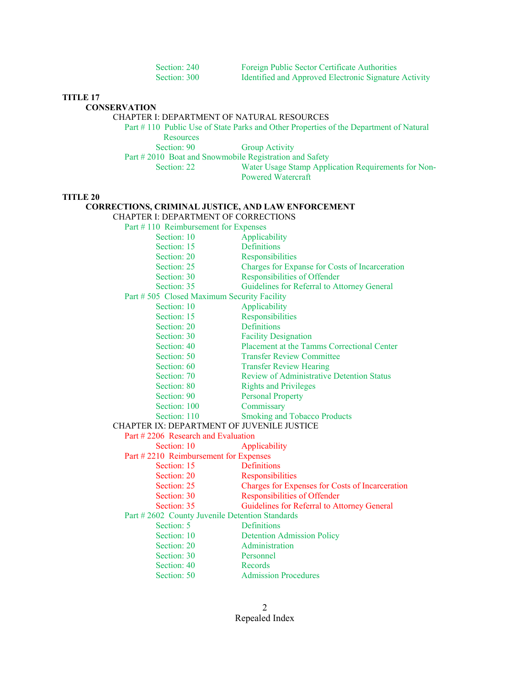| Section: 240 | <b>Foreign Public Sector Certificate Authorities</b>  |
|--------------|-------------------------------------------------------|
| Section: 300 | Identified and Approved Electronic Signature Activity |

### **CONSERVATION**

### CHAPTER I: DEPARTMENT OF NATURAL RESOURCES

 Part # 110 Public Use of State Parks and Other Properties of the Department of Natural Resources Section: 90 Group Activity

Part # 2010 Boat and Snowmobile Registration and Safety

Section: 22 Water Usage Stamp Application Requirements for Non-Powered Watercraft

#### **TITLE 20**

### **CORRECTIONS, CRIMINAL JUSTICE, AND LAW ENFORCEMENT**

CHAPTER I: DEPARTMENT OF CORRECTIONS

| Part #110 Reimbursement for Expenses           |                                                  |
|------------------------------------------------|--------------------------------------------------|
| Section: 10                                    | Applicability                                    |
| Section: 15                                    | <b>Definitions</b>                               |
| Section: 20                                    | Responsibilities                                 |
| Section: 25                                    | Charges for Expanse for Costs of Incarceration   |
| Section: 30                                    | Responsibilities of Offender                     |
| Section: 35                                    | Guidelines for Referral to Attorney General      |
| Part # 505 Closed Maximum Security Facility    |                                                  |
| Section: 10                                    | Applicability                                    |
| Section: 15                                    | Responsibilities                                 |
| Section: 20                                    | Definitions                                      |
| Section: 30                                    | <b>Facility Designation</b>                      |
| Section: 40                                    | Placement at the Tamms Correctional Center       |
| Section: 50                                    | <b>Transfer Review Committee</b>                 |
| Section: 60                                    | <b>Transfer Review Hearing</b>                   |
| Section: 70                                    | <b>Review of Administrative Detention Status</b> |
| Section: 80                                    | <b>Rights and Privileges</b>                     |
| Section: 90                                    | <b>Personal Property</b>                         |
| Section: 100                                   | Commissary                                       |
| Section: 110                                   | <b>Smoking and Tobacco Products</b>              |
| CHAPTER IX: DEPARTMENT OF JUVENILE JUSTICE     |                                                  |
| Part #2206 Research and Evaluation             |                                                  |
| Section: 10                                    | Applicability                                    |
| Part #2210 Reimbursement for Expenses          |                                                  |
| Section: 15                                    | Definitions                                      |
| Section: 20                                    | Responsibilities                                 |
| Section: 25                                    | Charges for Expenses for Costs of Incarceration  |
| Section: 30                                    | Responsibilities of Offender                     |
| Section: 35                                    | Guidelines for Referral to Attorney General      |
| Part #2602 County Juvenile Detention Standards |                                                  |
| Section: 5                                     | Definitions                                      |
| Section: 10                                    | <b>Detention Admission Policy</b>                |
| Section: 20                                    | Administration                                   |
| Section: 30                                    | Personnel                                        |
| Section: 40                                    | Records                                          |
| Section: 50                                    | <b>Admission Procedures</b>                      |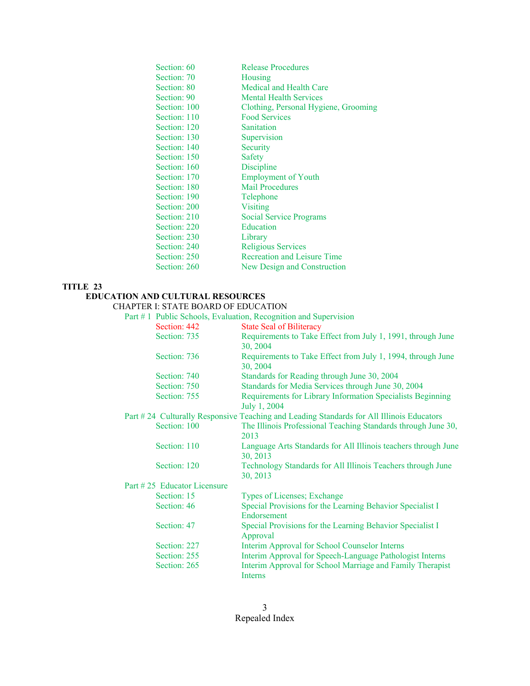| Section: 60  | <b>Release Procedures</b>            |
|--------------|--------------------------------------|
| Section: 70  | Housing                              |
| Section: 80  | Medical and Health Care              |
| Section: 90  | <b>Mental Health Services</b>        |
| Section: 100 | Clothing, Personal Hygiene, Grooming |
| Section: 110 | <b>Food Services</b>                 |
| Section: 120 | Sanitation                           |
| Section: 130 | Supervision                          |
| Section: 140 | Security                             |
| Section: 150 | Safety                               |
| Section: 160 | Discipline                           |
| Section: 170 | <b>Employment of Youth</b>           |
| Section: 180 | <b>Mail Procedures</b>               |
| Section: 190 | Telephone                            |
| Section: 200 | Visiting                             |
| Section: 210 | Social Service Programs              |
| Section: 220 | Education                            |
| Section: 230 | Library                              |
| Section: 240 | <b>Religious Services</b>            |
| Section: 250 | Recreation and Leisure Time          |
| Section: 260 | New Design and Construction          |

# **EDUCATION AND CULTURAL RESOURCES**

# CHAPTER I: STATE BOARD OF EDUCATION

### Part # 1 Public Schools, Evaluation, Recognition and Supervision

| Section: 442                | <b>State Seal of Biliteracy</b>                                                          |
|-----------------------------|------------------------------------------------------------------------------------------|
| Section: 735                | Requirements to Take Effect from July 1, 1991, through June                              |
|                             | 30, 2004                                                                                 |
| Section: 736                | Requirements to Take Effect from July 1, 1994, through June                              |
|                             | 30, 2004                                                                                 |
| Section: 740                | Standards for Reading through June 30, 2004                                              |
| Section: 750                | Standards for Media Services through June 30, 2004                                       |
| Section: 755                | Requirements for Library Information Specialists Beginning                               |
|                             | July 1, 2004                                                                             |
|                             | Part #24 Culturally Responsive Teaching and Leading Standards for All Illinois Educators |
| Section: 100                | The Illinois Professional Teaching Standards through June 30,                            |
|                             | 2013                                                                                     |
| Section: 110                | Language Arts Standards for All Illinois teachers through June                           |
|                             | 30, 2013                                                                                 |
| Section: 120                | Technology Standards for All Illinois Teachers through June                              |
|                             | 30, 2013                                                                                 |
| Part #25 Educator Licensure |                                                                                          |
| Section: 15                 | Types of Licenses; Exchange                                                              |
| Section: 46                 | Special Provisions for the Learning Behavior Specialist I                                |
|                             | Endorsement                                                                              |
| Section: 47                 | Special Provisions for the Learning Behavior Specialist I                                |
|                             | Approval                                                                                 |
| Section: 227                | Interim Approval for School Counselor Interns                                            |
| Section: 255                | Interim Approval for Speech-Language Pathologist Interns                                 |
| Section: 265                | Interim Approval for School Marriage and Family Therapist                                |
|                             | Interns                                                                                  |
|                             |                                                                                          |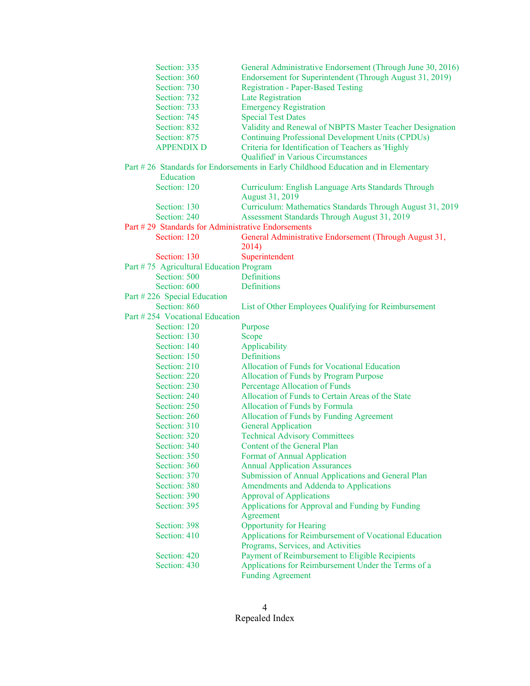| Section: 335                                       | General Administrative Endorsement (Through June 30, 2016)                         |
|----------------------------------------------------|------------------------------------------------------------------------------------|
| Section: 360                                       | Endorsement for Superintendent (Through August 31, 2019)                           |
| Section: 730                                       | <b>Registration - Paper-Based Testing</b>                                          |
| Section: 732                                       | Late Registration                                                                  |
| Section: 733                                       | <b>Emergency Registration</b>                                                      |
| Section: 745                                       | <b>Special Test Dates</b>                                                          |
| Section: 832                                       | Validity and Renewal of NBPTS Master Teacher Designation                           |
| Section: 875                                       | <b>Continuing Professional Development Units (CPDUs)</b>                           |
| <b>APPENDIX D</b>                                  | Criteria for Identification of Teachers as 'Highly                                 |
|                                                    | Qualified' in Various Circumstances                                                |
|                                                    | Part #26 Standards for Endorsements in Early Childhood Education and in Elementary |
| Education                                          |                                                                                    |
| Section: 120                                       | Curriculum: English Language Arts Standards Through                                |
|                                                    | August 31, 2019                                                                    |
| Section: 130                                       | Curriculum: Mathematics Standards Through August 31, 2019                          |
| Section: 240                                       | Assessment Standards Through August 31, 2019                                       |
| Part #29 Standards for Administrative Endorsements |                                                                                    |
| Section: 120                                       | General Administrative Endorsement (Through August 31,                             |
|                                                    | 2014)                                                                              |
| Section: 130                                       | Superintendent                                                                     |
| Part #75 Agricultural Education Program            |                                                                                    |
| Section: 500                                       | Definitions                                                                        |
| Section: 600                                       | Definitions                                                                        |
| Part #226 Special Education                        |                                                                                    |
| Section: 860                                       | List of Other Employees Qualifying for Reimbursement                               |
| Part #254 Vocational Education                     |                                                                                    |
| Section: 120                                       | Purpose                                                                            |
| Section: 130                                       | Scope                                                                              |
| Section: 140                                       | Applicability                                                                      |
| Section: 150                                       | Definitions                                                                        |
| Section: 210                                       | Allocation of Funds for Vocational Education                                       |
| Section: 220                                       | <b>Allocation of Funds by Program Purpose</b>                                      |
| Section: 230                                       | Percentage Allocation of Funds                                                     |
| Section: 240                                       | Allocation of Funds to Certain Areas of the State                                  |
| Section: 250                                       | Allocation of Funds by Formula                                                     |
| Section: 260                                       | Allocation of Funds by Funding Agreement                                           |
| Section: 310                                       | <b>General Application</b>                                                         |
| Section: 320                                       | <b>Technical Advisory Committees</b>                                               |
| Section: 340                                       | Content of the General Plan                                                        |
| Section: 350                                       | <b>Format of Annual Application</b>                                                |
| Section: 360                                       | <b>Annual Application Assurances</b>                                               |
| Section: 370                                       | Submission of Annual Applications and General Plan                                 |
| Section: 380                                       | Amendments and Addenda to Applications                                             |
| Section: 390                                       | <b>Approval of Applications</b>                                                    |
| Section: 395                                       | Applications for Approval and Funding by Funding                                   |
|                                                    | Agreement                                                                          |
| Section: 398                                       | <b>Opportunity for Hearing</b>                                                     |
| Section: 410                                       | Applications for Reimbursement of Vocational Education                             |
|                                                    | Programs, Services, and Activities                                                 |
| Section: 420                                       | Payment of Reimbursement to Eligible Recipients                                    |
| Section: 430                                       | Applications for Reimbursement Under the Terms of a                                |
|                                                    | <b>Funding Agreement</b>                                                           |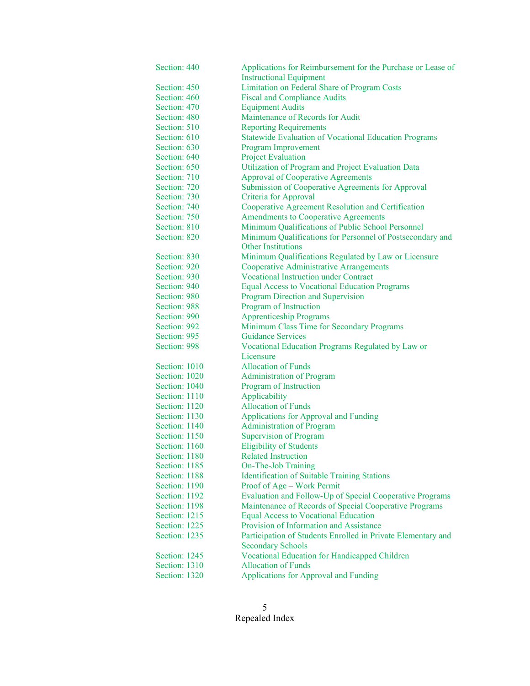| Section: 440  | Applications for Reimbursement for the Purchase or Lease of                              |
|---------------|------------------------------------------------------------------------------------------|
|               | <b>Instructional Equipment</b>                                                           |
| Section: 450  | Limitation on Federal Share of Program Costs                                             |
| Section: 460  | <b>Fiscal and Compliance Audits</b>                                                      |
| Section: 470  | <b>Equipment Audits</b>                                                                  |
| Section: 480  | Maintenance of Records for Audit                                                         |
| Section: 510  | <b>Reporting Requirements</b>                                                            |
| Section: 610  | <b>Statewide Evaluation of Vocational Education Programs</b>                             |
| Section: 630  | Program Improvement                                                                      |
| Section: 640  | <b>Project Evaluation</b>                                                                |
| Section: 650  | Utilization of Program and Project Evaluation Data                                       |
| Section: 710  | <b>Approval of Cooperative Agreements</b>                                                |
| Section: 720  | Submission of Cooperative Agreements for Approval                                        |
| Section: 730  | Criteria for Approval                                                                    |
| Section: 740  | Cooperative Agreement Resolution and Certification                                       |
| Section: 750  | <b>Amendments to Cooperative Agreements</b>                                              |
| Section: 810  | Minimum Qualifications of Public School Personnel                                        |
| Section: 820  | Minimum Qualifications for Personnel of Postsecondary and                                |
|               | <b>Other Institutions</b>                                                                |
| Section: 830  | Minimum Qualifications Regulated by Law or Licensure                                     |
| Section: 920  | <b>Cooperative Administrative Arrangements</b>                                           |
| Section: 930  | <b>Vocational Instruction under Contract</b>                                             |
| Section: 940  | <b>Equal Access to Vocational Education Programs</b>                                     |
| Section: 980  | Program Direction and Supervision                                                        |
| Section: 988  | Program of Instruction                                                                   |
| Section: 990  | <b>Apprenticeship Programs</b>                                                           |
| Section: 992  | Minimum Class Time for Secondary Programs                                                |
| Section: 995  | <b>Guidance Services</b>                                                                 |
| Section: 998  | Vocational Education Programs Regulated by Law or                                        |
|               | Licensure                                                                                |
| Section: 1010 | <b>Allocation of Funds</b>                                                               |
| Section: 1020 | <b>Administration of Program</b>                                                         |
| Section: 1040 | Program of Instruction                                                                   |
| Section: 1110 | Applicability                                                                            |
| Section: 1120 | <b>Allocation of Funds</b>                                                               |
| Section: 1130 | Applications for Approval and Funding                                                    |
| Section: 1140 | <b>Administration of Program</b>                                                         |
| Section: 1150 | <b>Supervision of Program</b>                                                            |
| Section: 1160 | <b>Eligibility of Students</b>                                                           |
| Section: 1180 | <b>Related Instruction</b>                                                               |
| Section: 1185 | On-The-Job Training                                                                      |
| Section: 1188 | <b>Identification of Suitable Training Stations</b>                                      |
| Section: 1190 | Proof of Age - Work Permit                                                               |
| Section: 1192 | Evaluation and Follow-Up of Special Cooperative Programs                                 |
| Section: 1198 | Maintenance of Records of Special Cooperative Programs                                   |
| Section: 1215 | <b>Equal Access to Vocational Education</b>                                              |
| Section: 1225 | Provision of Information and Assistance                                                  |
| Section: 1235 |                                                                                          |
|               | Participation of Students Enrolled in Private Elementary and<br><b>Secondary Schools</b> |
| Section: 1245 | Vocational Education for Handicapped Children                                            |
| Section: 1310 | <b>Allocation of Funds</b>                                                               |
| Section: 1320 | <b>Applications for Approval and Funding</b>                                             |
|               |                                                                                          |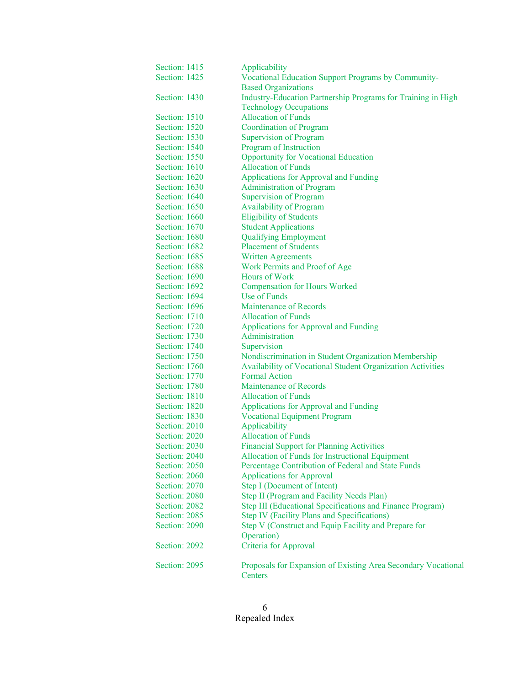| Section: 1415 | Applicability                                                            |
|---------------|--------------------------------------------------------------------------|
| Section: 1425 | Vocational Education Support Programs by Community-                      |
|               | <b>Based Organizations</b>                                               |
| Section: 1430 | Industry-Education Partnership Programs for Training in High             |
|               | <b>Technology Occupations</b>                                            |
| Section: 1510 | <b>Allocation of Funds</b>                                               |
| Section: 1520 | <b>Coordination of Program</b>                                           |
| Section: 1530 | <b>Supervision of Program</b>                                            |
| Section: 1540 | Program of Instruction                                                   |
| Section: 1550 | <b>Opportunity for Vocational Education</b>                              |
| Section: 1610 | <b>Allocation of Funds</b>                                               |
| Section: 1620 | Applications for Approval and Funding                                    |
| Section: 1630 | <b>Administration of Program</b>                                         |
| Section: 1640 | <b>Supervision of Program</b>                                            |
| Section: 1650 | <b>Availability of Program</b>                                           |
| Section: 1660 | <b>Eligibility of Students</b>                                           |
| Section: 1670 | <b>Student Applications</b>                                              |
| Section: 1680 | <b>Qualifying Employment</b>                                             |
| Section: 1682 | <b>Placement of Students</b>                                             |
| Section: 1685 | <b>Written Agreements</b>                                                |
| Section: 1688 | Work Permits and Proof of Age                                            |
| Section: 1690 | Hours of Work                                                            |
| Section: 1692 | <b>Compensation for Hours Worked</b>                                     |
| Section: 1694 | <b>Use of Funds</b>                                                      |
| Section: 1696 | Maintenance of Records                                                   |
| Section: 1710 | <b>Allocation of Funds</b>                                               |
| Section: 1720 | <b>Applications for Approval and Funding</b>                             |
| Section: 1730 | Administration                                                           |
| Section: 1740 | Supervision                                                              |
| Section: 1750 | Nondiscrimination in Student Organization Membership                     |
| Section: 1760 | Availability of Vocational Student Organization Activities               |
| Section: 1770 | <b>Formal Action</b>                                                     |
| Section: 1780 | Maintenance of Records                                                   |
| Section: 1810 | <b>Allocation of Funds</b>                                               |
| Section: 1820 | <b>Applications for Approval and Funding</b>                             |
| Section: 1830 | <b>Vocational Equipment Program</b>                                      |
| Section: 2010 | Applicability                                                            |
| Section: 2020 | <b>Allocation of Funds</b>                                               |
| Section: 2030 | <b>Financial Support for Planning Activities</b>                         |
| Section: 2040 | Allocation of Funds for Instructional Equipment                          |
| Section: 2050 | Percentage Contribution of Federal and State Funds                       |
| Section: 2060 | <b>Applications for Approval</b>                                         |
| Section: 2070 | Step I (Document of Intent)                                              |
| Section: 2080 | Step II (Program and Facility Needs Plan)                                |
| Section: 2082 | Step III (Educational Specifications and Finance Program)                |
| Section: 2085 | <b>Step IV (Facility Plans and Specifications)</b>                       |
| Section: 2090 | Step V (Construct and Equip Facility and Prepare for                     |
|               | Operation)                                                               |
| Section: 2092 | Criteria for Approval                                                    |
|               |                                                                          |
| Section: 2095 | Proposals for Expansion of Existing Area Secondary Vocational<br>Centers |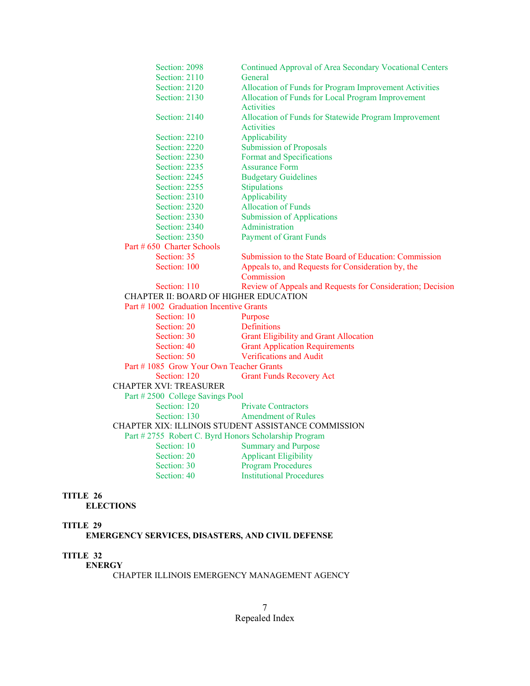| Section: 2098                                        | Continued Approval of Area Secondary Vocational Centers    |  |
|------------------------------------------------------|------------------------------------------------------------|--|
| Section: 2110                                        | General                                                    |  |
| Section: 2120                                        | Allocation of Funds for Program Improvement Activities     |  |
| Section: 2130                                        | Allocation of Funds for Local Program Improvement          |  |
|                                                      | Activities                                                 |  |
| Section: 2140                                        | Allocation of Funds for Statewide Program Improvement      |  |
|                                                      | Activities                                                 |  |
| Section: 2210                                        | Applicability                                              |  |
| Section: 2220                                        | <b>Submission of Proposals</b>                             |  |
| Section: 2230                                        | Format and Specifications                                  |  |
| Section: 2235                                        | <b>Assurance Form</b>                                      |  |
| Section: 2245                                        | <b>Budgetary Guidelines</b>                                |  |
| Section: 2255                                        | Stipulations                                               |  |
| Section: 2310                                        | Applicability                                              |  |
| Section: 2320                                        | <b>Allocation of Funds</b>                                 |  |
| Section: 2330                                        | <b>Submission of Applications</b>                          |  |
| Section: 2340                                        | Administration                                             |  |
| Section: 2350                                        | <b>Payment of Grant Funds</b>                              |  |
| Part # 650 Charter Schools                           |                                                            |  |
| Section: 35                                          | Submission to the State Board of Education: Commission     |  |
| Section: 100                                         | Appeals to, and Requests for Consideration by, the         |  |
|                                                      | Commission                                                 |  |
| Section: 110                                         | Review of Appeals and Requests for Consideration; Decision |  |
| CHAPTER II: BOARD OF HIGHER EDUCATION                |                                                            |  |
| Part #1002 Graduation Incentive Grants               |                                                            |  |
| Section: 10                                          | Purpose                                                    |  |
| Section: 20                                          | Definitions                                                |  |
| Section: 30                                          | <b>Grant Eligibility and Grant Allocation</b>              |  |
| Section: 40                                          | <b>Grant Application Requirements</b>                      |  |
| Section: 50                                          | <b>Verifications and Audit</b>                             |  |
| Part #1085 Grow Your Own Teacher Grants              |                                                            |  |
| Section: 120                                         | <b>Grant Funds Recovery Act</b>                            |  |
| <b>CHAPTER XVI: TREASURER</b>                        |                                                            |  |
| Part #2500 College Savings Pool                      |                                                            |  |
| Section: 120                                         | <b>Private Contractors</b>                                 |  |
| Section: 130                                         | <b>Amendment of Rules</b>                                  |  |
|                                                      | CHAPTER XIX: ILLINOIS STUDENT ASSISTANCE COMMISSION        |  |
| Part #2755 Robert C. Byrd Honors Scholarship Program |                                                            |  |
| Section: 10                                          | <b>Summary and Purpose</b>                                 |  |
| Section: 20                                          | <b>Applicant Eligibility</b>                               |  |
| Section: 30                                          | <b>Program Procedures</b>                                  |  |
| Section: 40                                          | <b>Institutional Procedures</b>                            |  |
|                                                      |                                                            |  |

 **ELECTIONS** 

# **TITLE 29**

# **EMERGENCY SERVICES, DISASTERS, AND CIVIL DEFENSE**

# **TITLE 32**

 **ENERGY** 

CHAPTER ILLINOIS EMERGENCY MANAGEMENT AGENCY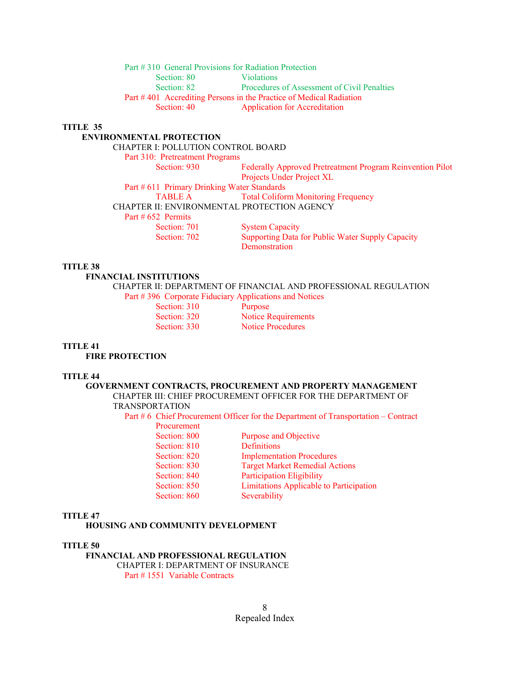Part # 310 General Provisions for Radiation Protection Section: 80 Violations Section: 82 Procedures of Assessment of Civil Penalties Part #401 Accrediting Persons in the Practice of Medical Radiation Section: 40 Application for Accreditation

#### **TITLE 35**

### **ENVIRONMENTAL PROTECTION**

CHAPTER I: POLLUTION CONTROL BOARD

Part 310: Pretreatment Programs

Section: 930 Federally Approved Pretreatment Program Reinvention Pilot Projects Under Project XL

Part # 611 Primary Drinking Water Standards

TABLE A Total Coliform Monitoring Frequency

CHAPTER II: ENVIRONMENTAL PROTECTION AGENCY

Part # 652 Permits

Section: 701 System Capacity Section: 702 Supporting Data for Public Water Supply Capacity **Demonstration** 

### **TITLE 38**

 **FINANCIAL INSTITUTIONS** 

 CHAPTER II: DEPARTMENT OF FINANCIAL AND PROFESSIONAL REGULATION Part # 396 Corporate Fiduciary Applications and Notices

Section: 310 Purpose

Section: 320 Notice Requirements Section: 330 Notice Procedures

### **TITLE 41**

 **FIRE PROTECTION** 

#### **TITLE 44**

#### **GOVERNMENT CONTRACTS, PROCUREMENT AND PROPERTY MANAGEMENT**  CHAPTER III: CHIEF PROCUREMENT OFFICER FOR THE DEPARTMENT OF TRANSPORTATION

Part # 6 Chief Procurement Officer for the Department of Transportation – Contract

| Procurement  |                                         |
|--------------|-----------------------------------------|
| Section: 800 | Purpose and Objective                   |
| Section: 810 | <b>Definitions</b>                      |
| Section: 820 | <b>Implementation Procedures</b>        |
| Section: 830 | <b>Target Market Remedial Actions</b>   |
| Section: 840 | <b>Participation Eligibility</b>        |
| Section: 850 | Limitations Applicable to Participation |
| Section: 860 | Severability                            |
|              |                                         |

#### **TITLE 47**

 **HOUSING AND COMMUNITY DEVELOPMENT** 

#### **TITLE 50**

 **FINANCIAL AND PROFESSIONAL REGULATION** CHAPTER I: DEPARTMENT OF INSURANCE Part # 1551 Variable Contracts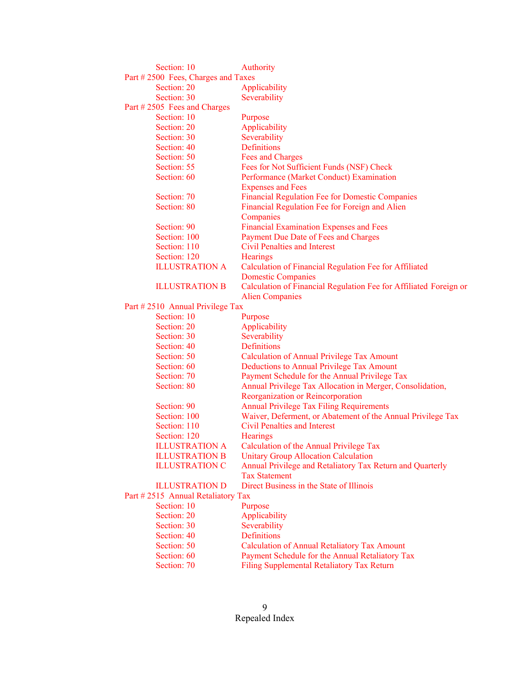| Section: 10                        | Authority                                                         |
|------------------------------------|-------------------------------------------------------------------|
| Part #2500 Fees, Charges and Taxes |                                                                   |
| Section: 20                        | Applicability                                                     |
| Section: 30                        | Severability                                                      |
| Part #2505 Fees and Charges        |                                                                   |
| Section: 10                        | Purpose                                                           |
| Section: 20                        | Applicability                                                     |
| Section: 30                        | Severability                                                      |
| Section: 40                        | <b>Definitions</b>                                                |
| Section: 50                        | <b>Fees and Charges</b>                                           |
| Section: 55                        | Fees for Not Sufficient Funds (NSF) Check                         |
| Section: 60                        | Performance (Market Conduct) Examination                          |
|                                    | <b>Expenses and Fees</b>                                          |
| Section: 70                        | <b>Financial Regulation Fee for Domestic Companies</b>            |
| Section: 80                        | Financial Regulation Fee for Foreign and Alien                    |
|                                    | Companies                                                         |
| Section: 90                        | <b>Financial Examination Expenses and Fees</b>                    |
| Section: 100                       | Payment Due Date of Fees and Charges                              |
| Section: 110                       | <b>Civil Penalties and Interest</b>                               |
| Section: 120                       | <b>Hearings</b>                                                   |
| <b>ILLUSTRATION A</b>              | Calculation of Financial Regulation Fee for Affiliated            |
|                                    | <b>Domestic Companies</b>                                         |
| <b>ILLUSTRATION B</b>              | Calculation of Financial Regulation Fee for Affiliated Foreign or |
|                                    | <b>Alien Companies</b>                                            |
| Part #2510 Annual Privilege Tax    |                                                                   |
| Section: 10                        | Purpose                                                           |
| Section: 20                        | Applicability                                                     |
| Section: 30                        | Severability                                                      |
| Section: 40                        | <b>Definitions</b>                                                |
| Section: 50                        | <b>Calculation of Annual Privilege Tax Amount</b>                 |
| Section: 60                        | Deductions to Annual Privilege Tax Amount                         |
| Section: 70                        | Payment Schedule for the Annual Privilege Tax                     |
| Section: 80                        | Annual Privilege Tax Allocation in Merger, Consolidation,         |
|                                    | Reorganization or Reincorporation                                 |
| Section: 90                        | <b>Annual Privilege Tax Filing Requirements</b>                   |
| Section: 100                       | Waiver, Deferment, or Abatement of the Annual Privilege Tax       |
| Section: 110                       | <b>Civil Penalties and Interest</b>                               |
| Section: 120                       | <b>Hearings</b>                                                   |
| <b>ILLUSTRATION A</b>              | Calculation of the Annual Privilege Tax                           |
| <b>ILLUSTRATION B</b>              | <b>Unitary Group Allocation Calculation</b>                       |
| <b>ILLUSTRATION C</b>              | Annual Privilege and Retaliatory Tax Return and Quarterly         |
|                                    | <b>Tax Statement</b>                                              |
| <b>ILLUSTRATION D</b>              | Direct Business in the State of Illinois                          |
| Part #2515 Annual Retaliatory Tax  |                                                                   |
| Section: 10                        | Purpose                                                           |
| Section: 20                        | Applicability                                                     |
| Section: 30                        | Severability                                                      |
| Section: 40                        | Definitions                                                       |
| Section: 50                        | <b>Calculation of Annual Retaliatory Tax Amount</b>               |
| Section: 60                        | Payment Schedule for the Annual Retaliatory Tax                   |
| Section: 70                        | Filing Supplemental Retaliatory Tax Return                        |
|                                    |                                                                   |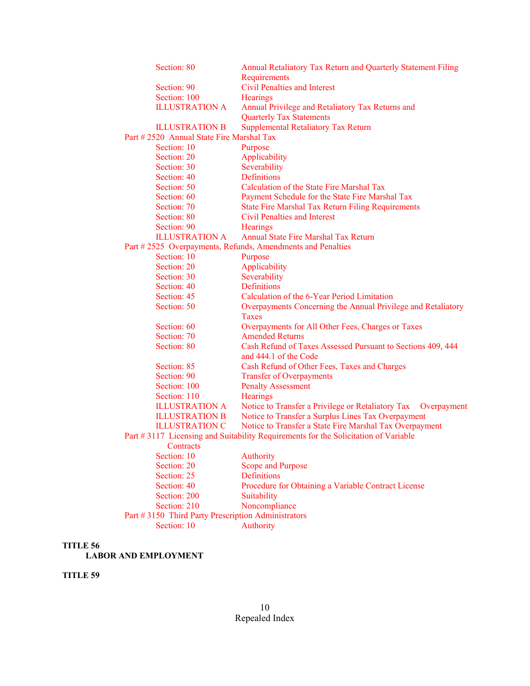| Section: 80                                        | Annual Retaliatory Tax Return and Quarterly Statement Filing                       |
|----------------------------------------------------|------------------------------------------------------------------------------------|
|                                                    | Requirements<br><b>Civil Penalties and Interest</b>                                |
| Section: 90                                        |                                                                                    |
| Section: 100                                       | <b>Hearings</b>                                                                    |
| <b>ILLUSTRATION A</b>                              | Annual Privilege and Retaliatory Tax Returns and                                   |
|                                                    | <b>Quarterly Tax Statements</b>                                                    |
| <b>ILLUSTRATION B</b>                              | Supplemental Retaliatory Tax Return                                                |
| Part # 2520 Annual State Fire Marshal Tax          |                                                                                    |
| Section: 10                                        | Purpose                                                                            |
| Section: 20                                        | Applicability                                                                      |
| Section: 30                                        | Severability                                                                       |
| Section: 40                                        | Definitions                                                                        |
| Section: 50                                        | Calculation of the State Fire Marshal Tax                                          |
| Section: 60                                        | Payment Schedule for the State Fire Marshal Tax                                    |
| Section: 70                                        | <b>State Fire Marshal Tax Return Filing Requirements</b>                           |
| Section: 80                                        | Civil Penalties and Interest                                                       |
| Section: 90                                        | <b>Hearings</b>                                                                    |
| <b>ILLUSTRATION A</b>                              | Annual State Fire Marshal Tax Return                                               |
|                                                    | Part #2525 Overpayments, Refunds, Amendments and Penalties                         |
| Section: 10                                        | Purpose                                                                            |
| Section: 20                                        | Applicability                                                                      |
| Section: 30                                        | Severability                                                                       |
| Section: 40                                        | Definitions                                                                        |
| Section: 45                                        | Calculation of the 6-Year Period Limitation                                        |
| Section: 50                                        | Overpayments Concerning the Annual Privilege and Retaliatory                       |
|                                                    | Taxes                                                                              |
| Section: 60                                        | Overpayments for All Other Fees, Charges or Taxes                                  |
| Section: 70                                        | <b>Amended Returns</b>                                                             |
| Section: 80                                        | Cash Refund of Taxes Assessed Pursuant to Sections 409, 444                        |
|                                                    | and 444.1 of the Code                                                              |
| Section: 85                                        | Cash Refund of Other Fees, Taxes and Charges                                       |
| Section: 90                                        | <b>Transfer of Overpayments</b>                                                    |
| Section: 100                                       | <b>Penalty Assessment</b>                                                          |
| Section: 110                                       | Hearings                                                                           |
| <b>ILLUSTRATION A</b>                              | Notice to Transfer a Privilege or Retaliatory Tax<br>Overpayment                   |
| <b>ILLUSTRATION B</b>                              | Notice to Transfer a Surplus Lines Tax Overpayment                                 |
| <b>ILLUSTRATION C</b>                              | Notice to Transfer a State Fire Marshal Tax Overpayment                            |
|                                                    | Part #3117 Licensing and Suitability Requirements for the Solicitation of Variable |
|                                                    |                                                                                    |
| Contracts<br>Section: 10                           | Authority                                                                          |
| Section: 20                                        |                                                                                    |
|                                                    | <b>Scope and Purpose</b>                                                           |
| Section: 25                                        | <b>Definitions</b>                                                                 |
| Section: 40                                        | Procedure for Obtaining a Variable Contract License                                |
| Section: 200                                       | Suitability                                                                        |
| Section: 210                                       | Noncompliance                                                                      |
| Part #3150 Third Party Prescription Administrators |                                                                                    |
| Section: 10                                        | Authority                                                                          |
|                                                    |                                                                                    |

 **LABOR AND EMPLOYMENT** 

#### **TITLE 59**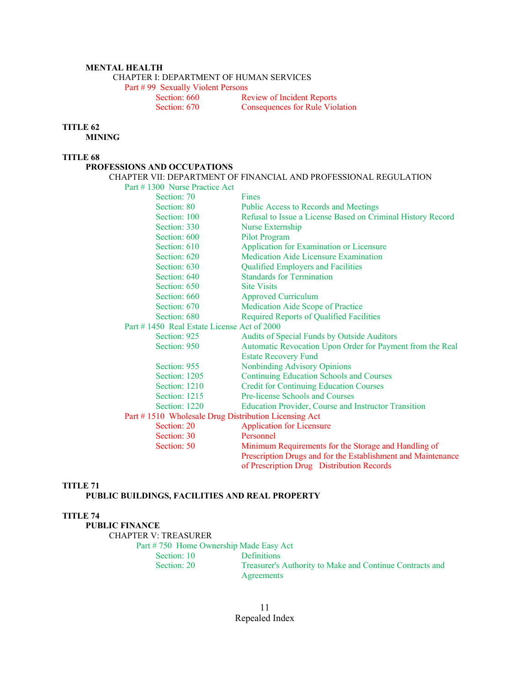### **MENTAL HEALTH**

CHAPTER I: DEPARTMENT OF HUMAN SERVICES

Part # 99 Sexually Violent Persons<br>Section: 660 Re

**Review of Incident Reports** Section: 670 Consequences for Rule Violation

#### **TITLE 62**

 **MINING** 

# **TITLE 68**

### **PROFESSIONS AND OCCUPATIONS**

#### CHAPTER VII: DEPARTMENT OF FINANCIAL AND PROFESSIONAL REGULATION Part # 1300 Nurse Practice Act

| Section: 70                                          | Fines                                                        |
|------------------------------------------------------|--------------------------------------------------------------|
| Section: 80                                          | Public Access to Records and Meetings                        |
| Section: 100                                         | Refusal to Issue a License Based on Criminal History Record  |
| Section: 330                                         | Nurse Externship                                             |
| Section: 600                                         | <b>Pilot Program</b>                                         |
| Section: 610                                         | Application for Examination or Licensure                     |
| Section: 620                                         | Medication Aide Licensure Examination                        |
| Section: 630                                         | Qualified Employers and Facilities                           |
| Section: 640                                         | <b>Standards for Termination</b>                             |
| Section: 650                                         | <b>Site Visits</b>                                           |
| Section: 660                                         | <b>Approved Curriculum</b>                                   |
| Section: 670                                         | <b>Medication Aide Scope of Practice</b>                     |
| Section: 680                                         | <b>Required Reports of Qualified Facilities</b>              |
| Part #1450 Real Estate License Act of 2000           |                                                              |
| Section: 925                                         | Audits of Special Funds by Outside Auditors                  |
| Section: 950                                         | Automatic Revocation Upon Order for Payment from the Real    |
|                                                      | <b>Estate Recovery Fund</b>                                  |
| Section: 955                                         | <b>Nonbinding Advisory Opinions</b>                          |
| Section: 1205                                        | <b>Continuing Education Schools and Courses</b>              |
| Section: 1210                                        | <b>Credit for Continuing Education Courses</b>               |
| Section: 1215                                        | Pre-license Schools and Courses                              |
| Section: 1220                                        | Education Provider, Course and Instructor Transition         |
| Part #1510 Wholesale Drug Distribution Licensing Act |                                                              |
| Section: 20                                          | <b>Application for Licensure</b>                             |
| Section: 30                                          | Personnel                                                    |
| Section: 50                                          | Minimum Requirements for the Storage and Handling of         |
|                                                      | Prescription Drugs and for the Establishment and Maintenance |
|                                                      | of Prescription Drug Distribution Records                    |

### **TITLE 71**

# **PUBLIC BUILDINGS, FACILITIES AND REAL PROPERTY**

# **TITLE 74**

 **PUBLIC FINANCE**  CHAPTER V: TREASURER Part # 750 Home Ownership Made Easy Act Section: 10 Definitions Section: 20 Treasurer's Authority to Make and Continue Contracts and Agreements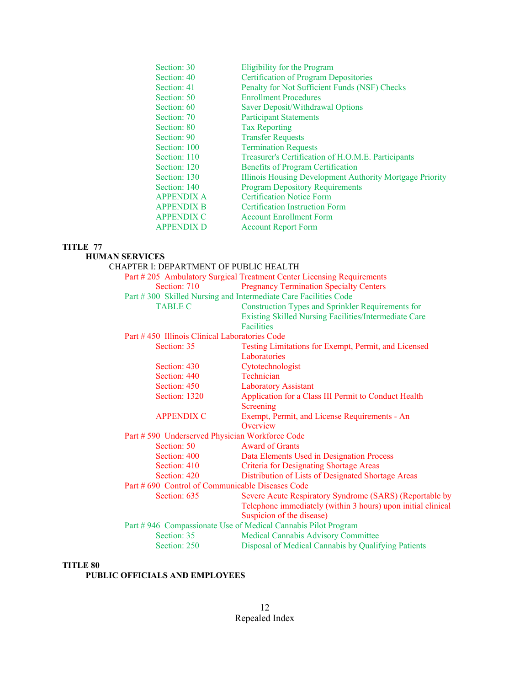| Section: 30       | Eligibility for the Program                              |
|-------------------|----------------------------------------------------------|
| Section: 40       | <b>Certification of Program Depositories</b>             |
| Section: 41       | Penalty for Not Sufficient Funds (NSF) Checks            |
| Section: 50       | <b>Enrollment Procedures</b>                             |
| Section: 60       | Saver Deposit/Withdrawal Options                         |
| Section: 70       | <b>Participant Statements</b>                            |
| Section: 80       | <b>Tax Reporting</b>                                     |
| Section: 90       | <b>Transfer Requests</b>                                 |
| Section: 100      | <b>Termination Requests</b>                              |
| Section: 110      | Treasurer's Certification of H.O.M.E. Participants       |
| Section: 120      | <b>Benefits of Program Certification</b>                 |
| Section: 130      | Illinois Housing Development Authority Mortgage Priority |
| Section: 140      | <b>Program Depository Requirements</b>                   |
| <b>APPENDIX A</b> | <b>Certification Notice Form</b>                         |
| <b>APPENDIX B</b> | <b>Certification Instruction Form</b>                    |
| <b>APPENDIX C</b> | <b>Account Enrollment Form</b>                           |
| <b>APPENDIX D</b> | <b>Account Report Form</b>                               |

#### **HUMAN SERVICES**

 CHAPTER I: DEPARTMENT OF PUBLIC HEALTH Part # 205 Ambulatory Surgical Treatment Center Licensing Requirements Section: 710 Pregnancy Termination Specialty Centers Part # 300 Skilled Nursing and Intermediate Care Facilities Code TABLE C Construction Types and Sprinkler Requirements for Existing Skilled Nursing Facilities/Intermediate Care Facilities Part # 450 Illinois Clinical Laboratories Code Section: 35 Testing Limitations for Exempt, Permit, and Licensed Laboratories Section: 430 Cytotechnologist Section: 440 Technician Section: 450 Laboratory Assistant Section: 1320 Application for a Class III Permit to Conduct Health Screening APPENDIX C Exempt, Permit, and License Requirements - An **Overview**  Part # 590 Underserved Physician Workforce Code Section: 50 Award of Grants Section: 400 Data Elements Used in Designation Process Section: 410 Criteria for Designating Shortage Areas Section: 420 Distribution of Lists of Designated Shortage Areas Part # 690 Control of Communicable Diseases Code Section: 635 Severe Acute Respiratory Syndrome (SARS) (Reportable by Telephone immediately (within 3 hours) upon initial clinical Suspicion of the disease) Part # 946 Compassionate Use of Medical Cannabis Pilot Program Section: 35 Medical Cannabis Advisory Committee Section: 250 Disposal of Medical Cannabis by Qualifying Patients

### **TITLE 80**

#### **PUBLIC OFFICIALS AND EMPLOYEES**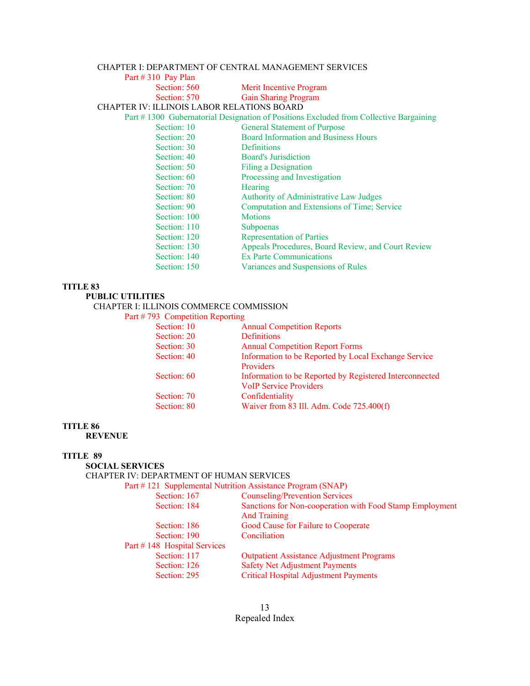# CHAPTER I: DEPARTMENT OF CENTRAL MANAGEMENT SERVICES

| Part $\#$ 310 Pay Plan                     |                                                                                       |
|--------------------------------------------|---------------------------------------------------------------------------------------|
| Section: 560                               | Merit Incentive Program                                                               |
| Section: 570                               | <b>Gain Sharing Program</b>                                                           |
| CHAPTER IV: ILLINOIS LABOR RELATIONS BOARD |                                                                                       |
|                                            | Part #1300 Gubernatorial Designation of Positions Excluded from Collective Bargaining |
| Section: 10                                | <b>General Statement of Purpose</b>                                                   |
| Section: 20                                | <b>Board Information and Business Hours</b>                                           |
| Section: 30                                | Definitions                                                                           |
| Section: 40                                | <b>Board's Jurisdiction</b>                                                           |
| Section: 50                                | <b>Filing a Designation</b>                                                           |
| Section: 60                                | Processing and Investigation                                                          |
| Section: 70                                | <b>Hearing</b>                                                                        |
| Section: 80                                | Authority of Administrative Law Judges                                                |
| Section: 90                                | Computation and Extensions of Time; Service                                           |
| Section: 100                               | <b>Motions</b>                                                                        |
| Section: 110                               | Subpoenas                                                                             |
| Section: 120                               | <b>Representation of Parties</b>                                                      |
| Section: 130                               | Appeals Procedures, Board Review, and Court Review                                    |
| Section: 140                               | Ex Parte Communications                                                               |
| Section: 150                               | Variances and Suspensions of Rules                                                    |
|                                            |                                                                                       |

### **TITLE 83**

# **PUBLIC UTILITIES**

# CHAPTER I: ILLINOIS COMMERCE COMMISSION

## Part # 793 Competition Reporting

| Section: 10 | <b>Annual Competition Reports</b>                       |
|-------------|---------------------------------------------------------|
| Section: 20 | <b>Definitions</b>                                      |
| Section: 30 | <b>Annual Competition Report Forms</b>                  |
| Section: 40 | Information to be Reported by Local Exchange Service    |
|             | Providers                                               |
| Section: 60 | Information to be Reported by Registered Interconnected |
|             | <b>VoIP Service Providers</b>                           |
| Section: 70 | Confidentiality                                         |
| Section: 80 | Waiver from 83 Ill. Adm. Code 725.400(f)                |
|             |                                                         |

## **TITLE 86**

 **REVENUE** 

# **TITLE 89**

## **SOCIAL SERVICES**

### CHAPTER IV: DEPARTMENT OF HUMAN SERVICES

Part # 121 Supplemental Nutrition Assistance Program (SNAP)

| Section: 167                | <b>Counseling/Prevention Services</b>                    |
|-----------------------------|----------------------------------------------------------|
| Section: 184                | Sanctions for Non-cooperation with Food Stamp Employment |
| Section: 186                | <b>And Training</b>                                      |
|                             | Good Cause for Failure to Cooperate                      |
| Section: 190                | Conciliation                                             |
| Part #148 Hospital Services |                                                          |
| Section: 117                | <b>Outpatient Assistance Adjustment Programs</b>         |
| Section: 126                | <b>Safety Net Adjustment Payments</b>                    |
| Section: 295                | <b>Critical Hospital Adjustment Payments</b>             |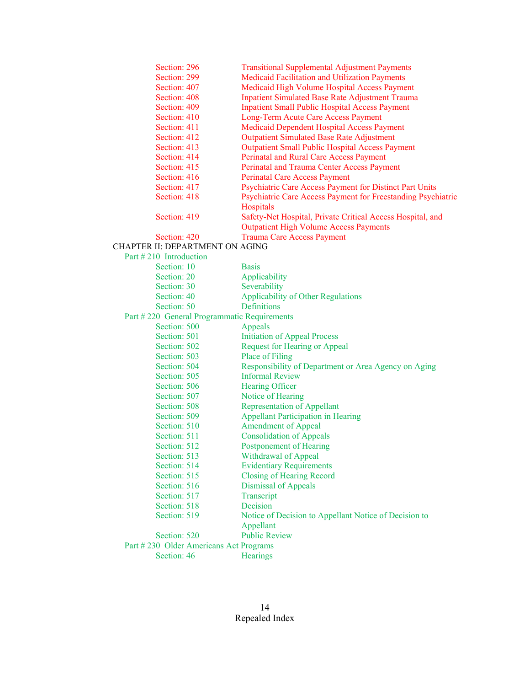| Section: 296                                | <b>Transitional Supplemental Adjustment Payments</b>                      |
|---------------------------------------------|---------------------------------------------------------------------------|
| Section: 299                                | Medicaid Facilitation and Utilization Payments                            |
| Section: 407                                | Medicaid High Volume Hospital Access Payment                              |
| Section: 408                                | <b>Inpatient Simulated Base Rate Adjustment Trauma</b>                    |
| Section: 409                                | <b>Inpatient Small Public Hospital Access Payment</b>                     |
| Section: 410                                | Long-Term Acute Care Access Payment                                       |
| Section: 411                                | Medicaid Dependent Hospital Access Payment                                |
| Section: 412                                | <b>Outpatient Simulated Base Rate Adjustment</b>                          |
| Section: 413                                | <b>Outpatient Small Public Hospital Access Payment</b>                    |
| Section: 414                                | Perinatal and Rural Care Access Payment                                   |
| Section: 415                                | Perinatal and Trauma Center Access Payment                                |
| Section: 416                                | <b>Perinatal Care Access Payment</b>                                      |
| Section: 417                                | Psychiatric Care Access Payment for Distinct Part Units                   |
| Section: 418                                | Psychiatric Care Access Payment for Freestanding Psychiatric<br>Hospitals |
| Section: 419                                | Safety-Net Hospital, Private Critical Access Hospital, and                |
|                                             | <b>Outpatient High Volume Access Payments</b>                             |
| Section: 420                                | <b>Trauma Care Access Payment</b>                                         |
| CHAPTER II: DEPARTMENT ON AGING             |                                                                           |
| Part #210 Introduction                      |                                                                           |
| Section: 10                                 | <b>Basis</b>                                                              |
| Section: 20                                 | Applicability                                                             |
| Section: 30                                 | Severability                                                              |
| Section: 40                                 | Applicability of Other Regulations                                        |
| Section: 50                                 | <b>Definitions</b>                                                        |
| Part #220 General Programmatic Requirements |                                                                           |
| Section: 500                                | Appeals                                                                   |
| Section: 501                                | <b>Initiation of Appeal Process</b>                                       |
| Section: 502                                | <b>Request for Hearing or Appeal</b>                                      |
| Section: 503                                | Place of Filing                                                           |
| Section: 504                                | Responsibility of Department or Area Agency on Aging                      |
| Section: 505                                | <b>Informal Review</b>                                                    |
| Section: 506                                | Hearing Officer                                                           |
| Section: 507                                | Notice of Hearing                                                         |
| Section: 508                                | <b>Representation of Appellant</b>                                        |
| Section: 509                                | <b>Appellant Participation in Hearing</b>                                 |
| Section: 510                                | <b>Amendment of Appeal</b>                                                |
| Section: 511                                | <b>Consolidation of Appeals</b>                                           |
| Section: 512                                | Postponement of Hearing                                                   |
| Section: 513                                | Withdrawal of Appeal                                                      |
| Section: 514                                | <b>Evidentiary Requirements</b>                                           |
| Section: 515                                | <b>Closing of Hearing Record</b>                                          |
| Section: 516                                | <b>Dismissal of Appeals</b>                                               |
| Section: 517                                | Transcript                                                                |
| Section: 518                                | Decision                                                                  |
| Section: 519                                | Notice of Decision to Appellant Notice of Decision to                     |
|                                             | Appellant                                                                 |
| Section: 520                                | <b>Public Review</b>                                                      |
| Part #230 Older Americans Act Programs      |                                                                           |
| Section: 46                                 | <b>Hearings</b>                                                           |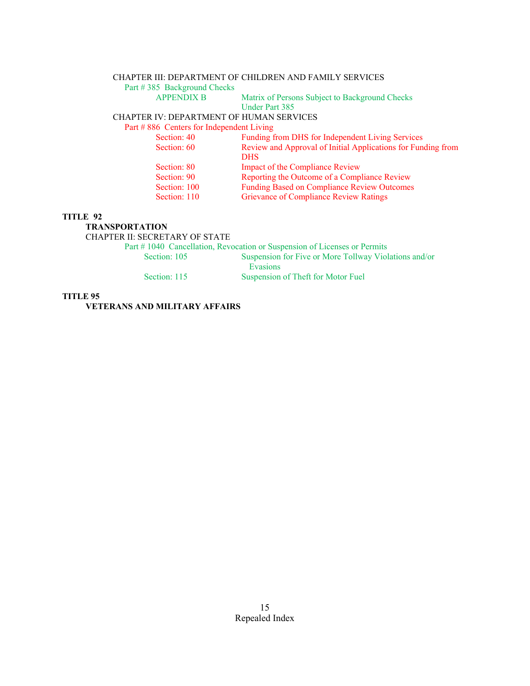### CHAPTER III: DEPARTMENT OF CHILDREN AND FAMILY SERVICES

Part # 385 Background Checks<br>APPENDIX B

Matrix of Persons Subject to Background Checks Under Part 385

# CHAPTER IV: DEPARTMENT OF HUMAN SERVICES

Part # 886 Centers for Independent Living

| Section: 40<br>Section: 60 | Funding from DHS for Independent Living Services<br>Review and Approval of Initial Applications for Funding from |
|----------------------------|------------------------------------------------------------------------------------------------------------------|
|                            | <b>DHS</b>                                                                                                       |
| Section: 80                | Impact of the Compliance Review                                                                                  |
| Section: 90                | Reporting the Outcome of a Compliance Review                                                                     |
| Section: 100               | <b>Funding Based on Compliance Review Outcomes</b>                                                               |
| Section: 110               | <b>Grievance of Compliance Review Ratings</b>                                                                    |
|                            |                                                                                                                  |

#### **TITLE 92**

#### **TRANSPORTATION**

CHAPTER II: SECRETARY OF STATE

Part # 1040 Cancellation, Revocation or Suspension of Licenses or Permits

Section: 105 Suspension for Five or More Tollway Violations and/or Evasions Section: 115 Suspension of Theft for Motor Fuel

## **TITLE 95**

 **VETERANS AND MILITARY AFFAIRS**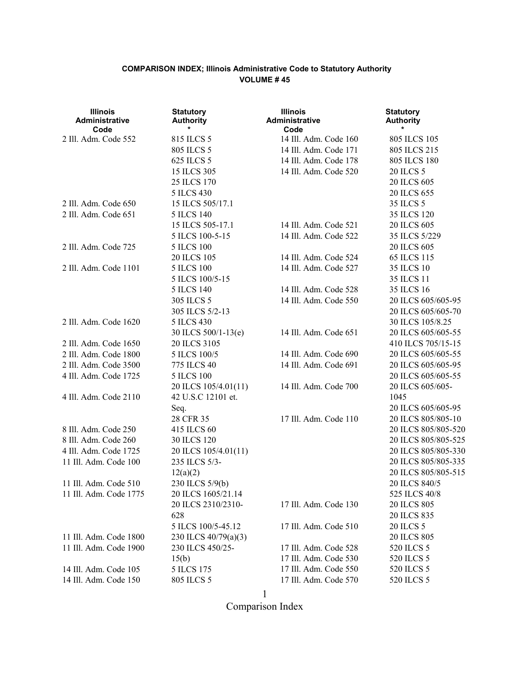| <b>Illinois</b><br>Administrative<br>Code | <b>Statutory</b><br><b>Authority</b> | <b>Illinois</b><br>Administrative<br>Code | <b>Statutory</b><br><b>Authority</b> |
|-------------------------------------------|--------------------------------------|-------------------------------------------|--------------------------------------|
| 2 Ill. Adm. Code 552                      | 815 ILCS 5                           | 14 Ill. Adm. Code 160                     | 805 ILCS 105                         |
|                                           | 805 ILCS 5                           | 14 Ill. Adm. Code 171                     | 805 ILCS 215                         |
|                                           | 625 ILCS 5                           | 14 Ill. Adm. Code 178                     | 805 ILCS 180                         |
|                                           | 15 ILCS 305                          | 14 Ill. Adm. Code 520                     | 20 ILCS 5                            |
|                                           | 25 ILCS 170                          |                                           | 20 ILCS 605                          |
|                                           | 5 ILCS 430                           |                                           | 20 ILCS 655                          |
| 2 Ill. Adm. Code 650                      | 15 ILCS 505/17.1                     |                                           | 35 ILCS 5                            |
| 2 Ill. Adm. Code 651                      | 5 ILCS 140                           |                                           | 35 ILCS 120                          |
|                                           | 15 ILCS 505-17.1                     | 14 Ill. Adm. Code 521                     | 20 ILCS 605                          |
|                                           | 5 ILCS 100-5-15                      | 14 Ill. Adm. Code 522                     | 35 ILCS 5/229                        |
| 2 Ill. Adm. Code 725                      | <b>5 ILCS 100</b>                    |                                           | 20 ILCS 605                          |
|                                           | 20 ILCS 105                          | 14 Ill. Adm. Code 524                     | 65 ILCS 115                          |
| 2 Ill. Adm. Code 1101                     | <b>5 ILCS 100</b>                    | 14 Ill. Adm. Code 527                     | 35 ILCS 10                           |
|                                           | 5 ILCS 100/5-15                      |                                           | 35 ILCS 11                           |
|                                           | 5 ILCS 140                           | 14 Ill. Adm. Code 528                     | 35 ILCS 16                           |
|                                           | 305 ILCS 5                           | 14 Ill. Adm. Code 550                     | 20 ILCS 605/605-95                   |
|                                           | 305 ILCS 5/2-13                      |                                           | 20 ILCS 605/605-70                   |
| 2 Ill. Adm. Code 1620                     | 5 ILCS 430                           |                                           | 30 ILCS 105/8.25                     |
|                                           | 30 ILCS 500/1-13(e)                  | 14 Ill. Adm. Code 651                     | 20 ILCS 605/605-55                   |
| 2 Ill. Adm. Code 1650                     | 20 ILCS 3105                         |                                           | 410 ILCS 705/15-15                   |
| 2 Ill. Adm. Code 1800                     | 5 ILCS 100/5                         | 14 Ill. Adm. Code 690                     | 20 ILCS 605/605-55                   |
| 2 Ill. Adm. Code 3500                     | 775 ILCS 40                          | 14 Ill. Adm. Code 691                     | 20 ILCS 605/605-95                   |
| 4 Ill. Adm. Code 1725                     | <b>5 ILCS 100</b>                    |                                           | 20 ILCS 605/605-55                   |
|                                           | 20 ILCS 105/4.01(11)                 | 14 Ill. Adm. Code 700                     | 20 ILCS 605/605-                     |
| 4 Ill. Adm. Code 2110                     | 42 U.S.C 12101 et.                   |                                           | 1045                                 |
|                                           | Seq.                                 |                                           | 20 ILCS 605/605-95                   |
|                                           | 28 CFR 35                            | 17 Ill. Adm. Code 110                     | 20 ILCS 805/805-10                   |
| 8 Ill. Adm. Code 250                      | 415 ILCS 60                          |                                           | 20 ILCS 805/805-520                  |
| 8 Ill. Adm. Code 260                      | <b>30 ILCS 120</b>                   |                                           | 20 ILCS 805/805-525                  |
| 4 Ill. Adm. Code 1725                     | 20 ILCS 105/4.01(11)                 |                                           | 20 ILCS 805/805-330                  |
| 11 Ill. Adm. Code 100                     | 235 ILCS 5/3-                        |                                           | 20 ILCS 805/805-335                  |
|                                           | 12(a)(2)                             |                                           | 20 ILCS 805/805-515                  |
| 11 Ill. Adm. Code 510                     | 230 ILCS 5/9(b)                      |                                           | 20 ILCS 840/5                        |
| 11 Ill. Adm. Code 1775                    | 20 ILCS 1605/21.14                   |                                           | 525 ILCS 40/8                        |
|                                           | 20 ILCS 2310/2310-                   | 17 Ill. Adm. Code 130                     | 20 ILCS 805                          |
|                                           | 628                                  |                                           | 20 ILCS 835                          |
|                                           | 5 ILCS 100/5-45.12                   | 17 Ill. Adm. Code 510                     | <b>20 ILCS 5</b>                     |
| 11 Ill. Adm. Code 1800                    | 230 ILCS 40/79(a)(3)                 |                                           | 20 ILCS 805                          |
| 11 Ill. Adm. Code 1900                    | 230 ILCS 450/25-                     | 17 Ill. Adm. Code 528                     | 520 ILCS 5                           |
|                                           | 15(b)                                | 17 Ill. Adm. Code 530                     | 520 ILCS 5                           |
| 14 Ill. Adm. Code 105                     | 5 ILCS 175                           | 17 Ill. Adm. Code 550                     | 520 ILCS 5                           |
| 14 Ill. Adm. Code 150                     | 805 ILCS 5                           | 17 Ill. Adm. Code 570                     | 520 ILCS 5                           |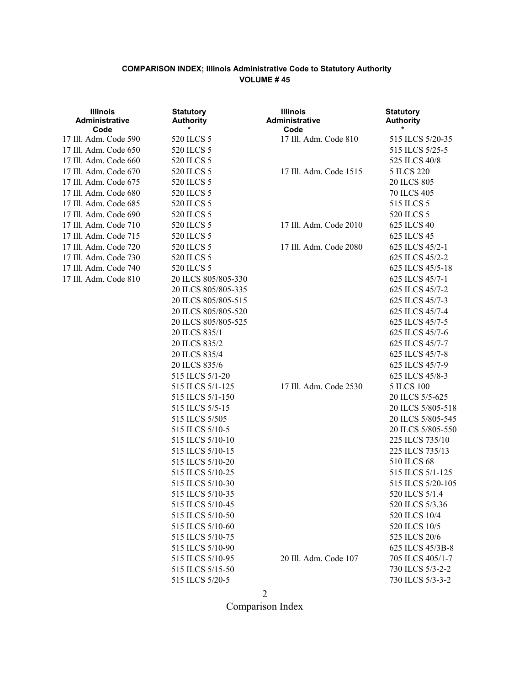| <b>Illinois</b><br>Administrative<br>Code | <b>Statutory</b><br><b>Authority</b><br>$\star$ | <b>Illinois</b><br>Administrative<br>Code | <b>Statutory</b><br><b>Authority</b><br>* |
|-------------------------------------------|-------------------------------------------------|-------------------------------------------|-------------------------------------------|
| 17 Ill. Adm. Code 590                     | 520 ILCS 5                                      | 17 Ill. Adm. Code 810                     | 515 ILCS 5/20-35                          |
| 17 Ill. Adm. Code 650                     | 520 ILCS 5                                      |                                           | 515 ILCS 5/25-5                           |
| 17 Ill. Adm. Code 660                     | 520 ILCS 5                                      |                                           | 525 ILCS 40/8                             |
| 17 Ill. Adm. Code 670                     | 520 ILCS 5                                      | 17 Ill. Adm. Code 1515                    | 5 ILCS 220                                |
| 17 Ill. Adm. Code 675                     | 520 ILCS 5                                      |                                           | 20 ILCS 805                               |
| 17 Ill. Adm. Code 680                     | 520 ILCS 5                                      |                                           | 70 ILCS 405                               |
| 17 Ill. Adm. Code 685                     | 520 ILCS 5                                      |                                           | 515 ILCS 5                                |
| 17 Ill. Adm. Code 690                     | 520 ILCS 5                                      |                                           | 520 ILCS 5                                |
| 17 Ill. Adm. Code 710                     | 520 ILCS 5                                      | 17 Ill. Adm. Code 2010                    | 625 ILCS 40                               |
| 17 Ill. Adm. Code 715                     | 520 ILCS 5                                      |                                           | 625 ILCS 45                               |
| 17 Ill. Adm. Code 720                     | 520 ILCS 5                                      | 17 Ill. Adm. Code 2080                    | 625 ILCS 45/2-1                           |
| 17 Ill. Adm. Code 730                     | 520 ILCS 5                                      |                                           | 625 ILCS 45/2-2                           |
| 17 Ill. Adm. Code 740                     | 520 ILCS 5                                      |                                           | 625 ILCS 45/5-18                          |
| 17 Ill. Adm. Code 810                     | 20 ILCS 805/805-330                             |                                           | 625 ILCS 45/7-1                           |
|                                           | 20 ILCS 805/805-335                             |                                           | 625 ILCS 45/7-2                           |
|                                           | 20 ILCS 805/805-515                             |                                           | 625 ILCS 45/7-3                           |
|                                           | 20 ILCS 805/805-520                             |                                           | 625 ILCS 45/7-4                           |
|                                           | 20 ILCS 805/805-525                             |                                           | 625 ILCS 45/7-5                           |
|                                           | 20 ILCS 835/1                                   |                                           | 625 ILCS 45/7-6                           |
|                                           | 20 ILCS 835/2                                   |                                           | 625 ILCS 45/7-7                           |
|                                           | 20 ILCS 835/4                                   |                                           | 625 ILCS 45/7-8                           |
|                                           | 20 ILCS 835/6                                   |                                           | 625 ILCS 45/7-9                           |
|                                           | 515 ILCS 5/1-20                                 |                                           | 625 ILCS 45/8-3                           |
|                                           | 515 ILCS 5/1-125                                | 17 Ill. Adm. Code 2530                    | <b>5 ILCS 100</b>                         |
|                                           | 515 ILCS 5/1-150                                |                                           | 20 ILCS 5/5-625                           |
|                                           | 515 ILCS 5/5-15                                 |                                           | 20 ILCS 5/805-518                         |
|                                           | 515 ILCS 5/505                                  |                                           | 20 ILCS 5/805-545                         |
|                                           | 515 ILCS 5/10-5                                 |                                           | 20 ILCS 5/805-550                         |
|                                           | 515 ILCS 5/10-10                                |                                           | 225 ILCS 735/10                           |
|                                           | 515 ILCS 5/10-15                                |                                           | 225 ILCS 735/13                           |
|                                           | 515 ILCS 5/10-20                                |                                           | 510 ILCS 68                               |
|                                           | 515 ILCS 5/10-25                                |                                           | 515 ILCS 5/1-125                          |
|                                           | 515 ILCS 5/10-30                                |                                           | 515 ILCS 5/20-105                         |
|                                           | 515 ILCS 5/10-35                                |                                           | 520 ILCS 5/1.4                            |
|                                           | 515 ILCS 5/10-45                                |                                           | 520 ILCS 5/3.36                           |
|                                           | 515 ILCS 5/10-50                                |                                           | 520 ILCS 10/4                             |
|                                           | 515 ILCS 5/10-60                                |                                           | 520 ILCS 10/5                             |
|                                           | 515 ILCS 5/10-75                                |                                           | 525 ILCS 20/6                             |
|                                           | 515 ILCS 5/10-90                                |                                           | 625 ILCS 45/3B-8                          |
|                                           | 515 ILCS 5/10-95                                | 20 Ill. Adm. Code 107                     | 705 ILCS 405/1-7                          |
|                                           | 515 ILCS 5/15-50                                |                                           | 730 ILCS 5/3-2-2                          |
|                                           | 515 ILCS 5/20-5                                 |                                           | 730 ILCS 5/3-3-2                          |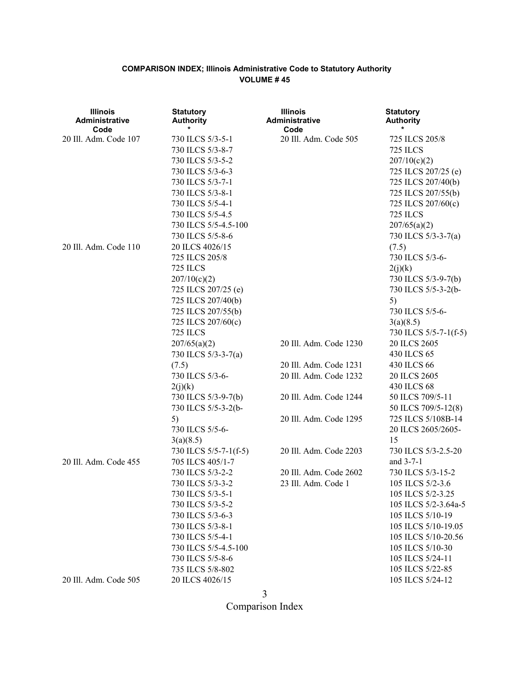| <b>Illinois</b><br>Administrative<br>Code | <b>Statutory</b><br><b>Authority</b> | <b>Illinois</b><br>Administrative<br>Code | <b>Statutory</b><br><b>Authority</b> |
|-------------------------------------------|--------------------------------------|-------------------------------------------|--------------------------------------|
| 20 Ill. Adm. Code 107                     | 730 ILCS 5/3-5-1                     | 20 Ill. Adm. Code 505                     | 725 ILCS 205/8                       |
|                                           | 730 ILCS 5/3-8-7                     |                                           | 725 ILCS                             |
|                                           | 730 ILCS 5/3-5-2                     |                                           | 207/10(c)(2)                         |
|                                           | 730 ILCS 5/3-6-3                     |                                           | 725 ILCS 207/25 (e)                  |
|                                           | 730 ILCS 5/3-7-1                     |                                           | 725 ILCS 207/40(b)                   |
|                                           | 730 ILCS 5/3-8-1                     |                                           | 725 ILCS 207/55(b)                   |
|                                           | 730 ILCS 5/5-4-1                     |                                           | 725 ILCS 207/60(c)                   |
|                                           | 730 ILCS 5/5-4.5                     |                                           | 725 ILCS                             |
|                                           | 730 ILCS 5/5-4.5-100                 |                                           | 207/65(a)(2)                         |
|                                           | 730 ILCS 5/5-8-6                     |                                           | 730 ILCS 5/3-3-7(a)                  |
| 20 Ill. Adm. Code 110                     | 20 ILCS 4026/15                      |                                           | (7.5)                                |
|                                           | 725 ILCS 205/8                       |                                           | 730 ILCS 5/3-6-                      |
|                                           | <b>725 ILCS</b>                      |                                           | 2(j)(k)                              |
|                                           | 207/10(c)(2)                         |                                           | 730 ILCS 5/3-9-7(b)                  |
|                                           | 725 ILCS 207/25 (e)                  |                                           | 730 ILCS 5/5-3-2(b-                  |
|                                           | 725 ILCS 207/40(b)                   |                                           | 5)                                   |
|                                           | 725 ILCS 207/55(b)                   |                                           | 730 ILCS 5/5-6-                      |
|                                           | 725 ILCS 207/60(c)                   |                                           | 3(a)(8.5)                            |
|                                           | <b>725 ILCS</b>                      |                                           | 730 ILCS 5/5-7-1(f-5)                |
|                                           | 207/65(a)(2)                         | 20 Ill. Adm. Code 1230                    | 20 ILCS 2605                         |
|                                           | 730 ILCS 5/3-3-7(a)                  |                                           | 430 ILCS 65                          |
|                                           | (7.5)                                | 20 Ill. Adm. Code 1231                    | 430 ILCS 66                          |
|                                           | 730 ILCS 5/3-6-                      | 20 Ill. Adm. Code 1232                    | 20 ILCS 2605                         |
|                                           | 2(j)(k)                              |                                           | 430 ILCS 68                          |
|                                           | 730 ILCS 5/3-9-7(b)                  | 20 Ill. Adm. Code 1244                    | 50 ILCS 709/5-11                     |
|                                           | 730 ILCS 5/5-3-2(b-                  |                                           | 50 ILCS 709/5-12(8)                  |
|                                           | 5)                                   | 20 Ill. Adm. Code 1295                    | 725 ILCS 5/108B-14                   |
|                                           | 730 ILCS 5/5-6-                      |                                           | 20 ILCS 2605/2605-                   |
|                                           | 3(a)(8.5)                            |                                           | 15                                   |
|                                           | 730 ILCS 5/5-7-1(f-5)                | 20 Ill. Adm. Code 2203                    | 730 ILCS 5/3-2.5-20                  |
| 20 Ill. Adm. Code 455                     | 705 ILCS 405/1-7                     |                                           | and 3-7-1                            |
|                                           | 730 ILCS 5/3-2-2                     | 20 Ill. Adm. Code 2602                    | 730 ILCS 5/3-15-2                    |
|                                           | 730 ILCS 5/3-3-2                     | 23 Ill. Adm. Code 1                       | 105 ILCS 5/2-3.6                     |
|                                           | 730 ILCS 5/3-5-1                     |                                           | 105 ILCS 5/2-3.25                    |
|                                           | 730 ILCS 5/3-5-2                     |                                           | 105 ILCS 5/2-3.64a-5                 |
|                                           | 730 ILCS 5/3-6-3                     |                                           | 105 ILCS 5/10-19                     |
|                                           | 730 ILCS 5/3-8-1                     |                                           | 105 ILCS 5/10-19.05                  |
|                                           | 730 ILCS 5/5-4-1                     |                                           | 105 ILCS 5/10-20.56                  |
|                                           | 730 ILCS 5/5-4.5-100                 |                                           | 105 ILCS 5/10-30                     |
|                                           | 730 ILCS 5/5-8-6                     |                                           | 105 ILCS 5/24-11                     |
|                                           | 735 ILCS 5/8-802                     |                                           | 105 ILCS 5/22-85                     |
| 20 Ill. Adm. Code 505                     | 20 ILCS 4026/15                      |                                           | 105 ILCS 5/24-12                     |

3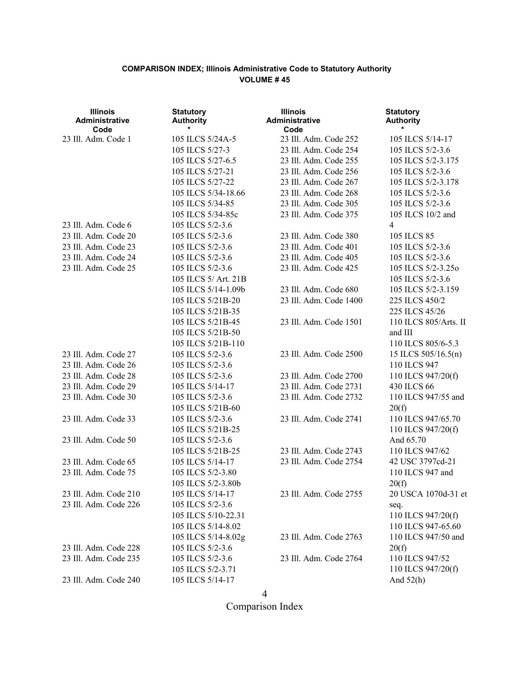| <b>Illinois</b><br><b>Administrative</b><br>Code | <b>Statutory</b><br><b>Authority</b> | <b>Illinois</b><br><b>Administrative</b><br>Code | <b>Statutory</b><br><b>Authority</b> |
|--------------------------------------------------|--------------------------------------|--------------------------------------------------|--------------------------------------|
| 23 Ill. Adm. Code 1                              | 105 ILCS 5/24A-5                     | 23 Ill. Adm. Code 252                            | 105 ILCS 5/14-17                     |
|                                                  | 105 ILCS 5/27-3                      | 23 Ill. Adm. Code 254                            | 105 ILCS 5/2-3.6                     |
|                                                  | 105 ILCS 5/27-6.5                    | 23 Ill. Adm. Code 255                            | 105 ILCS 5/2-3.175                   |
|                                                  | 105 ILCS 5/27-21                     | 23 Ill. Adm. Code 256                            | 105 ILCS 5/2-3.6                     |
|                                                  | 105 ILCS 5/27-22                     | 23 Ill. Adm. Code 267                            | 105 ILCS 5/2-3.178                   |
|                                                  | 105 ILCS 5/34-18.66                  | 23 Ill. Adm. Code 268                            | 105 ILCS 5/2-3.6                     |
|                                                  | 105 ILCS 5/34-85                     | 23 Ill. Adm. Code 305                            | 105 ILCS 5/2-3.6                     |
|                                                  | 105 ILCS 5/34-85c                    | 23 Ill. Adm. Code 375                            | 105 ILCS 10/2 and                    |
| 23 Ill. Adm. Code 6                              | 105 ILCS 5/2-3.6                     |                                                  | $\overline{4}$                       |
| 23 Ill. Adm. Code 20                             | 105 ILCS 5/2-3.6                     | 23 Ill. Adm. Code 380                            | 105 ILCS 85                          |
| 23 Ill. Adm. Code 23                             | 105 ILCS 5/2-3.6                     | 23 Ill. Adm. Code 401                            | 105 ILCS 5/2-3.6                     |
| 23 Ill. Adm. Code 24                             | 105 ILCS 5/2-3.6                     | 23 Ill. Adm. Code 405                            | 105 ILCS 5/2-3.6                     |
| 23 Ill. Adm. Code 25                             | 105 ILCS 5/2-3.6                     | 23 Ill. Adm. Code 425                            | 105 ILCS 5/2-3.25o                   |
|                                                  | 105 ILCS 5/ Art. 21B                 |                                                  | 105 ILCS 5/2-3.6                     |
|                                                  | 105 ILCS 5/14-1.09b                  | 23 Ill. Adm. Code 680                            | 105 ILCS 5/2-3.159                   |
|                                                  | 105 ILCS 5/21B-20                    | 23 Ill. Adm. Code 1400                           | 225 ILCS 450/2                       |
|                                                  | 105 ILCS 5/21B-35                    |                                                  | 225 ILCS 45/26                       |
|                                                  | 105 ILCS 5/21B-45                    | 23 Ill. Adm. Code 1501                           | 110 ILCS 805/Arts. II                |
|                                                  | 105 ILCS 5/21B-50                    |                                                  | and III                              |
|                                                  | 105 ILCS 5/21B-110                   |                                                  | 110 ILCS 805/6-5.3                   |
| 23 Ill. Adm. Code 27                             | 105 ILCS 5/2-3.6                     | 23 Ill. Adm. Code 2500                           | 15 ILCS 505/16.5(n)                  |
| 23 Ill. Adm. Code 26                             | 105 ILCS 5/2-3.6                     |                                                  | 110 ILCS 947                         |
| 23 Ill. Adm. Code 28                             | 105 ILCS 5/2-3.6                     | 23 Ill. Adm. Code 2700                           | 110 ILCS 947/20(f)                   |
| 23 Ill. Adm. Code 29                             | 105 ILCS 5/14-17                     | 23 Ill. Adm. Code 2731                           | 430 ILCS 66                          |
| 23 Ill. Adm. Code 30                             | 105 ILCS 5/2-3.6                     | 23 Ill. Adm. Code 2732                           | 110 ILCS 947/55 and                  |
|                                                  | 105 ILCS 5/21B-60                    |                                                  | 20(f)                                |
| 23 Ill. Adm. Code 33                             | 105 ILCS 5/2-3.6                     | 23 Ill. Adm. Code 2741                           | 110 ILCS 947/65.70                   |
|                                                  | 105 ILCS 5/21B-25                    |                                                  | 110 ILCS 947/20(f)                   |
| 23 Ill. Adm. Code 50                             | 105 ILCS 5/2-3.6                     |                                                  | And 65.70                            |
|                                                  | 105 ILCS 5/21B-25                    | 23 Ill. Adm. Code 2743                           | 110 ILCS 947/62                      |
| 23 Ill. Adm. Code 65                             | 105 ILCS 5/14-17                     | 23 Ill. Adm. Code 2754                           | 42 USC 3797cd-21                     |
| 23 Ill. Adm. Code 75                             | 105 ILCS 5/2-3.80                    |                                                  | 110 ILCS 947 and                     |
|                                                  | 105 ILCS 5/2-3.80b                   |                                                  | 20(f)                                |
| 23 Ill. Adm. Code 210                            | 105 ILCS 5/14-17                     | 23 Ill. Adm. Code 2755                           | 20 USCA 1070d-31 et                  |
| 23 Ill. Adm. Code 226                            | 105 ILCS 5/2-3.6                     |                                                  | seq.                                 |
|                                                  | 105 ILCS 5/10-22.31                  |                                                  | 110 ILCS 947/20(f)                   |
|                                                  | 105 ILCS 5/14-8.02                   |                                                  | 110 ILCS 947-65.60                   |
|                                                  | 105 ILCS 5/14-8.02g                  | 23 Ill. Adm. Code 2763                           | 110 ILCS 947/50 and                  |
| 23 Ill. Adm. Code 228                            | 105 ILCS 5/2-3.6                     |                                                  | 20(f)                                |
| 23 Ill. Adm. Code 235                            | 105 ILCS 5/2-3.6                     | 23 Ill. Adm. Code 2764                           | 110 ILCS 947/52                      |
|                                                  | 105 ILCS 5/2-3.71                    |                                                  | 110 ILCS 947/20(f)                   |
| 23 Ill. Adm. Code 240                            | 105 ILCS 5/14-17                     |                                                  | And $52(h)$                          |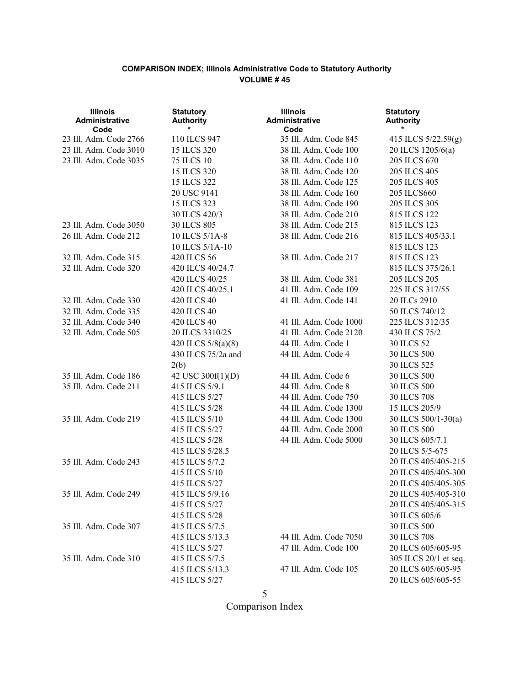| <b>Illinois</b><br>Administrative<br>Code | <b>Statutory</b><br><b>Authority</b> | <b>Illinois</b><br>Administrative<br>Code | <b>Statutory</b><br><b>Authority</b> |
|-------------------------------------------|--------------------------------------|-------------------------------------------|--------------------------------------|
| 23 Ill. Adm. Code 2766                    | 110 ILCS 947                         | 35 Ill. Adm. Code 845                     | 415 ILCS 5/22.59(g)                  |
| 23 Ill. Adm. Code 3010                    | 15 ILCS 320                          | 38 Ill. Adm. Code 100                     | 20 ILCS 1205/6(a)                    |
| 23 Ill. Adm. Code 3035                    | <b>75 ILCS 10</b>                    | 38 Ill. Adm. Code 110                     | 205 ILCS 670                         |
|                                           | 15 ILCS 320                          | 38 Ill. Adm. Code 120                     | 205 ILCS 405                         |
|                                           | 15 ILCS 322                          | 38 Ill. Adm. Code 125                     | 205 ILCS 405                         |
|                                           | 20 USC 9141                          | 38 Ill. Adm. Code 160                     | 205 ILCS660                          |
|                                           | 15 ILCS 323                          | 38 Ill. Adm. Code 190                     | 205 ILCS 305                         |
|                                           | 30 ILCS 420/3                        | 38 Ill. Adm. Code 210                     | 815 ILCS 122                         |
| 23 Ill. Adm. Code 3050                    | 30 ILCS 805                          | 38 Ill. Adm. Code 215                     | 815 ILCS 123                         |
| 26 Ill. Adm. Code 212                     | 10 ILCS 5/1A-8                       | 38 Ill. Adm. Code 216                     | 815 ILCS 405/33.1                    |
|                                           | 10 ILCS 5/1A-10                      |                                           | 815 ILCS 123                         |
| 32 Ill. Adm. Code 315                     | 420 ILCS 56                          | 38 Ill. Adm. Code 217                     | 815 ILCS 123                         |
| 32 Ill. Adm. Code 320                     | 420 ILCS 40/24.7                     |                                           | 815 ILCS 375/26.1                    |
|                                           | 420 ILCS 40/25                       | 38 Ill. Adm. Code 381                     | 205 ILCS 205                         |
|                                           | 420 ILCS 40/25.1                     | 41 Ill. Adm. Code 109                     | 225 ILCS 317/55                      |
| 32 Ill. Adm. Code 330                     | 420 ILCS 40                          | 41 Ill. Adm. Code 141                     | 20 ILCs 2910                         |
| 32 Ill. Adm. Code 335                     | 420 ILCS 40                          |                                           | 50 ILCS 740/12                       |
| 32 Ill. Adm. Code 340                     | 420 ILCS 40                          | 41 Ill. Adm. Code 1000                    | 225 ILCS 312/35                      |
| 32 Ill. Adm. Code 505                     | 20 ILCS 3310/25                      | 41 Ill. Adm. Code 2120                    | 430 ILCS 75/2                        |
|                                           | 420 ILCS 5/8(a)(8)                   | 44 Ill. Adm. Code 1                       | 30 ILCS 52                           |
|                                           | 430 ILCS 75/2a and                   | 44 Ill. Adm. Code 4                       | <b>30 ILCS 500</b>                   |
|                                           | 2(b)                                 |                                           | 30 ILCS 525                          |
| 35 Ill. Adm. Code 186                     | 42 USC 300f(1)(D)                    | 44 Ill. Adm. Code 6                       | 30 ILCS 500                          |
| 35 Ill. Adm. Code 211                     | 415 ILCS 5/9.1                       | 44 Ill. Adm. Code 8                       | 30 ILCS 500                          |
|                                           | 415 ILCS 5/27                        | 44 Ill. Adm. Code 750                     | <b>30 ILCS 708</b>                   |
|                                           | 415 ILCS 5/28                        | 44 Ill. Adm. Code 1300                    | 15 ILCS 205/9                        |
| 35 Ill. Adm. Code 219                     | 415 ILCS 5/10                        | 44 Ill. Adm. Code 1300                    | 30 ILCS 500/1-30(a)                  |
|                                           | 415 ILCS 5/27                        | 44 Ill. Adm. Code 2000                    | <b>30 ILCS 500</b>                   |
|                                           | 415 ILCS 5/28                        | 44 Ill. Adm. Code 5000                    | 30 ILCS 605/7.1                      |
|                                           | 415 ILCS 5/28.5                      |                                           | 20 ILCS 5/5-675                      |
| 35 Ill. Adm. Code 243                     | 415 ILCS 5/7.2                       |                                           | 20 ILCS 405/405-215                  |
|                                           | 415 ILCS 5/10                        |                                           | 20 ILCS 405/405-300                  |
|                                           | 415 ILCS 5/27                        |                                           | 20 ILCS 405/405-305                  |
| 35 Ill. Adm. Code 249                     | 415 ILCS 5/9.16                      |                                           | 20 ILCS 405/405-310                  |
|                                           | 415 ILCS 5/27                        |                                           | 20 ILCS 405/405-315                  |
|                                           | 415 ILCS 5/28                        |                                           | 30 ILCS 605/6                        |
| 35 Ill. Adm. Code 307                     | 415 ILCS 5/7.5                       |                                           | 30 ILCS 500                          |
|                                           | 415 ILCS 5/13.3                      | 44 Ill. Adm. Code 7050                    | 30 ILCS 708                          |
|                                           | 415 ILCS 5/27                        | 47 Ill. Adm. Code 100                     | 20 ILCS 605/605-95                   |
| 35 Ill. Adm. Code 310                     | 415 ILCS 5/7.5                       |                                           | 305 ILCS 20/1 et seq.                |
|                                           | 415 ILCS 5/13.3                      | 47 Ill. Adm. Code 105                     | 20 ILCS 605/605-95                   |
|                                           | 415 ILCS 5/27                        |                                           | 20 ILCS 605/605-55                   |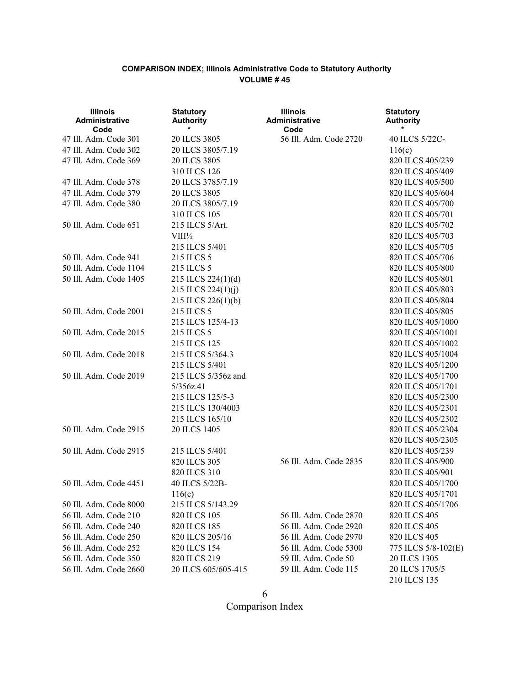| <b>Illinois</b><br><b>Administrative</b><br>Code | <b>Statutory</b><br><b>Authority</b><br>$\star$ | <b>Illinois</b><br>Administrative<br>Code | <b>Statutory</b><br><b>Authority</b><br>$\ast$ |
|--------------------------------------------------|-------------------------------------------------|-------------------------------------------|------------------------------------------------|
| 47 Ill. Adm. Code 301                            | 20 ILCS 3805                                    | 56 Ill. Adm. Code 2720                    | 40 ILCS 5/22C-                                 |
| 47 Ill. Adm. Code 302                            | 20 ILCS 3805/7.19                               |                                           | 116(c)                                         |
| 47 Ill. Adm. Code 369                            | 20 ILCS 3805                                    |                                           | 820 ILCS 405/239                               |
|                                                  | 310 ILCS 126                                    |                                           | 820 ILCS 405/409                               |
| 47 Ill. Adm. Code 378                            | 20 ILCS 3785/7.19                               |                                           | 820 ILCS 405/500                               |
| 47 Ill. Adm. Code 379                            | 20 ILCS 3805                                    |                                           | 820 ILCS 405/604                               |
| 47 Ill. Adm. Code 380                            | 20 ILCS 3805/7.19                               |                                           | 820 ILCS 405/700                               |
|                                                  | 310 ILCS 105                                    |                                           | 820 ILCS 405/701                               |
| 50 Ill. Adm. Code 651                            | 215 ILCS 5/Art.                                 |                                           | 820 ILCS 405/702                               |
|                                                  | $VIII\frac{1}{2}$                               |                                           | 820 ILCS 405/703                               |
|                                                  | 215 ILCS 5/401                                  |                                           | 820 ILCS 405/705                               |
| 50 Ill. Adm. Code 941                            | 215 ILCS 5                                      |                                           | 820 ILCS 405/706                               |
| 50 Ill. Adm. Code 1104                           | 215 ILCS 5                                      |                                           | 820 ILCS 405/800                               |
| 50 Ill. Adm. Code 1405                           | 215 ILCS 224(1)(d)                              |                                           | 820 ILCS 405/801                               |
|                                                  | 215 ILCS 224(1)(j)                              |                                           | 820 ILCS 405/803                               |
|                                                  | 215 ILCS 226(1)(b)                              |                                           | 820 ILCS 405/804                               |
| 50 Ill. Adm. Code 2001                           | 215 ILCS 5                                      |                                           | 820 ILCS 405/805                               |
|                                                  | 215 ILCS 125/4-13                               |                                           | 820 ILCS 405/1000                              |
| 50 Ill. Adm. Code 2015                           | 215 ILCS 5                                      |                                           | 820 ILCS 405/1001                              |
|                                                  | 215 ILCS 125                                    |                                           | 820 ILCS 405/1002                              |
| 50 Ill. Adm. Code 2018                           | 215 ILCS 5/364.3                                |                                           | 820 ILCS 405/1004                              |
|                                                  | 215 ILCS 5/401                                  |                                           | 820 ILCS 405/1200                              |
| 50 Ill. Adm. Code 2019                           | 215 ILCS 5/356z and                             |                                           | 820 ILCS 405/1700                              |
|                                                  | 5/356z.41                                       |                                           | 820 ILCS 405/1701                              |
|                                                  | 215 ILCS 125/5-3                                |                                           | 820 ILCS 405/2300                              |
|                                                  | 215 ILCS 130/4003                               |                                           | 820 ILCS 405/2301                              |
|                                                  | 215 ILCS 165/10                                 |                                           | 820 ILCS 405/2302                              |
| 50 Ill. Adm. Code 2915                           | 20 ILCS 1405                                    |                                           | 820 ILCS 405/2304                              |
|                                                  |                                                 |                                           | 820 ILCS 405/2305                              |
| 50 Ill. Adm. Code 2915                           | 215 ILCS 5/401                                  |                                           | 820 ILCS 405/239                               |
|                                                  | 820 ILCS 305                                    | 56 Ill. Adm. Code 2835                    | 820 ILCS 405/900                               |
|                                                  | 820 ILCS 310                                    |                                           | 820 ILCS 405/901                               |
| 50 Ill. Adm. Code 4451                           | 40 ILCS 5/22B-                                  |                                           | 820 ILCS 405/1700                              |
|                                                  | 116(c)                                          |                                           | 820 ILCS 405/1701                              |
| 50 Ill. Adm. Code 8000                           | 215 ILCS 5/143.29                               |                                           | 820 ILCS 405/1706                              |
| 56 Ill. Adm. Code 210                            | 820 ILCS 105                                    | 56 Ill. Adm. Code 2870                    | 820 ILCS 405                                   |
| 56 Ill. Adm. Code 240                            | 820 ILCS 185                                    | 56 Ill. Adm. Code 2920                    | 820 ILCS 405                                   |
| 56 Ill. Adm. Code 250                            | 820 ILCS 205/16                                 | 56 Ill. Adm. Code 2970                    | 820 ILCS 405                                   |
| 56 Ill. Adm. Code 252                            | 820 ILCS 154                                    | 56 Ill. Adm. Code 5300                    | 775 ILCS 5/8-102(E)                            |
| 56 Ill. Adm. Code 350                            | 820 ILCS 219                                    | 59 Ill. Adm. Code 50                      | 20 ILCS 1305                                   |
| 56 Ill. Adm. Code 2660                           | 20 ILCS 605/605-415                             | 59 Ill. Adm. Code 115                     | 20 ILCS 1705/5                                 |
|                                                  |                                                 |                                           | 210 ILCS 135                                   |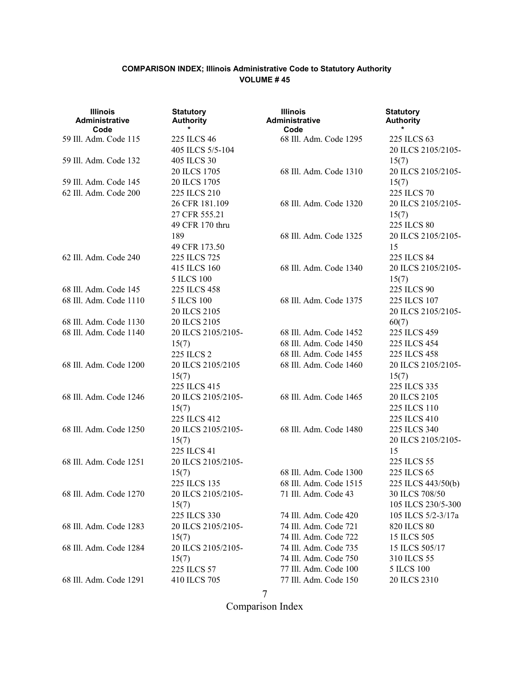| <b>Illinois</b><br><b>Administrative</b><br>Code | <b>Statutory</b><br><b>Authority</b> | <b>Illinois</b><br>Administrative<br>Code      | <b>Statutory</b><br><b>Authority</b> |
|--------------------------------------------------|--------------------------------------|------------------------------------------------|--------------------------------------|
| 59 Ill. Adm. Code 115                            | 225 ILCS 46                          | 68 Ill. Adm. Code 1295                         | 225 ILCS 63                          |
|                                                  | 405 ILCS 5/5-104                     |                                                | 20 ILCS 2105/2105-                   |
| 59 Ill. Adm. Code 132                            | 405 ILCS 30                          |                                                | 15(7)                                |
|                                                  | 20 ILCS 1705                         | 68 Ill. Adm. Code 1310                         | 20 ILCS 2105/2105-                   |
| 59 Ill. Adm. Code 145<br>62 Ill. Adm. Code 200   | 20 ILCS 1705<br>225 ILCS 210         |                                                | 15(7)<br>225 ILCS 70                 |
|                                                  | 26 CFR 181.109                       | 68 Ill. Adm. Code 1320                         | 20 ILCS 2105/2105-                   |
|                                                  | 27 CFR 555.21                        |                                                | 15(7)                                |
|                                                  | 49 CFR 170 thru                      |                                                | 225 ILCS 80                          |
|                                                  | 189                                  | 68 Ill. Adm. Code 1325                         | 20 ILCS 2105/2105-                   |
|                                                  | 49 CFR 173.50                        |                                                | 15                                   |
| 62 Ill. Adm. Code 240                            | 225 ILCS 725                         |                                                | 225 ILCS 84                          |
|                                                  | 415 ILCS 160                         | 68 Ill. Adm. Code 1340                         | 20 ILCS 2105/2105-                   |
|                                                  | <b>5 ILCS 100</b>                    |                                                | 15(7)                                |
| 68 Ill. Adm. Code 145                            | 225 ILCS 458                         |                                                | 225 ILCS 90                          |
| 68 Ill. Adm. Code 1110                           | <b>5 ILCS 100</b>                    | 68 Ill. Adm. Code 1375                         | 225 ILCS 107                         |
|                                                  | 20 ILCS 2105                         |                                                | 20 ILCS 2105/2105-                   |
| 68 Ill. Adm. Code 1130                           | 20 ILCS 2105                         |                                                | 60(7)                                |
| 68 Ill. Adm. Code 1140                           | 20 ILCS 2105/2105-                   | 68 Ill. Adm. Code 1452                         | 225 ILCS 459                         |
|                                                  | 15(7)                                | 68 Ill. Adm. Code 1450                         | 225 ILCS 454                         |
|                                                  | 225 ILCS 2                           | 68 Ill. Adm. Code 1455                         | 225 ILCS 458                         |
| 68 Ill. Adm. Code 1200                           | 20 ILCS 2105/2105                    | 68 Ill. Adm. Code 1460                         | 20 ILCS 2105/2105-                   |
|                                                  | 15(7)                                |                                                | 15(7)                                |
|                                                  | 225 ILCS 415                         |                                                | 225 ILCS 335                         |
| 68 Ill. Adm. Code 1246                           | 20 ILCS 2105/2105-                   | 68 Ill. Adm. Code 1465                         | 20 ILCS 2105                         |
|                                                  | 15(7)                                |                                                | 225 ILCS 110                         |
|                                                  | 225 ILCS 412                         |                                                | 225 ILCS 410                         |
| 68 Ill. Adm. Code 1250                           | 20 ILCS 2105/2105-                   | 68 Ill. Adm. Code 1480                         | 225 ILCS 340                         |
|                                                  | 15(7)                                |                                                | 20 ILCS 2105/2105-                   |
|                                                  | 225 ILCS 41                          |                                                | 15                                   |
| 68 Ill. Adm. Code 1251                           | 20 ILCS 2105/2105-                   |                                                | 225 ILCS 55                          |
|                                                  | 15(7)                                | 68 Ill. Adm. Code 1300                         | 225 ILCS 65                          |
|                                                  | 225 ILCS 135                         | 68 Ill. Adm. Code 1515                         | 225 ILCS 443/50(b)                   |
| 68 Ill. Adm. Code 1270                           | 20 ILCS 2105/2105-                   | 71 Ill. Adm. Code 43                           | 30 ILCS 708/50                       |
|                                                  | 15(7)                                |                                                | 105 ILCS 230/5-300                   |
|                                                  | 225 ILCS 330                         | 74 Ill. Adm. Code 420                          | 105 ILCS 5/2-3/17a                   |
| 68 Ill. Adm. Code 1283                           | 20 ILCS 2105/2105-                   | 74 Ill. Adm. Code 721                          | 820 ILCS 80                          |
| 68 Ill. Adm. Code 1284                           | 15(7)                                | 74 Ill. Adm. Code 722<br>74 Ill. Adm. Code 735 | 15 ILCS 505                          |
|                                                  | 20 ILCS 2105/2105-<br>15(7)          | 74 Ill. Adm. Code 750                          | 15 ILCS 505/17<br>310 ILCS 55        |
|                                                  | 225 ILCS 57                          | 77 Ill. Adm. Code 100                          | <b>5 ILCS 100</b>                    |
| 68 Ill. Adm. Code 1291                           | 410 ILCS 705                         | 77 Ill. Adm. Code 150                          | 20 ILCS 2310                         |
|                                                  |                                      |                                                |                                      |

7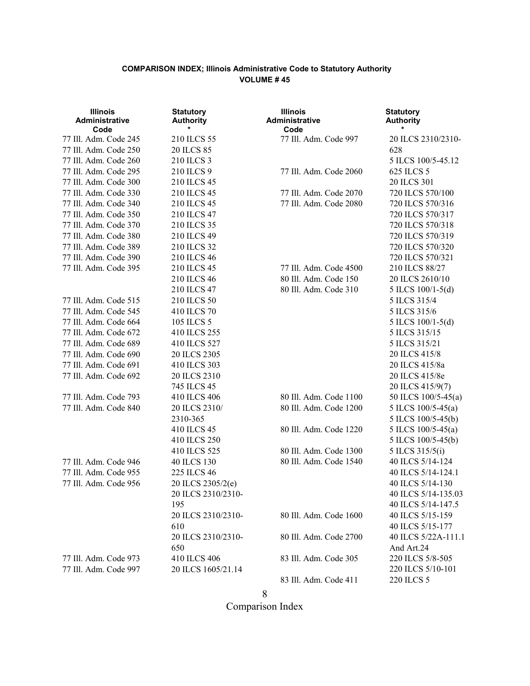| <b>Illinois</b><br>Administrative<br>Code      | <b>Statutory</b><br><b>Authority</b> | <b>Illinois</b><br>Administrative<br>Code  | <b>Statutory</b><br><b>Authority</b>  |  |  |  |
|------------------------------------------------|--------------------------------------|--------------------------------------------|---------------------------------------|--|--|--|
| 77 Ill. Adm. Code 245                          | 210 ILCS 55                          | 77 Ill. Adm. Code 997                      | 20 ILCS 2310/2310-                    |  |  |  |
| 77 Ill. Adm. Code 250                          | 20 ILCS 85                           | 628                                        |                                       |  |  |  |
| 77 Ill. Adm. Code 260                          | 210 ILCS 3                           |                                            | 5 ILCS 100/5-45.12                    |  |  |  |
| 77 Ill. Adm. Code 295                          | 210 ILCS 9                           | 77 Ill. Adm. Code 2060                     | 625 ILCS 5                            |  |  |  |
| 77 Ill. Adm. Code 300                          | 210 ILCS 45                          |                                            | 20 ILCS 301                           |  |  |  |
| 77 Ill. Adm. Code 330                          | 210 ILCS 45                          | 720 ILCS 570/100<br>77 Ill. Adm. Code 2070 |                                       |  |  |  |
| 77 Ill. Adm. Code 340                          | 210 ILCS 45                          | 77 Ill. Adm. Code 2080<br>720 ILCS 570/316 |                                       |  |  |  |
| 77 Ill. Adm. Code 350                          | 210 ILCS 47                          | 720 ILCS 570/317                           |                                       |  |  |  |
| 77 Ill. Adm. Code 370                          | 210 ILCS 35                          | 720 ILCS 570/318                           |                                       |  |  |  |
| 77 Ill. Adm. Code 380                          | 210 ILCS 49                          | 720 ILCS 570/319                           |                                       |  |  |  |
| 77 Ill. Adm. Code 389                          | 210 ILCS 32                          | 720 ILCS 570/320                           |                                       |  |  |  |
| 77 Ill. Adm. Code 390                          | 210 ILCS 46                          |                                            | 720 ILCS 570/321                      |  |  |  |
| 77 Ill. Adm. Code 395                          | 210 ILCS 45                          | 77 Ill. Adm. Code 4500                     | 210 ILCS 88/27                        |  |  |  |
|                                                | 210 ILCS 46                          | 80 Ill. Adm. Code 150                      | 20 ILCS 2610/10                       |  |  |  |
|                                                | 210 ILCS 47                          | 80 Ill. Adm. Code 310                      | 5 ILCS $100/1-5(d)$                   |  |  |  |
| 77 Ill. Adm. Code 515                          | 210 ILCS 50                          |                                            | 5 ILCS 315/4                          |  |  |  |
| 77 Ill. Adm. Code 545                          | 410 ILCS 70                          |                                            | 5 ILCS 315/6                          |  |  |  |
| 77 Ill. Adm. Code 664                          | 105 ILCS 5                           |                                            | 5 ILCS 100/1-5(d)                     |  |  |  |
| 77 Ill. Adm. Code 672                          | 410 ILCS 255                         |                                            | 5 ILCS 315/15                         |  |  |  |
| 77 Ill. Adm. Code 689                          | 410 ILCS 527<br>5 ILCS 315/21        |                                            |                                       |  |  |  |
| 77 Ill. Adm. Code 690                          | 20 ILCS 2305<br>20 ILCS 415/8        |                                            |                                       |  |  |  |
| 77 Ill. Adm. Code 691                          | 410 ILCS 303                         |                                            | 20 ILCS 415/8a                        |  |  |  |
| 77 Ill. Adm. Code 692                          | 20 ILCS 2310                         |                                            | 20 ILCS 415/8e                        |  |  |  |
|                                                | 745 ILCS 45                          |                                            | 20 ILCS 415/9(7)                      |  |  |  |
| 77 Ill. Adm. Code 793                          | 410 ILCS 406                         | 80 Ill. Adm. Code 1100                     | 50 ILCS 100/5-45(a)                   |  |  |  |
| 77 Ill. Adm. Code 840                          | 20 ILCS 2310/                        | 80 Ill. Adm. Code 1200                     | 5 ILCS 100/5-45(a)                    |  |  |  |
|                                                | 2310-365                             |                                            | 5 ILCS 100/5-45(b)                    |  |  |  |
|                                                | 410 ILCS 45                          | 80 Ill. Adm. Code 1220                     | 5 ILCS 100/5-45(a)                    |  |  |  |
|                                                | 410 ILCS 250                         |                                            | 5 ILCS 100/5-45(b)                    |  |  |  |
|                                                | 410 ILCS 525                         | 80 Ill. Adm. Code 1300                     | 5 ILCS 315/5(i)                       |  |  |  |
| 77 Ill. Adm. Code 946                          | 40 ILCS 130                          | 80 Ill. Adm. Code 1540                     | 40 ILCS 5/14-124                      |  |  |  |
| 77 Ill. Adm. Code 955                          | 225 ILCS 46                          |                                            | 40 ILCS 5/14-124.1                    |  |  |  |
| 77 Ill. Adm. Code 956                          | 20 ILCS 2305/2(e)                    |                                            | 40 ILCS 5/14-130                      |  |  |  |
|                                                | 20 ILCS 2310/2310-                   |                                            | 40 ILCS 5/14-135.03                   |  |  |  |
|                                                | 195                                  |                                            | 40 ILCS 5/14-147.5                    |  |  |  |
|                                                | 20 ILCS 2310/2310-                   | 80 Ill. Adm. Code 1600                     | 40 ILCS 5/15-159                      |  |  |  |
|                                                | 610                                  |                                            | 40 ILCS 5/15-177                      |  |  |  |
|                                                | 20 ILCS 2310/2310-                   | 80 Ill. Adm. Code 2700                     | 40 ILCS 5/22A-111.1                   |  |  |  |
|                                                | 650                                  |                                            | And Art.24                            |  |  |  |
| 77 Ill. Adm. Code 973<br>77 Ill. Adm. Code 997 | 410 ILCS 406<br>20 ILCS 1605/21.14   | 83 Ill. Adm. Code 305                      | 220 ILCS 5/8-505<br>220 ILCS 5/10-101 |  |  |  |
|                                                |                                      | 83 Ill. Adm. Code 411                      | 220 ILCS 5                            |  |  |  |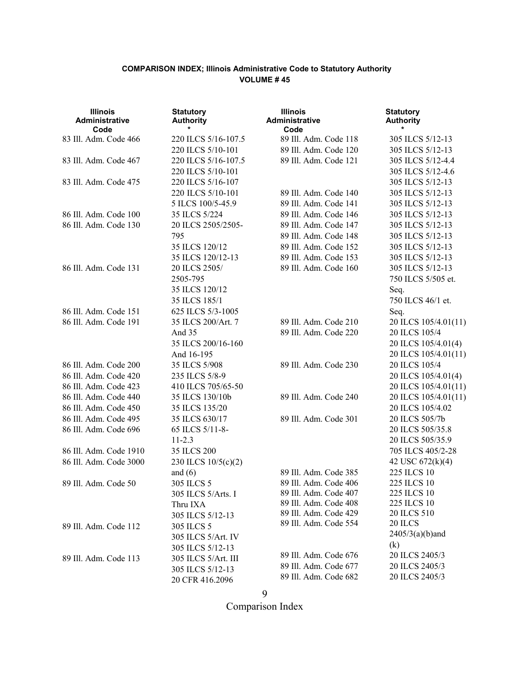| <b>Illinois</b><br>Administrative<br>Code | <b>Statutory</b><br><b>Authority</b> | <b>Illinois</b><br><b>Administrative</b><br>Code | <b>Statutory</b><br><b>Authority</b> |
|-------------------------------------------|--------------------------------------|--------------------------------------------------|--------------------------------------|
| 83 Ill. Adm. Code 466                     | 220 ILCS 5/16-107.5                  | 89 Ill. Adm. Code 118                            | 305 ILCS 5/12-13                     |
|                                           | 220 ILCS 5/10-101                    | 89 Ill. Adm. Code 120                            | 305 ILCS 5/12-13                     |
| 83 Ill. Adm. Code 467                     | 220 ILCS 5/16-107.5                  | 89 Ill. Adm. Code 121                            | 305 ILCS 5/12-4.4                    |
|                                           | 220 ILCS 5/10-101                    |                                                  | 305 ILCS 5/12-4.6                    |
| 83 Ill. Adm. Code 475                     | 220 ILCS 5/16-107                    |                                                  | 305 ILCS 5/12-13                     |
|                                           | 220 ILCS 5/10-101                    | 89 Ill. Adm. Code 140                            | 305 ILCS 5/12-13                     |
|                                           | 5 ILCS 100/5-45.9                    | 89 Ill. Adm. Code 141                            | 305 ILCS 5/12-13                     |
| 86 Ill. Adm. Code 100                     | 35 ILCS 5/224                        | 89 Ill. Adm. Code 146                            | 305 ILCS 5/12-13                     |
| 86 Ill. Adm. Code 130                     | 20 ILCS 2505/2505-                   | 89 Ill. Adm. Code 147                            | 305 ILCS 5/12-13                     |
|                                           | 795                                  | 89 Ill. Adm. Code 148                            | 305 ILCS 5/12-13                     |
|                                           | 35 ILCS 120/12                       | 89 Ill. Adm. Code 152                            | 305 ILCS 5/12-13                     |
|                                           | 35 ILCS 120/12-13                    | 89 Ill. Adm. Code 153                            | 305 ILCS 5/12-13                     |
| 86 Ill. Adm. Code 131                     | 20 ILCS 2505/                        | 89 Ill. Adm. Code 160                            | 305 ILCS 5/12-13                     |
|                                           | 2505-795                             |                                                  | 750 ILCS 5/505 et.                   |
|                                           | 35 ILCS 120/12                       |                                                  | Seq.                                 |
|                                           | 35 ILCS 185/1                        |                                                  | 750 ILCS 46/1 et.                    |
| 86 Ill. Adm. Code 151                     | 625 ILCS 5/3-1005                    |                                                  | Seq.                                 |
| 86 Ill. Adm. Code 191                     | 35 ILCS 200/Art. 7                   | 89 Ill. Adm. Code 210                            | 20 ILCS 105/4.01(11)                 |
|                                           | And 35                               | 89 Ill. Adm. Code 220                            | 20 ILCS 105/4                        |
|                                           | 35 ILCS 200/16-160                   |                                                  | 20 ILCS 105/4.01(4)                  |
|                                           | And 16-195                           |                                                  | 20 ILCS 105/4.01(11)                 |
| 86 Ill. Adm. Code 200                     | 35 ILCS 5/908                        | 89 Ill. Adm. Code 230                            | 20 ILCS 105/4                        |
| 86 Ill. Adm. Code 420                     | 235 ILCS 5/8-9                       |                                                  | 20 ILCS 105/4.01(4)                  |
| 86 Ill. Adm. Code 423                     | 410 ILCS 705/65-50                   |                                                  | 20 ILCS 105/4.01(11)                 |
| 86 Ill. Adm. Code 440                     | 35 ILCS 130/10b                      | 89 Ill. Adm. Code 240                            | 20 ILCS 105/4.01(11)                 |
| 86 Ill. Adm. Code 450                     | 35 ILCS 135/20                       |                                                  | 20 ILCS 105/4.02                     |
| 86 Ill. Adm. Code 495                     | 35 ILCS 630/17                       | 89 Ill. Adm. Code 301                            | 20 ILCS 505/7b                       |
| 86 Ill. Adm. Code 696                     | 65 ILCS 5/11-8-                      |                                                  | 20 ILCS 505/35.8                     |
|                                           | $11 - 2.3$                           |                                                  | 20 ILCS 505/35.9                     |
| 86 Ill. Adm. Code 1910                    | 35 ILCS 200                          |                                                  | 705 ILCS 405/2-28                    |
| 86 Ill. Adm. Code 3000                    | 230 ILCS 10/5(c)(2)                  |                                                  | 42 USC 672(k)(4)                     |
|                                           | and $(6)$                            | 89 Ill. Adm. Code 385                            | 225 ILCS 10                          |
| 89 Ill. Adm. Code 50                      | 305 ILCS 5                           | 89 Ill. Adm. Code 406                            | 225 ILCS 10                          |
|                                           | 305 ILCS 5/Arts. I                   | 89 Ill. Adm. Code 407                            | 225 ILCS 10                          |
|                                           | Thru IXA                             | 89 Ill. Adm. Code 408                            | 225 ILCS 10                          |
|                                           | 305 ILCS 5/12-13                     | 89 Ill. Adm. Code 429<br>89 Ill. Adm. Code 554   | 20 ILCS 510                          |
| 89 Ill. Adm. Code 112                     | 305 ILCS 5                           |                                                  | 20 ILCS                              |
|                                           | 305 ILCS 5/Art. IV                   |                                                  | $2405/3(a)(b)$ and                   |
|                                           | 305 ILCS 5/12-13                     | 89 Ill. Adm. Code 676                            | (k)<br>20 ILCS 2405/3                |
| 89 Ill. Adm. Code 113                     | 305 ILCS 5/Art. III                  | 89 Ill. Adm. Code 677                            | 20 ILCS 2405/3                       |
|                                           | 305 ILCS 5/12-13                     | 89 Ill. Adm. Code 682                            |                                      |
|                                           | 20 CFR 416.2096                      |                                                  | 20 ILCS 2405/3                       |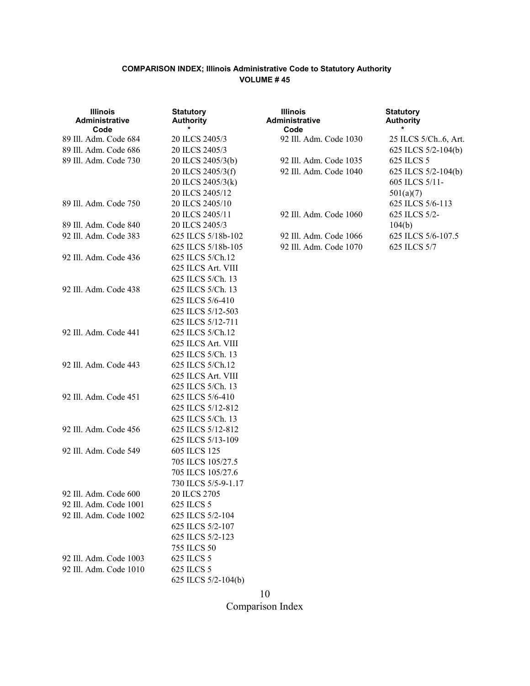| <b>Illinois</b><br>Administrative<br>Code | <b>Statutory</b><br><b>Authority</b>  | <b>Illinois</b><br><b>Administrative</b><br>Code | <b>Statutory</b><br><b>Authority</b><br>* |  |
|-------------------------------------------|---------------------------------------|--------------------------------------------------|-------------------------------------------|--|
| 89 Ill. Adm. Code 684                     | 20 ILCS 2405/3                        | 92 Ill. Adm. Code 1030                           | 25 ILCS 5/Ch6, Art.                       |  |
| 89 Ill. Adm. Code 686                     | 20 ILCS 2405/3<br>625 ILCS 5/2-104(b) |                                                  |                                           |  |
| 89 Ill. Adm. Code 730                     | 20 ILCS 2405/3(b)                     | 92 Ill. Adm. Code 1035                           | 625 ILCS 5                                |  |
|                                           | 20 ILCS 2405/3(f)                     | 92 Ill. Adm. Code 1040                           | 625 ILCS 5/2-104(b)                       |  |
|                                           | 20 ILCS 2405/3(k)                     |                                                  | 605 ILCS 5/11-                            |  |
|                                           | 20 ILCS 2405/12                       |                                                  | 501(a)(7)                                 |  |
| 89 Ill. Adm. Code 750                     | 20 ILCS 2405/10                       |                                                  | 625 ILCS 5/6-113                          |  |
|                                           | 20 ILCS 2405/11                       | 92 Ill. Adm. Code 1060                           | 625 ILCS 5/2-                             |  |
| 89 Ill. Adm. Code 840                     | 20 ILCS 2405/3                        |                                                  | 104(b)                                    |  |
| 92 Ill. Adm. Code 383                     | 625 ILCS 5/18b-102                    | 92 Ill. Adm. Code 1066                           | 625 ILCS 5/6-107.5                        |  |
|                                           | 625 ILCS 5/18b-105                    | 92 Ill. Adm. Code 1070                           | 625 ILCS 5/7                              |  |
| 92 Ill. Adm. Code 436                     | 625 ILCS 5/Ch.12                      |                                                  |                                           |  |
|                                           | 625 ILCS Art. VIII                    |                                                  |                                           |  |
|                                           | 625 ILCS 5/Ch. 13                     |                                                  |                                           |  |
| 92 Ill. Adm. Code 438                     | 625 ILCS 5/Ch. 13                     |                                                  |                                           |  |
|                                           | 625 ILCS 5/6-410                      |                                                  |                                           |  |
|                                           | 625 ILCS 5/12-503                     |                                                  |                                           |  |
|                                           | 625 ILCS 5/12-711                     |                                                  |                                           |  |
| 92 Ill. Adm. Code 441                     | 625 ILCS 5/Ch.12                      |                                                  |                                           |  |
|                                           | 625 ILCS Art. VIII                    |                                                  |                                           |  |
|                                           | 625 ILCS 5/Ch. 13                     |                                                  |                                           |  |
| 92 Ill. Adm. Code 443                     | 625 ILCS 5/Ch.12                      |                                                  |                                           |  |
|                                           | 625 ILCS Art. VIII                    |                                                  |                                           |  |
|                                           | 625 ILCS 5/Ch. 13                     |                                                  |                                           |  |
| 92 Ill. Adm. Code 451                     | 625 ILCS 5/6-410                      |                                                  |                                           |  |
|                                           | 625 ILCS 5/12-812                     |                                                  |                                           |  |
|                                           | 625 ILCS 5/Ch. 13                     |                                                  |                                           |  |
| 92 Ill. Adm. Code 456                     | 625 ILCS 5/12-812                     |                                                  |                                           |  |
|                                           | 625 ILCS 5/13-109                     |                                                  |                                           |  |
| 92 Ill. Adm. Code 549                     | 605 ILCS 125                          |                                                  |                                           |  |
|                                           | 705 ILCS 105/27.5                     |                                                  |                                           |  |
|                                           | 705 ILCS 105/27.6                     |                                                  |                                           |  |
|                                           | 730 ILCS 5/5-9-1.17                   |                                                  |                                           |  |
| 92 Ill. Adm. Code 600                     | 20 ILCS 2705                          |                                                  |                                           |  |
| 92 Ill. Adm. Code 1001                    | 625 ILCS 5                            |                                                  |                                           |  |
| 92 Ill. Adm. Code 1002                    | 625 ILCS 5/2-104                      |                                                  |                                           |  |
|                                           | 625 ILCS 5/2-107                      |                                                  |                                           |  |
|                                           | 625 ILCS 5/2-123                      |                                                  |                                           |  |
|                                           | 755 ILCS 50                           |                                                  |                                           |  |
| 92 Ill. Adm. Code 1003                    | 625 ILCS 5                            |                                                  |                                           |  |
| 92 Ill. Adm. Code 1010                    | 625 ILCS 5                            |                                                  |                                           |  |
|                                           | 625 ILCS 5/2-104(b)                   |                                                  |                                           |  |

10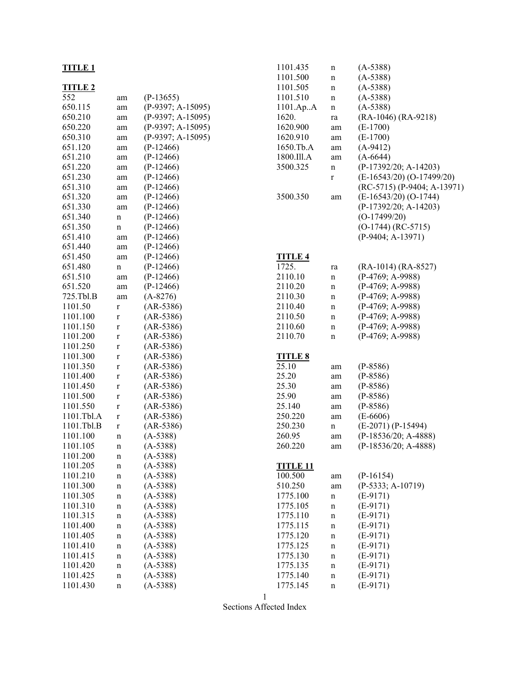|                |              |                     | 1101.200        | п  |
|----------------|--------------|---------------------|-----------------|----|
| <b>TITLE 2</b> |              |                     | 1101.505        | n  |
| 552            | am           | $(P-13655)$         | 1101.510        | n  |
| 650.115        | am           | $(P-9397; A-15095)$ | 1101.ApA        | n  |
| 650.210        | am           | $(P-9397; A-15095)$ | 1620.           | r  |
| 650.220        | am           | $(P-9397; A-15095)$ | 1620.900        | a. |
| 650.310        | am           | $(P-9397; A-15095)$ | 1620.910        | a. |
| 651.120        | am           | $(P-12466)$         | 1650.Tb.A       | a  |
| 651.210        | am           | $(P-12466)$         | 1800.Ill.A      | a  |
| 651.220        | am           | $(P-12466)$         | 3500.325        | n  |
| 651.230        | am           | $(P-12466)$         |                 | r  |
| 651.310        | am           | $(P-12466)$         |                 |    |
| 651.320        | am           | $(P-12466)$         | 3500.350        | a. |
| 651.330        | am           | $(P-12466)$         |                 |    |
| 651.340        | n            | $(P-12466)$         |                 |    |
| 651.350        | $\mathbf n$  | $(P-12466)$         |                 |    |
| 651.410        | am           | $(P-12466)$         |                 |    |
| 651.440        | am           | $(P-12466)$         |                 |    |
| 651.450        | am           | $(P-12466)$         | <b>TITLE 4</b>  |    |
| 651.480        | $\mathbf n$  | $(P-12466)$         | 1725.           | r  |
| 651.510        | am           | $(P-12466)$         | 2110.10         | n  |
| 651.520        | am           | $(P-12466)$         | 2110.20         | n  |
| 725.Tbl.B      | am           | $(A-8276)$          | 2110.30         | n  |
| 1101.50        | $\mathbf r$  | $(AR-5386)$         | 2110.40         | n  |
| 1101.100       | $\mathbf{r}$ | $(AR-5386)$         | 2110.50         | n  |
| 1101.150       | $\mathbf{r}$ | $(AR-5386)$         | 2110.60         | n  |
| 1101.200       | $\mathbf{r}$ | $(AR-5386)$         | 2110.70         | n  |
| 1101.250       | $\mathbf r$  | $(AR-5386)$         |                 |    |
| 1101.300       | $\mathbf r$  | $(AR-5386)$         | <b>TITLE 8</b>  |    |
| 1101.350       | $\mathbf r$  | $(AR-5386)$         | 25.10           | a  |
| 1101.400       | r            | $(AR-5386)$         | 25.20           | a  |
| 1101.450       | $\mathbf{r}$ | $(AR-5386)$         | 25.30           | a  |
| 1101.500       | $\mathbf{r}$ | $(AR-5386)$         | 25.90           | a  |
| 1101.550       | $\mathbf r$  | $(AR-5386)$         | 25.140          | a. |
| 1101.Tbl.A     | $\mathbf{r}$ | $(AR-5386)$         | 250.220         | a  |
| 1101.Tbl.B     | $\mathbf{r}$ | $(AR-5386)$         | 250.230         | n  |
| 1101.100       | n            | $(A-5388)$          | 260.95          | a  |
| 1101.105       | n            | $(A-5388)$          | 260.220         | a. |
| 1101.200       | $\mathbf n$  | $(A-5388)$          |                 |    |
| 1101.205       | n            | $(A-5388)$          | <b>TITLE 11</b> |    |
| 1101.210       | n            | $(A-5388)$          | 100.500         | a  |
| 1101.300       | n            | $(A-5388)$          | 510.250         | a  |
| 1101.305       | n            | $(A-5388)$          | 1775.100        | n  |
| 1101.310       | n            | $(A-5388)$          | 1775.105        | n  |
| 1101.315       | n            | $(A-5388)$          | 1775.110        | n  |
| 1101.400       | n            | $(A-5388)$          | 1775.115        | n  |
| 1101.405       | n            | $(A-5388)$          | 1775.120        | n  |
| 1101.410       | n            | $(A-5388)$          | 1775.125        | n  |
| 1101.415       | n            | $(A-5388)$          | 1775.130        | n  |
| 1101.420       | n            | $(A-5388)$          | 1775.135        | n  |
| 1101.425       | n            | $(A-5388)$          | 1775.140        | n  |
| 1101.430       | n            | $(A-5388)$          | 1775.145        | n  |
|                |              |                     |                 |    |

| 1101.435        | n  | $(A-5388)$                    |
|-----------------|----|-------------------------------|
| 1101.500        | n  | $(A-5388)$                    |
|                 |    |                               |
| 1101.505        | n  | $(A-5388)$                    |
| 1101.510        | n  | $(A-5388)$                    |
| 1101.ApA        | n  | $(A-5388)$                    |
| 1620.           | ra | $(RA-1046) (RA-9218)$         |
| 1620.900        | am | $(E-1700)$                    |
| 1620.910        |    | $(E-1700)$                    |
|                 | am |                               |
| 1650.Tb.A       | am | $(A-9412)$                    |
| 1800.Ill.A      | am | $(A-6644)$                    |
| 3500.325        | n  | (P-17392/20; A-14203)         |
|                 | r  | (E-16543/20) (O-17499/20)     |
|                 |    | $(RC-5715) (P-9404; A-13971)$ |
| 3500.350        | am | $(E-16543/20) (O-1744)$       |
|                 |    | (P-17392/20; A-14203)         |
|                 |    |                               |
|                 |    | $(O-17499/20)$                |
|                 |    | $(O-1744) (RC-5715)$          |
|                 |    | $(P-9404; A-13971)$           |
|                 |    |                               |
| <b>TITLE 4</b>  |    |                               |
| 1725.           | ra | $(RA-1014) (RA-8527)$         |
|                 |    |                               |
| 2110.10         | n  | $(P-4769; A-9988)$            |
| 2110.20         | n  | $(P-4769; A-9988)$            |
| 2110.30         | n  | (P-4769; A-9988)              |
| 2110.40         | n  | $(P-4769; A-9988)$            |
| 2110.50         | n  | $(P-4769; A-9988)$            |
| 2110.60         | n  | $(P-4769; A-9988)$            |
| 2110.70         | n  | $(P-4769; A-9988)$            |
|                 |    |                               |
|                 |    |                               |
| <u>TITLE 8</u>  |    |                               |
| 25.10           | am | $(P-8586)$                    |
| 25.20           | am | $(P-8586)$                    |
| 25.30           | am | $(P-8586)$                    |
| 25.90           | am | $(P-8586)$                    |
| 25.140          | am | $(P-8586)$                    |
| 250.220         | am | $(E-6606)$                    |
| 250.230         |    | (E-2071) (P-15494)            |
|                 | n  |                               |
| 260.95          | am | (P-18536/20; A-4888)          |
| 260.220         | am | (P-18536/20; A-4888)          |
|                 |    |                               |
| <b>TITLE 11</b> |    |                               |
| 100.500         | am | $(P-16154)$                   |
| 510.250         | am | $(P-5333; A-10719)$           |
| 1775.100        | n  | $(E-9171)$                    |
| 1775.105        | n  | $(E-9171)$                    |
| 1775.110        |    | $(E-9171)$                    |
|                 | n  |                               |
| 1775.115        | n  | $(E-9171)$                    |
| 1775.120        | n  | $(E-9171)$                    |
| 1775.125        | n  | $(E-9171)$                    |
| 1775.130        | n  | $(E-9171)$                    |
| 1775.135        | n  | $(E-9171)$                    |
| 1775.140        | n  | $(E-9171)$                    |
|                 |    |                               |
| 1775.145        | n  | $(E-9171)$                    |

Sections Affected Index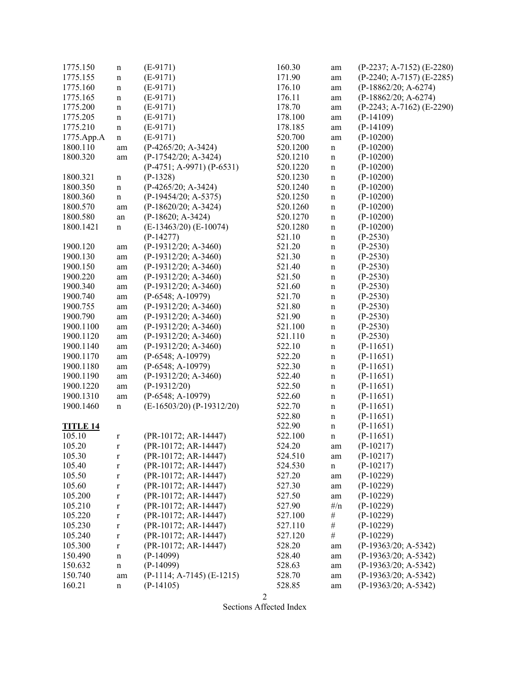| 1775.150        | $\mathbf n$ | $(E-9171)$                    | 160.30   | am          | $(P-2237; A-7152)$ $(E-2280)$ |
|-----------------|-------------|-------------------------------|----------|-------------|-------------------------------|
| 1775.155        | $\mathbf n$ | $(E-9171)$                    | 171.90   | am          | $(P-2240; A-7157)$ $(E-2285)$ |
| 1775.160        | $\mathbf n$ | $(E-9171)$                    | 176.10   | am          | $(P-18862/20; A-6274)$        |
| 1775.165        | $\mathbf n$ | $(E-9171)$                    | 176.11   | am          | $(P-18862/20; A-6274)$        |
| 1775.200        | $\mathbf n$ | $(E-9171)$                    | 178.70   | am          | $(P-2243; A-7162)$ $(E-2290)$ |
| 1775.205        | $\mathbf n$ | $(E-9171)$                    | 178.100  | am          | $(P-14109)$                   |
| 1775.210        | n           | $(E-9171)$                    | 178.185  | am          | $(P-14109)$                   |
| 1775.App.A      | $\mathbf n$ | $(E-9171)$                    | 520.700  | $\rm am$    | $(P-10200)$                   |
| 1800.110        | am          | $(P-4265/20; A-3424)$         | 520.1200 | $\mathbf n$ | $(P-10200)$                   |
| 1800.320        | am          | (P-17542/20; A-3424)          | 520.1210 | $\mathbf n$ | $(P-10200)$                   |
|                 |             | $(P-4751; A-9971) (P-6531)$   | 520.1220 | $\mathbf n$ | $(P-10200)$                   |
| 1800.321        | $\mathbf n$ | $(P-1328)$                    | 520.1230 | $\mathbf n$ | $(P-10200)$                   |
| 1800.350        | $\mathbf n$ | (P-4265/20; A-3424)           | 520.1240 | $\mathbf n$ | $(P-10200)$                   |
| 1800.360        | $\mathbf n$ | $(P-19454/20; A-5375)$        | 520.1250 | $\mathbf n$ | $(P-10200)$                   |
| 1800.570        | am          | $(P-18620/20; A-3424)$        | 520.1260 | $\mathbf n$ | $(P-10200)$                   |
| 1800.580        |             | $(P-18620; A-3424)$           | 520.1270 |             | $(P-10200)$                   |
| 1800.1421       | an          | $(E-13463/20)$ $(E-10074)$    | 520.1280 | $\mathbf n$ | $(P-10200)$                   |
|                 | n           | $(P-14277)$                   |          | $\mathbf n$ | $(P-2530)$                    |
| 1900.120        |             |                               | 521.10   | $\mathbf n$ |                               |
|                 | am          | $(P-19312/20; A-3460)$        | 521.20   | $\mathbf n$ | $(P-2530)$                    |
| 1900.130        | am          | $(P-19312/20; A-3460)$        | 521.30   | $\mathbf n$ | $(P-2530)$                    |
| 1900.150        | am          | $(P-19312/20; A-3460)$        | 521.40   | $\mathbf n$ | $(P-2530)$                    |
| 1900.220        | am          | $(P-19312/20; A-3460)$        | 521.50   | $\mathbf n$ | $(P-2530)$                    |
| 1900.340        | am          | $(P-19312/20; A-3460)$        | 521.60   | $\mathbf n$ | $(P-2530)$                    |
| 1900.740        | am          | $(P-6548; A-10979)$           | 521.70   | $\mathbf n$ | $(P-2530)$                    |
| 1900.755        | am          | $(P-19312/20; A-3460)$        | 521.80   | $\mathbf n$ | $(P-2530)$                    |
| 1900.790        | am          | $(P-19312/20; A-3460)$        | 521.90   | $\mathbf n$ | $(P-2530)$                    |
| 1900.1100       | am          | $(P-19312/20; A-3460)$        | 521.100  | $\mathbf n$ | $(P-2530)$                    |
| 1900.1120       | am          | $(P-19312/20; A-3460)$        | 521.110  | $\mathbf n$ | $(P-2530)$                    |
| 1900.1140       | am          | $(P-19312/20; A-3460)$        | 522.10   | $\mathbf n$ | $(P-11651)$                   |
| 1900.1170       | am          | $(P-6548; A-10979)$           | 522.20   | $\mathbf n$ | $(P-11651)$                   |
| 1900.1180       | am          | $(P-6548; A-10979)$           | 522.30   | $\mathbf n$ | $(P-11651)$                   |
| 1900.1190       | am          | $(P-19312/20; A-3460)$        | 522.40   | $\mathbf n$ | $(P-11651)$                   |
| 1900.1220       | am          | $(P-19312/20)$                | 522.50   | $\mathbf n$ | $(P-11651)$                   |
| 1900.1310       | am          | $(P-6548; A-10979)$           | 522.60   | $\mathbf n$ | $(P-11651)$                   |
| 1900.1460       | n           | $(E-16503/20)$ $(P-19312/20)$ | 522.70   | $\mathbf n$ | $(P-11651)$                   |
|                 |             |                               | 522.80   | $\mathbf n$ | $(P-11651)$                   |
| <b>TITLE 14</b> |             |                               | 522.90   | $\mathbf n$ | $(P-11651)$                   |
| 105.10          | $\mathbf r$ | (PR-10172; AR-14447)          | 522.100  | $\mathbf n$ | $(P-11651)$                   |
| 105.20          | $\mathbf r$ | (PR-10172; AR-14447)          | 524.20   | am          | $(P-10217)$                   |
| 105.30          | $\mathbf r$ | $(PR-10172; AR-14447)$        | 524.510  | am          | $(P-10217)$                   |
| 105.40          | $\mathbf r$ | (PR-10172; AR-14447)          | 524.530  | $\mathbf n$ | $(P-10217)$                   |
| 105.50          | $\mathbf r$ | (PR-10172; AR-14447)          | 527.20   | am          | $(P-10229)$                   |
| 105.60          | $\mathbf r$ | (PR-10172; AR-14447)          | 527.30   | am          | $(P-10229)$                   |
| 105.200         | $\mathbf r$ | (PR-10172; AR-14447)          | 527.50   | am          | $(P-10229)$                   |
| 105.210         | $\mathbf r$ | (PR-10172; AR-14447)          | 527.90   | $\#/n$      | $(P-10229)$                   |
| 105.220         | $\mathbf r$ | (PR-10172; AR-14447)          | 527.100  | $\#$        | $(P-10229)$                   |
| 105.230         | $\mathbf r$ | (PR-10172; AR-14447)          | 527.110  | $\#$        | $(P-10229)$                   |
| 105.240         | $\mathbf r$ | (PR-10172; AR-14447)          | 527.120  | $\#$        | $(P-10229)$                   |
| 105.300         | $\mathbf r$ | (PR-10172; AR-14447)          | 528.20   | am          | (P-19363/20; A-5342)          |
| 150.490         | $\mathbf n$ | $(P-14099)$                   | 528.40   | am          | $(P-19363/20; A-5342)$        |
| 150.632         | n           | $(P-14099)$                   | 528.63   | am          | $(P-19363/20; A-5342)$        |
| 150.740         | am          | $(P-1114; A-7145) (E-1215)$   | 528.70   | am          | $(P-19363/20; A-5342)$        |
| 160.21          | n           | $(P-14105)$                   | 528.85   | am          | $(P-19363/20; A-5342)$        |
|                 |             |                               |          |             |                               |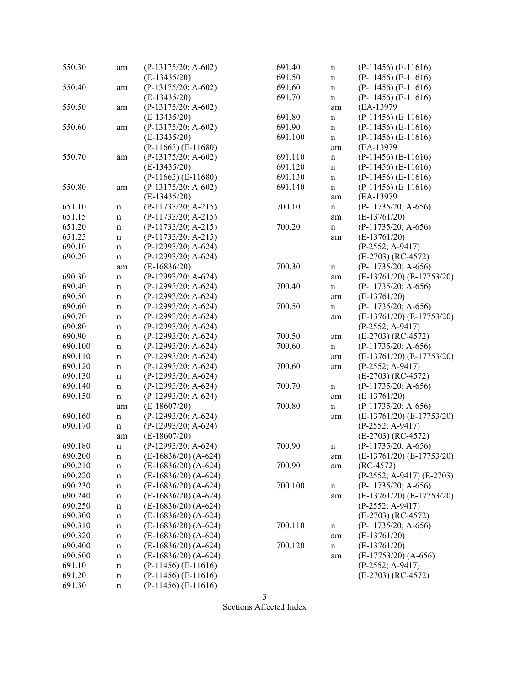| 550.30  | am                | (P-13175/20; A-602)     | 691.40  | $\mathbf n$ | $(P-11456)$ $(E-11616)$       |
|---------|-------------------|-------------------------|---------|-------------|-------------------------------|
|         |                   | $(E-13435/20)$          | 691.50  | $\mathbf n$ | $(P-11456)$ $(E-11616)$       |
| 550.40  | am                | $(P-13175/20; A-602)$   | 691.60  | $\mathbf n$ | $(P-11456)$ $(E-11616)$       |
|         |                   | $(E-13435/20)$          | 691.70  | $\mathbf n$ | $(P-11456)$ $(E-11616)$       |
| 550.50  | am                | $(P-13175/20; A-602)$   |         | am          | (EA-13979                     |
|         |                   | $(E-13435/20)$          | 691.80  | n           | $(P-11456)$ $(E-11616)$       |
| 550.60  | am                | $(P-13175/20; A-602)$   | 691.90  | $\mathbf n$ | $(P-11456)$ $(E-11616)$       |
|         |                   | $(E-13435/20)$          | 691.100 | $\mathbf n$ | $(P-11456)$ $(E-11616)$       |
|         |                   | $(P-11663)$ $(E-11680)$ |         | am          | (EA-13979                     |
| 550.70  | am                | $(P-13175/20; A-602)$   | 691.110 | $\mathbf n$ | $(P-11456)$ $(E-11616)$       |
|         |                   | $(E-13435/20)$          | 691.120 | $\mathbf n$ | $(P-11456)$ $(E-11616)$       |
|         |                   | $(P-11663)$ $(E-11680)$ | 691.130 | $\mathbf n$ | $(P-11456)$ $(E-11616)$       |
| 550.80  | am                | $(P-13175/20; A-602)$   | 691.140 | $\mathbf n$ | $(P-11456)$ (E-11616)         |
|         |                   | $(E-13435/20)$          |         | am          | (EA-13979                     |
| 651.10  | $\mathbf n$       | $(P-11733/20; A-215)$   | 700.10  | n           | $(P-11735/20; A-656)$         |
| 651.15  | $\mathbf n$       | $(P-11733/20; A-215)$   |         | am          | $(E-13761/20)$                |
| 651.20  | $\mathbf n$       | $(P-11733/20; A-215)$   | 700.20  | n           | $(P-11735/20; A-656)$         |
| 651.25  | $\mathbf n$       | $(P-11733/20; A-215)$   |         | am          | $(E-13761/20)$                |
| 690.10  | $\mathbf n$       | $(P-12993/20; A-624)$   |         |             | (P-2552; A-9417)              |
| 690.20  | $\mathbf n$       | $(P-12993/20; A-624)$   |         |             | $(E-2703)$ (RC-4572)          |
|         |                   | $(E-16836/20)$          | 700.30  |             | $(P-11735/20; A-656)$         |
| 690.30  | am<br>$\mathbf n$ | $(P-12993/20; A-624)$   |         | n<br>am     | $(E-13761/20) (E-17753/20)$   |
| 690.40  |                   | $(P-12993/20; A-624)$   | 700.40  |             | $(P-11735/20; A-656)$         |
| 690.50  | $\mathbf n$       | $(P-12993/20; A-624)$   |         | n           | $(E-13761/20)$                |
| 690.60  | $\mathbf n$       | $(P-12993/20; A-624)$   | 700.50  | am          | $(P-11735/20; A-656)$         |
| 690.70  | $\mathbf n$       | $(P-12993/20; A-624)$   |         | n           | $(E-13761/20)$ $(E-17753/20)$ |
| 690.80  | $\mathbf n$       |                         |         | am          |                               |
|         | $\mathbf n$       | $(P-12993/20; A-624)$   | 700.50  |             | $(P-2552; A-9417)$            |
| 690.90  | $\mathbf n$       | $(P-12993/20; A-624)$   |         | am          | $(E-2703)$ (RC-4572)          |
| 690.100 | $\mathbf n$       | $(P-12993/20; A-624)$   | 700.60  | n           | $(P-11735/20; A-656)$         |
| 690.110 | $\mathbf n$       | $(P-12993/20; A-624)$   |         | am          | $(E-13761/20)$ $(E-17753/20)$ |
| 690.120 | $\mathbf n$       | $(P-12993/20; A-624)$   | 700.60  | am          | $(P-2552; A-9417)$            |
| 690.130 | $\mathbf n$       | (P-12993/20; A-624)     |         |             | $(E-2703)$ (RC-4572)          |
| 690.140 | $\mathbf n$       | $(P-12993/20; A-624)$   | 700.70  | $\mathbf n$ | $(P-11735/20; A-656)$         |
| 690.150 | $\mathbf n$       | $(P-12993/20; A-624)$   |         | am          | $(E-13761/20)$                |
|         | am                | $(E-18607/20)$          | 700.80  | $\mathbf n$ | $(P-11735/20; A-656)$         |
| 690.160 | $\mathbf n$       | (P-12993/20; A-624)     |         | am          | $(E-13761/20)$ $(E-17753/20)$ |
| 690.170 | $\mathbf n$       | $(P-12993/20; A-624)$   |         |             | (P-2552; A-9417)              |
|         | am                | $(E-18607/20)$          |         |             | $(E-2703)$ (RC-4572)          |
| 690.180 | n                 | (P-12993/20; A-624)     | 700.90  | n           | $(P-11735/20; A-656)$         |
| 690.200 | $\mathbf n$       | $(E-16836/20)$ (A-624)  |         | am          | $(E-13761/20)$ $(E-17753/20)$ |
| 690.210 | n                 | $(E-16836/20)$ (A-624)  | 700.90  | am          | $(RC-4572)$                   |
| 690.220 | n                 | $(E-16836/20)$ (A-624)  |         |             | (P-2552; A-9417) (E-2703)     |
| 690.230 | n                 | $(E-16836/20)$ (A-624)  | 700.100 | $\mathbf n$ | $(P-11735/20; A-656)$         |
| 690.240 | $\mathbf n$       | $(E-16836/20)$ (A-624)  |         | am          | $(E-13761/20)$ $(E-17753/20)$ |
| 690.250 | n                 | $(E-16836/20)$ (A-624)  |         |             | $(P-2552; A-9417)$            |
| 690.300 | $\mathbf n$       | $(E-16836/20)$ (A-624)  |         |             | $(E-2703)$ (RC-4572)          |
| 690.310 | n                 | $(E-16836/20)$ (A-624)  | 700.110 | n           | $(P-11735/20; A-656)$         |
| 690.320 | n                 | $(E-16836/20)$ (A-624)  |         | am          | $(E-13761/20)$                |
| 690.400 | n                 | $(E-16836/20)$ (A-624)  | 700.120 | $\mathbf n$ | $(E-13761/20)$                |
| 690.500 | n                 | $(E-16836/20)$ (A-624)  |         | am          | $(E-17753/20)$ $(A-656)$      |
| 691.10  | n                 | $(P-11456)$ $(E-11616)$ |         |             | $(P-2552; A-9417)$            |
| 691.20  | $\mathbf n$       | $(P-11456)$ $(E-11616)$ |         |             | $(E-2703)$ (RC-4572)          |
| 691.30  | n                 | $(P-11456)$ $(E-11616)$ |         |             |                               |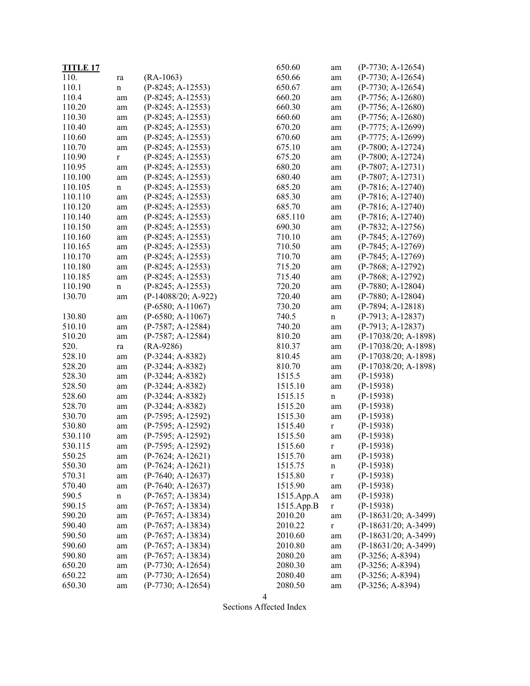| <b>TITLE 17</b> |             |                       | 650.60     | am          | $(P-7730; A-12654)$    |
|-----------------|-------------|-----------------------|------------|-------------|------------------------|
| 110.            | ra          | $(RA-1063)$           | 650.66     | am          | $(P-7730; A-12654)$    |
| 110.1           | n           | $(P-8245; A-12553)$   | 650.67     | am          | $(P-7730; A-12654)$    |
| 110.4           | am          | $(P-8245; A-12553)$   | 660.20     | am          | $(P-7756; A-12680)$    |
| 110.20          | am          | $(P-8245; A-12553)$   | 660.30     | am          | $(P-7756; A-12680)$    |
| 110.30          | am          | $(P-8245; A-12553)$   | 660.60     | am          | $(P-7756; A-12680)$    |
| 110.40          | am          | $(P-8245; A-12553)$   | 670.20     | am          | $(P-7775; A-12699)$    |
| 110.60          | am          | $(P-8245; A-12553)$   | 670.60     | am          | (P-7775; A-12699)      |
| 110.70          | am          | $(P-8245; A-12553)$   | 675.10     | am          | $(P-7800; A-12724)$    |
| 110.90          | $\bf r$     | $(P-8245; A-12553)$   | 675.20     | am          | $(P-7800; A-12724)$    |
| 110.95          | am          | $(P-8245; A-12553)$   | 680.20     | am          | $(P-7807; A-12731)$    |
| 110.100         | am          | $(P-8245; A-12553)$   | 680.40     | am          | $(P-7807; A-12731)$    |
| 110.105         | $\mathbf n$ | $(P-8245; A-12553)$   | 685.20     | am          | $(P-7816; A-12740)$    |
| 110.110         | am          | $(P-8245; A-12553)$   | 685.30     | am          | $(P-7816; A-12740)$    |
| 110.120         | am          | $(P-8245; A-12553)$   | 685.70     | am          | $(P-7816; A-12740)$    |
| 110.140         | am          | $(P-8245; A-12553)$   | 685.110    | am          | $(P-7816; A-12740)$    |
| 110.150         | am          | $(P-8245; A-12553)$   | 690.30     | am          | $(P-7832; A-12756)$    |
| 110.160         | am          | $(P-8245; A-12553)$   | 710.10     | am          | $(P-7845; A-12769)$    |
| 110.165         | am          | $(P-8245; A-12553)$   | 710.50     | am          | $(P-7845; A-12769)$    |
| 110.170         | am          | $(P-8245; A-12553)$   | 710.70     | am          | $(P-7845; A-12769)$    |
| 110.180         | am          | $(P-8245; A-12553)$   | 715.20     | am          | $(P-7868; A-12792)$    |
| 110.185         | am          | $(P-8245; A-12553)$   | 715.40     | am          | $(P-7868; A-12792)$    |
| 110.190         | $\mathbf n$ | $(P-8245; A-12553)$   | 720.20     | am          | $(P-7880; A-12804)$    |
| 130.70          | am          | $(P-14088/20; A-922)$ | 720.40     | am          | $(P-7880; A-12804)$    |
|                 |             | $(P-6580; A-11067)$   | 730.20     | am          | $(P-7894; A-12818)$    |
| 130.80          | am          | $(P-6580; A-11067)$   | 740.5      | n           | $(P-7913; A-12837)$    |
| 510.10          | am          | $(P-7587; A-12584)$   | 740.20     | am          | $(P-7913; A-12837)$    |
| 510.20          | am          | $(P-7587; A-12584)$   | 810.20     | am          | $(P-17038/20; A-1898)$ |
| 520.            | ra          | $(RA-9286)$           | 810.37     | am          | $(P-17038/20; A-1898)$ |
| 528.10          | am          | $(P-3244; A-8382)$    | 810.45     | am          | $(P-17038/20; A-1898)$ |
| 528.20          | am          | $(P-3244; A-8382)$    | 810.70     | am          | $(P-17038/20; A-1898)$ |
| 528.30          | am          | $(P-3244; A-8382)$    | 1515.5     | am          | $(P-15938)$            |
| 528.50          | am          | $(P-3244; A-8382)$    | 1515.10    | am          | $(P-15938)$            |
| 528.60          | am          | $(P-3244; A-8382)$    | 1515.15    | n           | $(P-15938)$            |
| 528.70          | am          | $(P-3244; A-8382)$    | 1515.20    | am          | $(P-15938)$            |
| 530.70          | am          | $(P-7595; A-12592)$   | 1515.30    | am          | $(P-15938)$            |
| 530.80          | am          | $(P-7595; A-12592)$   | 1515.40    | r           | $(P-15938)$            |
| 530.110         | am          | $(P-7595; A-12592)$   | 1515.50    | am          | $(P-15938)$            |
| 530.115         |             | $(P-7595; A-12592)$   | 1515.60    |             | $(P-15938)$            |
| 550.25          | am<br>am    | $(P-7624; A-12621)$   | 1515.70    | r<br>am     | $(P-15938)$            |
| 550.30          |             | $(P-7624; A-12621)$   | 1515.75    |             | $(P-15938)$            |
| 570.31          | am          | $(P-7640; A-12637)$   | 1515.80    | $\mathbf n$ | $(P-15938)$            |
|                 | am          |                       |            | r           |                        |
| 570.40          | am          | $(P-7640; A-12637)$   | 1515.90    | am          | $(P-15938)$            |
| 590.5           | n           | $(P-7657; A-13834)$   | 1515.App.A | am          | $(P-15938)$            |
| 590.15          | am          | $(P-7657; A-13834)$   | 1515.App.B | r           | $(P-15938)$            |
| 590.20          | am          | $(P-7657; A-13834)$   | 2010.20    | am          | $(P-18631/20; A-3499)$ |
| 590.40          | am          | $(P-7657; A-13834)$   | 2010.22    | $\mathbf r$ | $(P-18631/20; A-3499)$ |
| 590.50          | am          | $(P-7657; A-13834)$   | 2010.60    | am          | $(P-18631/20; A-3499)$ |
| 590.60          | am          | $(P-7657; A-13834)$   | 2010.80    | am          | (P-18631/20; A-3499)   |
| 590.80          | am          | $(P-7657; A-13834)$   | 2080.20    | am          | $(P-3256; A-8394)$     |
| 650.20          | am          | $(P-7730; A-12654)$   | 2080.30    | am          | $(P-3256; A-8394)$     |
| 650.22          | am          | $(P-7730; A-12654)$   | 2080.40    | am          | (P-3256; A-8394)       |
| 650.30          | am          | $(P-7730; A-12654)$   | 2080.50    | am          | $(P-3256; A-8394)$     |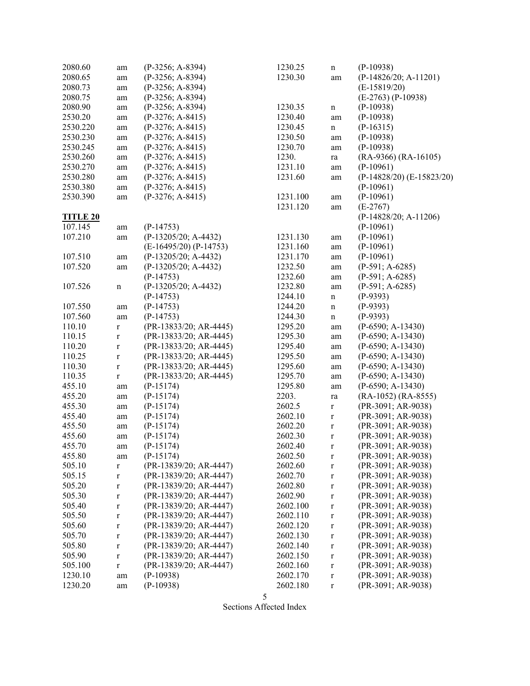| 2080.60         | am          | $(P-3256; A-8394)$         | 1230.25  | $\mathbf n$ | $(P-10938)$                   |
|-----------------|-------------|----------------------------|----------|-------------|-------------------------------|
| 2080.65         | am          | $(P-3256; A-8394)$         | 1230.30  | am          | $(P-14826/20; A-11201)$       |
| 2080.73         | am          | $(P-3256; A-8394)$         |          |             | $(E-15819/20)$                |
| 2080.75         | am          | $(P-3256; A-8394)$         |          |             | $(E-2763) (P-10938)$          |
| 2080.90         | am          | $(P-3256; A-8394)$         | 1230.35  | $\mathbf n$ | $(P-10938)$                   |
| 2530.20         | am          | $(P-3276; A-8415)$         | 1230.40  | am          | $(P-10938)$                   |
| 2530.220        | am          | $(P-3276; A-8415)$         | 1230.45  | $\mathbf n$ | $(P-16315)$                   |
| 2530.230        | am          | $(P-3276; A-8415)$         | 1230.50  | am          | $(P-10938)$                   |
| 2530.245        | am          | $(P-3276; A-8415)$         | 1230.70  | am          | $(P-10938)$                   |
| 2530.260        | am          | $(P-3276; A-8415)$         | 1230.    | ra          | $(RA-9366) (RA-16105)$        |
| 2530.270        | am          | $(P-3276; A-8415)$         | 1231.10  | am          | $(P-10961)$                   |
| 2530.280        | am          | $(P-3276; A-8415)$         | 1231.60  | am          | $(P-14828/20)$ $(E-15823/20)$ |
| 2530.380        | am          | $(P-3276; A-8415)$         |          |             | $(P-10961)$                   |
| 2530.390        | am          | $(P-3276; A-8415)$         | 1231.100 | am          | $(P-10961)$                   |
|                 |             |                            | 1231.120 | am          | $(E-2767)$                    |
| <b>TITLE 20</b> |             |                            |          |             | $(P-14828/20; A-11206)$       |
| 107.145         | am          | $(P-14753)$                |          |             | $(P-10961)$                   |
| 107.210         | am          | $(P-13205/20; A-4432)$     | 1231.130 | am          | $(P-10961)$                   |
|                 |             | $(E-16495/20)$ $(P-14753)$ | 1231.160 | am          | $(P-10961)$                   |
| 107.510         | am          | $(P-13205/20; A-4432)$     | 1231.170 | $\rm am$    | $(P-10961)$                   |
| 107.520         | am          | $(P-13205/20; A-4432)$     | 1232.50  | $\rm am$    | $(P-591; A-6285)$             |
|                 |             | $(P-14753)$                | 1232.60  | am          | $(P-591; A-6285)$             |
| 107.526         | $\mathbf n$ | (P-13205/20; A-4432)       | 1232.80  | am          | $(P-591; A-6285)$             |
|                 |             | $(P-14753)$                | 1244.10  | $\mathbf n$ | $(P-9393)$                    |
| 107.550         | am          | $(P-14753)$                | 1244.20  | $\mathbf n$ | $(P-9393)$                    |
| 107.560         | am          | $(P-14753)$                | 1244.30  | $\mathbf n$ | $(P-9393)$                    |
| 110.10          | $\mathbf r$ | (PR-13833/20; AR-4445)     | 1295.20  | am          | $(P-6590; A-13430)$           |
| 110.15          | $\bf r$     | (PR-13833/20; AR-4445)     | 1295.30  | am          | $(P-6590; A-13430)$           |
| 110.20          | $\mathbf r$ | (PR-13833/20; AR-4445)     | 1295.40  | am          | $(P-6590; A-13430)$           |
| 110.25          | $\mathbf r$ | (PR-13833/20; AR-4445)     | 1295.50  | am          | $(P-6590; A-13430)$           |
| 110.30          | $\mathbf r$ | (PR-13833/20; AR-4445)     | 1295.60  | am          | $(P-6590; A-13430)$           |
| 110.35          | $\bf r$     | (PR-13833/20; AR-4445)     | 1295.70  | am          | $(P-6590; A-13430)$           |
| 455.10          | am          | $(P-15174)$                | 1295.80  | am          | $(P-6590; A-13430)$           |
| 455.20          | am          | $(P-15174)$                | 2203.    | ra          | $(RA-1052) (RA-8555)$         |
| 455.30          | am          | $(P-15174)$                | 2602.5   | $\mathbf r$ | (PR-3091; AR-9038)            |
| 455.40          | am          | $(P-15174)$                | 2602.10  | $\mathbf r$ | (PR-3091; AR-9038)            |
| 455.50          | am          | $(P-15174)$                | 2602.20  | $\mathbf r$ | (PR-3091; AR-9038)            |
| 455.60          | am          | $(P-15174)$                | 2602.30  | $\mathbf r$ | (PR-3091; AR-9038)            |
| 455.70          | am          | $(P-15174)$                | 2602.40  | $\mathbf r$ | (PR-3091; AR-9038)            |
| 455.80          | am          | $(P-15174)$                | 2602.50  | $\bf r$     | (PR-3091; AR-9038)            |
| 505.10          | $\mathbf r$ | (PR-13839/20; AR-4447)     | 2602.60  | $\mathbf r$ | (PR-3091; AR-9038)            |
| 505.15          | $\mathbf r$ | (PR-13839/20; AR-4447)     | 2602.70  | $\mathbf r$ | (PR-3091; AR-9038)            |
| 505.20          | r           | (PR-13839/20; AR-4447)     | 2602.80  | $\mathbf r$ | (PR-3091; AR-9038)            |
| 505.30          | r           | (PR-13839/20; AR-4447)     | 2602.90  | $\mathbf r$ | (PR-3091; AR-9038)            |
| 505.40          | r           | (PR-13839/20; AR-4447)     | 2602.100 | $\mathbf r$ | (PR-3091; AR-9038)            |
| 505.50          | r           | (PR-13839/20; AR-4447)     | 2602.110 | $\mathbf r$ | (PR-3091; AR-9038)            |
| 505.60          | r           | (PR-13839/20; AR-4447)     | 2602.120 | $\mathbf r$ | (PR-3091; AR-9038)            |
| 505.70          | r           | (PR-13839/20; AR-4447)     | 2602.130 | $\mathbf r$ | (PR-3091; AR-9038)            |
| 505.80          | $\mathbf r$ | (PR-13839/20; AR-4447)     | 2602.140 | $\mathbf r$ | (PR-3091; AR-9038)            |
| 505.90          | $\mathbf r$ | (PR-13839/20; AR-4447)     | 2602.150 | $\bf r$     | (PR-3091; AR-9038)            |
| 505.100         | $\mathbf r$ | (PR-13839/20; AR-4447)     | 2602.160 | $\mathbf r$ | (PR-3091; AR-9038)            |
| 1230.10         | am          | $(P-10938)$                | 2602.170 | $\mathbf r$ | (PR-3091; AR-9038)            |
| 1230.20         | am          | $(P-10938)$                | 2602.180 | $\mathbf r$ | (PR-3091; AR-9038)            |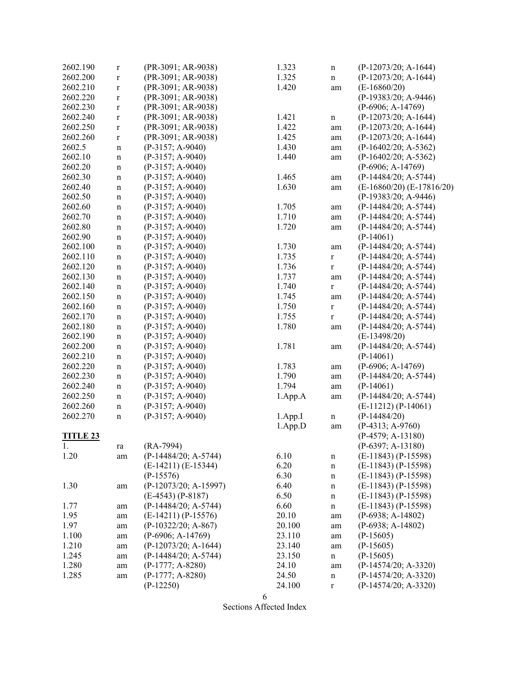| 2602.190        | $\mathbf r$ | (PR-3091; AR-9038)      | 1.323   | $\mathbf n$  | $(P-12073/20; A-1644)$        |
|-----------------|-------------|-------------------------|---------|--------------|-------------------------------|
| 2602.200        | $\mathbf r$ | (PR-3091; AR-9038)      | 1.325   | n            | $(P-12073/20; A-1644)$        |
| 2602.210        | $\mathbf r$ | (PR-3091; AR-9038)      | 1.420   | am           | $(E-16860/20)$                |
| 2602.220        | $\mathbf r$ | (PR-3091; AR-9038)      |         |              | $(P-19383/20; A-9446)$        |
| 2602.230        | $\mathbf r$ | (PR-3091; AR-9038)      |         |              | $(P-6906; A-14769)$           |
| 2602.240        | $\mathbf r$ | (PR-3091; AR-9038)      | 1.421   | $\mathbf n$  | $(P-12073/20; A-1644)$        |
| 2602.250        | $\mathbf r$ | (PR-3091; AR-9038)      | 1.422   | am           | $(P-12073/20; A-1644)$        |
| 2602.260        | $\mathbf r$ | (PR-3091; AR-9038)      | 1.425   | am           | (P-12073/20; A-1644)          |
| 2602.5          | $\mathbf n$ | $(P-3157; A-9040)$      | 1.430   | am           | $(P-16402/20; A-5362)$        |
| 2602.10         | $\mathbf n$ | $(P-3157; A-9040)$      | 1.440   | am           | $(P-16402/20; A-5362)$        |
| 2602.20         | $\mathbf n$ | $(P-3157; A-9040)$      |         |              | $(P-6906; A-14769)$           |
| 2602.30         | $\mathbf n$ | $(P-3157; A-9040)$      | 1.465   | am           | $(P-14484/20; A-5744)$        |
| 2602.40         | $\mathbf n$ | $(P-3157; A-9040)$      | 1.630   | am           | $(E-16860/20)$ $(E-17816/20)$ |
| 2602.50         |             | $(P-3157; A-9040)$      |         |              | $(P-19383/20; A-9446)$        |
| 2602.60         | $\mathbf n$ | $(P-3157; A-9040)$      | 1.705   |              | $(P-14484/20; A-5744)$        |
| 2602.70         | $\mathbf n$ |                         |         | am           |                               |
|                 | $\mathbf n$ | $(P-3157; A-9040)$      | 1.710   | am           | $(P-14484/20; A-5744)$        |
| 2602.80         | $\mathbf n$ | $(P-3157; A-9040)$      | 1.720   | am           | $(P-14484/20; A-5744)$        |
| 2602.90         | $\mathbf n$ | $(P-3157; A-9040)$      |         |              | $(P-14061)$                   |
| 2602.100        | $\mathbf n$ | $(P-3157; A-9040)$      | 1.730   | am           | $(P-14484/20; A-5744)$        |
| 2602.110        | n           | $(P-3157; A-9040)$      | 1.735   | $\mathbf r$  | $(P-14484/20; A-5744)$        |
| 2602.120        | $\mathbf n$ | $(P-3157; A-9040)$      | 1.736   | $\mathbf r$  | $(P-14484/20; A-5744)$        |
| 2602.130        | $\mathbf n$ | $(P-3157; A-9040)$      | 1.737   | am           | $(P-14484/20; A-5744)$        |
| 2602.140        | $\mathbf n$ | $(P-3157; A-9040)$      | 1.740   | $\mathbf r$  | $(P-14484/20; A-5744)$        |
| 2602.150        | n           | $(P-3157; A-9040)$      | 1.745   | am           | $(P-14484/20; A-5744)$        |
| 2602.160        | $\mathbf n$ | $(P-3157; A-9040)$      | 1.750   | $\mathbf r$  | $(P-14484/20; A-5744)$        |
| 2602.170        | n           | $(P-3157; A-9040)$      | 1.755   | $\mathbf{r}$ | $(P-14484/20; A-5744)$        |
| 2602.180        | $\mathbf n$ | $(P-3157; A-9040)$      | 1.780   | am           | $(P-14484/20; A-5744)$        |
| 2602.190        | $\mathbf n$ | $(P-3157; A-9040)$      |         |              | $(E-13498/20)$                |
| 2602.200        | $\mathbf n$ | $(P-3157; A-9040)$      | 1.781   | am           | $(P-14484/20; A-5744)$        |
| 2602.210        | $\mathbf n$ | $(P-3157; A-9040)$      |         |              | $(P-14061)$                   |
| 2602.220        | $\mathbf n$ | $(P-3157; A-9040)$      | 1.783   | am           | $(P-6906; A-14769)$           |
| 2602.230        | $\mathbf n$ | $(P-3157; A-9040)$      | 1.790   | am           | $(P-14484/20; A-5744)$        |
| 2602.240        | $\mathbf n$ | $(P-3157; A-9040)$      | 1.794   | am           | $(P-14061)$                   |
| 2602.250        | $\mathbf n$ | $(P-3157; A-9040)$      | 1.App.A | am           | $(P-14484/20; A-5744)$        |
| 2602.260        | $\mathbf n$ | $(P-3157; A-9040)$      |         |              | $(E-11212) (P-14061)$         |
| 2602.270        | $\mathbf n$ | $(P-3157; A-9040)$      | 1.App.I | $\mathbf n$  | $(P-14484/20)$                |
|                 |             |                         | 1.App.D | am           | $(P-4313; A-9760)$            |
| <b>TITLE 23</b> |             |                         |         |              | $(P-4579; A-13180)$           |
| 1.              | ra          | $(RA-7994)$             |         |              | $(P-6397; A-13180)$           |
| 1.20            | am          | (P-14484/20; A-5744)    | 6.10    | n            | $(E-11843) (P-15598)$         |
|                 |             | $(E-14211) (E-15344)$   | 6.20    | n            | $(E-11843) (P-15598)$         |
|                 |             | $(P-15576)$             | 6.30    | $\mathbf n$  | $(E-11843) (P-15598)$         |
| 1.30            | am          | $(P-12073/20; A-15997)$ | 6.40    | $\mathbf n$  | $(E-11843) (P-15598)$         |
|                 |             | $(E-4543) (P-8187)$     | 6.50    | n            | $(E-11843) (P-15598)$         |
| 1.77            | am          | $(P-14484/20; A-5744)$  | 6.60    | n            | $(E-11843) (P-15598)$         |
| 1.95            | am          | $(E-14211) (P-15576)$   | 20.10   | am           | $(P-6938; A-14802)$           |
| 1.97            | am          | $(P-10322/20; A-867)$   | 20.100  | am           | $(P-6938; A-14802)$           |
| 1.100           |             | $(P-6906; A-14769)$     | 23.110  |              | $(P-15605)$                   |
| 1.210           | am          | $(P-12073/20; A-1644)$  | 23.140  | am           | $(P-15605)$                   |
| 1.245           | am          | $(P-14484/20; A-5744)$  | 23.150  | am           | $(P-15605)$                   |
|                 | am          |                         |         | n            |                               |
| 1.280           | am          | $(P-1777; A-8280)$      | 24.10   | am           | $(P-14574/20; A-3320)$        |
| 1.285           | am          | $(P-1777; A-8280)$      | 24.50   | $\mathbf n$  | $(P-14574/20; A-3320)$        |
|                 |             | $(P-12250)$             | 24.100  | $\mathbf r$  | (P-14574/20; A-3320)          |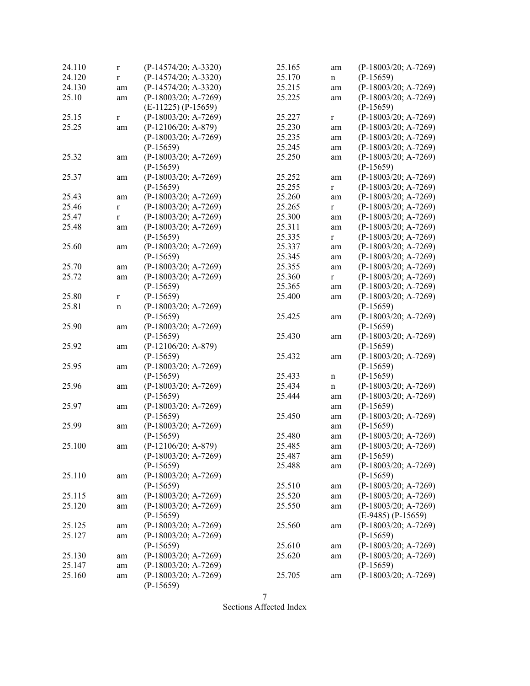| 24.110 | $\bf r$     | $(P-14574/20; A-3320)$ | 25.165 | am          | $(P-18003/20; A-7269)$ |
|--------|-------------|------------------------|--------|-------------|------------------------|
| 24.120 | $\mathbf r$ | $(P-14574/20; A-3320)$ | 25.170 | $\mathbf n$ | $(P-15659)$            |
| 24.130 | am          | $(P-14574/20; A-3320)$ | 25.215 | am          | $(P-18003/20; A-7269)$ |
| 25.10  | am          | $(P-18003/20; A-7269)$ | 25.225 | am          | $(P-18003/20; A-7269)$ |
|        |             | $(E-11225) (P-15659)$  |        |             | $(P-15659)$            |
| 25.15  | $\mathbf r$ | (P-18003/20; A-7269)   | 25.227 | $\bf r$     | $(P-18003/20; A-7269)$ |
| 25.25  | am          | $(P-12106/20; A-879)$  | 25.230 | am          | $(P-18003/20; A-7269)$ |
|        |             | $(P-18003/20; A-7269)$ | 25.235 | am          | $(P-18003/20; A-7269)$ |
|        |             | $(P-15659)$            | 25.245 | am          | $(P-18003/20; A-7269)$ |
| 25.32  |             | $(P-18003/20; A-7269)$ | 25.250 | am          | $(P-18003/20; A-7269)$ |
|        | am          | $(P-15659)$            |        |             | $(P-15659)$            |
| 25.37  | am          | $(P-18003/20; A-7269)$ | 25.252 | am          | $(P-18003/20; A-7269)$ |
|        |             | $(P-15659)$            | 25.255 | $\mathbf r$ | (P-18003/20; A-7269)   |
| 25.43  | am          | $(P-18003/20; A-7269)$ | 25.260 | am          | $(P-18003/20; A-7269)$ |
| 25.46  | $\bf r$     | $(P-18003/20; A-7269)$ | 25.265 | $\bf r$     | $(P-18003/20; A-7269)$ |
| 25.47  | $\mathbf r$ | $(P-18003/20; A-7269)$ | 25.300 | am          | $(P-18003/20; A-7269)$ |
| 25.48  | am          | $(P-18003/20; A-7269)$ | 25.311 | am          | $(P-18003/20; A-7269)$ |
|        |             | $(P-15659)$            | 25.335 | $\bf r$     | $(P-18003/20; A-7269)$ |
| 25.60  |             | (P-18003/20; A-7269)   | 25.337 |             | $(P-18003/20; A-7269)$ |
|        | am          | $(P-15659)$            | 25.345 | am          | $(P-18003/20; A-7269)$ |
|        |             | $(P-18003/20; A-7269)$ |        | am          | $(P-18003/20; A-7269)$ |
| 25.70  | am          |                        | 25.355 | am          |                        |
| 25.72  | am          | $(P-18003/20; A-7269)$ | 25.360 | r           | (P-18003/20; A-7269)   |
|        |             | $(P-15659)$            | 25.365 | am          | $(P-18003/20; A-7269)$ |
| 25.80  | $\bf r$     | $(P-15659)$            | 25.400 | am          | $(P-18003/20; A-7269)$ |
| 25.81  | $\mathbf n$ | $(P-18003/20; A-7269)$ |        |             | $(P-15659)$            |
|        |             | $(P-15659)$            | 25.425 | am          | $(P-18003/20; A-7269)$ |
| 25.90  | am          | (P-18003/20; A-7269)   |        |             | $(P-15659)$            |
|        |             | $(P-15659)$            | 25.430 | am          | $(P-18003/20; A-7269)$ |
| 25.92  | am          | $(P-12106/20; A-879)$  |        |             | $(P-15659)$            |
|        |             | $(P-15659)$            | 25.432 | am          | $(P-18003/20; A-7269)$ |
| 25.95  | am          | $(P-18003/20; A-7269)$ |        |             | $(P-15659)$            |
|        |             | $(P-15659)$            | 25.433 | $\mathbf n$ | $(P-15659)$            |
| 25.96  | am          | $(P-18003/20; A-7269)$ | 25.434 | $\mathbf n$ | $(P-18003/20; A-7269)$ |
|        |             | $(P-15659)$            | 25.444 | am          | $(P-18003/20; A-7269)$ |
| 25.97  | am          | $(P-18003/20; A-7269)$ |        | am          | $(P-15659)$            |
|        |             | $(P-15659)$            | 25.450 | am          | $(P-18003/20; A-7269)$ |
| 25.99  | am          | $(P-18003/20; A-7269)$ |        | am          | $(P-15659)$            |
|        |             | $(P-15659)$            | 25.480 | am          | $(P-18003/20; A-7269)$ |
| 25.100 | am          | $(P-12106/20; A-879)$  | 25.485 | am          | $(P-18003/20; A-7269)$ |
|        |             | $(P-18003/20; A-7269)$ | 25.487 | am          | $(P-15659)$            |
|        |             | $(P-15659)$            | 25.488 | am          | $(P-18003/20; A-7269)$ |
| 25.110 | am          | $(P-18003/20; A-7269)$ |        |             | $(P-15659)$            |
|        |             | $(P-15659)$            | 25.510 | am          | $(P-18003/20; A-7269)$ |
| 25.115 | am          | $(P-18003/20; A-7269)$ | 25.520 | am          | $(P-18003/20; A-7269)$ |
| 25.120 | am          | $(P-18003/20; A-7269)$ | 25.550 | am          | $(P-18003/20; A-7269)$ |
|        |             | $(P-15659)$            |        |             | $(E-9485) (P-15659)$   |
| 25.125 | am          | $(P-18003/20; A-7269)$ | 25.560 | am          | $(P-18003/20; A-7269)$ |
| 25.127 | am          | $(P-18003/20; A-7269)$ |        |             | $(P-15659)$            |
|        |             | $(P-15659)$            | 25.610 | am          | $(P-18003/20; A-7269)$ |
| 25.130 | am          | $(P-18003/20; A-7269)$ | 25.620 | am          | $(P-18003/20; A-7269)$ |
| 25.147 | am          | $(P-18003/20; A-7269)$ |        |             | $(P-15659)$            |
| 25.160 | am          | $(P-18003/20; A-7269)$ | 25.705 | am          | $(P-18003/20; A-7269)$ |
|        |             | $(P-15659)$            |        |             |                        |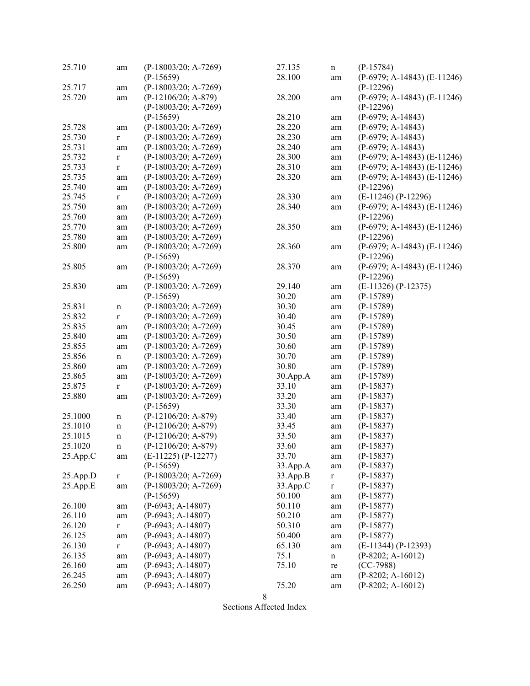| 25.710   | am          | $(P-18003/20; A-7269)$ | 27.135   | $\mathbf n$  | $(P-15784)$                   |
|----------|-------------|------------------------|----------|--------------|-------------------------------|
|          |             | $(P-15659)$            | 28.100   | am           | $(P-6979; A-14843) (E-11246)$ |
| 25.717   | am          | $(P-18003/20; A-7269)$ |          |              | $(P-12296)$                   |
| 25.720   | am          | $(P-12106/20; A-879)$  | 28.200   | am           | $(P-6979; A-14843) (E-11246)$ |
|          |             | (P-18003/20; A-7269)   |          |              | $(P-12296)$                   |
|          |             | $(P-15659)$            | 28.210   | am           | $(P-6979; A-14843)$           |
| 25.728   | am          | $(P-18003/20; A-7269)$ | 28.220   | $\;{\rm am}$ | $(P-6979; A-14843)$           |
| 25.730   | $\bf r$     | (P-18003/20; A-7269)   | 28.230   | $\rm am$     | $(P-6979; A-14843)$           |
| 25.731   | am          | $(P-18003/20; A-7269)$ | 28.240   | $\rm am$     | $(P-6979; A-14843)$           |
| 25.732   | $\mathbf r$ | $(P-18003/20; A-7269)$ | 28.300   | $\rm am$     | $(P-6979; A-14843) (E-11246)$ |
| 25.733   | $\mathbf r$ | $(P-18003/20; A-7269)$ | 28.310   |              | $(P-6979; A-14843) (E-11246)$ |
| 25.735   |             | $(P-18003/20; A-7269)$ | 28.320   | $\rm am$     | $(P-6979; A-14843) (E-11246)$ |
| 25.740   | am          |                        |          | am           |                               |
|          | am          | $(P-18003/20; A-7269)$ |          |              | $(P-12296)$                   |
| 25.745   | $\bf r$     | $(P-18003/20; A-7269)$ | 28.330   | am           | $(E-11246) (P-12296)$         |
| 25.750   | am          | $(P-18003/20; A-7269)$ | 28.340   | am           | $(P-6979; A-14843) (E-11246)$ |
| 25.760   | am          | $(P-18003/20; A-7269)$ |          |              | $(P-12296)$                   |
| 25.770   | am          | (P-18003/20; A-7269)   | 28.350   | am           | (P-6979; A-14843) (E-11246)   |
| 25.780   | am          | $(P-18003/20; A-7269)$ |          |              | $(P-12296)$                   |
| 25.800   | am          | $(P-18003/20; A-7269)$ | 28.360   | am           | (P-6979; A-14843) (E-11246)   |
|          |             | $(P-15659)$            |          |              | $(P-12296)$                   |
| 25.805   | am          | (P-18003/20; A-7269)   | 28.370   | am           | (P-6979; A-14843) (E-11246)   |
|          |             | $(P-15659)$            |          |              | $(P-12296)$                   |
| 25.830   | am          | $(P-18003/20; A-7269)$ | 29.140   | am           | $(E-11326) (P-12375)$         |
|          |             | $(P-15659)$            | 30.20    | am           | $(P-15789)$                   |
| 25.831   | $\mathbf n$ | (P-18003/20; A-7269)   | 30.30    | am           | $(P-15789)$                   |
| 25.832   | $\bf r$     | (P-18003/20; A-7269)   | 30.40    | am           | $(P-15789)$                   |
| 25.835   | am          | $(P-18003/20; A-7269)$ | 30.45    | am           | $(P-15789)$                   |
| 25.840   | am          | $(P-18003/20; A-7269)$ | 30.50    | $\rm am$     | $(P-15789)$                   |
| 25.855   | am          | (P-18003/20; A-7269)   | 30.60    | $\rm am$     | $(P-15789)$                   |
| 25.856   | $\mathbf n$ | $(P-18003/20; A-7269)$ | 30.70    | $\rm am$     | $(P-15789)$                   |
| 25.860   | am          | $(P-18003/20; A-7269)$ | 30.80    | $\rm am$     | $(P-15789)$                   |
| 25.865   | am          | $(P-18003/20; A-7269)$ | 30.App.A |              | $(P-15789)$                   |
| 25.875   |             | $(P-18003/20; A-7269)$ | 33.10    | $\rm am$     | $(P-15837)$                   |
| 25.880   | $\mathbf r$ |                        | 33.20    | $\rm am$     |                               |
|          | am          | (P-18003/20; A-7269)   |          | am           | $(P-15837)$                   |
|          |             | $(P-15659)$            | 33.30    | $\rm am$     | $(P-15837)$                   |
| 25.1000  | $\mathbf n$ | $(P-12106/20; A-879)$  | 33.40    | am           | $(P-15837)$                   |
| 25.1010  | $\mathbf n$ | $(P-12106/20; A-879)$  | 33.45    | am           | $(P-15837)$                   |
| 25.1015  | $\mathbf n$ | $(P-12106/20; A-879)$  | 33.50    | am           | $(P-15837)$                   |
| 25.1020  | $\mathbf n$ | $(P-12106/20; A-879)$  | 33.60    | am           | $(P-15837)$                   |
| 25.App.C | am          | $(E-11225) (P-12277)$  | 33.70    | am           | $(P-15837)$                   |
|          |             | $(P-15659)$            | 33.App.A | $\rm am$     | $(P-15837)$                   |
| 25.App.D | $\mathbf r$ | $(P-18003/20; A-7269)$ | 33.App.B | $\mathbf r$  | $(P-15837)$                   |
| 25.App.E | am          | $(P-18003/20; A-7269)$ | 33.App.C | $\mathbf r$  | $(P-15837)$                   |
|          |             | $(P-15659)$            | 50.100   | am           | $(P-15877)$                   |
| 26.100   | am          | $(P-6943; A-14807)$    | 50.110   | $\rm am$     | $(P-15877)$                   |
| 26.110   | am          | $(P-6943; A-14807)$    | 50.210   | am           | $(P-15877)$                   |
| 26.120   | $\mathbf r$ | $(P-6943; A-14807)$    | 50.310   | am           | $(P-15877)$                   |
| 26.125   | am          | $(P-6943; A-14807)$    | 50.400   | am           | $(P-15877)$                   |
| 26.130   | $\mathbf r$ | $(P-6943; A-14807)$    | 65.130   | am           | $(E-11344) (P-12393)$         |
| 26.135   | am          | $(P-6943; A-14807)$    | 75.1     | $\mathbf n$  | $(P-8202; A-16012)$           |
| 26.160   | am          | $(P-6943; A-14807)$    | 75.10    | re           | $(CC-7988)$                   |
| 26.245   | am          | $(P-6943; A-14807)$    |          | am           | $(P-8202; A-16012)$           |
| 26.250   | am          | $(P-6943; A-14807)$    | 75.20    | am           | $(P-8202; A-16012)$           |
|          |             |                        |          |              |                               |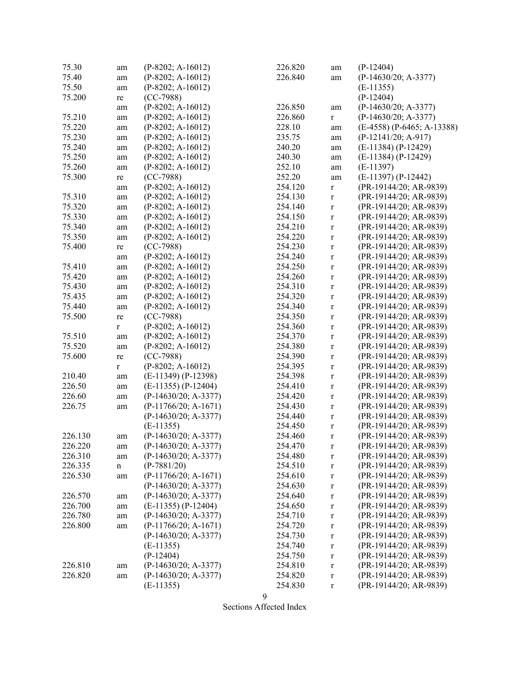| 75.30   | am          | $(P-8202; A-16012)$    | 226.820 | am          | $(P-12404)$                  |
|---------|-------------|------------------------|---------|-------------|------------------------------|
| 75.40   | am          | $(P-8202; A-16012)$    | 226.840 | am          | $(P-14630/20; A-3377)$       |
| 75.50   | am          | $(P-8202; A-16012)$    |         |             | $(E-11355)$                  |
| 75.200  | re          | $(CC-7988)$            |         |             | $(P-12404)$                  |
|         | am          | $(P-8202; A-16012)$    | 226.850 | am          | (P-14630/20; A-3377)         |
| 75.210  | am          | $(P-8202; A-16012)$    | 226.860 | $\mathbf r$ | $(P-14630/20; A-3377)$       |
| 75.220  | am          | $(P-8202; A-16012)$    | 228.10  | am          | $(E-4558)$ (P-6465; A-13388) |
| 75.230  | am          | $(P-8202; A-16012)$    | 235.75  | am          | $(P-12141/20; A-917)$        |
| 75.240  | am          | $(P-8202; A-16012)$    | 240.20  | am          | $(E-11384) (P-12429)$        |
| 75.250  | am          | $(P-8202; A-16012)$    | 240.30  | am          | $(E-11384) (P-12429)$        |
| 75.260  | am          | $(P-8202; A-16012)$    | 252.10  | am          | $(E-11397)$                  |
| 75.300  | re          | $(CC-7988)$            | 252.20  | am          | $(E-11397) (P-12442)$        |
|         | am          | $(P-8202; A-16012)$    | 254.120 | $\mathbf r$ | (PR-19144/20; AR-9839)       |
| 75.310  | am          | $(P-8202; A-16012)$    | 254.130 | $\mathbf r$ | (PR-19144/20; AR-9839)       |
| 75.320  |             | $(P-8202; A-16012)$    | 254.140 | $\mathbf r$ | (PR-19144/20; AR-9839)       |
| 75.330  | am          | $(P-8202; A-16012)$    | 254.150 |             | (PR-19144/20; AR-9839)       |
| 75.340  | am          |                        |         | $\mathbf r$ |                              |
|         | am          | $(P-8202; A-16012)$    | 254.210 | $\mathbf r$ | (PR-19144/20; AR-9839)       |
| 75.350  | am          | $(P-8202; A-16012)$    | 254.220 | $\mathbf r$ | (PR-19144/20; AR-9839)       |
| 75.400  | re          | $(CC-7988)$            | 254.230 | $\mathbf r$ | (PR-19144/20; AR-9839)       |
|         | am          | $(P-8202; A-16012)$    | 254.240 | $\mathbf r$ | (PR-19144/20; AR-9839)       |
| 75.410  | am          | $(P-8202; A-16012)$    | 254.250 | $\mathbf r$ | (PR-19144/20; AR-9839)       |
| 75.420  | am          | $(P-8202; A-16012)$    | 254.260 | $\mathbf r$ | (PR-19144/20; AR-9839)       |
| 75.430  | am          | $(P-8202; A-16012)$    | 254.310 | $\mathbf r$ | (PR-19144/20; AR-9839)       |
| 75.435  | am          | $(P-8202; A-16012)$    | 254.320 | $\mathbf r$ | (PR-19144/20; AR-9839)       |
| 75.440  | am          | $(P-8202; A-16012)$    | 254.340 | $\mathbf r$ | (PR-19144/20; AR-9839)       |
| 75.500  | re          | $(CC-7988)$            | 254.350 | $\mathbf r$ | (PR-19144/20; AR-9839)       |
|         | $\mathbf r$ | $(P-8202; A-16012)$    | 254.360 | $\mathbf r$ | (PR-19144/20; AR-9839)       |
| 75.510  | am          | $(P-8202; A-16012)$    | 254.370 | $\mathbf r$ | (PR-19144/20; AR-9839)       |
| 75.520  | am          | $(P-8202; A-16012)$    | 254.380 | $\mathbf r$ | (PR-19144/20; AR-9839)       |
| 75.600  | re          | $(CC-7988)$            | 254.390 | $\mathbf r$ | (PR-19144/20; AR-9839)       |
|         | $\mathbf r$ | $(P-8202; A-16012)$    | 254.395 | $\mathbf r$ | (PR-19144/20; AR-9839)       |
| 210.40  | am          | $(E-11349) (P-12398)$  | 254.398 | $\mathbf r$ | (PR-19144/20; AR-9839)       |
| 226.50  | am          | $(E-11355) (P-12404)$  | 254.410 | $\mathbf r$ | (PR-19144/20; AR-9839)       |
| 226.60  | am          | (P-14630/20; A-3377)   | 254.420 | $\mathbf r$ | (PR-19144/20; AR-9839)       |
| 226.75  | am          | $(P-11766/20; A-1671)$ | 254.430 | $\mathbf r$ | (PR-19144/20; AR-9839)       |
|         |             | $(P-14630/20; A-3377)$ | 254.440 | $\mathbf r$ | (PR-19144/20; AR-9839)       |
|         |             | $(E-11355)$            | 254.450 | $\mathbf r$ | (PR-19144/20; AR-9839)       |
| 226.130 | am          | $(P-14630/20; A-3377)$ | 254.460 | $\mathbf r$ | (PR-19144/20; AR-9839)       |
| 226.220 | am          | $(P-14630/20; A-3377)$ | 254.470 | $\mathbf r$ | (PR-19144/20; AR-9839)       |
| 226.310 | am          | $(P-14630/20; A-3377)$ | 254.480 | $\mathbf r$ | (PR-19144/20; AR-9839)       |
| 226.335 | n           | $(P-7881/20)$          | 254.510 | $\mathbf r$ | (PR-19144/20; AR-9839)       |
| 226.530 | am          | $(P-11766/20; A-1671)$ | 254.610 | $\mathbf r$ | (PR-19144/20; AR-9839)       |
|         |             | $(P-14630/20; A-3377)$ | 254.630 | $\mathbf r$ | (PR-19144/20; AR-9839)       |
| 226.570 | am          | $(P-14630/20; A-3377)$ | 254.640 | $\mathbf r$ | (PR-19144/20; AR-9839)       |
| 226.700 | am          | $(E-11355) (P-12404)$  | 254.650 | $\mathbf r$ | (PR-19144/20; AR-9839)       |
| 226.780 | am          | $(P-14630/20; A-3377)$ | 254.710 | $\mathbf r$ | (PR-19144/20; AR-9839)       |
| 226.800 | am          | $(P-11766/20; A-1671)$ | 254.720 | $\mathbf r$ | (PR-19144/20; AR-9839)       |
|         |             | $(P-14630/20; A-3377)$ | 254.730 |             | (PR-19144/20; AR-9839)       |
|         |             | $(E-11355)$            | 254.740 | $\mathbf r$ | (PR-19144/20; AR-9839)       |
|         |             | $(P-12404)$            | 254.750 | $\mathbf r$ | (PR-19144/20; AR-9839)       |
|         |             |                        |         | $\mathbf r$ |                              |
| 226.810 | am          | $(P-14630/20; A-3377)$ | 254.810 | $\mathbf r$ | (PR-19144/20; AR-9839)       |
| 226.820 | am          | $(P-14630/20; A-3377)$ | 254.820 | $\mathbf r$ | (PR-19144/20; AR-9839)       |
|         |             | $(E-11355)$            | 254.830 | $\mathbf r$ | (PR-19144/20; AR-9839)       |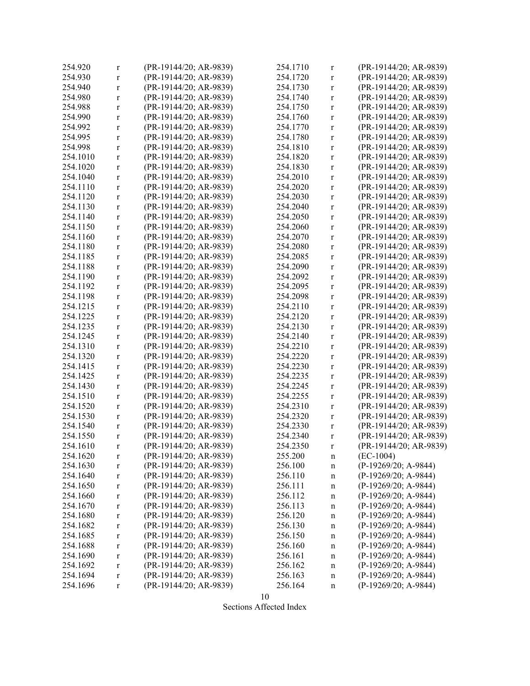| 254.920  | $\mathbf r$  | (PR-19144/20; AR-9839) | 254.1710 | $\mathbf r$ | (PR-19144/20; AR-9839) |
|----------|--------------|------------------------|----------|-------------|------------------------|
| 254.930  | $\mathbf r$  | (PR-19144/20; AR-9839) | 254.1720 | $\mathbf r$ | (PR-19144/20; AR-9839) |
| 254.940  | $\mathbf r$  | (PR-19144/20; AR-9839) | 254.1730 | $\mathbf r$ | (PR-19144/20; AR-9839) |
| 254.980  | $\mathbf r$  | (PR-19144/20; AR-9839) | 254.1740 | $\mathbf r$ | (PR-19144/20; AR-9839) |
| 254.988  | $\mathbf r$  | (PR-19144/20; AR-9839) | 254.1750 | $\mathbf r$ | (PR-19144/20; AR-9839) |
| 254.990  | $\mathbf{r}$ | (PR-19144/20; AR-9839) | 254.1760 | $\mathbf r$ | (PR-19144/20; AR-9839) |
| 254.992  | $\mathbf r$  | (PR-19144/20; AR-9839) | 254.1770 | $\mathbf r$ | (PR-19144/20; AR-9839) |
| 254.995  | $\mathbf r$  | (PR-19144/20; AR-9839) | 254.1780 | $\mathbf r$ | (PR-19144/20; AR-9839) |
| 254.998  | $\mathbf{r}$ | (PR-19144/20; AR-9839) | 254.1810 | $\mathbf r$ | (PR-19144/20; AR-9839) |
| 254.1010 | $\mathbf{r}$ | (PR-19144/20; AR-9839) | 254.1820 | $\mathbf r$ | (PR-19144/20; AR-9839) |
| 254.1020 | $\mathbf{r}$ | (PR-19144/20; AR-9839) | 254.1830 | $\mathbf r$ | (PR-19144/20; AR-9839) |
| 254.1040 | $\mathbf{r}$ | (PR-19144/20; AR-9839) | 254.2010 | $\mathbf r$ | (PR-19144/20; AR-9839) |
| 254.1110 | $\mathbf{r}$ | (PR-19144/20; AR-9839) | 254.2020 |             | (PR-19144/20; AR-9839) |
|          |              |                        |          | $\mathbf r$ |                        |
| 254.1120 | $\mathbf r$  | (PR-19144/20; AR-9839) | 254.2030 | $\mathbf r$ | (PR-19144/20; AR-9839) |
| 254.1130 | $\mathbf r$  | (PR-19144/20; AR-9839) | 254.2040 | $\mathbf r$ | (PR-19144/20; AR-9839) |
| 254.1140 | $\mathbf r$  | (PR-19144/20; AR-9839) | 254.2050 | $\mathbf r$ | (PR-19144/20; AR-9839) |
| 254.1150 | $\mathbf r$  | (PR-19144/20; AR-9839) | 254.2060 | $\mathbf r$ | (PR-19144/20; AR-9839) |
| 254.1160 | $\mathbf{r}$ | (PR-19144/20; AR-9839) | 254.2070 | $\mathbf r$ | (PR-19144/20; AR-9839) |
| 254.1180 | $\mathbf r$  | (PR-19144/20; AR-9839) | 254.2080 | $\mathbf r$ | (PR-19144/20; AR-9839) |
| 254.1185 | $\mathbf r$  | (PR-19144/20; AR-9839) | 254.2085 | $\mathbf r$ | (PR-19144/20; AR-9839) |
| 254.1188 | $\mathbf r$  | (PR-19144/20; AR-9839) | 254.2090 | $\mathbf r$ | (PR-19144/20; AR-9839) |
| 254.1190 | $\mathbf{r}$ | (PR-19144/20; AR-9839) | 254.2092 | $\mathbf r$ | (PR-19144/20; AR-9839) |
| 254.1192 | $\mathbf{r}$ | (PR-19144/20; AR-9839) | 254.2095 | $\mathbf r$ | (PR-19144/20; AR-9839) |
| 254.1198 | $\mathbf r$  | (PR-19144/20; AR-9839) | 254.2098 | $\mathbf r$ | (PR-19144/20; AR-9839) |
| 254.1215 | $\mathbf r$  | (PR-19144/20; AR-9839) | 254.2110 | $\mathbf r$ | (PR-19144/20; AR-9839) |
| 254.1225 | $\mathbf r$  | (PR-19144/20; AR-9839) | 254.2120 | $\mathbf r$ | (PR-19144/20; AR-9839) |
| 254.1235 | $\mathbf r$  | (PR-19144/20; AR-9839) | 254.2130 | $\mathbf r$ | (PR-19144/20; AR-9839) |
| 254.1245 | $\mathbf r$  | (PR-19144/20; AR-9839) | 254.2140 | $\mathbf r$ | (PR-19144/20; AR-9839) |
| 254.1310 | $\mathbf r$  | (PR-19144/20; AR-9839) | 254.2210 | $\mathbf r$ | (PR-19144/20; AR-9839) |
| 254.1320 | $\mathbf r$  | (PR-19144/20; AR-9839) | 254.2220 | $\mathbf r$ | (PR-19144/20; AR-9839) |
| 254.1415 | $\mathbf r$  | (PR-19144/20; AR-9839) | 254.2230 | $\mathbf r$ | (PR-19144/20; AR-9839) |
| 254.1425 | $\mathbf r$  | (PR-19144/20; AR-9839) | 254.2235 | $\mathbf r$ | (PR-19144/20; AR-9839) |
| 254.1430 | $\mathbf r$  | (PR-19144/20; AR-9839) | 254.2245 | $\mathbf r$ | (PR-19144/20; AR-9839) |
| 254.1510 | $\mathbf r$  | (PR-19144/20; AR-9839) | 254.2255 | $\mathbf r$ | (PR-19144/20; AR-9839) |
| 254.1520 |              | (PR-19144/20; AR-9839) | 254.2310 |             | (PR-19144/20; AR-9839) |
|          | $\mathbf r$  |                        |          | $\mathbf r$ |                        |
| 254.1530 | $\mathbf r$  | (PR-19144/20; AR-9839) | 254.2320 | $\mathbf r$ | (PR-19144/20; AR-9839) |
| 254.1540 | $\mathbf r$  | (PR-19144/20; AR-9839) | 254.2330 | $\mathbf r$ | (PR-19144/20; AR-9839) |
| 254.1550 | $\mathbf r$  | (PR-19144/20; AR-9839) | 254.2340 | $\mathbf r$ | (PR-19144/20; AR-9839) |
| 254.1610 | $\mathbf r$  | (PR-19144/20; AR-9839) | 254.2350 | $\mathbf r$ | (PR-19144/20; AR-9839) |
| 254.1620 | r            | (PR-19144/20; AR-9839) | 255.200  | n           | $(EC-1004)$            |
| 254.1630 | r            | (PR-19144/20; AR-9839) | 256.100  | n           | $(P-19269/20; A-9844)$ |
| 254.1640 | $\mathbf r$  | (PR-19144/20; AR-9839) | 256.110  | $\mathbf n$ | $(P-19269/20; A-9844)$ |
| 254.1650 | r            | (PR-19144/20; AR-9839) | 256.111  | n           | (P-19269/20; A-9844)   |
| 254.1660 | r            | (PR-19144/20; AR-9839) | 256.112  | $\mathbf n$ | $(P-19269/20; A-9844)$ |
| 254.1670 | $\mathbf r$  | (PR-19144/20; AR-9839) | 256.113  | $\mathbf n$ | (P-19269/20; A-9844)   |
| 254.1680 | r            | (PR-19144/20; AR-9839) | 256.120  | $\mathbf n$ | (P-19269/20; A-9844)   |
| 254.1682 | r            | (PR-19144/20; AR-9839) | 256.130  | $\mathbf n$ | $(P-19269/20; A-9844)$ |
| 254.1685 | $\mathbf r$  | (PR-19144/20; AR-9839) | 256.150  | $\mathbf n$ | $(P-19269/20; A-9844)$ |
| 254.1688 | $\mathbf r$  | (PR-19144/20; AR-9839) | 256.160  | n           | (P-19269/20; A-9844)   |
| 254.1690 | $\mathbf r$  | (PR-19144/20; AR-9839) | 256.161  | $\mathbf n$ | $(P-19269/20; A-9844)$ |
| 254.1692 | $\mathbf r$  | (PR-19144/20; AR-9839) | 256.162  | n           | $(P-19269/20; A-9844)$ |
| 254.1694 | r            | (PR-19144/20; AR-9839) | 256.163  | n           | $(P-19269/20; A-9844)$ |
| 254.1696 | r            | (PR-19144/20; AR-9839) | 256.164  | $\mathbf n$ | $(P-19269/20; A-9844)$ |
|          |              |                        |          |             |                        |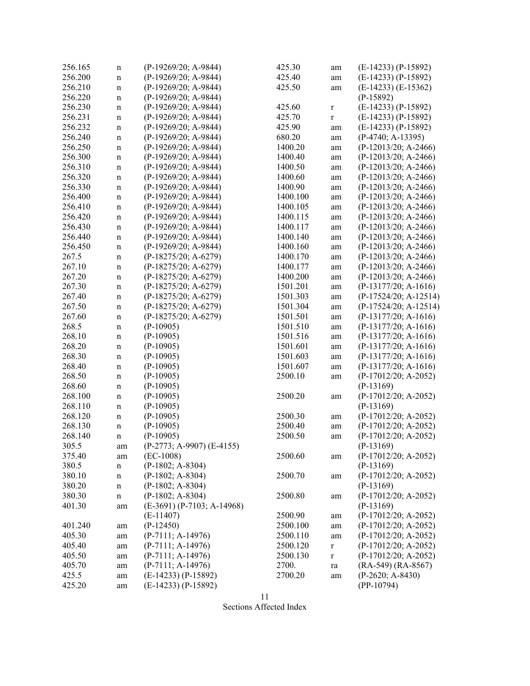| 256.165 | n           | (P-19269/20; A-9844)         | 425.30   | am          | $(E-14233) (P-15892)$   |
|---------|-------------|------------------------------|----------|-------------|-------------------------|
| 256.200 | n           | (P-19269/20; A-9844)         | 425.40   | am          | $(E-14233) (P-15892)$   |
| 256.210 | n           | $(P-19269/20; A-9844)$       | 425.50   | am          | $(E-14233)$ $(E-15362)$ |
| 256.220 | n           | $(P-19269/20; A-9844)$       |          |             | $(P-15892)$             |
| 256.230 | $\mathbf n$ | $(P-19269/20; A-9844)$       | 425.60   | $\mathbf r$ | $(E-14233) (P-15892)$   |
| 256.231 | n           | $(P-19269/20; A-9844)$       | 425.70   | $\mathbf r$ | $(E-14233) (P-15892)$   |
| 256.232 | $\mathbf n$ | $(P-19269/20; A-9844)$       | 425.90   | am          | $(E-14233) (P-15892)$   |
| 256.240 | n           | $(P-19269/20; A-9844)$       | 680.20   | am          | $(P-4740; A-13395)$     |
| 256.250 | n           | (P-19269/20; A-9844)         | 1400.20  | am          | (P-12013/20; A-2466)    |
| 256.300 | n           | (P-19269/20; A-9844)         | 1400.40  | am          | $(P-12013/20; A-2466)$  |
| 256.310 | n           | $(P-19269/20; A-9844)$       | 1400.50  | am          | $(P-12013/20; A-2466)$  |
| 256.320 | n           | (P-19269/20; A-9844)         | 1400.60  | am          | $(P-12013/20; A-2466)$  |
| 256.330 |             | (P-19269/20; A-9844)         | 1400.90  |             | $(P-12013/20; A-2466)$  |
| 256.400 | $\mathbf n$ | (P-19269/20; A-9844)         | 1400.100 | am          | $(P-12013/20; A-2466)$  |
|         | $\mathbf n$ |                              |          | am          |                         |
| 256.410 | n           | $(P-19269/20; A-9844)$       | 1400.105 | am          | $(P-12013/20; A-2466)$  |
| 256.420 | n           | $(P-19269/20; A-9844)$       | 1400.115 | am          | $(P-12013/20; A-2466)$  |
| 256.430 | $\mathbf n$ | $(P-19269/20; A-9844)$       | 1400.117 | am          | $(P-12013/20; A-2466)$  |
| 256.440 | n           | (P-19269/20; A-9844)         | 1400.140 | am          | $(P-12013/20; A-2466)$  |
| 256.450 | $\mathbf n$ | $(P-19269/20; A-9844)$       | 1400.160 | am          | $(P-12013/20; A-2466)$  |
| 267.5   | n           | $(P-18275/20; A-6279)$       | 1400.170 | am          | $(P-12013/20; A-2466)$  |
| 267.10  | n           | $(P-18275/20; A-6279)$       | 1400.177 | am          | $(P-12013/20; A-2466)$  |
| 267.20  | n           | $(P-18275/20; A-6279)$       | 1400.200 | am          | $(P-12013/20; A-2466)$  |
| 267.30  | n           | (P-18275/20; A-6279)         | 1501.201 | am          | $(P-13177/20; A-1616)$  |
| 267.40  | n           | $(P-18275/20; A-6279)$       | 1501.303 | am          | $(P-17524/20; A-12514)$ |
| 267.50  | $\mathbf n$ | $(P-18275/20; A-6279)$       | 1501.304 | am          | $(P-17524/20; A-12514)$ |
| 267.60  | $\mathbf n$ | $(P-18275/20; A-6279)$       | 1501.501 | am          | $(P-13177/20; A-1616)$  |
| 268.5   | n           | $(P-10905)$                  | 1501.510 | am          | $(P-13177/20; A-1616)$  |
| 268.10  | n           | $(P-10905)$                  | 1501.516 | am          | $(P-13177/20; A-1616)$  |
| 268.20  | n           | $(P-10905)$                  | 1501.601 | am          | $(P-13177/20; A-1616)$  |
| 268.30  | n           | $(P-10905)$                  | 1501.603 | am          | $(P-13177/20; A-1616)$  |
| 268.40  | n           | $(P-10905)$                  | 1501.607 | am          | $(P-13177/20; A-1616)$  |
| 268.50  | n           | $(P-10905)$                  | 2500.10  | am          | $(P-17012/20; A-2052)$  |
| 268.60  | n           | $(P-10905)$                  |          |             | $(P-13169)$             |
| 268.100 | n           | $(P-10905)$                  | 2500.20  | am          | $(P-17012/20; A-2052)$  |
| 268.110 | n           | $(P-10905)$                  |          |             | $(P-13169)$             |
| 268.120 | n           | $(P-10905)$                  | 2500.30  | am          | $(P-17012/20; A-2052)$  |
| 268.130 | $\mathbf n$ | $(P-10905)$                  | 2500.40  | am          | $(P-17012/20; A-2052)$  |
| 268.140 | n           | $(P-10905)$                  | 2500.50  | am          | $(P-17012/20; A-2052)$  |
| 305.5   | am          | (P-2773; A-9907) (E-4155)    |          |             | $(P-13169)$             |
| 375.40  | am          | $(EC-1008)$                  | 2500.60  | am          | (P-17012/20; A-2052)    |
| 380.5   | n           | $(P-1802; A-8304)$           |          |             | $(P-13169)$             |
| 380.10  |             | $(P-1802; A-8304)$           | 2500.70  |             | $(P-17012/20; A-2052)$  |
| 380.20  | n           | $(P-1802; A-8304)$           |          | am          | $(P-13169)$             |
| 380.30  | n           | $(P-1802; A-8304)$           | 2500.80  |             | $(P-17012/20; A-2052)$  |
|         | n           |                              |          | am          |                         |
| 401.30  | am          | $(E-3691)$ (P-7103; A-14968) |          |             | $(P-13169)$             |
|         |             | $(E-11407)$                  | 2500.90  | am          | (P-17012/20; A-2052)    |
| 401.240 | am          | $(P-12450)$                  | 2500.100 | am          | (P-17012/20; A-2052)    |
| 405.30  | am          | $(P-7111; A-14976)$          | 2500.110 | am          | $(P-17012/20; A-2052)$  |
| 405.40  | am          | $(P-7111; A-14976)$          | 2500.120 | $\mathbf r$ | $(P-17012/20; A-2052)$  |
| 405.50  | am          | $(P-7111; A-14976)$          | 2500.130 | $\mathbf r$ | $(P-17012/20; A-2052)$  |
| 405.70  | am          | $(P-7111; A-14976)$          | 2700.    | ra          | $(RA-549) (RA-8567)$    |
| 425.5   | am          | $(E-14233) (P-15892)$        | 2700.20  | am          | $(P-2620; A-8430)$      |
| 425.20  | am          | $(E-14233) (P-15892)$        |          |             | $(PP-10794)$            |

11 Sections Affected Index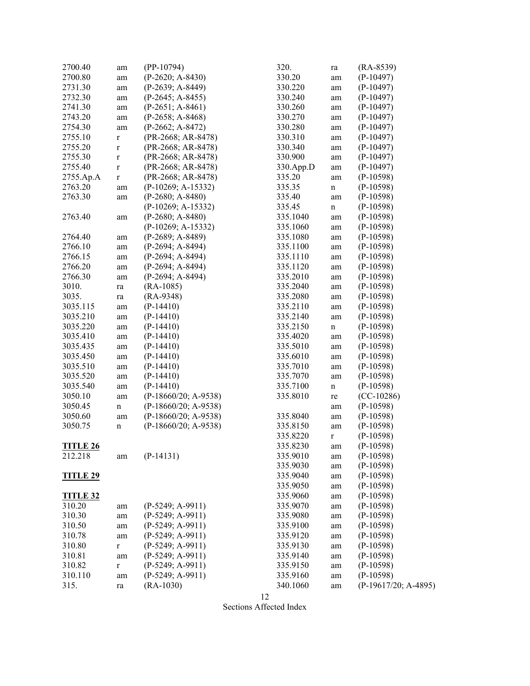| 2700.40         | am          | $(PP-10794)$           | 320.      | ra          | $(RA-8539)$            |
|-----------------|-------------|------------------------|-----------|-------------|------------------------|
| 2700.80         | am          | $(P-2620; A-8430)$     | 330.20    | am          | $(P-10497)$            |
| 2731.30         | am          | $(P-2639; A-8449)$     | 330.220   | am          | $(P-10497)$            |
| 2732.30         | am          | $(P-2645; A-8455)$     | 330.240   | am          | $(P-10497)$            |
| 2741.30         | am          | $(P-2651; A-8461)$     | 330.260   | am          | $(P-10497)$            |
| 2743.20         | am          | $(P-2658; A-8468)$     | 330.270   |             | $(P-10497)$            |
| 2754.30         |             | $(P-2662; A-8472)$     | 330.280   | am          | $(P-10497)$            |
|                 | am          |                        |           | am          |                        |
| 2755.10         | $\bf r$     | (PR-2668; AR-8478)     | 330.310   | am          | $(P-10497)$            |
| 2755.20         | $\mathbf r$ | (PR-2668; AR-8478)     | 330.340   | am          | $(P-10497)$            |
| 2755.30         | $\mathbf r$ | (PR-2668; AR-8478)     | 330.900   | am          | $(P-10497)$            |
| 2755.40         | $\mathbf r$ | (PR-2668; AR-8478)     | 330.App.D | am          | $(P-10497)$            |
| 2755.Ap.A       | $\mathbf r$ | (PR-2668; AR-8478)     | 335.20    | am          | $(P-10598)$            |
| 2763.20         | am          | $(P-10269; A-15332)$   | 335.35    | n           | $(P-10598)$            |
| 2763.30         | am          | $(P-2680; A-8480)$     | 335.40    | am          | $(P-10598)$            |
|                 |             | (P-10269; A-15332)     | 335.45    | $\mathbf n$ | $(P-10598)$            |
| 2763.40         | am          | $(P-2680; A-8480)$     | 335.1040  | am          | $(P-10598)$            |
|                 |             | (P-10269; A-15332)     | 335.1060  | am          | $(P-10598)$            |
| 2764.40         | am          | $(P-2689; A-8489)$     | 335.1080  | am          | $(P-10598)$            |
| 2766.10         | am          | $(P-2694; A-8494)$     | 335.1100  | am          | $(P-10598)$            |
| 2766.15         | am          | $(P-2694; A-8494)$     | 335.1110  | am          | $(P-10598)$            |
| 2766.20         | am          | $(P-2694; A-8494)$     | 335.1120  | am          | $(P-10598)$            |
| 2766.30         | am          | $(P-2694; A-8494)$     | 335.2010  | am          | $(P-10598)$            |
| 3010.           | ra          | $(RA-1085)$            | 335.2040  | am          | $(P-10598)$            |
| 3035.           | ra          | $(RA-9348)$            | 335.2080  | am          | $(P-10598)$            |
| 3035.115        | am          | $(P-14410)$            | 335.2110  | am          | $(P-10598)$            |
| 3035.210        |             | $(P-14410)$            | 335.2140  |             |                        |
|                 | am          |                        |           | am          | $(P-10598)$            |
| 3035.220        | am          | $(P-14410)$            | 335.2150  | $\mathbf n$ | $(P-10598)$            |
| 3035.410        | am          | $(P-14410)$            | 335.4020  | am          | $(P-10598)$            |
| 3035.435        | am          | $(P-14410)$            | 335.5010  | am          | $(P-10598)$            |
| 3035.450        | am          | $(P-14410)$            | 335.6010  | am          | $(P-10598)$            |
| 3035.510        | am          | $(P-14410)$            | 335.7010  | am          | $(P-10598)$            |
| 3035.520        | am          | $(P-14410)$            | 335.7070  | am          | $(P-10598)$            |
| 3035.540        | am          | $(P-14410)$            | 335.7100  | $\mathbf n$ | $(P-10598)$            |
| 3050.10         | am          | $(P-18660/20; A-9538)$ | 335.8010  | re          | $(CC-10286)$           |
| 3050.45         | $\mathbf n$ | $(P-18660/20; A-9538)$ |           | am          | $(P-10598)$            |
| 3050.60         | am          | $(P-18660/20; A-9538)$ | 335.8040  | am          | $(P-10598)$            |
| 3050.75         | $\mathbf n$ | $(P-18660/20; A-9538)$ | 335.8150  | am          | $(P-10598)$            |
|                 |             |                        | 335.8220  | r           | $(P-10598)$            |
| <u>TITLE 26</u> |             |                        | 335.8230  | am          | $(P-10598)$            |
| 212.218         | am          | $(P-14131)$            | 335.9010  | am          | $(P-10598)$            |
|                 |             |                        | 335.9030  | am          | $(P-10598)$            |
| <b>TITLE 29</b> |             |                        | 335.9040  | am          | $(P-10598)$            |
|                 |             |                        | 335.9050  | am          | $(P-10598)$            |
| <b>TITLE 32</b> |             |                        | 335.9060  | am          | $(P-10598)$            |
|                 |             | $(P-5249; A-9911)$     | 335.9070  |             | $(P-10598)$            |
| 310.20          | am          |                        |           | am          |                        |
| 310.30          | am          | $(P-5249; A-9911)$     | 335.9080  | am          | $(P-10598)$            |
| 310.50          | am          | $(P-5249; A-9911)$     | 335.9100  | am          | $(P-10598)$            |
| 310.78          | am          | $(P-5249; A-9911)$     | 335.9120  | am          | $(P-10598)$            |
| 310.80          | $\mathbf r$ | $(P-5249; A-9911)$     | 335.9130  | am          | $(P-10598)$            |
| 310.81          | am          | $(P-5249; A-9911)$     | 335.9140  | am          | $(P-10598)$            |
| 310.82          | $\mathbf r$ | $(P-5249; A-9911)$     | 335.9150  | am          | $(P-10598)$            |
| 310.110         | am          | $(P-5249; A-9911)$     | 335.9160  | am          | $(P-10598)$            |
| 315.            | ra          | $(RA-1030)$            | 340.1060  | am          | $(P-19617/20; A-4895)$ |

12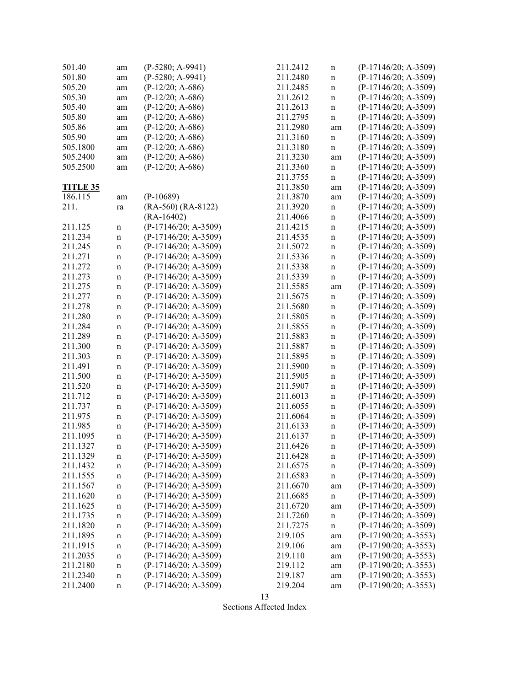| 501.40          | am          | $(P-5280; A-9941)$     | 211.2412 | n           | $(P-17146/20; A-3509)$ |
|-----------------|-------------|------------------------|----------|-------------|------------------------|
| 501.80          | am          | $(P-5280; A-9941)$     | 211.2480 | n           | (P-17146/20; A-3509)   |
| 505.20          | am          | $(P-12/20; A-686)$     | 211.2485 | n           | $(P-17146/20; A-3509)$ |
| 505.30          | am          | $(P-12/20; A-686)$     | 211.2612 | n           | $(P-17146/20; A-3509)$ |
| 505.40          | am          | $(P-12/20; A-686)$     | 211.2613 | n           | $(P-17146/20; A-3509)$ |
| 505.80          | am          | $(P-12/20; A-686)$     | 211.2795 | n           | $(P-17146/20; A-3509)$ |
| 505.86          | am          | $(P-12/20; A-686)$     | 211.2980 | am          | $(P-17146/20; A-3509)$ |
| 505.90          | am          | $(P-12/20; A-686)$     | 211.3160 | $\mathbf n$ | $(P-17146/20; A-3509)$ |
| 505.1800        | am          | $(P-12/20; A-686)$     | 211.3180 | n           | $(P-17146/20; A-3509)$ |
| 505.2400        | am          | $(P-12/20; A-686)$     | 211.3230 | am          | $(P-17146/20; A-3509)$ |
| 505.2500        | am          | $(P-12/20; A-686)$     | 211.3360 | n           | $(P-17146/20; A-3509)$ |
|                 |             |                        | 211.3755 |             | $(P-17146/20; A-3509)$ |
|                 |             |                        | 211.3850 | n           | $(P-17146/20; A-3509)$ |
| <b>TITLE 35</b> |             |                        |          | am          |                        |
| 186.115         | am          | $(P-10689)$            | 211.3870 | am          | (P-17146/20; A-3509)   |
| 211.            | ra          | $(RA-560) (RA-8122)$   | 211.3920 | $\mathbf n$ | $(P-17146/20; A-3509)$ |
|                 |             | $(RA-16402)$           | 211.4066 | n           | $(P-17146/20; A-3509)$ |
| 211.125         | $\mathbf n$ | (P-17146/20; A-3509)   | 211.4215 | n           | $(P-17146/20; A-3509)$ |
| 211.234         | $\mathbf n$ | $(P-17146/20; A-3509)$ | 211.4535 | n           | $(P-17146/20; A-3509)$ |
| 211.245         | $\mathbf n$ | $(P-17146/20; A-3509)$ | 211.5072 | n           | $(P-17146/20; A-3509)$ |
| 211.271         | $\mathbf n$ | $(P-17146/20; A-3509)$ | 211.5336 | n           | $(P-17146/20; A-3509)$ |
| 211.272         | $\mathbf n$ | $(P-17146/20; A-3509)$ | 211.5338 | n           | $(P-17146/20; A-3509)$ |
| 211.273         | $\mathbf n$ | $(P-17146/20; A-3509)$ | 211.5339 | $\mathbf n$ | $(P-17146/20; A-3509)$ |
| 211.275         | $\mathbf n$ | $(P-17146/20; A-3509)$ | 211.5585 | am          | $(P-17146/20; A-3509)$ |
| 211.277         | $\mathbf n$ | $(P-17146/20; A-3509)$ | 211.5675 | n           | $(P-17146/20; A-3509)$ |
| 211.278         | $\mathbf n$ | $(P-17146/20; A-3509)$ | 211.5680 | n           | $(P-17146/20; A-3509)$ |
| 211.280         | $\mathbf n$ | $(P-17146/20; A-3509)$ | 211.5805 | n           | (P-17146/20; A-3509)   |
| 211.284         | $\mathbf n$ | $(P-17146/20; A-3509)$ | 211.5855 | n           | $(P-17146/20; A-3509)$ |
| 211.289         | $\mathbf n$ | $(P-17146/20; A-3509)$ | 211.5883 | n           | $(P-17146/20; A-3509)$ |
| 211.300         | $\mathbf n$ | $(P-17146/20; A-3509)$ | 211.5887 | n           | (P-17146/20; A-3509)   |
| 211.303         | $\mathbf n$ | (P-17146/20; A-3509)   | 211.5895 | n           | (P-17146/20; A-3509)   |
| 211.491         | $\mathbf n$ | $(P-17146/20; A-3509)$ | 211.5900 | n           | $(P-17146/20; A-3509)$ |
| 211.500         | $\mathbf n$ | $(P-17146/20; A-3509)$ | 211.5905 | $\mathbf n$ | $(P-17146/20; A-3509)$ |
| 211.520         | $\mathbf n$ | $(P-17146/20; A-3509)$ | 211.5907 | n           | $(P-17146/20; A-3509)$ |
| 211.712         | $\mathbf n$ | $(P-17146/20; A-3509)$ | 211.6013 | n           | $(P-17146/20; A-3509)$ |
| 211.737         | $\mathbf n$ | (P-17146/20; A-3509)   | 211.6055 | n           | $(P-17146/20; A-3509)$ |
| 211.975         | $\mathbf n$ | $(P-17146/20; A-3509)$ | 211.6064 | n           | $(P-17146/20; A-3509)$ |
| 211.985         | $\mathbf n$ | $(P-17146/20; A-3509)$ | 211.6133 | n           | $(P-17146/20; A-3509)$ |
| 211.1095        | $\mathbf n$ | $(P-17146/20; A-3509)$ | 211.6137 | n           | $(P-17146/20; A-3509)$ |
| 211.1327        | $\mathbf n$ | $(P-17146/20; A-3509)$ | 211.6426 | n           | $(P-17146/20; A-3509)$ |
| 211.1329        | $\mathbf n$ | $(P-17146/20; A-3509)$ | 211.6428 | n           | $(P-17146/20; A-3509)$ |
| 211.1432        | $\mathbf n$ | $(P-17146/20; A-3509)$ | 211.6575 | n           | $(P-17146/20; A-3509)$ |
| 211.1555        |             | $(P-17146/20; A-3509)$ | 211.6583 |             | $(P-17146/20; A-3509)$ |
| 211.1567        | $\mathbf n$ | $(P-17146/20; A-3509)$ | 211.6670 | n           | $(P-17146/20; A-3509)$ |
|                 | $\mathbf n$ | (P-17146/20; A-3509)   |          | am          | $(P-17146/20; A-3509)$ |
| 211.1620        | $\mathbf n$ |                        | 211.6685 | $\mathbf n$ | $(P-17146/20; A-3509)$ |
| 211.1625        | $\mathbf n$ | $(P-17146/20; A-3509)$ | 211.6720 | am          |                        |
| 211.1735        | $\mathbf n$ | $(P-17146/20; A-3509)$ | 211.7260 | n           | $(P-17146/20; A-3509)$ |
| 211.1820        | $\mathbf n$ | $(P-17146/20; A-3509)$ | 211.7275 | n           | $(P-17146/20; A-3509)$ |
| 211.1895        | $\mathbf n$ | $(P-17146/20; A-3509)$ | 219.105  | am          | $(P-17190/20; A-3553)$ |
| 211.1915        | $\mathbf n$ | $(P-17146/20; A-3509)$ | 219.106  | am          | $(P-17190/20; A-3553)$ |
| 211.2035        | $\mathbf n$ | $(P-17146/20; A-3509)$ | 219.110  | am          | $(P-17190/20; A-3553)$ |
| 211.2180        | $\mathbf n$ | $(P-17146/20; A-3509)$ | 219.112  | am          | $(P-17190/20; A-3553)$ |
| 211.2340        | $\mathbf n$ | $(P-17146/20; A-3509)$ | 219.187  | am          | $(P-17190/20; A-3553)$ |
| 211.2400        | $\mathbf n$ | $(P-17146/20; A-3509)$ | 219.204  | am          | $(P-17190/20; A-3553)$ |

13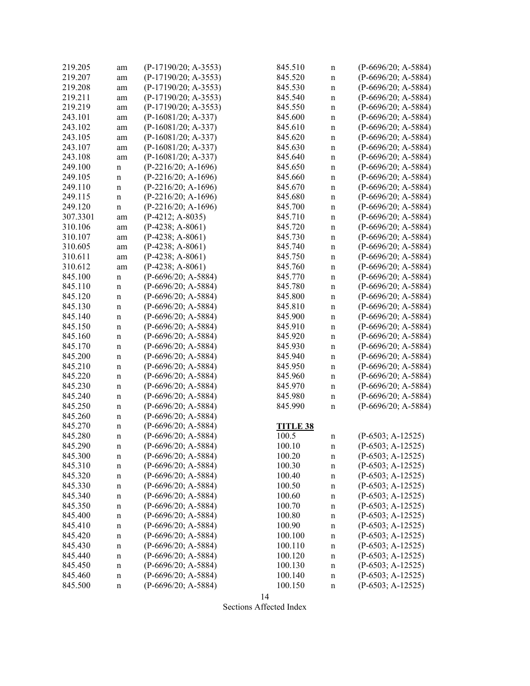| 219.205  | am          | $(P-17190/20; A-3553)$ | 845.510         | n           | $(P-6696/20; A-5884)$ |
|----------|-------------|------------------------|-----------------|-------------|-----------------------|
| 219.207  | am          | $(P-17190/20; A-3553)$ | 845.520         | n           | $(P-6696/20; A-5884)$ |
| 219.208  | am          | $(P-17190/20; A-3553)$ | 845.530         | $\mathbf n$ | $(P-6696/20; A-5884)$ |
| 219.211  | am          | (P-17190/20; A-3553)   | 845.540         | $\mathbf n$ | $(P-6696/20; A-5884)$ |
| 219.219  | am          | $(P-17190/20; A-3553)$ | 845.550         | $\mathbf n$ | $(P-6696/20; A-5884)$ |
| 243.101  | am          | $(P-16081/20; A-337)$  | 845.600         | $\mathbf n$ | $(P-6696/20; A-5884)$ |
| 243.102  | am          | (P-16081/20; A-337)    | 845.610         | $\mathbf n$ | $(P-6696/20; A-5884)$ |
| 243.105  | am          | $(P-16081/20; A-337)$  | 845.620         | $\mathbf n$ | $(P-6696/20; A-5884)$ |
| 243.107  | am          | $(P-16081/20; A-337)$  | 845.630         | $\mathbf n$ | $(P-6696/20; A-5884)$ |
| 243.108  | am          | $(P-16081/20; A-337)$  | 845.640         | $\mathbf n$ | $(P-6696/20; A-5884)$ |
| 249.100  | $\mathbf n$ | $(P-2216/20; A-1696)$  | 845.650         | $\mathbf n$ | $(P-6696/20; A-5884)$ |
| 249.105  | $\mathbf n$ | $(P-2216/20; A-1696)$  | 845.660         | $\mathbf n$ | $(P-6696/20; A-5884)$ |
| 249.110  | $\mathbf n$ | $(P-2216/20; A-1696)$  | 845.670         | $\mathbf n$ | $(P-6696/20; A-5884)$ |
| 249.115  | $\mathbf n$ | $(P-2216/20; A-1696)$  | 845.680         | n           | $(P-6696/20; A-5884)$ |
| 249.120  | $\mathbf n$ | $(P-2216/20; A-1696)$  | 845.700         | $\mathbf n$ | $(P-6696/20; A-5884)$ |
| 307.3301 | am          | $(P-4212; A-8035)$     | 845.710         | $\mathbf n$ | $(P-6696/20; A-5884)$ |
| 310.106  |             | $(P-4238; A-8061)$     | 845.720         |             | $(P-6696/20; A-5884)$ |
|          | am          |                        |                 | $\mathbf n$ |                       |
| 310.107  | am          | $(P-4238; A-8061)$     | 845.730         | $\mathbf n$ | $(P-6696/20; A-5884)$ |
| 310.605  | am          | $(P-4238; A-8061)$     | 845.740         | $\mathbf n$ | (P-6696/20; A-5884)   |
| 310.611  | am          | $(P-4238; A-8061)$     | 845.750         | $\mathbf n$ | $(P-6696/20; A-5884)$ |
| 310.612  | am          | $(P-4238; A-8061)$     | 845.760         | $\mathbf n$ | $(P-6696/20; A-5884)$ |
| 845.100  | $\mathbf n$ | $(P-6696/20; A-5884)$  | 845.770         | $\mathbf n$ | (P-6696/20; A-5884)   |
| 845.110  | n           | $(P-6696/20; A-5884)$  | 845.780         | $\mathbf n$ | $(P-6696/20; A-5884)$ |
| 845.120  | $\mathbf n$ | $(P-6696/20; A-5884)$  | 845.800         | $\mathbf n$ | $(P-6696/20; A-5884)$ |
| 845.130  | $\mathbf n$ | (P-6696/20; A-5884)    | 845.810         | $\mathbf n$ | (P-6696/20; A-5884)   |
| 845.140  | $\mathbf n$ | $(P-6696/20; A-5884)$  | 845.900         | n           | $(P-6696/20; A-5884)$ |
| 845.150  | $\mathbf n$ | $(P-6696/20; A-5884)$  | 845.910         | $\mathbf n$ | $(P-6696/20; A-5884)$ |
| 845.160  | $\mathbf n$ | $(P-6696/20; A-5884)$  | 845.920         | $\mathbf n$ | $(P-6696/20; A-5884)$ |
| 845.170  | $\mathbf n$ | $(P-6696/20; A-5884)$  | 845.930         | $\mathbf n$ | $(P-6696/20; A-5884)$ |
| 845.200  | $\mathbf n$ | $(P-6696/20; A-5884)$  | 845.940         | $\mathbf n$ | $(P-6696/20; A-5884)$ |
| 845.210  | $\mathbf n$ | $(P-6696/20; A-5884)$  | 845.950         | $\mathbf n$ | $(P-6696/20; A-5884)$ |
| 845.220  | $\mathbf n$ | $(P-6696/20; A-5884)$  | 845.960         | $\mathbf n$ | $(P-6696/20; A-5884)$ |
| 845.230  | $\mathbf n$ | $(P-6696/20; A-5884)$  | 845.970         | $\mathbf n$ | $(P-6696/20; A-5884)$ |
| 845.240  | $\mathbf n$ | $(P-6696/20; A-5884)$  | 845.980         | $\mathbf n$ | $(P-6696/20; A-5884)$ |
| 845.250  | $\mathbf n$ | $(P-6696/20; A-5884)$  | 845.990         | n           | $(P-6696/20; A-5884)$ |
| 845.260  | $\mathbf n$ | $(P-6696/20; A-5884)$  |                 |             |                       |
| 845.270  | $\mathbf n$ | $(P-6696/20; A-5884)$  | <b>TITLE 38</b> |             |                       |
| 845.280  | $\mathbf n$ | $(P-6696/20; A-5884)$  | 100.5           | n           | $(P-6503; A-12525)$   |
| 845.290  | n           | $(P-6696/20; A-5884)$  | 100.10          | n           | $(P-6503; A-12525)$   |
| 845.300  | n           | $(P-6696/20; A-5884)$  | 100.20          | $\mathbf n$ | $(P-6503; A-12525)$   |
| 845.310  | $\mathbf n$ | $(P-6696/20; A-5884)$  | 100.30          | $\mathbf n$ | $(P-6503; A-12525)$   |
| 845.320  | $\mathbf n$ | $(P-6696/20; A-5884)$  | 100.40          | $\mathbf n$ | $(P-6503; A-12525)$   |
| 845.330  | $\mathbf n$ | $(P-6696/20; A-5884)$  | 100.50          | $\mathbf n$ | $(P-6503; A-12525)$   |
| 845.340  | $\mathbf n$ | $(P-6696/20; A-5884)$  | 100.60          | $\mathbf n$ | $(P-6503; A-12525)$   |
| 845.350  | $\mathbf n$ | $(P-6696/20; A-5884)$  | 100.70          | $\mathbf n$ | $(P-6503; A-12525)$   |
| 845.400  | $\mathbf n$ | $(P-6696/20; A-5884)$  | 100.80          | $\mathbf n$ | $(P-6503; A-12525)$   |
| 845.410  | $\mathbf n$ | (P-6696/20; A-5884)    | 100.90          | n           | $(P-6503; A-12525)$   |
| 845.420  | $\mathbf n$ | $(P-6696/20; A-5884)$  | 100.100         | $\mathbf n$ | $(P-6503; A-12525)$   |
| 845.430  | $\mathbf n$ | (P-6696/20; A-5884)    | 100.110         | $\mathbf n$ | $(P-6503; A-12525)$   |
| 845.440  | $\mathbf n$ | $(P-6696/20; A-5884)$  | 100.120         | n           | $(P-6503; A-12525)$   |
| 845.450  | $\mathbf n$ | $(P-6696/20; A-5884)$  | 100.130         | n           | $(P-6503; A-12525)$   |
| 845.460  | $\mathbf n$ | $(P-6696/20; A-5884)$  | 100.140         | $\mathbf n$ | $(P-6503; A-12525)$   |
| 845.500  | n           | $(P-6696/20; A-5884)$  | 100.150         | n           | $(P-6503; A-12525)$   |
|          |             |                        |                 |             |                       |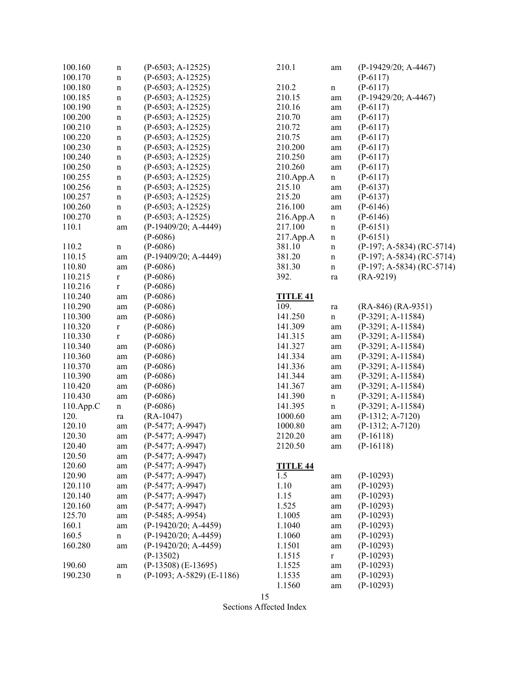| 100.160      | $\mathbf n$ | $(P-6503; A-12525)$         | 210.1           | am          | $(P-19429/20; A-4467)$      |
|--------------|-------------|-----------------------------|-----------------|-------------|-----------------------------|
| 100.170      | $\mathbf n$ | $(P-6503; A-12525)$         |                 |             | $(P-6117)$                  |
| 100.180      | n           | $(P-6503; A-12525)$         | 210.2           | $\mathbf n$ | $(P-6117)$                  |
| 100.185      | $\mathbf n$ | $(P-6503; A-12525)$         | 210.15          | am          | (P-19429/20; A-4467)        |
| 100.190      | n           | $(P-6503; A-12525)$         | 210.16          | am          | $(P-6117)$                  |
| 100.200      | n           | $(P-6503; A-12525)$         | 210.70          | am          | $(P-6117)$                  |
| 100.210      | $\mathbf n$ | $(P-6503; A-12525)$         | 210.72          | am          | $(P-6117)$                  |
| 100.220      | n           | $(P-6503; A-12525)$         | 210.75          | am          | $(P-6117)$                  |
| 100.230      | n           | $(P-6503; A-12525)$         | 210.200         | am          | $(P-6117)$                  |
| 100.240      | $\mathbf n$ | $(P-6503; A-12525)$         | 210.250         | am          | $(P-6117)$                  |
| 100.250      | $\mathbf n$ | $(P-6503; A-12525)$         | 210.260         | am          | $(P-6117)$                  |
| 100.255      | $\mathbf n$ | $(P-6503; A-12525)$         | 210.App.A       | $\mathbf n$ | $(P-6117)$                  |
| 100.256      | $\mathbf n$ | $(P-6503; A-12525)$         | 215.10          | am          | $(P-6137)$                  |
| 100.257      | n           | $(P-6503; A-12525)$         | 215.20          | am          | $(P-6137)$                  |
| 100.260      | n           | $(P-6503; A-12525)$         | 216.100         | am          | $(P-6146)$                  |
| 100.270      | $\mathbf n$ | $(P-6503; A-12525)$         | 216.App.A       | $\mathbf n$ | $(P-6146)$                  |
| 110.1        | am          | (P-19409/20; A-4449)        | 217.100         | $\mathbf n$ | $(P-6151)$                  |
|              |             | $(P-6086)$                  | 217.App.A       | $\mathbf n$ | $(P-6151)$                  |
| 110.2        | $\mathbf n$ | $(P-6086)$                  | 381.10          | $\mathbf n$ | $(P-197; A-5834) (RC-5714)$ |
| 110.15       |             | (P-19409/20; A-4449)        | 381.20          |             | $(P-197; A-5834) (RC-5714)$ |
| 110.80       | am          | $(P-6086)$                  | 381.30          | n           | $(P-197; A-5834) (RC-5714)$ |
| 110.215      | am          |                             | 392.            | n           | $(RA-9219)$                 |
|              | $\mathbf r$ | $(P-6086)$                  |                 | ra          |                             |
| 110.216      | $\mathbf r$ | $(P-6086)$                  |                 |             |                             |
| 110.240      | am          | $(P-6086)$                  | <b>TITLE 41</b> |             |                             |
| 110.290      | am          | $(P-6086)$                  | 109.            | ra          | $(RA-846) (RA-9351)$        |
| 110.300      | am          | $(P-6086)$                  | 141.250         | $\mathbf n$ | $(P-3291; A-11584)$         |
| 110.320      | $\mathbf r$ | $(P-6086)$                  | 141.309         | am          | $(P-3291; A-11584)$         |
| 110.330      | $\mathbf r$ | $(P-6086)$                  | 141.315         | am          | (P-3291; A-11584)           |
| 110.340      | am          | $(P-6086)$                  | 141.327         | am          | $(P-3291; A-11584)$         |
| 110.360      | am          | $(P-6086)$                  | 141.334         | am          | $(P-3291; A-11584)$         |
| 110.370      | am          | $(P-6086)$                  | 141.336         | am          | $(P-3291; A-11584)$         |
| 110.390      | am          | $(P-6086)$                  | 141.344         | am          | $(P-3291; A-11584)$         |
| 110.420      | am          | $(P-6086)$                  | 141.367         | am          | $(P-3291; A-11584)$         |
| 110.430      | am          | $(P-6086)$                  | 141.390         | $\mathbf n$ | $(P-3291; A-11584)$         |
| $110.$ App.C | $\mathbf n$ | $(P-6086)$                  | 141.395         | $\mathbf n$ | $(P-3291; A-11584)$         |
| 120.         | ra          | $(RA-1047)$                 | 1000.60         | am          | $(P-1312; A-7120)$          |
| 120.10       | am          | $(P-5477; A-9947)$          | 1000.80         | am          | $(P-1312; A-7120)$          |
| 120.30       | am          | $(P-5477; A-9947)$          | 2120.20         | am          | $(P-16118)$                 |
| 120.40       | am          | (P-5477; A-9947)            | 2120.50         | am          | $(P-16118)$                 |
| 120.50       | am          | $(P-5477; A-9947)$          |                 |             |                             |
| 120.60       | am          | $(P-5477; A-9947)$          | TITLE 44        |             |                             |
| 120.90       | am          | $(P-5477; A-9947)$          | 1.5             | am          | $(P-10293)$                 |
| 120.110      | am          | $(P-5477; A-9947)$          | 1.10            | am          | $(P-10293)$                 |
| 120.140      | am          | $(P-5477; A-9947)$          | 1.15            | am          | $(P-10293)$                 |
| 120.160      | am          | $(P-5477; A-9947)$          | 1.525           | am          | $(P-10293)$                 |
| 125.70       | am          | $(P-5485; A-9954)$          | 1.1005          | am          | $(P-10293)$                 |
| 160.1        | am          | (P-19420/20; A-4459)        | 1.1040          | am          | $(P-10293)$                 |
| 160.5        | n           | $(P-19420/20; A-4459)$      | 1.1060          | am          | $(P-10293)$                 |
| 160.280      | am          | (P-19420/20; A-4459)        | 1.1501          | am          | $(P-10293)$                 |
|              |             | $(P-13502)$                 | 1.1515          | $\mathbf r$ | $(P-10293)$                 |
| 190.60       | am          | $(P-13508)$ $(E-13695)$     | 1.1525          | am          | $(P-10293)$                 |
| 190.230      | n           | $(P-1093; A-5829)$ (E-1186) | 1.1535          | am          | $(P-10293)$                 |
|              |             |                             | 1.1560          | am          | $(P-10293)$                 |
|              |             |                             |                 |             |                             |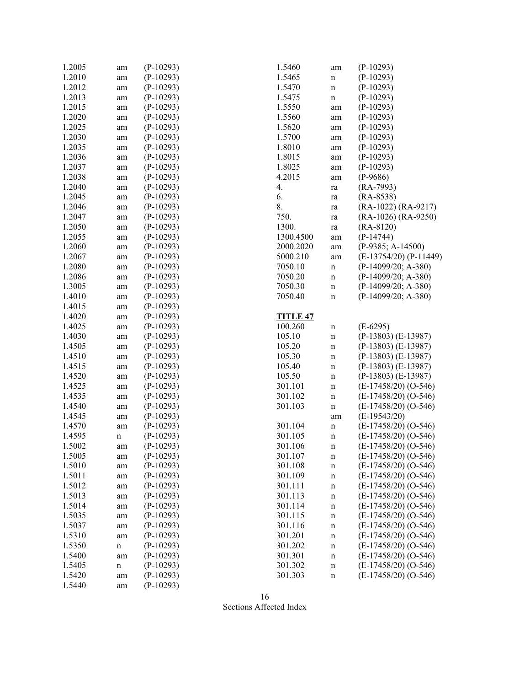| 1.2005 | am | $(P-10293)$ | 1.5460          | am          | $(P-10293)$                |
|--------|----|-------------|-----------------|-------------|----------------------------|
| 1.2010 | am | $(P-10293)$ | 1.5465          | n           | $(P-10293)$                |
| 1.2012 | am | $(P-10293)$ | 1.5470          | $\mathbf n$ | $(P-10293)$                |
| 1.2013 | am | $(P-10293)$ | 1.5475          | n           | $(P-10293)$                |
| 1.2015 | am | $(P-10293)$ | 1.5550          | am          | $(P-10293)$                |
| 1.2020 | am | $(P-10293)$ | 1.5560          | am          | $(P-10293)$                |
| 1.2025 | am | $(P-10293)$ | 1.5620          | am          | $(P-10293)$                |
| 1.2030 | am | $(P-10293)$ | 1.5700          | am          | $(P-10293)$                |
| 1.2035 | am | $(P-10293)$ | 1.8010          | am          | $(P-10293)$                |
| 1.2036 | am | $(P-10293)$ | 1.8015          | am          | $(P-10293)$                |
| 1.2037 | am | $(P-10293)$ | 1.8025          | am          | $(P-10293)$                |
| 1.2038 | am | $(P-10293)$ | 4.2015          | am          | $(P-9686)$                 |
| 1.2040 | am | $(P-10293)$ | 4.              | ra          | $(RA-7993)$                |
| 1.2045 | am | $(P-10293)$ | 6.              | ra          | $(RA-8538)$                |
| 1.2046 | am | $(P-10293)$ | 8.              | ra          | (RA-1022) (RA-9217)        |
| 1.2047 | am | $(P-10293)$ | 750.            | ra          | $(RA-1026) (RA-9250)$      |
| 1.2050 | am | $(P-10293)$ | 1300.           | ra          | $(RA-8120)$                |
| 1.2055 |    | $(P-10293)$ | 1300.4500       |             | $(P-14744)$                |
| 1.2060 | am | $(P-10293)$ | 2000.2020       | am          | $(P-9385; A-14500)$        |
| 1.2067 | am |             | 5000.210        | am          | $(E-13754/20)$ $(P-11449)$ |
|        | am | $(P-10293)$ |                 | am          |                            |
| 1.2080 | am | $(P-10293)$ | 7050.10         | $\mathbf n$ | $(P-14099/20; A-380)$      |
| 1.2086 | am | $(P-10293)$ | 7050.20         | $\mathbf n$ | $(P-14099/20; A-380)$      |
| 1.3005 | am | $(P-10293)$ | 7050.30         | $\mathbf n$ | $(P-14099/20; A-380)$      |
| 1.4010 | am | $(P-10293)$ | 7050.40         | $\mathbf n$ | $(P-14099/20; A-380)$      |
| 1.4015 | am | $(P-10293)$ |                 |             |                            |
| 1.4020 | am | $(P-10293)$ | <b>TITLE 47</b> |             |                            |
| 1.4025 | am | $(P-10293)$ | 100.260         | $\mathbf n$ | $(E-6295)$                 |
| 1.4030 | am | $(P-10293)$ | 105.10          | $\mathbf n$ | $(P-13803) (E-13987)$      |
| 1.4505 | am | $(P-10293)$ | 105.20          | $\mathbf n$ | $(P-13803) (E-13987)$      |
| 1.4510 | am | $(P-10293)$ | 105.30          | n           | $(P-13803) (E-13987)$      |
| 1.4515 | am | $(P-10293)$ | 105.40          | n           | $(P-13803) (E-13987)$      |
| 1.4520 | am | $(P-10293)$ | 105.50          | n           | $(P-13803) (E-13987)$      |
| 1.4525 | am | $(P-10293)$ | 301.101         | $\mathbf n$ | $(E-17458/20)$ (O-546)     |
| 1.4535 | am | $(P-10293)$ | 301.102         | $\mathbf n$ | $(E-17458/20)$ (O-546)     |
| 1.4540 | am | $(P-10293)$ | 301.103         | $\mathbf n$ | $(E-17458/20)$ (O-546)     |
| 1.4545 | am | $(P-10293)$ |                 | am          | $(E-19543/20)$             |
| 1.4570 | am | $(P-10293)$ | 301.104         | $\mathbf n$ | $(E-17458/20)$ (O-546)     |
| 1.4595 | n  | $(P-10293)$ | 301.105         | $\mathbf n$ | $(E-17458/20) (O-546)$     |
| 1.5002 | am | $(P-10293)$ | 301.106         | n           | $(E-17458/20)$ (O-546)     |
| 1.5005 | am | $(P-10293)$ | 301.107         | n           | (E-17458/20) (O-546)       |
| 1.5010 | am | $(P-10293)$ | 301.108         | $\mathbf n$ | $(E-17458/20)$ (O-546)     |
| 1.5011 | am | $(P-10293)$ | 301.109         | n           | $(E-17458/20)$ (O-546)     |
| 1.5012 | am | $(P-10293)$ | 301.111         | n           | $(E-17458/20) (O-546)$     |
| 1.5013 | am | $(P-10293)$ | 301.113         | n           | $(E-17458/20)$ (O-546)     |
| 1.5014 | am | $(P-10293)$ | 301.114         | n           | $(E-17458/20)$ (O-546)     |
| 1.5035 | am | $(P-10293)$ | 301.115         | n           | $(E-17458/20)$ (O-546)     |
| 1.5037 | am | $(P-10293)$ | 301.116         | n           | $(E-17458/20)$ (O-546)     |
| 1.5310 | am | $(P-10293)$ | 301.201         | n           | $(E-17458/20) (O-546)$     |
| 1.5350 | n  | $(P-10293)$ | 301.202         | n           | $(E-17458/20)$ (O-546)     |
| 1.5400 | am | $(P-10293)$ | 301.301         | n           | $(E-17458/20)$ (O-546)     |
| 1.5405 | n  | $(P-10293)$ | 301.302         | n           | $(E-17458/20)$ (O-546)     |
| 1.5420 | am | $(P-10293)$ | 301.303         | n           | $(E-17458/20)$ (O-546)     |
| 1.5440 | am | $(P-10293)$ |                 |             |                            |
|        |    |             |                 |             |                            |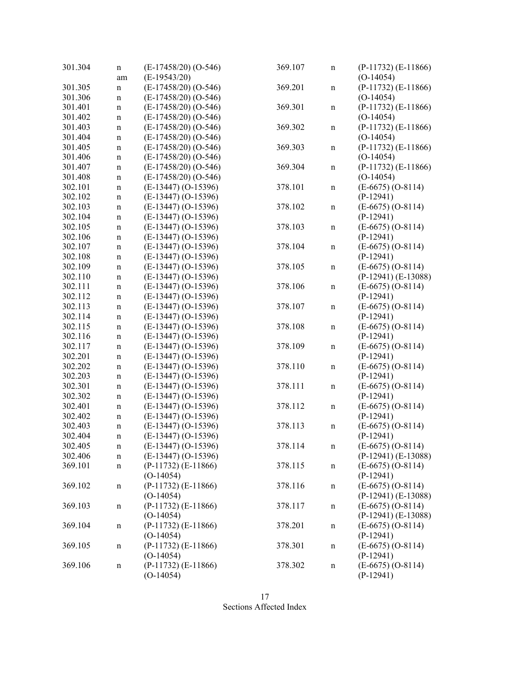| 301.304 | n<br>am                    | $(E-17458/20)$ (O-546)<br>$(E-19543/20)$ | 369.107 | n           | $(P-11732)$ $(E-11866)$<br>$(O-14054)$ |
|---------|----------------------------|------------------------------------------|---------|-------------|----------------------------------------|
| 301.305 | $\mathbf n$                | $(E-17458/20) (O-546)$                   | 369.201 | $\mathbf n$ | $(P-11732)$ $(E-11866)$                |
| 301.306 | $\mathbf n$                | $(E-17458/20) (O-546)$                   |         |             | $(O-14054)$                            |
| 301.401 | $\mathbf n$                | $(E-17458/20)$ (O-546)                   | 369.301 | $\mathbf n$ | $(P-11732)$ $(E-11866)$                |
| 301.402 | $\mathbf n$                | $(E-17458/20)$ (O-546)                   |         |             | $(O-14054)$                            |
| 301.403 | $\mathbf n$                | $(E-17458/20)$ (O-546)                   | 369.302 | $\mathbf n$ | $(P-11732)$ $(E-11866)$                |
| 301.404 | $\mathbf n$                | $(E-17458/20)$ (O-546)                   |         |             | $(O-14054)$                            |
| 301.405 | $\mathbf n$                | $(E-17458/20)$ (O-546)                   | 369.303 | $\mathbf n$ | $(P-11732)$ $(E-11866)$                |
| 301.406 | $\mathbf n$                | $(E-17458/20)$ (O-546)                   |         |             | $(O-14054)$                            |
| 301.407 | $\mathbf n$                | $(E-17458/20)$ (O-546)                   | 369.304 | $\mathbf n$ | $(P-11732)$ $(E-11866)$                |
| 301.408 | $\mathbf n$                | $(E-17458/20)$ (O-546)                   |         |             | $(O-14054)$                            |
| 302.101 | $\mathbf n$                | $(E-13447) (O-15396)$                    | 378.101 | $\mathbf n$ | $(E-6675) (O-8114)$                    |
| 302.102 | $\mathbf n$                | $(E-13447) (O-15396)$                    |         |             | $(P-12941)$                            |
| 302.103 | $\mathbf n$                | $(E-13447) (O-15396)$                    | 378.102 | $\mathbf n$ | $(E-6675) (O-8114)$                    |
| 302.104 | $\mathbf n$                | $(E-13447) (O-15396)$                    |         |             | $(P-12941)$                            |
| 302.105 | $\mathbf n$                | $(E-13447) (O-15396)$                    | 378.103 | $\mathbf n$ | $(E-6675) (O-8114)$                    |
| 302.106 | $\mathbf n$                | $(E-13447) (O-15396)$                    |         |             | $(P-12941)$                            |
| 302.107 | $\mathbf n$                | $(E-13447) (O-15396)$                    | 378.104 | $\mathbf n$ | $(E-6675) (O-8114)$                    |
| 302.108 | $\mathbf n$                | $(E-13447) (O-15396)$                    |         |             | $(P-12941)$                            |
| 302.109 |                            | $(E-13447) (O-15396)$                    | 378.105 |             | $(E-6675) (O-8114)$                    |
| 302.110 | $\mathbf n$<br>$\mathbf n$ | $(E-13447) (O-15396)$                    |         | $\mathbf n$ | $(P-12941) (E-13088)$                  |
| 302.111 | $\mathbf n$                | $(E-13447) (O-15396)$                    | 378.106 | $\mathbf n$ | $(E-6675) (O-8114)$                    |
| 302.112 | $\mathbf n$                | $(E-13447) (O-15396)$                    |         |             | $(P-12941)$                            |
| 302.113 |                            | $(E-13447) (O-15396)$                    | 378.107 |             | $(E-6675) (O-8114)$                    |
| 302.114 | $\mathbf n$                | $(E-13447) (O-15396)$                    |         | $\mathbf n$ | $(P-12941)$                            |
| 302.115 | $\mathbf n$                | $(E-13447) (O-15396)$                    | 378.108 |             | $(E-6675) (O-8114)$                    |
| 302.116 | $\mathbf n$                | $(E-13447) (O-15396)$                    |         | $\mathbf n$ | $(P-12941)$                            |
| 302.117 | $\mathbf n$                |                                          |         |             |                                        |
| 302.201 | $\mathbf n$                | $(E-13447) (O-15396)$                    | 378.109 | $\mathbf n$ | $(E-6675) (O-8114)$                    |
| 302.202 | $\mathbf n$                | $(E-13447) (O-15396)$                    |         |             | $(P-12941)$                            |
|         | $\mathbf n$                | $(E-13447) (O-15396)$                    | 378.110 | $\mathbf n$ | $(E-6675) (O-8114)$                    |
| 302.203 | $\mathbf n$                | $(E-13447) (O-15396)$                    |         |             | $(P-12941)$                            |
| 302.301 | $\mathbf n$                | $(E-13447) (O-15396)$                    | 378.111 | $\mathbf n$ | $(E-6675) (O-8114)$                    |
| 302.302 | $\mathbf n$                | $(E-13447) (O-15396)$                    |         |             | $(P-12941)$                            |
| 302.401 | $\mathbf n$                | $(E-13447) (O-15396)$                    | 378.112 | $\mathbf n$ | $(E-6675) (O-8114)$                    |
| 302.402 | $\mathbf n$                | $(E-13447) (O-15396)$                    |         |             | $(P-12941)$                            |
| 302.403 | $\mathbf n$                | $(E-13447) (O-15396)$                    | 378.113 | $\mathbf n$ | $(E-6675) (O-8114)$                    |
| 302.404 | $\mathbf n$                | $(E-13447) (O-15396)$                    |         |             | $(P-12941)$                            |
| 302.405 | $\mathbf n$                | $(E-13447) (O-15396)$                    | 378.114 | $\mathbf n$ | $(E-6675) (O-8114)$                    |
| 302.406 | $\mathbf n$                | $(E-13447) (O-15396)$                    |         |             | $(P-12941) (E-13088)$                  |
| 369.101 | n                          | $(P-11732)$ $(E-11866)$                  | 378.115 | $\mathbf n$ | $(E-6675) (O-8114)$                    |
|         |                            | $(O-14054)$                              |         |             | $(P-12941)$                            |
| 369.102 | $\mathbf n$                | $(P-11732)$ $(E-11866)$                  | 378.116 | $\mathbf n$ | $(E-6675) (O-8114)$                    |
|         |                            | $(O-14054)$                              |         |             | $(P-12941) (E-13088)$                  |
| 369.103 | $\mathbf n$                | $(P-11732)$ $(E-11866)$                  | 378.117 | n           | $(E-6675) (O-8114)$                    |
|         |                            | $(O-14054)$                              |         |             | $(P-12941) (E-13088)$                  |
| 369.104 | $\mathbf n$                | $(P-11732)$ $(E-11866)$                  | 378.201 | $\mathbf n$ | $(E-6675) (O-8114)$                    |
|         |                            | $(O-14054)$                              |         |             | $(P-12941)$                            |
| 369.105 | $\mathbf n$                | $(P-11732)$ $(E-11866)$                  | 378.301 | n           | $(E-6675) (O-8114)$                    |
|         |                            | $(O-14054)$                              |         |             | $(P-12941)$                            |
| 369.106 | $\mathbf n$                | $(P-11732)$ $(E-11866)$                  | 378.302 | $\mathbf n$ | $(E-6675) (O-8114)$                    |
|         |                            | $(O-14054)$                              |         |             | $(P-12941)$                            |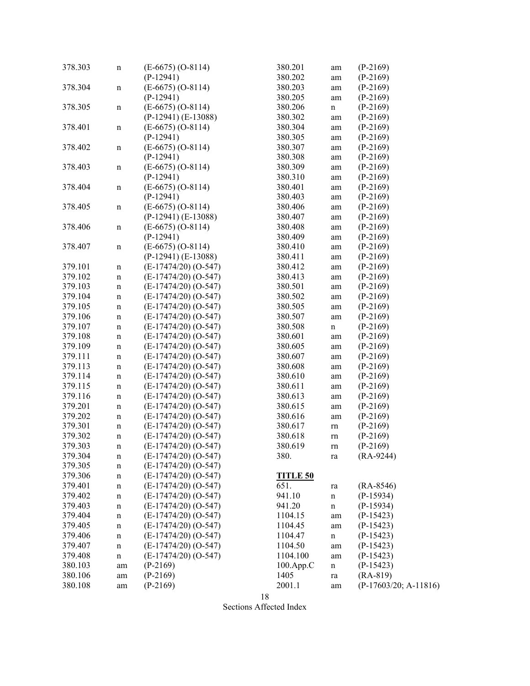| 378.303 | n           | $(E-6675) (O-8114)$<br>$(P-12941)$ | 380.201<br>380.202 | am<br>am    | $(P-2169)$<br>$(P-2169)$ |
|---------|-------------|------------------------------------|--------------------|-------------|--------------------------|
| 378.304 | n           | $(E-6675) (O-8114)$                | 380.203            | am          | $(P-2169)$               |
|         |             | $(P-12941)$                        | 380.205            | am          | $(P-2169)$               |
| 378.305 | n           | $(E-6675) (O-8114)$                | 380.206            | $\mathbf n$ | $(P-2169)$               |
|         |             | $(P-12941) (E-13088)$              | 380.302            |             | $(P-2169)$               |
| 378.401 |             | $(E-6675) (O-8114)$                | 380.304            | am          | $(P-2169)$               |
|         | n           | $(P-12941)$                        | 380.305            | am          |                          |
|         |             |                                    | 380.307            | am          | $(P-2169)$               |
| 378.402 | n           | $(E-6675) (O-8114)$<br>$(P-12941)$ |                    | am          | $(P-2169)$               |
|         |             |                                    | 380.308            | am          | $(P-2169)$               |
| 378.403 | $\mathbf n$ | $(E-6675) (O-8114)$                | 380.309            | am          | $(P-2169)$               |
|         |             | $(P-12941)$                        | 380.310            | am          | $(P-2169)$               |
| 378.404 | n           | $(E-6675) (O-8114)$                | 380.401            | am          | $(P-2169)$               |
|         |             | $(P-12941)$                        | 380.403            | am          | $(P-2169)$               |
| 378.405 | n           | $(E-6675) (O-8114)$                | 380.406            | am          | $(P-2169)$               |
|         |             | $(P-12941) (E-13088)$              | 380.407            | am          | $(P-2169)$               |
| 378.406 | n           | $(E-6675) (O-8114)$                | 380.408            | am          | $(P-2169)$               |
|         |             | $(P-12941)$                        | 380.409            | am          | $(P-2169)$               |
| 378.407 | n           | $(E-6675) (O-8114)$                | 380.410            | am          | $(P-2169)$               |
|         |             | $(P-12941) (E-13088)$              | 380.411            | am          | $(P-2169)$               |
| 379.101 | n           | $(E-17474/20) (O-547)$             | 380.412            | am          | $(P-2169)$               |
| 379.102 | $\mathbf n$ | $(E-17474/20)$ (O-547)             | 380.413            | am          | $(P-2169)$               |
| 379.103 | $\mathbf n$ | $(E-17474/20) (O-547)$             | 380.501            | am          | $(P-2169)$               |
| 379.104 | $\mathbf n$ | $(E-17474/20) (O-547)$             | 380.502            | am          | $(P-2169)$               |
| 379.105 | $\mathbf n$ | $(E-17474/20) (O-547)$             | 380.505            | am          | $(P-2169)$               |
| 379.106 | $\mathbf n$ | $(E-17474/20) (O-547)$             | 380.507            | am          | $(P-2169)$               |
| 379.107 | n           | $(E-17474/20) (O-547)$             | 380.508            | $\mathbf n$ | $(P-2169)$               |
| 379.108 | n           | $(E-17474/20) (O-547)$             | 380.601            | am          | $(P-2169)$               |
| 379.109 | n           | $(E-17474/20) (O-547)$             | 380.605            | am          | $(P-2169)$               |
| 379.111 | n           | $(E-17474/20) (O-547)$             | 380.607            | am          | $(P-2169)$               |
| 379.113 | $\mathbf n$ | $(E-17474/20) (O-547)$             | 380.608            | am          | $(P-2169)$               |
| 379.114 | $\mathbf n$ | $(E-17474/20) (O-547)$             | 380.610            | am          | $(P-2169)$               |
| 379.115 | n           | $(E-17474/20) (O-547)$             | 380.611            | am          | $(P-2169)$               |
| 379.116 | $\mathbf n$ | $(E-17474/20)$ (O-547)             | 380.613            | am          | $(P-2169)$               |
| 379.201 | $\mathbf n$ | $(E-17474/20) (O-547)$             | 380.615            | am          | $(P-2169)$               |
| 379.202 | $\mathbf n$ | $(E-17474/20) (O-547)$             | 380.616            | am          | $(P-2169)$               |
| 379.301 | $\mathbf n$ | $(E-17474/20) (O-547)$             | 380.617            | rn          | $(P-2169)$               |
| 379.302 | $\mathbf n$ | $(E-17474/20) (O-547)$             | 380.618            | rn          | $(P-2169)$               |
| 379.303 | n           | $(E-17474/20)$ (O-547)             | 380.619            | rn          | $(P-2169)$               |
| 379.304 | n           | $(E-17474/20) (O-547)$             | 380.               | ra          | $(RA-9244)$              |
| 379.305 | n           | $(E-17474/20) (O-547)$             |                    |             |                          |
| 379.306 | n           | $(E-17474/20) (O-547)$             | <b>TITLE 50</b>    |             |                          |
| 379.401 | n           | $(E-17474/20) (O-547)$             | 651.               | ra          | $(RA-8546)$              |
| 379.402 | n           | $(E-17474/20)$ (O-547)             | 941.10             | $\mathbf n$ | $(P-15934)$              |
| 379.403 | n           | $(E-17474/20) (O-547)$             | 941.20             | $\mathbf n$ | $(P-15934)$              |
| 379.404 | n           | $(E-17474/20)$ (O-547)             | 1104.15            | am          | $(P-15423)$              |
| 379.405 | n           | $(E-17474/20) (O-547)$             | 1104.45            | am          | $(P-15423)$              |
| 379.406 | n           | $(E-17474/20) (O-547)$             | 1104.47            | $\mathbf n$ | $(P-15423)$              |
| 379.407 | n           | $(E-17474/20) (O-547)$             | 1104.50            | am          | $(P-15423)$              |
| 379.408 | n           | $(E-17474/20) (O-547)$             | 1104.100           | am          | $(P-15423)$              |
| 380.103 | am          | $(P-2169)$                         | 100.App.C          | $\mathbf n$ | $(P-15423)$              |
| 380.106 | am          | $(P-2169)$                         | 1405               | ra          | $(RA-819)$               |
| 380.108 | am          | $(P-2169)$                         | 2001.1             | am          | $(P-17603/20; A-11816)$  |
|         |             |                                    |                    |             |                          |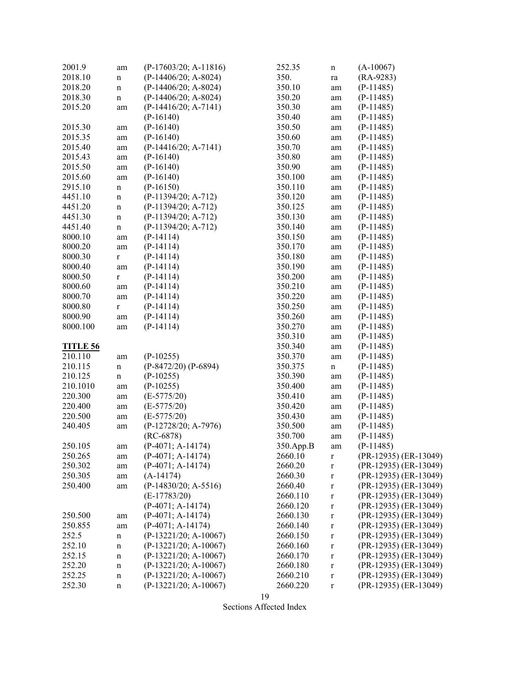| 2001.9          | am           | $(P-17603/20; A-11816)$ | 252.35    | n           | $(A-10067)$             |
|-----------------|--------------|-------------------------|-----------|-------------|-------------------------|
| 2018.10         | n            | $(P-14406/20; A-8024)$  | 350.      | ra          | $(RA-9283)$             |
| 2018.20         | n            | $(P-14406/20; A-8024)$  | 350.10    | am          | $(P-11485)$             |
| 2018.30         | n            | $(P-14406/20; A-8024)$  | 350.20    | am          | $(P-11485)$             |
| 2015.20         | am           | $(P-14416/20; A-7141)$  | 350.30    | am          | $(P-11485)$             |
|                 |              | $(P-16140)$             | 350.40    | am          | $(P-11485)$             |
| 2015.30         | am           | $(P-16140)$             | 350.50    | am          | $(P-11485)$             |
| 2015.35         | am           | $(P-16140)$             | 350.60    | am          | $(P-11485)$             |
| 2015.40         | am           | $(P-14416/20; A-7141)$  | 350.70    | am          | $(P-11485)$             |
| 2015.43         | am           | $(P-16140)$             | 350.80    | am          | $(P-11485)$             |
| 2015.50         |              | $(P-16140)$             | 350.90    | am          | $(P-11485)$             |
| 2015.60         | am           | $(P-16140)$             | 350.100   |             | $(P-11485)$             |
| 2915.10         | am           | $(P-16150)$             | 350.110   | am          | $(P-11485)$             |
|                 | $\mathbf n$  |                         |           | am          |                         |
| 4451.10         | $\mathbf n$  | (P-11394/20; A-712)     | 350.120   | am          | $(P-11485)$             |
| 4451.20         | $\mathbf n$  | $(P-11394/20; A-712)$   | 350.125   | am          | $(P-11485)$             |
| 4451.30         | $\mathbf n$  | $(P-11394/20; A-712)$   | 350.130   | am          | $(P-11485)$             |
| 4451.40         | $\mathbf n$  | $(P-11394/20; A-712)$   | 350.140   | am          | $(P-11485)$             |
| 8000.10         | am           | $(P-14114)$             | 350.150   | am          | $(P-11485)$             |
| 8000.20         | am           | $(P-14114)$             | 350.170   | am          | $(P-11485)$             |
| 8000.30         | $\mathbf r$  | $(P-14114)$             | 350.180   | am          | $(P-11485)$             |
| 8000.40         | am           | $(P-14114)$             | 350.190   | am          | $(P-11485)$             |
| 8000.50         | $\mathbf r$  | $(P-14114)$             | 350.200   | am          | $(P-11485)$             |
| 8000.60         | am           | $(P-14114)$             | 350.210   | am          | $(P-11485)$             |
| 8000.70         | am           | $(P-14114)$             | 350.220   | am          | $(P-11485)$             |
| 8000.80         | $\mathbf{r}$ | $(P-14114)$             | 350.250   | am          | $(P-11485)$             |
| 8000.90         | am           | $(P-14114)$             | 350.260   | am          | $(P-11485)$             |
| 8000.100        | am           | $(P-14114)$             | 350.270   | am          | $(P-11485)$             |
|                 |              |                         | 350.310   | am          | $(P-11485)$             |
| <b>TITLE 56</b> |              |                         | 350.340   | am          | $(P-11485)$             |
| 210.110         | am           | $(P-10255)$             | 350.370   | am          | $(P-11485)$             |
| 210.115         | $\mathbf n$  | $(P-8472/20) (P-6894)$  | 350.375   | $\mathbf n$ | $(P-11485)$             |
| 210.125         | $\mathbf n$  | $(P-10255)$             | 350.390   | am          | $(P-11485)$             |
| 210.1010        | am           | $(P-10255)$             | 350.400   | am          | $(P-11485)$             |
| 220.300         | am           | $(E-5775/20)$           | 350.410   | am          | $(P-11485)$             |
| 220.400         | am           | $(E-5775/20)$           | 350.420   | am          | $(P-11485)$             |
| 220.500         | am           | $(E-5775/20)$           | 350.430   | am          | $(P-11485)$             |
| 240.405         | am           | $(P-12728/20; A-7976)$  | 350.500   | am          | $(P-11485)$             |
|                 |              | $(RC-6878)$             | 350.700   | am          | $(P-11485)$             |
| 250.105         | am           | $(P-4071; A-14174)$     | 350.App.B | am          | $(P-11485)$             |
| 250.265         | am           | $(P-4071; A-14174)$     | 2660.10   | $\mathbf r$ | $(PR-12935)$ (ER-13049) |
| 250.302         |              | $(P-4071; A-14174)$     | 2660.20   | $\mathbf r$ | (PR-12935) (ER-13049)   |
| 250.305         | am           | $(A-14174)$             | 2660.30   |             | (PR-12935) (ER-13049)   |
|                 | am           |                         |           | $\mathbf r$ |                         |
| 250.400         | am           | $(P-14830/20; A-5516)$  | 2660.40   | $\mathbf r$ | $(PR-12935)$ (ER-13049) |
|                 |              | $(E-17783/20)$          | 2660.110  | $\mathbf r$ | (PR-12935) (ER-13049)   |
|                 |              | $(P-4071; A-14174)$     | 2660.120  | $\mathbf r$ | (PR-12935) (ER-13049)   |
| 250.500         | am           | $(P-4071; A-14174)$     | 2660.130  | $\mathbf r$ | (PR-12935) (ER-13049)   |
| 250.855         | am           | $(P-4071; A-14174)$     | 2660.140  | $\mathbf r$ | (PR-12935) (ER-13049)   |
| 252.5           | $\mathbf n$  | (P-13221/20; A-10067)   | 2660.150  | $\mathbf r$ | (PR-12935) (ER-13049)   |
| 252.10          | n            | $(P-13221/20; A-10067)$ | 2660.160  | $\mathbf r$ | (PR-12935) (ER-13049)   |
| 252.15          | $\mathbf n$  | $(P-13221/20; A-10067)$ | 2660.170  | $\mathbf r$ | (PR-12935) (ER-13049)   |
| 252.20          | n            | $(P-13221/20; A-10067)$ | 2660.180  | $\mathbf r$ | (PR-12935) (ER-13049)   |
| 252.25          | n            | $(P-13221/20; A-10067)$ | 2660.210  | $\mathbf r$ | (PR-12935) (ER-13049)   |
| 252.30          | $\mathbf n$  | $(P-13221/20; A-10067)$ | 2660.220  | $\mathbf r$ | (PR-12935) (ER-13049)   |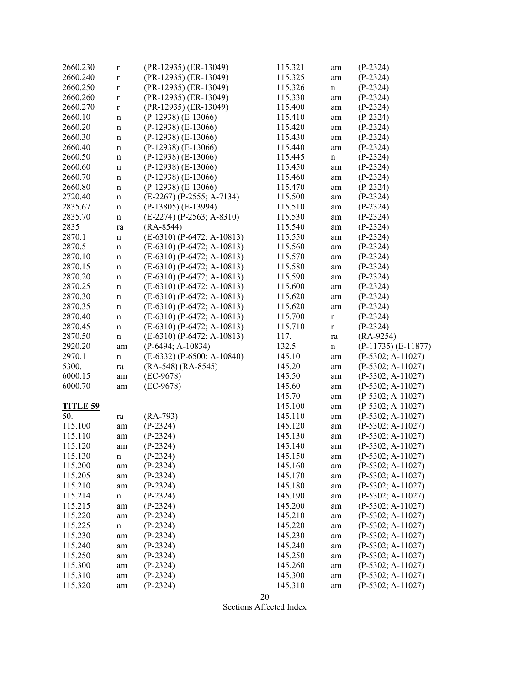| 2660.230        | $\bf r$     | (PR-12935) (ER-13049)        | 115.321 | am           | $(P-2324)$              |
|-----------------|-------------|------------------------------|---------|--------------|-------------------------|
| 2660.240        | $\mathbf r$ | (PR-12935) (ER-13049)        | 115.325 | am           | $(P-2324)$              |
| 2660.250        | $\mathbf r$ | (PR-12935) (ER-13049)        | 115.326 | $\mathbf n$  | $(P-2324)$              |
| 2660.260        | $\mathbf r$ | (PR-12935) (ER-13049)        | 115.330 | am           | $(P-2324)$              |
| 2660.270        | $\mathbf r$ | (PR-12935) (ER-13049)        | 115.400 | am           | $(P-2324)$              |
| 2660.10         | $\mathbf n$ | $(P-12938)$ $(E-13066)$      | 115.410 | am           | $(P-2324)$              |
| 2660.20         | $\mathbf n$ | $(P-12938)$ $(E-13066)$      | 115.420 | am           | $(P-2324)$              |
| 2660.30         | $\mathbf n$ | $(P-12938)$ $(E-13066)$      | 115.430 | am           | $(P-2324)$              |
| 2660.40         | $\mathbf n$ | $(P-12938)$ $(E-13066)$      | 115.440 | am           | $(P-2324)$              |
| 2660.50         | $\mathbf n$ | $(P-12938)$ $(E-13066)$      | 115.445 | $\mathbf n$  | $(P-2324)$              |
| 2660.60         | $\mathbf n$ | $(P-12938)$ $(E-13066)$      | 115.450 | am           | $(P-2324)$              |
| 2660.70         | $\mathbf n$ | $(P-12938)$ $(E-13066)$      | 115.460 | am           | $(P-2324)$              |
| 2660.80         | $\mathbf n$ | $(P-12938)$ $(E-13066)$      | 115.470 | am           | $(P-2324)$              |
| 2720.40         | $\mathbf n$ | (E-2267) (P-2555; A-7134)    | 115.500 | am           | $(P-2324)$              |
| 2835.67         | $\mathbf n$ | $(P-13805)$ $(E-13994)$      | 115.510 | am           | $(P-2324)$              |
| 2835.70         | $\mathbf n$ | $(E-2274)$ (P-2563; A-8310)  | 115.530 | am           | $(P-2324)$              |
| 2835            |             | $(RA-8544)$                  | 115.540 |              | $(P-2324)$              |
| 2870.1          | ra          | $(E-6310)$ (P-6472; A-10813) |         | am           |                         |
|                 | $\mathbf n$ |                              | 115.550 | am           | $(P-2324)$              |
| 2870.5          | $\mathbf n$ | $(E-6310)$ (P-6472; A-10813) | 115.560 | am           | $(P-2324)$              |
| 2870.10         | $\mathbf n$ | $(E-6310)$ (P-6472; A-10813) | 115.570 | am           | $(P-2324)$              |
| 2870.15         | $\mathbf n$ | $(E-6310)$ (P-6472; A-10813) | 115.580 | am           | $(P-2324)$              |
| 2870.20         | $\mathbf n$ | $(E-6310)$ (P-6472; A-10813) | 115.590 | am           | $(P-2324)$              |
| 2870.25         | $\mathbf n$ | $(E-6310)$ (P-6472; A-10813) | 115.600 | am           | $(P-2324)$              |
| 2870.30         | $\mathbf n$ | $(E-6310)$ (P-6472; A-10813) | 115.620 | am           | $(P-2324)$              |
| 2870.35         | $\mathbf n$ | $(E-6310)$ (P-6472; A-10813) | 115.620 | am           | $(P-2324)$              |
| 2870.40         | $\mathbf n$ | $(E-6310)$ (P-6472; A-10813) | 115.700 | $\mathbf r$  | $(P-2324)$              |
| 2870.45         | $\mathbf n$ | $(E-6310)$ (P-6472; A-10813) | 115.710 | $\mathbf r$  | $(P-2324)$              |
| 2870.50         | $\mathbf n$ | $(E-6310)$ (P-6472; A-10813) | 117.    | ra           | $(RA-9254)$             |
| 2920.20         | am          | $(P-6494; A-10834)$          | 132.5   | $\mathbf n$  | $(P-11735)$ $(E-11877)$ |
| 2970.1          | $\mathbf n$ | $(E-6332)$ (P-6500; A-10840) | 145.10  | am           | $(P-5302; A-11027)$     |
| 5300.           | ra          | $(RA-548) (RA-8545)$         | 145.20  | am           | $(P-5302; A-11027)$     |
| 6000.15         | am          | $(EC-9678)$                  | 145.50  | am           | $(P-5302; A-11027)$     |
| 6000.70         | am          | $(EC-9678)$                  | 145.60  | am           | $(P-5302; A-11027)$     |
|                 |             |                              | 145.70  | am           | $(P-5302; A-11027)$     |
| <b>TITLE 59</b> |             |                              | 145.100 | am           | $(P-5302; A-11027)$     |
| 50.             | ra          | $(RA-793)$                   | 145.110 | am           | $(P-5302; A-11027)$     |
| 115.100         | am          | $(P-2324)$                   | 145.120 | am           | $(P-5302; A-11027)$     |
| 115.110         | am          | $(P-2324)$                   | 145.130 | am           | $(P-5302; A-11027)$     |
| 115.120         | am          | $(P-2324)$                   | 145.140 | am           | $(P-5302; A-11027)$     |
| 115.130         | $\mathbf n$ | $(P-2324)$                   | 145.150 | am           | $(P-5302; A-11027)$     |
| 115.200         | am          | $(P-2324)$                   | 145.160 | am           | $(P-5302; A-11027)$     |
| 115.205         | am          | $(P-2324)$                   | 145.170 | am           | $(P-5302; A-11027)$     |
| 115.210         | am          | $(P-2324)$                   | 145.180 | am           | $(P-5302; A-11027)$     |
| 115.214         | $\mathbf n$ | $(P-2324)$                   | 145.190 | am           | $(P-5302; A-11027)$     |
| 115.215         | am          | $(P-2324)$                   | 145.200 | am           | $(P-5302; A-11027)$     |
| 115.220         | am          | $(P-2324)$                   | 145.210 | $\;{\rm am}$ | $(P-5302; A-11027)$     |
| 115.225         | $\mathbf n$ | $(P-2324)$                   | 145.220 | am           | $(P-5302; A-11027)$     |
| 115.230         | am          | $(P-2324)$                   | 145.230 | am           | $(P-5302; A-11027)$     |
| 115.240         | am          | $(P-2324)$                   | 145.240 | am           | $(P-5302; A-11027)$     |
| 115.250         | am          | $(P-2324)$                   | 145.250 | am           | $(P-5302; A-11027)$     |
| 115.300         | am          | $(P-2324)$                   | 145.260 | am           | $(P-5302; A-11027)$     |
| 115.310         | am          | $(P-2324)$                   | 145.300 | am           | $(P-5302; A-11027)$     |
| 115.320         | am          | $(P-2324)$                   | 145.310 | am           | $(P-5302; A-11027)$     |
|                 |             |                              |         |              |                         |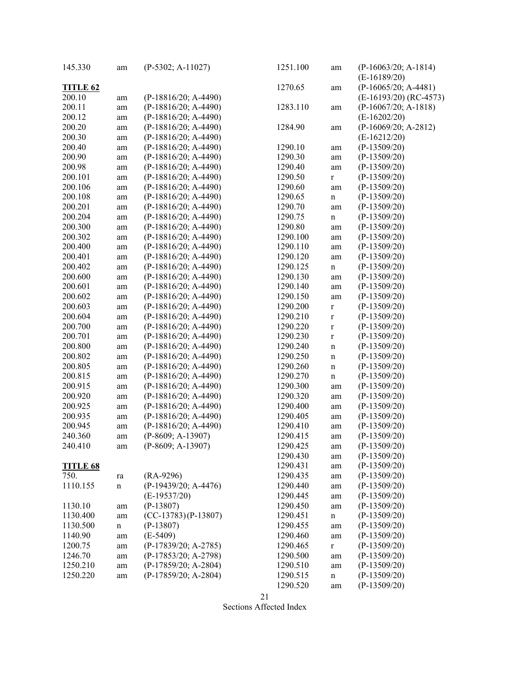| 145.330         | am          | $(P-5302; A-11027)$                   | 1251.100 | am          | $(P-16063/20; A-1814)$   |
|-----------------|-------------|---------------------------------------|----------|-------------|--------------------------|
|                 |             |                                       |          |             | $(E-16189/20)$           |
| <b>TITLE 62</b> |             |                                       | 1270.65  | am          | $(P-16065/20; A-4481)$   |
| 200.10          | am          | $(P-18816/20; A-4490)$                |          |             | $(E-16193/20)$ (RC-4573) |
| 200.11          | am          | $(P-18816/20; A-4490)$                | 1283.110 | am          | $(P-16067/20; A-1818)$   |
| 200.12          | am          | $(P-18816/20; A-4490)$                |          |             | $(E-16202/20)$           |
| 200.20          | am          | $(P-18816/20; A-4490)$                | 1284.90  | am          | $(P-16069/20; A-2812)$   |
| 200.30          | am          | $(P-18816/20; A-4490)$                |          |             | $(E-16212/20)$           |
| 200.40          | am          | $(P-18816/20; A-4490)$                | 1290.10  | am          | $(P-13509/20)$           |
| 200.90          | am          | $(P-18816/20; A-4490)$                | 1290.30  | am          | $(P-13509/20)$           |
| 200.98          | am          | $(P-18816/20; A-4490)$                | 1290.40  | am          | $(P-13509/20)$           |
| 200.101         |             | $(P-18816/20; A-4490)$                | 1290.50  |             | $(P-13509/20)$           |
| 200.106         | am          | $(P-18816/20; A-4490)$                | 1290.60  | $\mathbf r$ | $(P-13509/20)$           |
|                 | am          |                                       |          | am          |                          |
| 200.108         | am          | $(P-18816/20; A-4490)$                | 1290.65  | $\mathbf n$ | $(P-13509/20)$           |
| 200.201         | am          | $(P-18816/20; A-4490)$                | 1290.70  | am          | $(P-13509/20)$           |
| 200.204         | am          | $(P-18816/20; A-4490)$                | 1290.75  | $\mathbf n$ | $(P-13509/20)$           |
| 200.300         | am          | $(P-18816/20; A-4490)$                | 1290.80  | am          | $(P-13509/20)$           |
| 200.302         | am          | $(P-18816/20; A-4490)$                | 1290.100 | am          | $(P-13509/20)$           |
| 200.400         | am          | $(P-18816/20; A-4490)$                | 1290.110 | am          | $(P-13509/20)$           |
| 200.401         | am          | $(P-18816/20; A-4490)$                | 1290.120 | am          | $(P-13509/20)$           |
| 200.402         | am          | $(P-18816/20; A-4490)$                | 1290.125 | $\mathbf n$ | $(P-13509/20)$           |
| 200.600         | am          | $(P-18816/20; A-4490)$                | 1290.130 | am          | $(P-13509/20)$           |
| 200.601         | am          | $(P-18816/20; A-4490)$                | 1290.140 | am          | $(P-13509/20)$           |
| 200.602         | am          | $(P-18816/20; A-4490)$                | 1290.150 | am          | $(P-13509/20)$           |
| 200.603         | am          | $(P-18816/20; A-4490)$                | 1290.200 | $\mathbf r$ | $(P-13509/20)$           |
| 200.604         | am          | $(P-18816/20; A-4490)$                | 1290.210 | $\mathbf r$ | $(P-13509/20)$           |
| 200.700         | am          | $(P-18816/20; A-4490)$                | 1290.220 | $\mathbf r$ | $(P-13509/20)$           |
| 200.701         | am          | $(P-18816/20; A-4490)$                | 1290.230 | $\mathbf r$ | $(P-13509/20)$           |
| 200.800         | am          | (P-18816/20; A-4490)                  | 1290.240 | $\mathbf n$ | $(P-13509/20)$           |
| 200.802         | am          | $(P-18816/20; A-4490)$                | 1290.250 | $\mathbf n$ | $(P-13509/20)$           |
| 200.805         | am          | $(P-18816/20; A-4490)$                | 1290.260 | $\mathbf n$ | $(P-13509/20)$           |
| 200.815         | am          | $(P-18816/20; A-4490)$                | 1290.270 | $\mathbf n$ | $(P-13509/20)$           |
| 200.915         | am          | $(P-18816/20; A-4490)$                | 1290.300 | am          | $(P-13509/20)$           |
| 200.920         | am          | $(P-18816/20; A-4490)$                | 1290.320 | am          | $(P-13509/20)$           |
| 200.925         | am          | $(P-18816/20; A-4490)$                | 1290.400 | am          | $(P-13509/20)$           |
| 200.935         | am          | $(P-18816/20; A-4490)$                | 1290.405 | am          | $(P-13509/20)$           |
| 200.945         | am          | $(P-18816/20; A-4490)$                | 1290.410 | am          | $(P-13509/20)$           |
| 240.360         | am          | $(P-8609; A-13907)$                   | 1290.415 | am          | $(P-13509/20)$           |
| 240.410         |             | $(P-8609; A-13907)$                   | 1290.425 |             | $(P-13509/20)$           |
|                 | am          |                                       | 1290.430 | am          | $(P-13509/20)$           |
| <b>TITLE 68</b> |             |                                       | 1290.431 | am          | $(P-13509/20)$           |
|                 |             |                                       |          | am          |                          |
| 750.            | ra          | $(RA-9296)$<br>$(P-19439/20; A-4476)$ | 1290.435 | am          | $(P-13509/20)$           |
| 1110.155        | $\mathbf n$ |                                       | 1290.440 | am          | $(P-13509/20)$           |
|                 |             | $(E-19537/20)$                        | 1290.445 | am          | $(P-13509/20)$           |
| 1130.10         | am          | $(P-13807)$                           | 1290.450 | $\rm am$    | $(P-13509/20)$           |
| 1130.400        | am          | $(CC-13783)(P-13807)$                 | 1290.451 | $\mathbf n$ | $(P-13509/20)$           |
| 1130.500        | n           | $(P-13807)$                           | 1290.455 | am          | $(P-13509/20)$           |
| 1140.90         | am          | $(E-5409)$                            | 1290.460 | am          | $(P-13509/20)$           |
| 1200.75         | am          | $(P-17839/20; A-2785)$                | 1290.465 | $\mathbf r$ | $(P-13509/20)$           |
| 1246.70         | am          | $(P-17853/20; A-2798)$                | 1290.500 | am          | $(P-13509/20)$           |
| 1250.210        | am          | $(P-17859/20; A-2804)$                | 1290.510 | am          | $(P-13509/20)$           |
| 1250.220        | am          | $(P-17859/20; A-2804)$                | 1290.515 | n           | $(P-13509/20)$           |
|                 |             |                                       | 1290.520 | am          | $(P-13509/20)$           |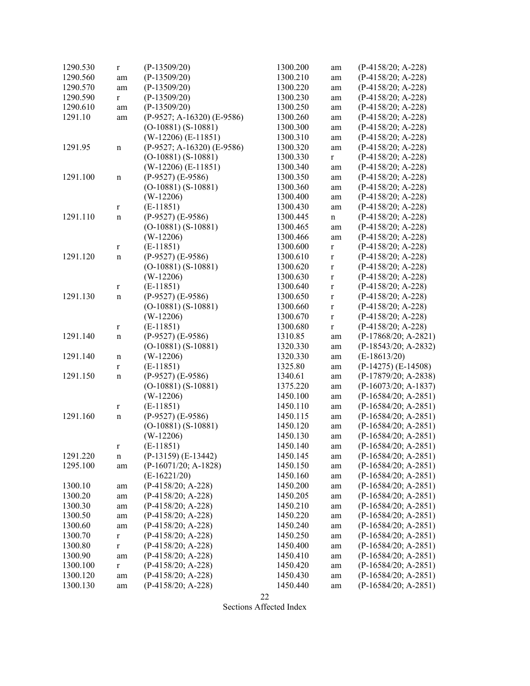| 1290.530 | $\mathbf r$  | $(P-13509/20)$             | 1300.200 | am          | $(P-4158/20; A-228)$    |
|----------|--------------|----------------------------|----------|-------------|-------------------------|
| 1290.560 | am           | $(P-13509/20)$             | 1300.210 | am          | $(P-4158/20; A-228)$    |
| 1290.570 | am           | $(P-13509/20)$             | 1300.220 | am          | $(P-4158/20; A-228)$    |
| 1290.590 | $\mathbf{r}$ | $(P-13509/20)$             | 1300.230 | am          | $(P-4158/20; A-228)$    |
| 1290.610 | am           | $(P-13509/20)$             | 1300.250 | am          | $(P-4158/20; A-228)$    |
| 1291.10  | am           | (P-9527; A-16320) (E-9586) | 1300.260 | am          | $(P-4158/20; A-228)$    |
|          |              | $(O-10881) (S-10881)$      | 1300.300 | am          | $(P-4158/20; A-228)$    |
|          |              | $(W-12206)$ (E-11851)      | 1300.310 | am          | $(P-4158/20; A-228)$    |
| 1291.95  | $\mathbf n$  | (P-9527; A-16320) (E-9586) | 1300.320 | am          | $(P-4158/20; A-228)$    |
|          |              | $(O-10881) (S-10881)$      | 1300.330 | r           | $(P-4158/20; A-228)$    |
|          |              | $(W-12206)$ (E-11851)      | 1300.340 |             | $(P-4158/20; A-228)$    |
|          |              |                            |          | am          |                         |
| 1291.100 | $\mathbf n$  | $(P-9527)$ (E-9586)        | 1300.350 | am          | $(P-4158/20; A-228)$    |
|          |              | $(O-10881) (S-10881)$      | 1300.360 | am          | $(P-4158/20; A-228)$    |
|          |              | $(W-12206)$                | 1300.400 | am          | $(P-4158/20; A-228)$    |
|          | r            | $(E-11851)$                | 1300.430 | am          | $(P-4158/20; A-228)$    |
| 1291.110 | $\mathbf n$  | $(P-9527)$ (E-9586)        | 1300.445 | n           | $(P-4158/20; A-228)$    |
|          |              | $(O-10881) (S-10881)$      | 1300.465 | am          | $(P-4158/20; A-228)$    |
|          |              | $(W-12206)$                | 1300.466 | am          | $(P-4158/20; A-228)$    |
|          | r            | $(E-11851)$                | 1300.600 | r           | $(P-4158/20; A-228)$    |
| 1291.120 | $\mathbf n$  | $(P-9527)$ $(E-9586)$      | 1300.610 | $\mathbf r$ | $(P-4158/20; A-228)$    |
|          |              | $(O-10881) (S-10881)$      | 1300.620 | $\mathbf r$ | $(P-4158/20; A-228)$    |
|          |              | $(W-12206)$                | 1300.630 | $\mathbf r$ | $(P-4158/20; A-228)$    |
|          | r            | $(E-11851)$                | 1300.640 | $\mathbf r$ | $(P-4158/20; A-228)$    |
| 1291.130 | n            | $(P-9527)$ (E-9586)        | 1300.650 | $\mathbf r$ | $(P-4158/20; A-228)$    |
|          |              | $(O-10881) (S-10881)$      | 1300.660 | $\mathbf r$ | $(P-4158/20; A-228)$    |
|          |              | $(W-12206)$                | 1300.670 | $\mathbf r$ | $(P-4158/20; A-228)$    |
|          | r            | $(E-11851)$                | 1300.680 | $\mathbf r$ | $(P-4158/20; A-228)$    |
| 1291.140 | n            | $(P-9527)$ (E-9586)        | 1310.85  | am          | $(P-17868/20; A-2821)$  |
|          |              | $(O-10881) (S-10881)$      | 1320.330 | am          | $(P-18543/20; A-2832)$  |
| 1291.140 | n            | $(W-12206)$                | 1320.330 | am          | $(E-18613/20)$          |
|          | r            | $(E-11851)$                | 1325.80  | am          | $(P-14275)$ $(E-14508)$ |
| 1291.150 | $\mathbf n$  | $(P-9527)$ $(E-9586)$      | 1340.61  | am          | (P-17879/20; A-2838)    |
|          |              | $(O-10881) (S-10881)$      | 1375.220 |             | $(P-16073/20; A-1837)$  |
|          |              |                            | 1450.100 | am          | $(P-16584/20; A-2851)$  |
|          |              | $(W-12206)$<br>$(E-11851)$ | 1450.110 | am          |                         |
|          | r            |                            |          | am          | $(P-16584/20; A-2851)$  |
| 1291.160 | n            | $(P-9527)$ (E-9586)        | 1450.115 | am          | $(P-16584/20; A-2851)$  |
|          |              | $(O-10881) (S-10881)$      | 1450.120 | am          | $(P-16584/20; A-2851)$  |
|          |              | $(W-12206)$                | 1450.130 | am          | $(P-16584/20; A-2851)$  |
|          | r            | $(E-11851)$                | 1450.140 | am          | $(P-16584/20; A-2851)$  |
| 1291.220 | $\mathbf n$  | $(P-13159)$ $(E-13442)$    | 1450.145 | am          | $(P-16584/20; A-2851)$  |
| 1295.100 | am           | $(P-16071/20; A-1828)$     | 1450.150 | am          | $(P-16584/20; A-2851)$  |
|          |              | $(E-16221/20)$             | 1450.160 | am          | $(P-16584/20; A-2851)$  |
| 1300.10  | am           | $(P-4158/20; A-228)$       | 1450.200 | am          | $(P-16584/20; A-2851)$  |
| 1300.20  | am           | $(P-4158/20; A-228)$       | 1450.205 | am          | $(P-16584/20; A-2851)$  |
| 1300.30  | am           | $(P-4158/20; A-228)$       | 1450.210 | am          | $(P-16584/20; A-2851)$  |
| 1300.50  | am           | $(P-4158/20; A-228)$       | 1450.220 | am          | $(P-16584/20; A-2851)$  |
| 1300.60  | am           | $(P-4158/20; A-228)$       | 1450.240 | am          | $(P-16584/20; A-2851)$  |
| 1300.70  | $\mathbf r$  | $(P-4158/20; A-228)$       | 1450.250 | am          | $(P-16584/20; A-2851)$  |
| 1300.80  | r            | $(P-4158/20; A-228)$       | 1450.400 | am          | $(P-16584/20; A-2851)$  |
| 1300.90  | am           | $(P-4158/20; A-228)$       | 1450.410 | am          | $(P-16584/20; A-2851)$  |
| 1300.100 | $\mathbf{r}$ | $(P-4158/20; A-228)$       | 1450.420 | am          | $(P-16584/20; A-2851)$  |
| 1300.120 | am           | $(P-4158/20; A-228)$       | 1450.430 | am          | $(P-16584/20; A-2851)$  |
| 1300.130 | am           | $(P-4158/20; A-228)$       | 1450.440 | am          | $(P-16584/20; A-2851)$  |
|          |              |                            |          |             |                         |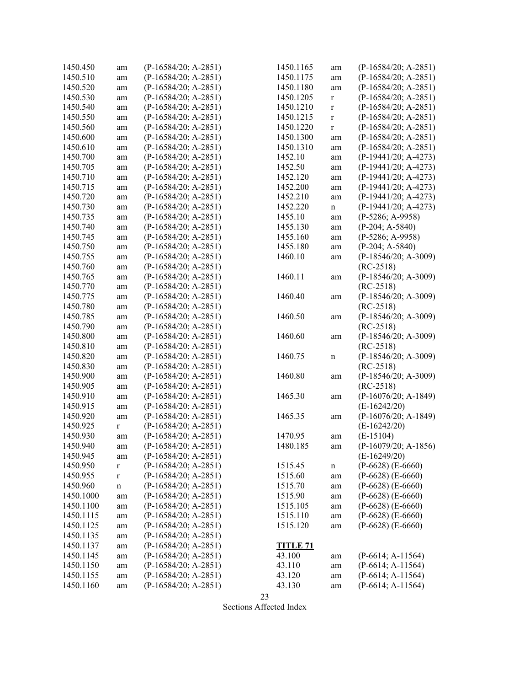| 1450.450  | am          | $(P-16584/20; A-2851)$ | 1450.1165                 | am          | $(P-16584/20; A-2851)$ |
|-----------|-------------|------------------------|---------------------------|-------------|------------------------|
| 1450.510  | am          | $(P-16584/20; A-2851)$ | 1450.1175                 | am          | $(P-16584/20; A-2851)$ |
| 1450.520  | am          | $(P-16584/20; A-2851)$ | 1450.1180                 | am          | $(P-16584/20; A-2851)$ |
| 1450.530  | am          | $(P-16584/20; A-2851)$ | 1450.1205                 | $\mathbf r$ | $(P-16584/20; A-2851)$ |
| 1450.540  | am          | $(P-16584/20; A-2851)$ | 1450.1210                 | $\mathbf r$ | $(P-16584/20; A-2851)$ |
| 1450.550  | am          | $(P-16584/20; A-2851)$ | 1450.1215                 | $\mathbf r$ | $(P-16584/20; A-2851)$ |
| 1450.560  | am          | $(P-16584/20; A-2851)$ | 1450.1220                 | $\mathbf r$ | $(P-16584/20; A-2851)$ |
| 1450.600  | am          | $(P-16584/20; A-2851)$ | 1450.1300                 | am          | $(P-16584/20; A-2851)$ |
| 1450.610  | am          | $(P-16584/20; A-2851)$ | 1450.1310                 | am          | $(P-16584/20; A-2851)$ |
| 1450.700  | am          | $(P-16584/20; A-2851)$ | 1452.10                   | am          | $(P-19441/20; A-4273)$ |
| 1450.705  | am          | $(P-16584/20; A-2851)$ | 1452.50                   | am          | $(P-19441/20; A-4273)$ |
| 1450.710  | am          | $(P-16584/20; A-2851)$ | 1452.120                  | am          | $(P-19441/20; A-4273)$ |
| 1450.715  | am          | $(P-16584/20; A-2851)$ | 1452.200                  | am          | $(P-19441/20; A-4273)$ |
| 1450.720  |             | $(P-16584/20; A-2851)$ | 1452.210                  |             | $(P-19441/20; A-4273)$ |
|           | am          | $(P-16584/20; A-2851)$ |                           | am          | $(P-19441/20; A-4273)$ |
| 1450.730  | am          |                        | 1452.220                  | n           |                        |
| 1450.735  | am          | $(P-16584/20; A-2851)$ | 1455.10                   | am          | $(P-5286; A-9958)$     |
| 1450.740  | am          | $(P-16584/20; A-2851)$ | 1455.130                  | am          | $(P-204; A-5840)$      |
| 1450.745  | am          | (P-16584/20; A-2851)   | 1455.160                  | am          | $(P-5286; A-9958)$     |
| 1450.750  | am          | $(P-16584/20; A-2851)$ | 1455.180                  | am          | $(P-204; A-5840)$      |
| 1450.755  | am          | $(P-16584/20; A-2851)$ | 1460.10                   | am          | $(P-18546/20; A-3009)$ |
| 1450.760  | am          | $(P-16584/20; A-2851)$ |                           |             | $(RC-2518)$            |
| 1450.765  | am          | $(P-16584/20; A-2851)$ | 1460.11                   | am          | $(P-18546/20; A-3009)$ |
| 1450.770  | am          | $(P-16584/20; A-2851)$ |                           |             | $(RC-2518)$            |
| 1450.775  | am          | $(P-16584/20; A-2851)$ | 1460.40                   | am          | $(P-18546/20; A-3009)$ |
| 1450.780  | am          | $(P-16584/20; A-2851)$ |                           |             | $(RC-2518)$            |
| 1450.785  | am          | $(P-16584/20; A-2851)$ | 1460.50                   | am          | $(P-18546/20; A-3009)$ |
| 1450.790  | am          | $(P-16584/20; A-2851)$ |                           |             | $(RC-2518)$            |
| 1450.800  | am          | $(P-16584/20; A-2851)$ | 1460.60                   | am          | $(P-18546/20; A-3009)$ |
| 1450.810  | am          | $(P-16584/20; A-2851)$ |                           |             | $(RC-2518)$            |
| 1450.820  | am          | $(P-16584/20; A-2851)$ | 1460.75                   | n           | $(P-18546/20; A-3009)$ |
| 1450.830  | am          | $(P-16584/20; A-2851)$ |                           |             | $(RC-2518)$            |
| 1450.900  | am          | $(P-16584/20; A-2851)$ | 1460.80                   | am          | $(P-18546/20; A-3009)$ |
| 1450.905  | am          | $(P-16584/20; A-2851)$ |                           |             | $(RC-2518)$            |
| 1450.910  | am          | $(P-16584/20; A-2851)$ | 1465.30                   | am          | $(P-16076/20; A-1849)$ |
| 1450.915  | am          | $(P-16584/20; A-2851)$ |                           |             | $(E-16242/20)$         |
| 1450.920  | am          | $(P-16584/20; A-2851)$ | 1465.35                   | am          | $(P-16076/20; A-1849)$ |
| 1450.925  | $\mathbf r$ | $(P-16584/20; A-2851)$ |                           |             | $(E-16242/20)$         |
| 1450.930  | am          | $(P-16584/20; A-2851)$ | 1470.95                   | am          | $(E-15104)$            |
| 1450.940  | am          | $(P-16584/20; A-2851)$ | 1480.185                  | am          | (P-16079/20; A-1856)   |
| 1450.945  | am          | $(P-16584/20; A-2851)$ |                           |             | $(E-16249/20)$         |
| 1450.950  | $\mathbf r$ | $(P-16584/20; A-2851)$ | 1515.45                   | $\mathbf n$ | $(P-6628)$ $(E-6660)$  |
| 1450.955  | $\mathbf r$ | $(P-16584/20; A-2851)$ | 1515.60                   | am          | $(P-6628)$ $(E-6660)$  |
| 1450.960  | $\mathbf n$ | $(P-16584/20; A-2851)$ | 1515.70                   | am          | $(P-6628)$ $(E-6660)$  |
| 1450.1000 | am          | $(P-16584/20; A-2851)$ | 1515.90                   | am          | $(P-6628)$ $(E-6660)$  |
| 1450.1100 | am          | $(P-16584/20; A-2851)$ | 1515.105                  | am          | $(P-6628)$ $(E-6660)$  |
| 1450.1115 | am          | $(P-16584/20; A-2851)$ | 1515.110                  | am          | $(P-6628)$ $(E-6660)$  |
| 1450.1125 | am          | $(P-16584/20; A-2851)$ | 1515.120                  | am          | $(P-6628)$ $(E-6660)$  |
| 1450.1135 |             | $(P-16584/20; A-2851)$ |                           |             |                        |
| 1450.1137 | am          | $(P-16584/20; A-2851)$ |                           |             |                        |
| 1450.1145 | am          | $(P-16584/20; A-2851)$ | <u>TITLE 71</u><br>43.100 |             | $(P-6614; A-11564)$    |
|           | am          | $(P-16584/20; A-2851)$ |                           | am          | $(P-6614; A-11564)$    |
| 1450.1150 | am          |                        | 43.110                    | am          |                        |
| 1450.1155 | am          | $(P-16584/20; A-2851)$ | 43.120                    | am          | $(P-6614; A-11564)$    |
| 1450.1160 | am          | $(P-16584/20; A-2851)$ | 43.130                    | am          | $(P-6614; A-11564)$    |

23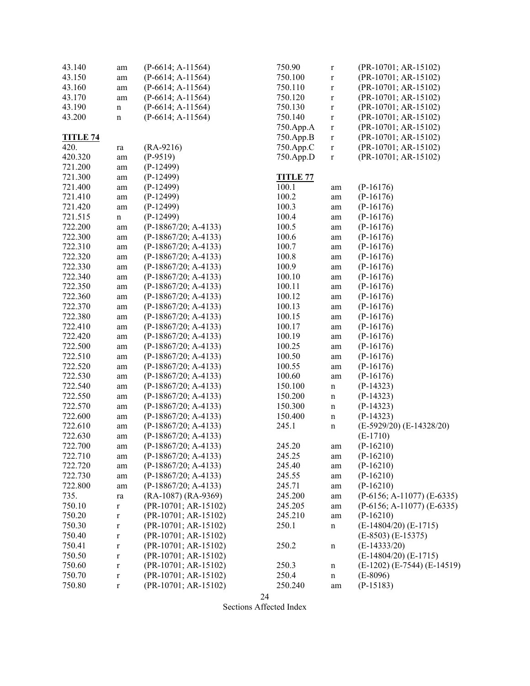| 43.140          | am          | $(P-6614; A-11564)$    | 750.90          | $\mathbf r$ | (PR-10701; AR-15102)              |
|-----------------|-------------|------------------------|-----------------|-------------|-----------------------------------|
| 43.150          | am          | $(P-6614; A-11564)$    | 750.100         | $\mathbf r$ | (PR-10701; AR-15102)              |
| 43.160          | am          | $(P-6614; A-11564)$    | 750.110         | $\mathbf r$ | (PR-10701; AR-15102)              |
| 43.170          | am          | $(P-6614; A-11564)$    | 750.120         | $\mathbf r$ | (PR-10701; AR-15102)              |
| 43.190          | $\mathbf n$ | $(P-6614; A-11564)$    | 750.130         | $\mathbf r$ | (PR-10701; AR-15102)              |
| 43.200          | $\mathbf n$ | $(P-6614; A-11564)$    | 750.140         | $\mathbf r$ | (PR-10701; AR-15102)              |
|                 |             |                        | 750.App.A       |             | (PR-10701; AR-15102)              |
| <b>TITLE 74</b> |             |                        | 750.App.B       | $\mathbf r$ | $(PR-10701; AR-15102)$            |
| 420.            |             | $(RA-9216)$            | 750.App.C       | $\mathbf r$ | $(PR-10701; AR-15102)$            |
| 420.320         | ra          | $(P-9519)$             |                 | $\mathbf r$ | (PR-10701; AR-15102)              |
|                 | am          |                        | 750.App.D       | $\mathbf r$ |                                   |
| 721.200         | am          | $(P-12499)$            |                 |             |                                   |
| 721.300         | am          | $(P-12499)$            | <b>TITLE 77</b> |             |                                   |
| 721.400         | am          | $(P-12499)$            | 100.1           | am          | $(P-16176)$                       |
| 721.410         | am          | $(P-12499)$            | 100.2           | am          | $(P-16176)$                       |
| 721.420         | am          | $(P-12499)$            | 100.3           | am          | $(P-16176)$                       |
| 721.515         | $\mathbf n$ | $(P-12499)$            | 100.4           | am          | $(P-16176)$                       |
| 722.200         | am          | (P-18867/20; A-4133)   | 100.5           | am          | $(P-16176)$                       |
| 722.300         | am          | $(P-18867/20; A-4133)$ | 100.6           | am          | $(P-16176)$                       |
| 722.310         | am          | $(P-18867/20; A-4133)$ | 100.7           | am          | $(P-16176)$                       |
| 722.320         | am          | $(P-18867/20; A-4133)$ | 100.8           | am          | $(P-16176)$                       |
| 722.330         | am          | $(P-18867/20; A-4133)$ | 100.9           | am          | $(P-16176)$                       |
| 722.340         | am          | $(P-18867/20; A-4133)$ | 100.10          | am          | $(P-16176)$                       |
| 722.350         | am          | $(P-18867/20; A-4133)$ | 100.11          | am          | $(P-16176)$                       |
| 722.360         | am          | $(P-18867/20; A-4133)$ | 100.12          | am          | $(P-16176)$                       |
| 722.370         | am          | (P-18867/20; A-4133)   | 100.13          | am          | $(P-16176)$                       |
| 722.380         | am          | $(P-18867/20; A-4133)$ | 100.15          | am          | $(P-16176)$                       |
| 722.410         | am          | $(P-18867/20; A-4133)$ | 100.17          | am          | $(P-16176)$                       |
| 722.420         | am          | $(P-18867/20; A-4133)$ | 100.19          | am          | $(P-16176)$                       |
| 722.500         | am          | $(P-18867/20; A-4133)$ | 100.25          | am          | $(P-16176)$                       |
| 722.510         | am          | $(P-18867/20; A-4133)$ | 100.50          | am          | $(P-16176)$                       |
| 722.520         | am          | $(P-18867/20; A-4133)$ | 100.55          | am          | $(P-16176)$                       |
| 722.530         | am          | $(P-18867/20; A-4133)$ | 100.60          | am          | $(P-16176)$                       |
| 722.540         | am          | (P-18867/20; A-4133)   | 150.100         | $\mathbf n$ | $(P-14323)$                       |
| 722.550         | am          | $(P-18867/20; A-4133)$ | 150.200         | $\mathbf n$ | $(P-14323)$                       |
| 722.570         | am          | (P-18867/20; A-4133)   | 150.300         | $\mathbf n$ | $(P-14323)$                       |
| 722.600         | am          | $(P-18867/20; A-4133)$ | 150.400         | $\mathbf n$ | $(P-14323)$                       |
| 722.610         | am          | $(P-18867/20; A-4133)$ | 245.1           | $\mathbf n$ | (E-5929/20) (E-14328/20)          |
| 722.630         | am          | $(P-18867/20; A-4133)$ |                 |             | $(E-1710)$                        |
| 722.700         |             | (P-18867/20; A-4133)   | 245.20          |             | $(P-16210)$                       |
| 722.710         | am          | $(P-18867/20; A-4133)$ | 245.25          | am          | $(P-16210)$                       |
| 722.720         | am          | $(P-18867/20; A-4133)$ | 245.40          | am          | $(P-16210)$                       |
|                 | am          |                        |                 | am          |                                   |
| 722.730         | am          | $(P-18867/20; A-4133)$ | 245.55          | am          | $(P-16210)$                       |
| 722.800         | am          | $(P-18867/20; A-4133)$ | 245.71          | am          | $(P-16210)$                       |
| 735.            | ra          | $(RA-1087) (RA-9369)$  | 245.200         | am          | $(P-6156; A-11077) (E-6335)$      |
| 750.10          | $\bf r$     | (PR-10701; AR-15102)   | 245.205         | $\rm am$    | $(P-6156; A-11077) (E-6335)$      |
| 750.20          | $\mathbf r$ | (PR-10701; AR-15102)   | 245.210         | am          | $(P-16210)$                       |
| 750.30          | $\mathbf r$ | (PR-10701; AR-15102)   | 250.1           | $\mathbf n$ | $(E-14804/20)$ $(E-1715)$         |
| 750.40          | $\mathbf r$ | (PR-10701; AR-15102)   |                 |             | $(E-8503) (E-15375)$              |
| 750.41          | $\mathbf r$ | (PR-10701; AR-15102)   | 250.2           | $\mathbf n$ | $(E-14333/20)$                    |
| 750.50          | $\mathbf r$ | (PR-10701; AR-15102)   |                 |             | $(E-14804/20)$ $(E-1715)$         |
| 750.60          | $\mathbf r$ | (PR-10701; AR-15102)   | 250.3           | $\mathbf n$ | $(E-1202)$ $(E-7544)$ $(E-14519)$ |
| 750.70          | $\mathbf r$ | (PR-10701; AR-15102)   | 250.4           | $\mathbf n$ | $(E-8096)$                        |
| 750.80          | $\mathbf r$ | (PR-10701; AR-15102)   | 250.240         | am          | $(P-15183)$                       |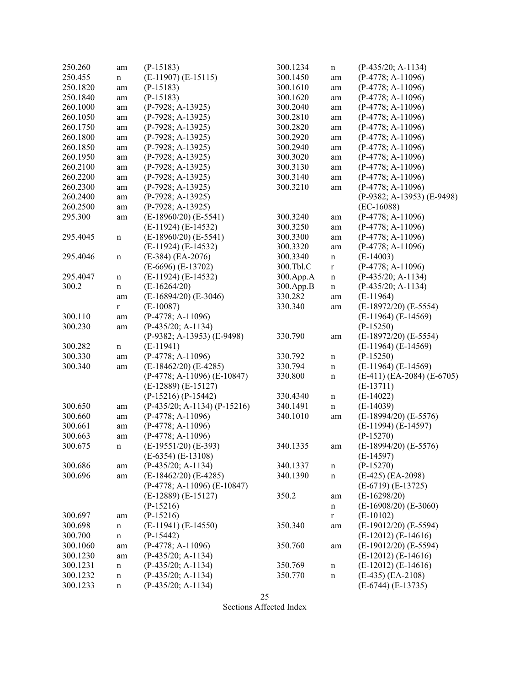| 250.260  | am          | $(P-15183)$                    | 300.1234  | $\mathbf n$ | $(P-435/20; A-1134)$       |
|----------|-------------|--------------------------------|-----------|-------------|----------------------------|
| 250.455  | $\mathbf n$ | $(E-11907) (E-15115)$          | 300.1450  | am          | $(P-4778; A-11096)$        |
| 250.1820 | am          | $(P-15183)$                    | 300.1610  | am          | $(P-4778; A-11096)$        |
| 250.1840 | am          | $(P-15183)$                    | 300.1620  | am          | $(P-4778; A-11096)$        |
| 260.1000 | am          | $(P-7928; A-13925)$            | 300.2040  | am          | $(P-4778; A-11096)$        |
| 260.1050 | am          | $(P-7928; A-13925)$            | 300.2810  | am          | $(P-4778; A-11096)$        |
| 260.1750 | am          | $(P-7928; A-13925)$            | 300.2820  | am          | $(P-4778; A-11096)$        |
| 260.1800 | am          | $(P-7928; A-13925)$            | 300.2920  | am          | $(P-4778; A-11096)$        |
| 260.1850 | am          | $(P-7928; A-13925)$            | 300.2940  | am          | $(P-4778; A-11096)$        |
| 260.1950 | am          | $(P-7928; A-13925)$            | 300.3020  | am          | $(P-4778; A-11096)$        |
| 260.2100 | am          | $(P-7928; A-13925)$            | 300.3130  | am          | $(P-4778; A-11096)$        |
| 260.2200 | am          | $(P-7928; A-13925)$            | 300.3140  | am          | $(P-4778; A-11096)$        |
| 260.2300 | am          | $(P-7928; A-13925)$            | 300.3210  | am          | $(P-4778; A-11096)$        |
| 260.2400 | am          | $(P-7928; A-13925)$            |           |             | (P-9382; A-13953) (E-9498) |
| 260.2500 | am          | $(P-7928; A-13925)$            |           |             | $(EC-16088)$               |
| 295.300  | am          | $(E-18960/20)$ $(E-5541)$      | 300.3240  | am          | $(P-4778; A-11096)$        |
|          |             | $(E-11924) (E-14532)$          | 300.3250  | am          | $(P-4778; A-11096)$        |
| 295.4045 | $\mathbf n$ | $(E-18960/20)$ $(E-5541)$      | 300.3300  | am          | $(P-4778; A-11096)$        |
|          |             | $(E-11924) (E-14532)$          | 300.3320  | am          | $(P-4778; A-11096)$        |
| 295.4046 | $\mathbf n$ | $(E-384)$ $(EA-2076)$          | 300.3340  | $\mathbf n$ | $(E-14003)$                |
|          |             | $(E-6696)$ $(E-13702)$         | 300.Tbl.C | $\mathbf r$ | $(P-4778; A-11096)$        |
| 295.4047 | $\mathbf n$ | $(E-11924) (E-14532)$          | 300.App.A | $\mathbf n$ | $(P-435/20; A-1134)$       |
| 300.2    | $\mathbf n$ | $(E-16264/20)$                 | 300.App.B | $\mathbf n$ | $(P-435/20; A-1134)$       |
|          | am          | $(E-16894/20)$ $(E-3046)$      | 330.282   | am          | $(E-11964)$                |
|          | $\mathbf r$ | $(E-10087)$                    | 330.340   | am          | $(E-18972/20)$ $(E-5554)$  |
| 300.110  | am          | $(P-4778; A-11096)$            |           |             | $(E-11964) (E-14569)$      |
| 300.230  | am          | $(P-435/20; A-1134)$           |           |             | $(P-15250)$                |
|          |             | (P-9382; A-13953) (E-9498)     | 330.790   | am          | $(E-18972/20)$ $(E-5554)$  |
| 300.282  | $\mathbf n$ | $(E-11941)$                    |           |             | $(E-11964) (E-14569)$      |
| 300.330  | am          | $(P-4778; A-11096)$            | 330.792   | $\mathbf n$ | $(P-15250)$                |
| 300.340  | am          | $(E-18462/20)$ $(E-4285)$      | 330.794   | $\mathbf n$ | $(E-11964) (E-14569)$      |
|          |             | $(P-4778; A-11096) (E-10847)$  | 330.800   | $\mathbf n$ | (E-411) (EA-2084) (E-6705) |
|          |             | $(E-12889) (E-15127)$          |           |             | $(E-13711)$                |
|          |             | $(P-15216) (P-15442)$          | 330.4340  | $\mathbf n$ | $(E-14022)$                |
| 300.650  | am          | $(P-435/20; A-1134) (P-15216)$ | 340.1491  | $\mathbf n$ | $(E-14039)$                |
| 300.660  | am          | $(P-4778; A-11096)$            | 340.1010  | am          | $(E-18994/20)$ $(E-5576)$  |
| 300.661  | am          | $(P-4778; A-11096)$            |           |             | $(E-11994) (E-14597)$      |
| 300.663  | am          | $(P-4778; A-11096)$            |           |             | $(P-15270)$                |
| 300.675  | $\mathbf n$ | $(E-19551/20)$ $(E-393)$       | 340.1335  | am          | (E-18994/20) (E-5576)      |
|          |             | $(E-6354) (E-13108)$           |           |             | $(E-14597)$                |
| 300.686  | am          | $(P-435/20; A-1134)$           | 340.1337  | $\mathbf n$ | $(P-15270)$                |
| 300.696  | am          | $(E-18462/20)$ $(E-4285)$      | 340.1390  | $\mathbf n$ | (E-425) (EA-2098)          |
|          |             | $(P-4778; A-11096) (E-10847)$  |           |             | $(E-6719) (E-13725)$       |
|          |             | $(E-12889) (E-15127)$          | 350.2     | am          | $(E-16298/20)$             |
|          |             | $(P-15216)$                    |           | $\mathbf n$ | $(E-16908/20)$ $(E-3060)$  |
| 300.697  | am          | $(P-15216)$                    |           | $\mathbf r$ | $(E-10102)$                |
| 300.698  | $\mathbf n$ | $(E-11941) (E-14550)$          | 350.340   | am          | $(E-19012/20)$ $(E-5594)$  |
| 300.700  | $\mathbf n$ | $(P-15442)$                    |           |             | $(E-12012) (E-14616)$      |
| 300.1060 | am          | $(P-4778; A-11096)$            | 350.760   | am          | $(E-19012/20)$ $(E-5594)$  |
| 300.1230 | am          | $(P-435/20; A-1134)$           |           |             | $(E-12012) (E-14616)$      |
| 300.1231 | $\mathbf n$ | $(P-435/20; A-1134)$           | 350.769   | $\mathbf n$ | $(E-12012) (E-14616)$      |
| 300.1232 | $\mathbf n$ | $(P-435/20; A-1134)$           | 350.770   | $\mathbf n$ | $(E-435)$ $(EA-2108)$      |
| 300.1233 | n           | $(P-435/20; A-1134)$           |           |             | $(E-6744) (E-13735)$       |
|          |             |                                |           |             |                            |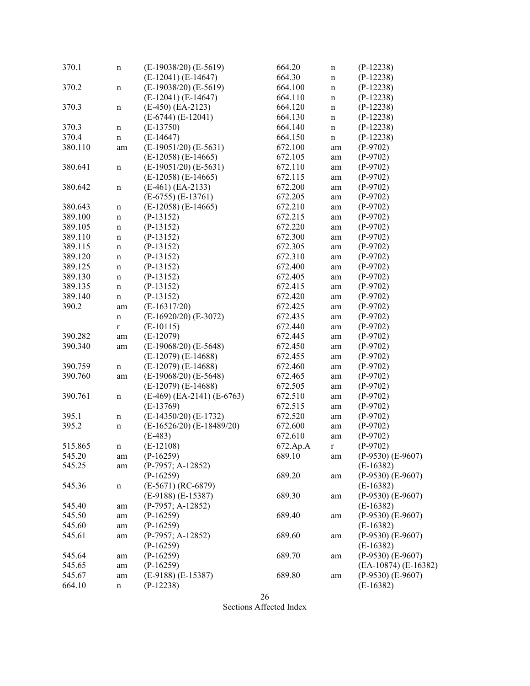| $(E-19038/20)$ $(E-5619)$<br>$(P-12238)$<br>370.2<br>664.100<br>$\mathbf n$<br>$\mathbf n$<br>$(E-12041) (E-14647)$<br>$(P-12238)$<br>664.110<br>$\mathbf n$<br>$(E-450)$ $(EA-2123)$<br>$(P-12238)$<br>370.3<br>664.120<br>$\mathbf n$<br>$\mathbf n$<br>$(E-6744) (E-12041)$<br>$(P-12238)$<br>664.130<br>$\mathbf n$<br>$(E-13750)$<br>$(P-12238)$<br>370.3<br>664.140<br>n<br>$\mathbf n$<br>370.4<br>$(E-14647)$<br>664.150<br>$(P-12238)$<br>$\mathbf n$<br>$\mathbf n$<br>$(E-19051/20)$ $(E-5631)$<br>380.110<br>672.100<br>$(P-9702)$<br>am<br>am<br>$(E-12058)$ $(E-14665)$<br>672.105<br>$(P-9702)$<br>am<br>$(E-19051/20) (E-5631)$<br>380.641<br>672.110<br>$(P-9702)$<br>$\mathbf n$<br>am<br>$(E-12058)$ $(E-14665)$<br>672.115<br>$(P-9702)$<br>am<br>380.642<br>$(E-461)$ $(EA-2133)$<br>672.200<br>$(P-9702)$<br>$\mathbf n$<br>am<br>$(E-6755) (E-13761)$<br>672.205<br>$(P-9702)$<br>am<br>$(E-12058)$ $(E-14665)$<br>$(P-9702)$<br>380.643<br>672.210<br>$\mathbf n$<br>am<br>389.100<br>$(P-13152)$<br>672.215<br>$(P-9702)$<br>$\mathbf n$<br>am<br>389.105<br>$(P-13152)$<br>672.220<br>$(P-9702)$<br>$\mathbf n$<br>am<br>$(P-13152)$<br>672.300<br>389.110<br>$(P-9702)$<br>$\mathbf n$<br>am<br>389.115<br>$(P-13152)$<br>672.305<br>$(P-9702)$<br>$\mathbf n$<br>am<br>389.120<br>$(P-13152)$<br>672.310<br>$(P-9702)$<br>$\mathbf n$<br>am<br>389.125<br>$(P-13152)$<br>672.400<br>$(P-9702)$<br>$\mathbf n$<br>am<br>389.130<br>$(P-13152)$<br>672.405<br>$(P-9702)$<br>$\mathbf n$<br>am<br>389.135<br>$(P-13152)$<br>$(P-9702)$<br>672.415<br>$\mathbf n$<br>am<br>389.140<br>$(P-13152)$<br>672.420<br>$(P-9702)$<br>$\mathbf n$<br>am<br>390.2<br>$(E-16317/20)$<br>672.425<br>$(P-9702)$<br>am<br>am<br>$(E-16920/20)$ $(E-3072)$<br>672.435<br>$(P-9702)$<br>$\mathbf n$<br>am<br>$(E-10115)$<br>$(P-9702)$<br>672.440<br>$\mathbf r$<br>am<br>$(E-12079)$<br>390.282<br>672.445<br>$(P-9702)$<br>am<br>am<br>$(E-19068/20)$ $(E-5648)$<br>390.340<br>$(P-9702)$<br>672.450<br>am<br>am<br>$(E-12079)$ $(E-14688)$<br>$(P-9702)$<br>672.455<br>am<br>$(E-12079)$ $(E-14688)$<br>390.759<br>672.460<br>$(P-9702)$<br>$\mathbf n$<br>am<br>$(E-19068/20)$ $(E-5648)$<br>390.760<br>672.465<br>$(P-9702)$<br>am<br>am<br>$(E-12079)$ $(E-14688)$<br>672.505<br>$(P-9702)$<br>am<br>390.761<br>$(E-469)$ $(EA-2141)$ $(E-6763)$<br>672.510<br>$(P-9702)$<br>$\mathbf n$<br>am<br>$(E-13769)$<br>672.515<br>$(P-9702)$<br>am<br>$(E-14350/20)$ $(E-1732)$<br>395.1<br>672.520<br>$(P-9702)$<br>$\mathbf n$<br>am<br>395.2<br>$(E-16526/20)$ $(E-18489/20)$<br>672.600<br>$(P-9702)$<br>$\mathbf n$<br>am<br>$(P-9702)$<br>$(E-483)$<br>672.610<br>am<br>$(E-12108)$<br>$(P-9702)$<br>515.865<br>672.Ap.A<br>$\bf r$<br>n<br>545.20<br>$(P-16259)$<br>689.10<br>$(P-9530)$ $(E-9607)$<br>am<br>am<br>$(P-7957; A-12852)$<br>$(E-16382)$<br>545.25<br>am<br>$(P-16259)$<br>689.20<br>$(P-9530)$ $(E-9607)$<br>am<br>545.36<br>$(E-5671) (RC-6879)$<br>$(E-16382)$<br>n<br>689.30<br>$(E-9188) (E-15387)$<br>$(P-9530)$ $(E-9607)$<br>am<br>545.40<br>$(P-7957; A-12852)$<br>$(E-16382)$<br>am<br>545.50<br>689.40<br>$(P-9530)$ $(E-9607)$<br>$(P-16259)$<br>am<br>am<br>545.60<br>$(P-16259)$<br>$(E-16382)$<br>am<br>545.61<br>$(P-7957; A-12852)$<br>689.60<br>$(P-9530)$ $(E-9607)$<br>am<br>am<br>$(P-16259)$<br>$(E-16382)$<br>$(P-9530)$ $(E-9607)$<br>545.64<br>$(P-16259)$<br>689.70<br>am<br>am<br>(EA-10874) (E-16382)<br>545.65<br>$(P-16259)$<br>am<br>$(E-9188) (E-15387)$<br>545.67<br>689.80<br>$(P-9530)$ $(E-9607)$<br>am<br>am<br>664.10<br>$(E-16382)$<br>$(P-12238)$<br>n | 370.1 | n | $(E-19038/20)$ $(E-5619)$<br>$(E-12041) (E-14647)$ | 664.20<br>664.30 | $\mathbf n$<br>$\mathbf n$ | $(P-12238)$<br>$(P-12238)$ |
|-----------------------------------------------------------------------------------------------------------------------------------------------------------------------------------------------------------------------------------------------------------------------------------------------------------------------------------------------------------------------------------------------------------------------------------------------------------------------------------------------------------------------------------------------------------------------------------------------------------------------------------------------------------------------------------------------------------------------------------------------------------------------------------------------------------------------------------------------------------------------------------------------------------------------------------------------------------------------------------------------------------------------------------------------------------------------------------------------------------------------------------------------------------------------------------------------------------------------------------------------------------------------------------------------------------------------------------------------------------------------------------------------------------------------------------------------------------------------------------------------------------------------------------------------------------------------------------------------------------------------------------------------------------------------------------------------------------------------------------------------------------------------------------------------------------------------------------------------------------------------------------------------------------------------------------------------------------------------------------------------------------------------------------------------------------------------------------------------------------------------------------------------------------------------------------------------------------------------------------------------------------------------------------------------------------------------------------------------------------------------------------------------------------------------------------------------------------------------------------------------------------------------------------------------------------------------------------------------------------------------------------------------------------------------------------------------------------------------------------------------------------------------------------------------------------------------------------------------------------------------------------------------------------------------------------------------------------------------------------------------------------------------------------------------------------------------------------------------------------------------------------------------------------------------------------------------------------------------------------------------------------------------------------------------------------------------------------------------------------------------------------------------------------------------------------------------------------------------------------------------------------------------------------------------------------------------------------------------------------------------------|-------|---|----------------------------------------------------|------------------|----------------------------|----------------------------|
|                                                                                                                                                                                                                                                                                                                                                                                                                                                                                                                                                                                                                                                                                                                                                                                                                                                                                                                                                                                                                                                                                                                                                                                                                                                                                                                                                                                                                                                                                                                                                                                                                                                                                                                                                                                                                                                                                                                                                                                                                                                                                                                                                                                                                                                                                                                                                                                                                                                                                                                                                                                                                                                                                                                                                                                                                                                                                                                                                                                                                                                                                                                                                                                                                                                                                                                                                                                                                                                                                                                                                                                                                             |       |   |                                                    |                  |                            |                            |
|                                                                                                                                                                                                                                                                                                                                                                                                                                                                                                                                                                                                                                                                                                                                                                                                                                                                                                                                                                                                                                                                                                                                                                                                                                                                                                                                                                                                                                                                                                                                                                                                                                                                                                                                                                                                                                                                                                                                                                                                                                                                                                                                                                                                                                                                                                                                                                                                                                                                                                                                                                                                                                                                                                                                                                                                                                                                                                                                                                                                                                                                                                                                                                                                                                                                                                                                                                                                                                                                                                                                                                                                                             |       |   |                                                    |                  |                            |                            |
|                                                                                                                                                                                                                                                                                                                                                                                                                                                                                                                                                                                                                                                                                                                                                                                                                                                                                                                                                                                                                                                                                                                                                                                                                                                                                                                                                                                                                                                                                                                                                                                                                                                                                                                                                                                                                                                                                                                                                                                                                                                                                                                                                                                                                                                                                                                                                                                                                                                                                                                                                                                                                                                                                                                                                                                                                                                                                                                                                                                                                                                                                                                                                                                                                                                                                                                                                                                                                                                                                                                                                                                                                             |       |   |                                                    |                  |                            |                            |
|                                                                                                                                                                                                                                                                                                                                                                                                                                                                                                                                                                                                                                                                                                                                                                                                                                                                                                                                                                                                                                                                                                                                                                                                                                                                                                                                                                                                                                                                                                                                                                                                                                                                                                                                                                                                                                                                                                                                                                                                                                                                                                                                                                                                                                                                                                                                                                                                                                                                                                                                                                                                                                                                                                                                                                                                                                                                                                                                                                                                                                                                                                                                                                                                                                                                                                                                                                                                                                                                                                                                                                                                                             |       |   |                                                    |                  |                            |                            |
|                                                                                                                                                                                                                                                                                                                                                                                                                                                                                                                                                                                                                                                                                                                                                                                                                                                                                                                                                                                                                                                                                                                                                                                                                                                                                                                                                                                                                                                                                                                                                                                                                                                                                                                                                                                                                                                                                                                                                                                                                                                                                                                                                                                                                                                                                                                                                                                                                                                                                                                                                                                                                                                                                                                                                                                                                                                                                                                                                                                                                                                                                                                                                                                                                                                                                                                                                                                                                                                                                                                                                                                                                             |       |   |                                                    |                  |                            |                            |
|                                                                                                                                                                                                                                                                                                                                                                                                                                                                                                                                                                                                                                                                                                                                                                                                                                                                                                                                                                                                                                                                                                                                                                                                                                                                                                                                                                                                                                                                                                                                                                                                                                                                                                                                                                                                                                                                                                                                                                                                                                                                                                                                                                                                                                                                                                                                                                                                                                                                                                                                                                                                                                                                                                                                                                                                                                                                                                                                                                                                                                                                                                                                                                                                                                                                                                                                                                                                                                                                                                                                                                                                                             |       |   |                                                    |                  |                            |                            |
|                                                                                                                                                                                                                                                                                                                                                                                                                                                                                                                                                                                                                                                                                                                                                                                                                                                                                                                                                                                                                                                                                                                                                                                                                                                                                                                                                                                                                                                                                                                                                                                                                                                                                                                                                                                                                                                                                                                                                                                                                                                                                                                                                                                                                                                                                                                                                                                                                                                                                                                                                                                                                                                                                                                                                                                                                                                                                                                                                                                                                                                                                                                                                                                                                                                                                                                                                                                                                                                                                                                                                                                                                             |       |   |                                                    |                  |                            |                            |
|                                                                                                                                                                                                                                                                                                                                                                                                                                                                                                                                                                                                                                                                                                                                                                                                                                                                                                                                                                                                                                                                                                                                                                                                                                                                                                                                                                                                                                                                                                                                                                                                                                                                                                                                                                                                                                                                                                                                                                                                                                                                                                                                                                                                                                                                                                                                                                                                                                                                                                                                                                                                                                                                                                                                                                                                                                                                                                                                                                                                                                                                                                                                                                                                                                                                                                                                                                                                                                                                                                                                                                                                                             |       |   |                                                    |                  |                            |                            |
|                                                                                                                                                                                                                                                                                                                                                                                                                                                                                                                                                                                                                                                                                                                                                                                                                                                                                                                                                                                                                                                                                                                                                                                                                                                                                                                                                                                                                                                                                                                                                                                                                                                                                                                                                                                                                                                                                                                                                                                                                                                                                                                                                                                                                                                                                                                                                                                                                                                                                                                                                                                                                                                                                                                                                                                                                                                                                                                                                                                                                                                                                                                                                                                                                                                                                                                                                                                                                                                                                                                                                                                                                             |       |   |                                                    |                  |                            |                            |
|                                                                                                                                                                                                                                                                                                                                                                                                                                                                                                                                                                                                                                                                                                                                                                                                                                                                                                                                                                                                                                                                                                                                                                                                                                                                                                                                                                                                                                                                                                                                                                                                                                                                                                                                                                                                                                                                                                                                                                                                                                                                                                                                                                                                                                                                                                                                                                                                                                                                                                                                                                                                                                                                                                                                                                                                                                                                                                                                                                                                                                                                                                                                                                                                                                                                                                                                                                                                                                                                                                                                                                                                                             |       |   |                                                    |                  |                            |                            |
|                                                                                                                                                                                                                                                                                                                                                                                                                                                                                                                                                                                                                                                                                                                                                                                                                                                                                                                                                                                                                                                                                                                                                                                                                                                                                                                                                                                                                                                                                                                                                                                                                                                                                                                                                                                                                                                                                                                                                                                                                                                                                                                                                                                                                                                                                                                                                                                                                                                                                                                                                                                                                                                                                                                                                                                                                                                                                                                                                                                                                                                                                                                                                                                                                                                                                                                                                                                                                                                                                                                                                                                                                             |       |   |                                                    |                  |                            |                            |
|                                                                                                                                                                                                                                                                                                                                                                                                                                                                                                                                                                                                                                                                                                                                                                                                                                                                                                                                                                                                                                                                                                                                                                                                                                                                                                                                                                                                                                                                                                                                                                                                                                                                                                                                                                                                                                                                                                                                                                                                                                                                                                                                                                                                                                                                                                                                                                                                                                                                                                                                                                                                                                                                                                                                                                                                                                                                                                                                                                                                                                                                                                                                                                                                                                                                                                                                                                                                                                                                                                                                                                                                                             |       |   |                                                    |                  |                            |                            |
|                                                                                                                                                                                                                                                                                                                                                                                                                                                                                                                                                                                                                                                                                                                                                                                                                                                                                                                                                                                                                                                                                                                                                                                                                                                                                                                                                                                                                                                                                                                                                                                                                                                                                                                                                                                                                                                                                                                                                                                                                                                                                                                                                                                                                                                                                                                                                                                                                                                                                                                                                                                                                                                                                                                                                                                                                                                                                                                                                                                                                                                                                                                                                                                                                                                                                                                                                                                                                                                                                                                                                                                                                             |       |   |                                                    |                  |                            |                            |
|                                                                                                                                                                                                                                                                                                                                                                                                                                                                                                                                                                                                                                                                                                                                                                                                                                                                                                                                                                                                                                                                                                                                                                                                                                                                                                                                                                                                                                                                                                                                                                                                                                                                                                                                                                                                                                                                                                                                                                                                                                                                                                                                                                                                                                                                                                                                                                                                                                                                                                                                                                                                                                                                                                                                                                                                                                                                                                                                                                                                                                                                                                                                                                                                                                                                                                                                                                                                                                                                                                                                                                                                                             |       |   |                                                    |                  |                            |                            |
|                                                                                                                                                                                                                                                                                                                                                                                                                                                                                                                                                                                                                                                                                                                                                                                                                                                                                                                                                                                                                                                                                                                                                                                                                                                                                                                                                                                                                                                                                                                                                                                                                                                                                                                                                                                                                                                                                                                                                                                                                                                                                                                                                                                                                                                                                                                                                                                                                                                                                                                                                                                                                                                                                                                                                                                                                                                                                                                                                                                                                                                                                                                                                                                                                                                                                                                                                                                                                                                                                                                                                                                                                             |       |   |                                                    |                  |                            |                            |
|                                                                                                                                                                                                                                                                                                                                                                                                                                                                                                                                                                                                                                                                                                                                                                                                                                                                                                                                                                                                                                                                                                                                                                                                                                                                                                                                                                                                                                                                                                                                                                                                                                                                                                                                                                                                                                                                                                                                                                                                                                                                                                                                                                                                                                                                                                                                                                                                                                                                                                                                                                                                                                                                                                                                                                                                                                                                                                                                                                                                                                                                                                                                                                                                                                                                                                                                                                                                                                                                                                                                                                                                                             |       |   |                                                    |                  |                            |                            |
|                                                                                                                                                                                                                                                                                                                                                                                                                                                                                                                                                                                                                                                                                                                                                                                                                                                                                                                                                                                                                                                                                                                                                                                                                                                                                                                                                                                                                                                                                                                                                                                                                                                                                                                                                                                                                                                                                                                                                                                                                                                                                                                                                                                                                                                                                                                                                                                                                                                                                                                                                                                                                                                                                                                                                                                                                                                                                                                                                                                                                                                                                                                                                                                                                                                                                                                                                                                                                                                                                                                                                                                                                             |       |   |                                                    |                  |                            |                            |
|                                                                                                                                                                                                                                                                                                                                                                                                                                                                                                                                                                                                                                                                                                                                                                                                                                                                                                                                                                                                                                                                                                                                                                                                                                                                                                                                                                                                                                                                                                                                                                                                                                                                                                                                                                                                                                                                                                                                                                                                                                                                                                                                                                                                                                                                                                                                                                                                                                                                                                                                                                                                                                                                                                                                                                                                                                                                                                                                                                                                                                                                                                                                                                                                                                                                                                                                                                                                                                                                                                                                                                                                                             |       |   |                                                    |                  |                            |                            |
|                                                                                                                                                                                                                                                                                                                                                                                                                                                                                                                                                                                                                                                                                                                                                                                                                                                                                                                                                                                                                                                                                                                                                                                                                                                                                                                                                                                                                                                                                                                                                                                                                                                                                                                                                                                                                                                                                                                                                                                                                                                                                                                                                                                                                                                                                                                                                                                                                                                                                                                                                                                                                                                                                                                                                                                                                                                                                                                                                                                                                                                                                                                                                                                                                                                                                                                                                                                                                                                                                                                                                                                                                             |       |   |                                                    |                  |                            |                            |
|                                                                                                                                                                                                                                                                                                                                                                                                                                                                                                                                                                                                                                                                                                                                                                                                                                                                                                                                                                                                                                                                                                                                                                                                                                                                                                                                                                                                                                                                                                                                                                                                                                                                                                                                                                                                                                                                                                                                                                                                                                                                                                                                                                                                                                                                                                                                                                                                                                                                                                                                                                                                                                                                                                                                                                                                                                                                                                                                                                                                                                                                                                                                                                                                                                                                                                                                                                                                                                                                                                                                                                                                                             |       |   |                                                    |                  |                            |                            |
|                                                                                                                                                                                                                                                                                                                                                                                                                                                                                                                                                                                                                                                                                                                                                                                                                                                                                                                                                                                                                                                                                                                                                                                                                                                                                                                                                                                                                                                                                                                                                                                                                                                                                                                                                                                                                                                                                                                                                                                                                                                                                                                                                                                                                                                                                                                                                                                                                                                                                                                                                                                                                                                                                                                                                                                                                                                                                                                                                                                                                                                                                                                                                                                                                                                                                                                                                                                                                                                                                                                                                                                                                             |       |   |                                                    |                  |                            |                            |
|                                                                                                                                                                                                                                                                                                                                                                                                                                                                                                                                                                                                                                                                                                                                                                                                                                                                                                                                                                                                                                                                                                                                                                                                                                                                                                                                                                                                                                                                                                                                                                                                                                                                                                                                                                                                                                                                                                                                                                                                                                                                                                                                                                                                                                                                                                                                                                                                                                                                                                                                                                                                                                                                                                                                                                                                                                                                                                                                                                                                                                                                                                                                                                                                                                                                                                                                                                                                                                                                                                                                                                                                                             |       |   |                                                    |                  |                            |                            |
|                                                                                                                                                                                                                                                                                                                                                                                                                                                                                                                                                                                                                                                                                                                                                                                                                                                                                                                                                                                                                                                                                                                                                                                                                                                                                                                                                                                                                                                                                                                                                                                                                                                                                                                                                                                                                                                                                                                                                                                                                                                                                                                                                                                                                                                                                                                                                                                                                                                                                                                                                                                                                                                                                                                                                                                                                                                                                                                                                                                                                                                                                                                                                                                                                                                                                                                                                                                                                                                                                                                                                                                                                             |       |   |                                                    |                  |                            |                            |
|                                                                                                                                                                                                                                                                                                                                                                                                                                                                                                                                                                                                                                                                                                                                                                                                                                                                                                                                                                                                                                                                                                                                                                                                                                                                                                                                                                                                                                                                                                                                                                                                                                                                                                                                                                                                                                                                                                                                                                                                                                                                                                                                                                                                                                                                                                                                                                                                                                                                                                                                                                                                                                                                                                                                                                                                                                                                                                                                                                                                                                                                                                                                                                                                                                                                                                                                                                                                                                                                                                                                                                                                                             |       |   |                                                    |                  |                            |                            |
|                                                                                                                                                                                                                                                                                                                                                                                                                                                                                                                                                                                                                                                                                                                                                                                                                                                                                                                                                                                                                                                                                                                                                                                                                                                                                                                                                                                                                                                                                                                                                                                                                                                                                                                                                                                                                                                                                                                                                                                                                                                                                                                                                                                                                                                                                                                                                                                                                                                                                                                                                                                                                                                                                                                                                                                                                                                                                                                                                                                                                                                                                                                                                                                                                                                                                                                                                                                                                                                                                                                                                                                                                             |       |   |                                                    |                  |                            |                            |
|                                                                                                                                                                                                                                                                                                                                                                                                                                                                                                                                                                                                                                                                                                                                                                                                                                                                                                                                                                                                                                                                                                                                                                                                                                                                                                                                                                                                                                                                                                                                                                                                                                                                                                                                                                                                                                                                                                                                                                                                                                                                                                                                                                                                                                                                                                                                                                                                                                                                                                                                                                                                                                                                                                                                                                                                                                                                                                                                                                                                                                                                                                                                                                                                                                                                                                                                                                                                                                                                                                                                                                                                                             |       |   |                                                    |                  |                            |                            |
|                                                                                                                                                                                                                                                                                                                                                                                                                                                                                                                                                                                                                                                                                                                                                                                                                                                                                                                                                                                                                                                                                                                                                                                                                                                                                                                                                                                                                                                                                                                                                                                                                                                                                                                                                                                                                                                                                                                                                                                                                                                                                                                                                                                                                                                                                                                                                                                                                                                                                                                                                                                                                                                                                                                                                                                                                                                                                                                                                                                                                                                                                                                                                                                                                                                                                                                                                                                                                                                                                                                                                                                                                             |       |   |                                                    |                  |                            |                            |
|                                                                                                                                                                                                                                                                                                                                                                                                                                                                                                                                                                                                                                                                                                                                                                                                                                                                                                                                                                                                                                                                                                                                                                                                                                                                                                                                                                                                                                                                                                                                                                                                                                                                                                                                                                                                                                                                                                                                                                                                                                                                                                                                                                                                                                                                                                                                                                                                                                                                                                                                                                                                                                                                                                                                                                                                                                                                                                                                                                                                                                                                                                                                                                                                                                                                                                                                                                                                                                                                                                                                                                                                                             |       |   |                                                    |                  |                            |                            |
|                                                                                                                                                                                                                                                                                                                                                                                                                                                                                                                                                                                                                                                                                                                                                                                                                                                                                                                                                                                                                                                                                                                                                                                                                                                                                                                                                                                                                                                                                                                                                                                                                                                                                                                                                                                                                                                                                                                                                                                                                                                                                                                                                                                                                                                                                                                                                                                                                                                                                                                                                                                                                                                                                                                                                                                                                                                                                                                                                                                                                                                                                                                                                                                                                                                                                                                                                                                                                                                                                                                                                                                                                             |       |   |                                                    |                  |                            |                            |
|                                                                                                                                                                                                                                                                                                                                                                                                                                                                                                                                                                                                                                                                                                                                                                                                                                                                                                                                                                                                                                                                                                                                                                                                                                                                                                                                                                                                                                                                                                                                                                                                                                                                                                                                                                                                                                                                                                                                                                                                                                                                                                                                                                                                                                                                                                                                                                                                                                                                                                                                                                                                                                                                                                                                                                                                                                                                                                                                                                                                                                                                                                                                                                                                                                                                                                                                                                                                                                                                                                                                                                                                                             |       |   |                                                    |                  |                            |                            |
|                                                                                                                                                                                                                                                                                                                                                                                                                                                                                                                                                                                                                                                                                                                                                                                                                                                                                                                                                                                                                                                                                                                                                                                                                                                                                                                                                                                                                                                                                                                                                                                                                                                                                                                                                                                                                                                                                                                                                                                                                                                                                                                                                                                                                                                                                                                                                                                                                                                                                                                                                                                                                                                                                                                                                                                                                                                                                                                                                                                                                                                                                                                                                                                                                                                                                                                                                                                                                                                                                                                                                                                                                             |       |   |                                                    |                  |                            |                            |
|                                                                                                                                                                                                                                                                                                                                                                                                                                                                                                                                                                                                                                                                                                                                                                                                                                                                                                                                                                                                                                                                                                                                                                                                                                                                                                                                                                                                                                                                                                                                                                                                                                                                                                                                                                                                                                                                                                                                                                                                                                                                                                                                                                                                                                                                                                                                                                                                                                                                                                                                                                                                                                                                                                                                                                                                                                                                                                                                                                                                                                                                                                                                                                                                                                                                                                                                                                                                                                                                                                                                                                                                                             |       |   |                                                    |                  |                            |                            |
|                                                                                                                                                                                                                                                                                                                                                                                                                                                                                                                                                                                                                                                                                                                                                                                                                                                                                                                                                                                                                                                                                                                                                                                                                                                                                                                                                                                                                                                                                                                                                                                                                                                                                                                                                                                                                                                                                                                                                                                                                                                                                                                                                                                                                                                                                                                                                                                                                                                                                                                                                                                                                                                                                                                                                                                                                                                                                                                                                                                                                                                                                                                                                                                                                                                                                                                                                                                                                                                                                                                                                                                                                             |       |   |                                                    |                  |                            |                            |
|                                                                                                                                                                                                                                                                                                                                                                                                                                                                                                                                                                                                                                                                                                                                                                                                                                                                                                                                                                                                                                                                                                                                                                                                                                                                                                                                                                                                                                                                                                                                                                                                                                                                                                                                                                                                                                                                                                                                                                                                                                                                                                                                                                                                                                                                                                                                                                                                                                                                                                                                                                                                                                                                                                                                                                                                                                                                                                                                                                                                                                                                                                                                                                                                                                                                                                                                                                                                                                                                                                                                                                                                                             |       |   |                                                    |                  |                            |                            |
|                                                                                                                                                                                                                                                                                                                                                                                                                                                                                                                                                                                                                                                                                                                                                                                                                                                                                                                                                                                                                                                                                                                                                                                                                                                                                                                                                                                                                                                                                                                                                                                                                                                                                                                                                                                                                                                                                                                                                                                                                                                                                                                                                                                                                                                                                                                                                                                                                                                                                                                                                                                                                                                                                                                                                                                                                                                                                                                                                                                                                                                                                                                                                                                                                                                                                                                                                                                                                                                                                                                                                                                                                             |       |   |                                                    |                  |                            |                            |
|                                                                                                                                                                                                                                                                                                                                                                                                                                                                                                                                                                                                                                                                                                                                                                                                                                                                                                                                                                                                                                                                                                                                                                                                                                                                                                                                                                                                                                                                                                                                                                                                                                                                                                                                                                                                                                                                                                                                                                                                                                                                                                                                                                                                                                                                                                                                                                                                                                                                                                                                                                                                                                                                                                                                                                                                                                                                                                                                                                                                                                                                                                                                                                                                                                                                                                                                                                                                                                                                                                                                                                                                                             |       |   |                                                    |                  |                            |                            |
|                                                                                                                                                                                                                                                                                                                                                                                                                                                                                                                                                                                                                                                                                                                                                                                                                                                                                                                                                                                                                                                                                                                                                                                                                                                                                                                                                                                                                                                                                                                                                                                                                                                                                                                                                                                                                                                                                                                                                                                                                                                                                                                                                                                                                                                                                                                                                                                                                                                                                                                                                                                                                                                                                                                                                                                                                                                                                                                                                                                                                                                                                                                                                                                                                                                                                                                                                                                                                                                                                                                                                                                                                             |       |   |                                                    |                  |                            |                            |
|                                                                                                                                                                                                                                                                                                                                                                                                                                                                                                                                                                                                                                                                                                                                                                                                                                                                                                                                                                                                                                                                                                                                                                                                                                                                                                                                                                                                                                                                                                                                                                                                                                                                                                                                                                                                                                                                                                                                                                                                                                                                                                                                                                                                                                                                                                                                                                                                                                                                                                                                                                                                                                                                                                                                                                                                                                                                                                                                                                                                                                                                                                                                                                                                                                                                                                                                                                                                                                                                                                                                                                                                                             |       |   |                                                    |                  |                            |                            |
|                                                                                                                                                                                                                                                                                                                                                                                                                                                                                                                                                                                                                                                                                                                                                                                                                                                                                                                                                                                                                                                                                                                                                                                                                                                                                                                                                                                                                                                                                                                                                                                                                                                                                                                                                                                                                                                                                                                                                                                                                                                                                                                                                                                                                                                                                                                                                                                                                                                                                                                                                                                                                                                                                                                                                                                                                                                                                                                                                                                                                                                                                                                                                                                                                                                                                                                                                                                                                                                                                                                                                                                                                             |       |   |                                                    |                  |                            |                            |
|                                                                                                                                                                                                                                                                                                                                                                                                                                                                                                                                                                                                                                                                                                                                                                                                                                                                                                                                                                                                                                                                                                                                                                                                                                                                                                                                                                                                                                                                                                                                                                                                                                                                                                                                                                                                                                                                                                                                                                                                                                                                                                                                                                                                                                                                                                                                                                                                                                                                                                                                                                                                                                                                                                                                                                                                                                                                                                                                                                                                                                                                                                                                                                                                                                                                                                                                                                                                                                                                                                                                                                                                                             |       |   |                                                    |                  |                            |                            |
|                                                                                                                                                                                                                                                                                                                                                                                                                                                                                                                                                                                                                                                                                                                                                                                                                                                                                                                                                                                                                                                                                                                                                                                                                                                                                                                                                                                                                                                                                                                                                                                                                                                                                                                                                                                                                                                                                                                                                                                                                                                                                                                                                                                                                                                                                                                                                                                                                                                                                                                                                                                                                                                                                                                                                                                                                                                                                                                                                                                                                                                                                                                                                                                                                                                                                                                                                                                                                                                                                                                                                                                                                             |       |   |                                                    |                  |                            |                            |
|                                                                                                                                                                                                                                                                                                                                                                                                                                                                                                                                                                                                                                                                                                                                                                                                                                                                                                                                                                                                                                                                                                                                                                                                                                                                                                                                                                                                                                                                                                                                                                                                                                                                                                                                                                                                                                                                                                                                                                                                                                                                                                                                                                                                                                                                                                                                                                                                                                                                                                                                                                                                                                                                                                                                                                                                                                                                                                                                                                                                                                                                                                                                                                                                                                                                                                                                                                                                                                                                                                                                                                                                                             |       |   |                                                    |                  |                            |                            |
|                                                                                                                                                                                                                                                                                                                                                                                                                                                                                                                                                                                                                                                                                                                                                                                                                                                                                                                                                                                                                                                                                                                                                                                                                                                                                                                                                                                                                                                                                                                                                                                                                                                                                                                                                                                                                                                                                                                                                                                                                                                                                                                                                                                                                                                                                                                                                                                                                                                                                                                                                                                                                                                                                                                                                                                                                                                                                                                                                                                                                                                                                                                                                                                                                                                                                                                                                                                                                                                                                                                                                                                                                             |       |   |                                                    |                  |                            |                            |
|                                                                                                                                                                                                                                                                                                                                                                                                                                                                                                                                                                                                                                                                                                                                                                                                                                                                                                                                                                                                                                                                                                                                                                                                                                                                                                                                                                                                                                                                                                                                                                                                                                                                                                                                                                                                                                                                                                                                                                                                                                                                                                                                                                                                                                                                                                                                                                                                                                                                                                                                                                                                                                                                                                                                                                                                                                                                                                                                                                                                                                                                                                                                                                                                                                                                                                                                                                                                                                                                                                                                                                                                                             |       |   |                                                    |                  |                            |                            |
|                                                                                                                                                                                                                                                                                                                                                                                                                                                                                                                                                                                                                                                                                                                                                                                                                                                                                                                                                                                                                                                                                                                                                                                                                                                                                                                                                                                                                                                                                                                                                                                                                                                                                                                                                                                                                                                                                                                                                                                                                                                                                                                                                                                                                                                                                                                                                                                                                                                                                                                                                                                                                                                                                                                                                                                                                                                                                                                                                                                                                                                                                                                                                                                                                                                                                                                                                                                                                                                                                                                                                                                                                             |       |   |                                                    |                  |                            |                            |
|                                                                                                                                                                                                                                                                                                                                                                                                                                                                                                                                                                                                                                                                                                                                                                                                                                                                                                                                                                                                                                                                                                                                                                                                                                                                                                                                                                                                                                                                                                                                                                                                                                                                                                                                                                                                                                                                                                                                                                                                                                                                                                                                                                                                                                                                                                                                                                                                                                                                                                                                                                                                                                                                                                                                                                                                                                                                                                                                                                                                                                                                                                                                                                                                                                                                                                                                                                                                                                                                                                                                                                                                                             |       |   |                                                    |                  |                            |                            |
|                                                                                                                                                                                                                                                                                                                                                                                                                                                                                                                                                                                                                                                                                                                                                                                                                                                                                                                                                                                                                                                                                                                                                                                                                                                                                                                                                                                                                                                                                                                                                                                                                                                                                                                                                                                                                                                                                                                                                                                                                                                                                                                                                                                                                                                                                                                                                                                                                                                                                                                                                                                                                                                                                                                                                                                                                                                                                                                                                                                                                                                                                                                                                                                                                                                                                                                                                                                                                                                                                                                                                                                                                             |       |   |                                                    |                  |                            |                            |
|                                                                                                                                                                                                                                                                                                                                                                                                                                                                                                                                                                                                                                                                                                                                                                                                                                                                                                                                                                                                                                                                                                                                                                                                                                                                                                                                                                                                                                                                                                                                                                                                                                                                                                                                                                                                                                                                                                                                                                                                                                                                                                                                                                                                                                                                                                                                                                                                                                                                                                                                                                                                                                                                                                                                                                                                                                                                                                                                                                                                                                                                                                                                                                                                                                                                                                                                                                                                                                                                                                                                                                                                                             |       |   |                                                    |                  |                            |                            |
|                                                                                                                                                                                                                                                                                                                                                                                                                                                                                                                                                                                                                                                                                                                                                                                                                                                                                                                                                                                                                                                                                                                                                                                                                                                                                                                                                                                                                                                                                                                                                                                                                                                                                                                                                                                                                                                                                                                                                                                                                                                                                                                                                                                                                                                                                                                                                                                                                                                                                                                                                                                                                                                                                                                                                                                                                                                                                                                                                                                                                                                                                                                                                                                                                                                                                                                                                                                                                                                                                                                                                                                                                             |       |   |                                                    |                  |                            |                            |
|                                                                                                                                                                                                                                                                                                                                                                                                                                                                                                                                                                                                                                                                                                                                                                                                                                                                                                                                                                                                                                                                                                                                                                                                                                                                                                                                                                                                                                                                                                                                                                                                                                                                                                                                                                                                                                                                                                                                                                                                                                                                                                                                                                                                                                                                                                                                                                                                                                                                                                                                                                                                                                                                                                                                                                                                                                                                                                                                                                                                                                                                                                                                                                                                                                                                                                                                                                                                                                                                                                                                                                                                                             |       |   |                                                    |                  |                            |                            |
|                                                                                                                                                                                                                                                                                                                                                                                                                                                                                                                                                                                                                                                                                                                                                                                                                                                                                                                                                                                                                                                                                                                                                                                                                                                                                                                                                                                                                                                                                                                                                                                                                                                                                                                                                                                                                                                                                                                                                                                                                                                                                                                                                                                                                                                                                                                                                                                                                                                                                                                                                                                                                                                                                                                                                                                                                                                                                                                                                                                                                                                                                                                                                                                                                                                                                                                                                                                                                                                                                                                                                                                                                             |       |   |                                                    |                  |                            |                            |
|                                                                                                                                                                                                                                                                                                                                                                                                                                                                                                                                                                                                                                                                                                                                                                                                                                                                                                                                                                                                                                                                                                                                                                                                                                                                                                                                                                                                                                                                                                                                                                                                                                                                                                                                                                                                                                                                                                                                                                                                                                                                                                                                                                                                                                                                                                                                                                                                                                                                                                                                                                                                                                                                                                                                                                                                                                                                                                                                                                                                                                                                                                                                                                                                                                                                                                                                                                                                                                                                                                                                                                                                                             |       |   |                                                    |                  |                            |                            |
|                                                                                                                                                                                                                                                                                                                                                                                                                                                                                                                                                                                                                                                                                                                                                                                                                                                                                                                                                                                                                                                                                                                                                                                                                                                                                                                                                                                                                                                                                                                                                                                                                                                                                                                                                                                                                                                                                                                                                                                                                                                                                                                                                                                                                                                                                                                                                                                                                                                                                                                                                                                                                                                                                                                                                                                                                                                                                                                                                                                                                                                                                                                                                                                                                                                                                                                                                                                                                                                                                                                                                                                                                             |       |   |                                                    |                  |                            |                            |

26 Sections Affected Index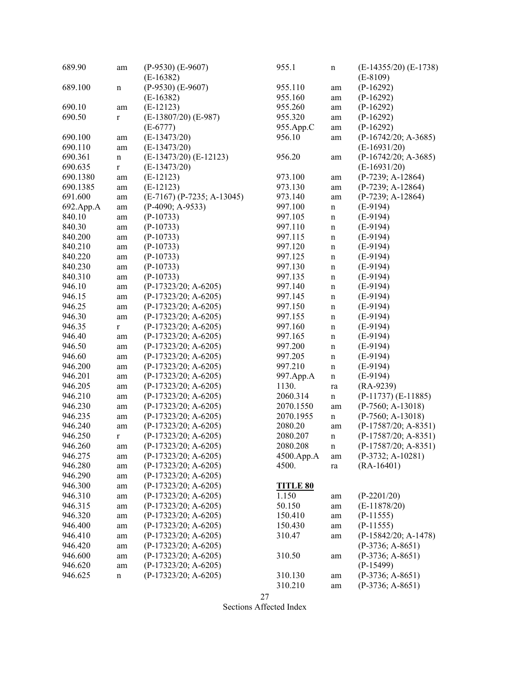| 689.90             | am          | $(P-9530)$ $(E-9607)$<br>$(E-16382)$ | 955.1           | n           | $(E-14355/20)$ $(E-1738)$<br>$(E-8109)$ |
|--------------------|-------------|--------------------------------------|-----------------|-------------|-----------------------------------------|
| 689.100            |             | $(P-9530)$ (E-9607)                  | 955.110         |             | $(P-16292)$                             |
|                    | n           | $(E-16382)$                          | 955.160         | am          | $(P-16292)$                             |
| 690.10             |             | $(E-12123)$                          | 955.260         | am          | $(P-16292)$                             |
| 690.50             | am          | $(E-13807/20)$ $(E-987)$             | 955.320         | am          | $(P-16292)$                             |
|                    | $\bf r$     |                                      |                 | am          | $(P-16292)$                             |
|                    |             | $(E-6777)$                           | 955.App.C       | am          |                                         |
| 690.100            | am          | $(E-13473/20)$                       | 956.10          | am          | $(P-16742/20; A-3685)$                  |
| 690.110            | am          | $(E-13473/20)$                       |                 |             | $(E-16931/20)$                          |
| 690.361            | $\mathbf n$ | $(E-13473/20)$ $(E-12123)$           | 956.20          | am          | $(P-16742/20; A-3685)$                  |
| 690.635            | $\bf r$     | $(E-13473/20)$                       |                 |             | $(E-16931/20)$                          |
| 690.1380           | am          | $(E-12123)$                          | 973.100         | am          | $(P-7239; A-12864)$                     |
| 690.1385           | am          | $(E-12123)$                          | 973.130         | am          | $(P-7239; A-12864)$                     |
| 691.600            | am          | $(E-7167)$ (P-7235; A-13045)         | 973.140         | am          | $(P-7239; A-12864)$                     |
| 692.App.A          | am          | $(P-4090; A-9533)$                   | 997.100         | $\mathbf n$ | $(E-9194)$                              |
| 840.10             | am          | $(P-10733)$                          | 997.105         | $\mathbf n$ | $(E-9194)$                              |
| 840.30             | am          | $(P-10733)$                          | 997.110         | $\mathbf n$ | $(E-9194)$                              |
| 840.200            | am          | $(P-10733)$                          | 997.115         | $\mathbf n$ | $(E-9194)$                              |
| 840.210            | am          | $(P-10733)$                          | 997.120         | $\mathbf n$ | $(E-9194)$                              |
| 840.220            | am          | $(P-10733)$                          | 997.125         | $\mathbf n$ | $(E-9194)$                              |
| 840.230            | am          | $(P-10733)$                          | 997.130         | $\mathbf n$ | $(E-9194)$                              |
| 840.310            | am          | $(P-10733)$                          | 997.135         | $\mathbf n$ | $(E-9194)$                              |
| 946.10             | am          | $(P-17323/20; A-6205)$               | 997.140         | $\mathbf n$ | $(E-9194)$                              |
| 946.15             | am          | $(P-17323/20; A-6205)$               | 997.145         | $\mathbf n$ | $(E-9194)$                              |
| 946.25             | am          | $(P-17323/20; A-6205)$               | 997.150         | $\mathbf n$ | $(E-9194)$                              |
| 946.30             | am          | $(P-17323/20; A-6205)$               | 997.155         | $\mathbf n$ | $(E-9194)$                              |
| 946.35             | $\mathbf r$ | $(P-17323/20; A-6205)$               | 997.160         | $\mathbf n$ | $(E-9194)$                              |
| 946.40             | am          | $(P-17323/20; A-6205)$               | 997.165         | $\mathbf n$ | $(E-9194)$                              |
| 946.50             | am          | $(P-17323/20; A-6205)$               | 997.200         | $\mathbf n$ | $(E-9194)$                              |
| 946.60             | am          | $(P-17323/20; A-6205)$               | 997.205         | $\mathbf n$ | $(E-9194)$                              |
| 946.200            | am          | $(P-17323/20; A-6205)$               | 997.210         | $\mathbf n$ | $(E-9194)$                              |
| 946.201            | am          | (P-17323/20; A-6205)                 | 997.App.A       | $\mathbf n$ | $(E-9194)$                              |
| 946.205            | am          | $(P-17323/20; A-6205)$               | 1130.           | ra          | $(RA-9239)$                             |
| 946.210            | am          | $(P-17323/20; A-6205)$               | 2060.314        | $\mathbf n$ | $(P-11737)$ $(E-11885)$                 |
| 946.230            | am          | $(P-17323/20; A-6205)$               | 2070.1550       | am          | $(P-7560; A-13018)$                     |
| 946.235            | am          | $(P-17323/20; A-6205)$               | 2070.1955       | $\mathbf n$ | $(P-7560; A-13018)$                     |
| 946.240            | am          | (P-17323/20; A-6205)                 | 2080.20         | am          | $(P-17587/20; A-8351)$                  |
| 946.250            | $\bf r$     | $(P-17323/20; A-6205)$               | 2080.207        | $\mathbf n$ | $(P-17587/20; A-8351)$                  |
| 946.260            | am          | $(P-17323/20; A-6205)$               | 2080.208        | n           | $(P-17587/20; A-8351)$                  |
| 946.275            | am          | $(P-17323/20; A-6205)$               | 4500.App.A      | am          | $(P-3732; A-10281)$                     |
| 946.280            | am          | $(P-17323/20; A-6205)$               | 4500.           | ra          | $(RA-16401)$                            |
| 946.290            | am          | $(P-17323/20; A-6205)$               |                 |             |                                         |
| 946.300            | am          | $(P-17323/20; A-6205)$               | <b>TITLE 80</b> |             |                                         |
| 946.310            | am          | $(P-17323/20; A-6205)$               | 1.150           | am          | $(P-2201/20)$                           |
| 946.315            | am          | $(P-17323/20; A-6205)$               | 50.150          | am          | $(E-11878/20)$                          |
| 946.320            | am          | $(P-17323/20; A-6205)$               | 150.410         | am          | $(P-11555)$                             |
| 946.400            | am          | $(P-17323/20; A-6205)$               | 150.430         | am          | $(P-11555)$                             |
| 946.410            |             | $(P-17323/20; A-6205)$               | 310.47          |             | $(P-15842/20; A-1478)$                  |
| 946.420            | am          | $(P-17323/20; A-6205)$               |                 | am          | $(P-3736; A-8651)$                      |
| 946.600            | am          | $(P-17323/20; A-6205)$               | 310.50          |             | $(P-3736; A-8651)$                      |
|                    | am          | $(P-17323/20; A-6205)$               |                 | am          | $(P-15499)$                             |
| 946.620<br>946.625 | am          | $(P-17323/20; A-6205)$               |                 |             | $(P-3736; A-8651)$                      |
|                    | n           |                                      | 310.130         | am          |                                         |
|                    |             |                                      | 310.210         | am          | $(P-3736; A-8651)$                      |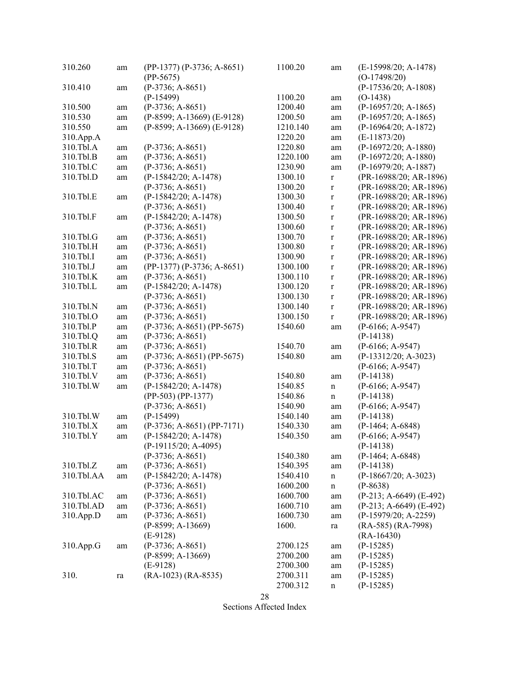| 310.260         | am | $(PP-1377) (P-3736; A-8651)$<br>$(PP-5675)$ | 1100.20  | am          | (E-15998/20; A-1478)<br>$(O-17498/20)$ |
|-----------------|----|---------------------------------------------|----------|-------------|----------------------------------------|
| 310.410         | am | $(P-3736; A-8651)$                          |          |             | $(P-17536/20; A-1808)$                 |
|                 |    | $(P-15499)$                                 | 1100.20  | am          | $(O-1438)$                             |
| 310.500         | am | $(P-3736; A-8651)$                          | 1200.40  | am          | $(P-16957/20; A-1865)$                 |
| 310.530         |    | (P-8599; A-13669) (E-9128)                  | 1200.50  |             | $(P-16957/20; A-1865)$                 |
| 310.550         | am | $(P-8599; A-13669)$ (E-9128)                | 1210.140 | am          | $(P-16964/20; A-1872)$                 |
|                 | am |                                             |          | am          |                                        |
| 310.App.A       |    |                                             | 1220.20  | am          | $(E-11873/20)$                         |
| 310.Tbl.A       | am | $(P-3736; A-8651)$                          | 1220.80  | am          | $(P-16972/20; A-1880)$                 |
| 310.Tbl.B       | am | $(P-3736; A-8651)$                          | 1220.100 | am          | $(P-16972/20; A-1880)$                 |
| 310.Tbl.C       | am | $(P-3736; A-8651)$                          | 1230.90  | am          | $(P-16979/20; A-1887)$                 |
| 310.Tbl.D       | am | $(P-15842/20; A-1478)$                      | 1300.10  | $\mathbf r$ | (PR-16988/20; AR-1896)                 |
|                 |    | $(P-3736; A-8651)$                          | 1300.20  | $\mathbf r$ | (PR-16988/20; AR-1896)                 |
| 310.Tbl.E       | am | $(P-15842/20; A-1478)$                      | 1300.30  | $\bf r$     | $(PR-16988/20; AR-1896)$               |
|                 |    | $(P-3736; A-8651)$                          | 1300.40  | $\bf r$     | (PR-16988/20; AR-1896)                 |
| 310.Tbl.F       | am | $(P-15842/20; A-1478)$                      | 1300.50  | $\bf r$     | (PR-16988/20; AR-1896)                 |
|                 |    | $(P-3736; A-8651)$                          | 1300.60  | $\bf r$     | $(PR-16988/20; AR-1896)$               |
| 310.Tbl.G       | am | $(P-3736; A-8651)$                          | 1300.70  | $\bf r$     | (PR-16988/20; AR-1896)                 |
| 310.Tbl.H       | am | $(P-3736; A-8651)$                          | 1300.80  | $\mathbf r$ | $(PR-16988/20; AR-1896)$               |
| 310.Tbl.I       | am | $(P-3736; A-8651)$                          | 1300.90  | $\mathbf r$ | $(PR-16988/20; AR-1896)$               |
| 310.Tbl.J       | am | $(PP-1377) (P-3736; A-8651)$                | 1300.100 | $\bf r$     | $(PR-16988/20; AR-1896)$               |
| 310.Tbl.K       | am | $(P-3736; A-8651)$                          | 1300.110 | $\mathbf r$ | (PR-16988/20; AR-1896)                 |
| 310.Tbl.L       | am | $(P-15842/20; A-1478)$                      | 1300.120 | $\mathbf r$ | $(PR-16988/20; AR-1896)$               |
|                 |    | $(P-3736; A-8651)$                          | 1300.130 | $\mathbf r$ | (PR-16988/20; AR-1896)                 |
| 310.Tbl.N       | am | $(P-3736; A-8651)$                          | 1300.140 | $\mathbf r$ | (PR-16988/20; AR-1896)                 |
| 310.Tbl.O       | am | $(P-3736; A-8651)$                          | 1300.150 | $\mathbf r$ | $(PR-16988/20; AR-1896)$               |
| 310.Tbl.P       | am | $(P-3736; A-8651) (PP-5675)$                | 1540.60  | am          | $(P-6166; A-9547)$                     |
| 310.Tbl.Q       | am | $(P-3736; A-8651)$                          |          |             | $(P-14138)$                            |
| 310.Tbl.R       | am | $(P-3736; A-8651)$                          | 1540.70  | am          | $(P-6166; A-9547)$                     |
| 310.Tbl.S       |    | $(P-3736; A-8651) (PP-5675)$                | 1540.80  |             | $(P-13312/20; A-3023)$                 |
| 310.Tbl.T       | am | $(P-3736; A-8651)$                          |          | am          | $(P-6166; A-9547)$                     |
|                 | am |                                             |          |             |                                        |
| 310.Tbl.V       | am | $(P-3736; A-8651)$                          | 1540.80  | am          | $(P-14138)$                            |
| 310.Tbl.W       | am | $(P-15842/20; A-1478)$                      | 1540.85  | $\mathbf n$ | $(P-6166; A-9547)$                     |
|                 |    | $(PP-503) (PP-1377)$                        | 1540.86  | $\mathbf n$ | $(P-14138)$                            |
|                 |    | $(P-3736; A-8651)$                          | 1540.90  | am          | $(P-6166; A-9547)$                     |
| 310.Tbl.W       | am | $(P-15499)$                                 | 1540.140 | am          | $(P-14138)$                            |
| $310.$ Tbl. $X$ | am | $(P-3736; A-8651) (PP-7171)$                | 1540.330 | am          | $(P-1464; A-6848)$                     |
| 310.Tbl.Y       | am | $(P-15842/20; A-1478)$                      | 1540.350 | am          | $(P-6166; A-9547)$                     |
|                 |    | $(P-19115/20; A-4095)$                      |          |             | $(P-14138)$                            |
|                 |    | $(P-3736; A-8651)$                          | 1540.380 | am          | $(P-1464; A-6848)$                     |
| 310.Tbl.Z       | am | $(P-3736; A-8651)$                          | 1540.395 | am          | $(P-14138)$                            |
| 310.Tbl.AA      | am | $(P-15842/20; A-1478)$                      | 1540.410 | $\mathbf n$ | $(P-18667/20; A-3023)$                 |
|                 |    | $(P-3736; A-8651)$                          | 1600.200 | $\mathbf n$ | $(P-8638)$                             |
| 310.Tbl.AC      | am | $(P-3736; A-8651)$                          | 1600.700 | am          | $(P-213; A-6649) (E-492)$              |
| 310.Tbl.AD      | am | $(P-3736; A-8651)$                          | 1600.710 | am          | $(P-213; A-6649)$ (E-492)              |
| 310.App.D       | am | $(P-3736; A-8651)$                          | 1600.730 | am          | $(P-15979/20; A-2259)$                 |
|                 |    | $(P-8599; A-13669)$                         | 1600.    | ra          | $(RA-585) (RA-7998)$                   |
|                 |    | $(E-9128)$                                  |          |             | $(RA-16430)$                           |
| 310.App.G       | am | $(P-3736; A-8651)$                          | 2700.125 | am          | $(P-15285)$                            |
|                 |    | $(P-8599; A-13669)$                         | 2700.200 | am          | $(P-15285)$                            |
|                 |    | $(E-9128)$                                  | 2700.300 | am          | $(P-15285)$                            |
| 310.            | ra | $(RA-1023) (RA-8535)$                       | 2700.311 | am          | $(P-15285)$                            |
|                 |    |                                             | 2700.312 | $\mathbf n$ | $(P-15285)$                            |
|                 |    |                                             |          |             |                                        |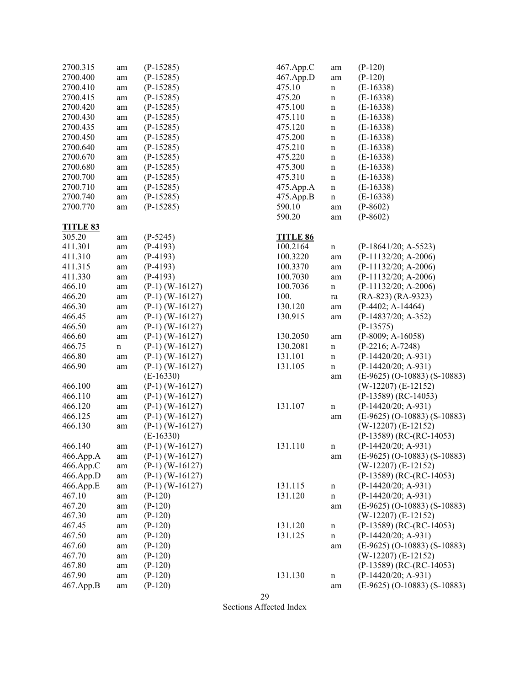| 2700.315        | am          | $(P-15285)$       | 467.App.C       | am          | $(P-120)$                      |
|-----------------|-------------|-------------------|-----------------|-------------|--------------------------------|
| 2700.400        |             |                   |                 |             |                                |
|                 | $\rm am$    | $(P-15285)$       | 467.App.D       | am          | $(P-120)$                      |
| 2700.410        | $\rm am$    | $(P-15285)$       | 475.10          | n           | $(E-16338)$                    |
| 2700.415        | $\rm am$    | $(P-15285)$       | 475.20          | $\mathbf n$ | $(E-16338)$                    |
| 2700.420        | $\rm am$    | $(P-15285)$       | 475.100         | $\mathbf n$ | $(E-16338)$                    |
| 2700.430        | am          | $(P-15285)$       | 475.110         | $\mathbf n$ | $(E-16338)$                    |
| 2700.435        | am          | $(P-15285)$       | 475.120         | n           | $(E-16338)$                    |
| 2700.450        | am          | $(P-15285)$       | 475.200         | $\mathbf n$ | $(E-16338)$                    |
| 2700.640        | am          | $(P-15285)$       | 475.210         | $\mathbf n$ | $(E-16338)$                    |
| 2700.670        | am          | $(P-15285)$       | 475.220         | $\mathbf n$ | $(E-16338)$                    |
| 2700.680        | $\rm am$    | $(P-15285)$       | 475.300         | $\mathbf n$ | $(E-16338)$                    |
| 2700.700        | $\rm am$    | $(P-15285)$       | 475.310         | $\mathbf n$ | $(E-16338)$                    |
| 2700.710        | $\rm am$    | $(P-15285)$       | 475.App.A       | $\mathbf n$ | $(E-16338)$                    |
| 2700.740        | $\rm am$    | $(P-15285)$       | 475.App.B       | n           | $(E-16338)$                    |
| 2700.770        | am          | $(P-15285)$       | 590.10          | am          | $(P-8602)$                     |
|                 |             |                   | 590.20          | am          | $(P-8602)$                     |
| <b>TITLE 83</b> |             |                   |                 |             |                                |
| 305.20          | am          | $(P-5245)$        | <b>TITLE 86</b> |             |                                |
| 411.301         | am          | $(P-4193)$        | 100.2164        | $\mathbf n$ | $(P-18641/20; A-5523)$         |
| 411.310         | am          | $(P-4193)$        | 100.3220        | am          | $(P-11132/20; A-2006)$         |
| 411.315         |             | $(P-4193)$        | 100.3370        |             | $(P-11132/20; A-2006)$         |
| 411.330         | am          |                   | 100.7030        | am          |                                |
| 466.10          | am          | $(P-4193)$        |                 | am          | $(P-11132/20; A-2006)$         |
|                 | $\rm am$    | $(P-1)$ (W-16127) | 100.7036        | $\mathbf n$ | (P-11132/20; A-2006)           |
| 466.20          | am          | $(P-1)$ (W-16127) | 100.            | ra          | $(RA-823) (RA-9323)$           |
| 466.30          | $\rm am$    | $(P-1)$ (W-16127) | 130.120         | am          | $(P-4402; A-14464)$            |
| 466.45          | $\rm am$    | $(P-1)$ (W-16127) | 130.915         | am          | $(P-14837/20; A-352)$          |
| 466.50          | am          | $(P-1)$ (W-16127) |                 |             | $(P-13575)$                    |
| 466.60          | $\rm am$    | $(P-1)$ (W-16127) | 130.2050        | am          | $(P-8009; A-16058)$            |
| 466.75          | $\mathbf n$ | $(P-1)$ (W-16127) | 130.2081        | $\mathbf n$ | $(P-2216; A-7248)$             |
| 466.80          | am          | $(P-1)$ (W-16127) | 131.101         | $\mathbf n$ | $(P-14420/20; A-931)$          |
| 466.90          | am          | $(P-1)$ (W-16127) | 131.105         | $\mathbf n$ | $(P-14420/20; A-931)$          |
|                 |             | $(E-16330)$       |                 | am          | $(E-9625)$ (O-10883) (S-10883) |
| 466.100         | am          | $(P-1)$ (W-16127) |                 |             | $(W-12207)$ (E-12152)          |
| 466.110         | am          | $(P-1)$ (W-16127) |                 |             | $(P-13589) (RC-14053)$         |
| 466.120         | $\rm am$    | $(P-1)$ (W-16127) | 131.107         | $\mathbf n$ | $(P-14420/20; A-931)$          |
| 466.125         | am          | $(P-1)$ (W-16127) |                 | am          | (E-9625) (O-10883) (S-10883)   |
| 466.130         | am          | $(P-1)$ (W-16127) |                 |             | $(W-12207)$ (E-12152)          |
|                 |             | $(E-16330)$       |                 |             | $(P-13589) (RC-(RC-14053))$    |
| 466.140         | am          | $(P-1)$ (W-16127) | 131.110         | $\mathbf n$ | $(P-14420/20; A-931)$          |
| 466.App.A       | am          | $(P-1)$ (W-16127) |                 | am          | $(E-9625)$ (O-10883) (S-10883) |
| 466.App.C       | am          | $(P-1)$ (W-16127) |                 |             | $(W-12207)$ (E-12152)          |
| 466.App.D       | am          | $(P-1)$ (W-16127) |                 |             | $(P-13589) (RC-(RC-14053))$    |
| 466.App.E       | am          | $(P-1)$ (W-16127) | 131.115         | $\mathbf n$ | $(P-14420/20; A-931)$          |
| 467.10          | am          | $(P-120)$         | 131.120         | n           | $(P-14420/20; A-931)$          |
| 467.20          |             | $(P-120)$         |                 |             | $(E-9625)$ (O-10883) (S-10883) |
| 467.30          | am          | $(P-120)$         |                 | am          | $(W-12207)$ (E-12152)          |
|                 | am          |                   |                 |             |                                |
| 467.45          | am          | $(P-120)$         | 131.120         | n           | $(P-13589) (RC-(RC-14053))$    |
| 467.50          | am          | $(P-120)$         | 131.125         | $\mathbf n$ | $(P-14420/20; A-931)$          |
| 467.60          | am          | $(P-120)$         |                 | am          | $(E-9625)$ (O-10883) (S-10883) |
| 467.70          | am          | $(P-120)$         |                 |             | $(W-12207)$ (E-12152)          |
| 467.80          | am          | $(P-120)$         |                 |             | $(P-13589) (RC-(RC-14053))$    |
| 467.90          | am          | $(P-120)$         | 131.130         | n           | $(P-14420/20; A-931)$          |
| 467.App.B       | am          | $(P-120)$         |                 | am          | $(E-9625)$ (O-10883) (S-10883) |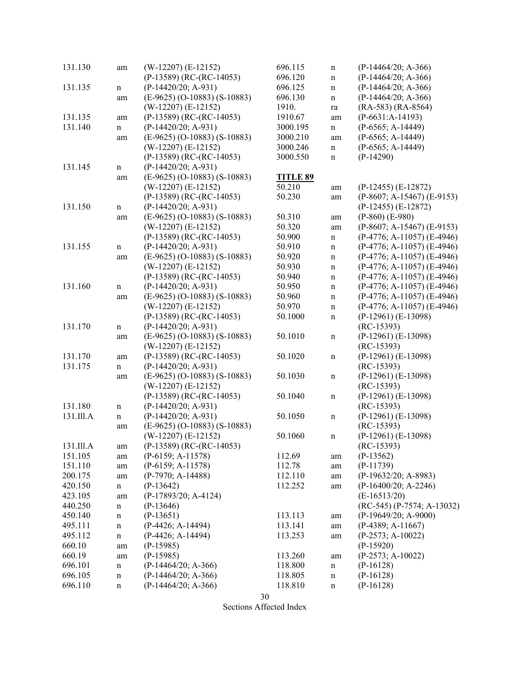| 131.130   | am          | $(W-12207)$ (E-12152)                                   | 696.115         | $\mathbf n$ | $(P-14464/20; A-366)$               |
|-----------|-------------|---------------------------------------------------------|-----------------|-------------|-------------------------------------|
|           |             | $(P-13589) (RC-(RC-14053))$                             | 696.120         | $\mathbf n$ | $(P-14464/20; A-366)$               |
| 131.135   | $\mathbf n$ | $(P-14420/20; A-931)$                                   | 696.125         | $\mathbf n$ | $(P-14464/20; A-366)$               |
|           | am          | $(E-9625)$ (O-10883) (S-10883)                          | 696.130         | $\mathbf n$ | $(P-14464/20; A-366)$               |
|           |             | $(W-12207)$ (E-12152)                                   | 1910.           | ra          | $(RA-583) (RA-8564)$                |
| 131.135   | am          | $(P-13589) (RC-(RC-14053))$                             | 1910.67         | am          | $(P-6631:A-14193)$                  |
| 131.140   | $\mathbf n$ | $(P-14420/20; A-931)$                                   | 3000.195        | $\mathbf n$ | $(P-6565; A-14449)$                 |
|           | am          | $(E-9625)$ (O-10883) (S-10883)                          | 3000.210        | am          | $(P-6565; A-14449)$                 |
|           |             | $(W-12207)$ (E-12152)                                   | 3000.246        | $\mathbf n$ | $(P-6565; A-14449)$                 |
| 131.145   | $\mathbf n$ | $(P-13589) (RC-(RC-14053))$<br>$(P-14420/20; A-931)$    | 3000.550        | $\mathbf n$ | $(P-14290)$                         |
|           |             | $(E-9625)$ (O-10883) (S-10883)                          | <b>TITLE 89</b> |             |                                     |
|           | am          | $(W-12207)$ (E-12152)                                   | 50.210          |             | $(P-12455)$ $(E-12872)$             |
|           |             | $(P-13589) (RC-(RC-14053))$                             | 50.230          | am          | $(P-8607; A-15467)$ (E-9153)        |
|           |             |                                                         |                 | am          |                                     |
| 131.150   | $\mathbf n$ | $(P-14420/20; A-931)$                                   |                 |             | $(P-12455)$ $(E-12872)$             |
|           | am          | $(E-9625)$ (O-10883) (S-10883)                          | 50.310          | am          | $(P-860)$ $(E-980)$                 |
|           |             | $(W-12207)$ (E-12152)                                   | 50.320          | am          | $(P-8607; A-15467)$ (E-9153)        |
|           |             | $(P-13589) (RC-(RC-14053))$                             | 50.900          | $\mathbf n$ | $(P-4776; A-11057)$ (E-4946)        |
| 131.155   | n           | $(P-14420/20; A-931)$                                   | 50.910          | $\mathbf n$ | $(P-4776; A-11057)$ (E-4946)        |
|           | am          | $(E-9625)$ (O-10883) (S-10883)                          | 50.920          | $\mathbf n$ | $(P-4776; A-11057)$ (E-4946)        |
|           |             | $(W-12207)$ (E-12152)                                   | 50.930          | $\mathbf n$ | $(P-4776; A-11057)$ (E-4946)        |
|           |             | $(P-13589) (RC-(RC-14053))$                             | 50.940          | $\mathbf n$ | $(P-4776; A-11057)$ (E-4946)        |
| 131.160   | $\mathbf n$ | (P-14420/20; A-931)                                     | 50.950          | $\mathbf n$ | $(P-4776; A-11057)$ (E-4946)        |
|           | am          | $(E-9625)$ (O-10883) (S-10883)                          | 50.960          | $\mathbf n$ | $(P-4776; A-11057)$ (E-4946)        |
|           |             | $(W-12207)$ (E-12152)                                   | 50.970          | $\mathbf n$ | $(P-4776; A-11057) (E-4946)$        |
|           |             | $(P-13589) (RC-(RC-14053))$                             | 50.1000         | $\mathbf n$ | $(P-12961) (E-13098)$               |
| 131.170   | $\mathbf n$ | $(P-14420/20; A-931)$                                   |                 |             | $(RC-15393)$                        |
|           | am          | $(E-9625)$ (O-10883) (S-10883)<br>$(W-12207)$ (E-12152) | 50.1010         | $\mathbf n$ | (P-12961) (E-13098)<br>$(RC-15393)$ |
| 131.170   | am          | $(P-13589) (RC-(RC-14053))$                             | 50.1020         | $\mathbf n$ | $(P-12961) (E-13098)$               |
| 131.175   | $\mathbf n$ | $(P-14420/20; A-931)$                                   |                 |             | $(RC-15393)$                        |
|           | am          | $(E-9625)$ (O-10883) (S-10883)                          | 50.1030         | $\mathbf n$ | $(P-12961) (E-13098)$               |
|           |             | $(W-12207)$ (E-12152)                                   |                 |             | $(RC-15393)$                        |
|           |             | $(P-13589) (RC-(RC-14053))$                             | 50.1040         | $\mathbf n$ | $(P-12961) (E-13098)$               |
| 131.180   | $\mathbf n$ | $(P-14420/20; A-931)$                                   |                 |             | $(RC-15393)$                        |
| 131.Ill.A | $\mathbf n$ | $(P-14420/20; A-931)$                                   | 50.1050         | $\mathbf n$ | $(P-12961) (E-13098)$               |
|           | am          | $(E-9625)$ (O-10883) (S-10883)                          |                 |             | $(RC-15393)$                        |
|           |             | $(W-12207)$ (E-12152)                                   | 50.1060         | $\mathbf n$ | $(P-12961) (E-13098)$               |
| 131.Ill.A | am          | $(P-13589) (RC-(RC-14053))$                             |                 |             | $(RC-15393)$                        |
| 151.105   | am          | $(P-6159; A-11578)$                                     | 112.69          | am          | $(P-13562)$                         |
| 151.110   | am          | $(P-6159; A-11578)$                                     | 112.78          | am          | $(P-11739)$                         |
| 200.175   | am          | $(P-7970; A-14488)$                                     | 112.110         | am          | $(P-19632/20; A-8983)$              |
| 420.150   | $\mathbf n$ | $(P-13642)$                                             | 112.252         | am          | $(P-16400/20; A-2246)$              |
| 423.105   | am          | (P-17893/20; A-4124)                                    |                 |             | $(E-16513/20)$                      |
| 440.250   | $\mathbf n$ | $(P-13646)$                                             |                 |             | $(RC-545) (P-7574; A-13032)$        |
| 450.140   | $\mathbf n$ | $(P-13651)$                                             | 113.113         | am          | $(P-19649/20; A-9000)$              |
| 495.111   | $\mathbf n$ | (P-4426; A-14494)                                       | 113.141         | am          | $(P-4389; A-11667)$                 |
| 495.112   | $\mathbf n$ | (P-4426; A-14494)                                       | 113.253         | am          | $(P-2573; A-10022)$                 |
| 660.10    | am          | $(P-15985)$                                             |                 |             | $(P-15920)$                         |
| 660.19    | am          | $(P-15985)$                                             | 113.260         | am          | $(P-2573; A-10022)$                 |
| 696.101   | $\mathbf n$ | $(P-14464/20; A-366)$                                   | 118.800         | $\mathbf n$ | $(P-16128)$                         |
| 696.105   | $\mathbf n$ | $(P-14464/20; A-366)$                                   | 118.805         | n           | $(P-16128)$                         |
| 696.110   | $\mathbf n$ | $(P-14464/20; A-366)$                                   | 118.810         | n           | $(P-16128)$                         |
|           |             |                                                         |                 |             |                                     |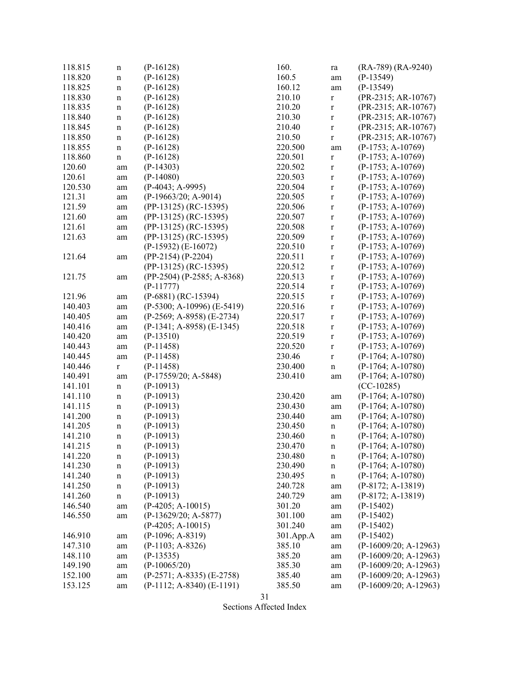| 118.815 | n           | $(P-16128)$                 | 160.              | ra                         | (RA-789) (RA-9240)                         |
|---------|-------------|-----------------------------|-------------------|----------------------------|--------------------------------------------|
| 118.820 | $\mathbf n$ | $(P-16128)$                 | 160.5             | am                         | $(P-13549)$                                |
| 118.825 | n           | $(P-16128)$                 | 160.12            | am                         | $(P-13549)$                                |
| 118.830 | $\mathbf n$ | $(P-16128)$                 | 210.10            | $\mathbf r$                | (PR-2315; AR-10767)                        |
| 118.835 | $\mathbf n$ | $(P-16128)$                 | 210.20            | $\mathbf r$                | (PR-2315; AR-10767)                        |
| 118.840 | $\mathbf n$ | $(P-16128)$                 | 210.30            | $\mathbf r$                | (PR-2315; AR-10767)                        |
| 118.845 | $\mathbf n$ | $(P-16128)$                 | 210.40            | $\mathbf r$                | (PR-2315; AR-10767)                        |
| 118.850 | n           | $(P-16128)$                 | 210.50            | $\mathbf r$                | (PR-2315; AR-10767)                        |
| 118.855 | n           | $(P-16128)$                 | 220.500           | am                         | $(P-1753; A-10769)$                        |
| 118.860 | $\mathbf n$ | $(P-16128)$                 | 220.501           | $\mathbf r$                | $(P-1753; A-10769)$                        |
| 120.60  | am          | $(P-14303)$                 | 220.502           | $\mathbf r$                | $(P-1753; A-10769)$                        |
| 120.61  | am          | $(P-14080)$                 | 220.503           | $\mathbf r$                | $(P-1753; A-10769)$                        |
| 120.530 | am          | $(P-4043; A-9995)$          | 220.504           | $\mathbf r$                | $(P-1753; A-10769)$                        |
| 121.31  | am          | (P-19663/20; A-9014)        | 220.505           | $\mathbf r$                | $(P-1753; A-10769)$                        |
| 121.59  | am          | (PP-13125) (RC-15395)       | 220.506           | $\mathbf r$                | $(P-1753; A-10769)$                        |
| 121.60  | am          | (PP-13125) (RC-15395)       | 220.507           | $\mathbf r$                | $(P-1753; A-10769)$                        |
| 121.61  | am          | (PP-13125) (RC-15395)       | 220.508           | $\mathbf r$                | $(P-1753; A-10769)$                        |
| 121.63  | am          | (PP-13125) (RC-15395)       | 220.509           | $\mathbf r$                | $(P-1753; A-10769)$                        |
|         |             | $(P-15932) (E-16072)$       | 220.510           | $\mathbf r$                | $(P-1753; A-10769)$                        |
| 121.64  | am          | $(PP-2154) (P-2204)$        | 220.511           | $\mathbf r$                | $(P-1753; A-10769)$                        |
|         |             | (PP-13125) (RC-15395)       | 220.512           | $\mathbf r$                | $(P-1753; A-10769)$                        |
| 121.75  |             | (PP-2504) (P-2585; A-8368)  | 220.513           | $\mathbf r$                | $(P-1753; A-10769)$                        |
|         | am          | $(P-11777)$                 | 220.514           | $\mathbf r$                | $(P-1753; A-10769)$                        |
| 121.96  |             | $(P-6881) (RC-15394)$       | 220.515           |                            | $(P-1753; A-10769)$                        |
| 140.403 | am          | (P-5300; A-10996) (E-5419)  | 220.516           | $\mathbf r$<br>$\mathbf r$ | $(P-1753; A-10769)$                        |
| 140.405 | am          | $(P-2569; A-8958) (E-2734)$ | 220.517           |                            | $(P-1753; A-10769)$                        |
| 140.416 | am          |                             |                   | $\mathbf r$                |                                            |
|         | am          | $(P-1341; A-8958) (E-1345)$ | 220.518           | $\mathbf r$                | $(P-1753; A-10769)$                        |
| 140.420 | am          | $(P-13510)$                 | 220.519           | $\mathbf r$                | $(P-1753; A-10769)$                        |
| 140.443 | am          | $(P-11458)$                 | 220.520<br>230.46 | $\mathbf r$                | $(P-1753; A-10769)$<br>$(P-1764; A-10780)$ |
| 140.445 | am          | $(P-11458)$                 |                   | $\mathbf r$                |                                            |
| 140.446 | $\mathbf r$ | $(P-11458)$                 | 230.400           | $\mathbf n$                | $(P-1764; A-10780)$                        |
| 140.491 | am          | (P-17559/20; A-5848)        | 230.410           | am                         | $(P-1764; A-10780)$                        |
| 141.101 | $\mathbf n$ | $(P-10913)$                 |                   |                            | $(CC-10285)$                               |
| 141.110 | $\mathbf n$ | $(P-10913)$                 | 230.420           | am                         | $(P-1764; A-10780)$                        |
| 141.115 | $\mathbf n$ | $(P-10913)$                 | 230.430           | am                         | $(P-1764; A-10780)$                        |
| 141.200 | $\mathbf n$ | $(P-10913)$                 | 230.440           | am                         | $(P-1764; A-10780)$                        |
| 141.205 | $\mathbf n$ | $(P-10913)$                 | 230.450           | $\mathbf n$                | $(P-1764; A-10780)$                        |
| 141.210 | $\mathbf n$ | $(P-10913)$                 | 230.460           | $\mathbf n$                | $(P-1764; A-10780)$                        |
| 141.215 | n           | $(P-10913)$                 | 230.470           | n                          | $(P-1764; A-10780)$                        |
| 141.220 | n           | $(P-10913)$                 | 230.480           | n                          | $(P-1764; A-10780)$                        |
| 141.230 | n           | $(P-10913)$                 | 230.490           | $\mathbf n$                | $(P-1764; A-10780)$                        |
| 141.240 | $\mathbf n$ | $(P-10913)$                 | 230.495           | $\mathbf n$                | $(P-1764; A-10780)$                        |
| 141.250 | $\mathbf n$ | $(P-10913)$                 | 240.728           | am                         | $(P-8172; A-13819)$                        |
| 141.260 | n           | $(P-10913)$                 | 240.729           | am                         | $(P-8172; A-13819)$                        |
| 146.540 | am          | $(P-4205; A-10015)$         | 301.20            | am                         | $(P-15402)$                                |
| 146.550 | am          | $(P-13629/20; A-5877)$      | 301.100           | am                         | $(P-15402)$                                |
|         |             | $(P-4205; A-10015)$         | 301.240           | am                         | $(P-15402)$                                |
| 146.910 | am          | $(P-1096; A-8319)$          | 301.App.A         | am                         | $(P-15402)$                                |
| 147.310 | am          | $(P-1103; A-8326)$          | 385.10            | am                         | $(P-16009/20; A-12963)$                    |
| 148.110 | am          | $(P-13535)$                 | 385.20            | am                         | $(P-16009/20; A-12963)$                    |
| 149.190 | am          | $(P-10065/20)$              | 385.30            | am                         | $(P-16009/20; A-12963)$                    |
| 152.100 | am          | $(P-2571; A-8335) (E-2758)$ | 385.40            | am                         | $(P-16009/20; A-12963)$                    |
| 153.125 | am          | (P-1112; A-8340) (E-1191)   | 385.50            | am                         | $(P-16009/20; A-12963)$                    |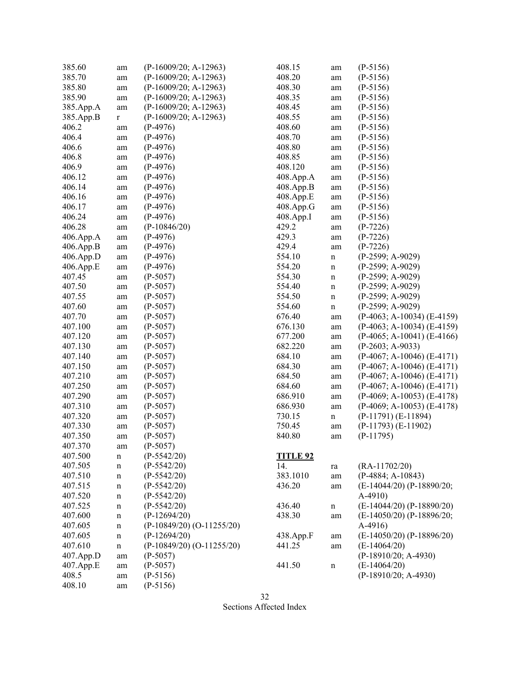| 385.60    | am          | (P-16009/20; A-12963)       | 408.15          | am          | $(P-5156)$                    |
|-----------|-------------|-----------------------------|-----------------|-------------|-------------------------------|
| 385.70    | am          | (P-16009/20; A-12963)       | 408.20          | am          | $(P-5156)$                    |
| 385.80    | am          | (P-16009/20; A-12963)       | 408.30          | am          | $(P-5156)$                    |
| 385.90    | am          | $(P-16009/20; A-12963)$     | 408.35          | am          | $(P-5156)$                    |
| 385.App.A | am          | $(P-16009/20; A-12963)$     | 408.45          | am          | $(P-5156)$                    |
| 385.App.B | r           | $(P-16009/20; A-12963)$     | 408.55          | am          | $(P-5156)$                    |
| 406.2     | am          | $(P-4976)$                  | 408.60          | am          | $(P-5156)$                    |
| 406.4     | am          | $(P-4976)$                  | 408.70          | am          | $(P-5156)$                    |
| 406.6     | am          | $(P-4976)$                  | 408.80          | am          | $(P-5156)$                    |
| 406.8     |             | $(P-4976)$                  | 408.85          |             | $(P-5156)$                    |
| 406.9     | am          | $(P-4976)$                  | 408.120         | am          | $(P-5156)$                    |
| 406.12    | am          | $(P-4976)$                  | 408.App.A       | am          |                               |
| 406.14    | am          | $(P-4976)$                  | 408.App.B       | am          | $(P-5156)$<br>$(P-5156)$      |
|           | am          |                             |                 | am          |                               |
| 406.16    | am          | $(P-4976)$                  | 408.App.E       | am          | $(P-5156)$                    |
| 406.17    | am          | $(P-4976)$                  | 408.App.G       | am          | $(P-5156)$                    |
| 406.24    | am          | $(P-4976)$                  | 408.App.I       | am          | $(P-5156)$                    |
| 406.28    | am          | $(P-10846/20)$              | 429.2           | am          | $(P-7226)$                    |
| 406.App.A | am          | $(P-4976)$                  | 429.3           | am          | $(P-7226)$                    |
| 406.App.B | am          | $(P-4976)$                  | 429.4           | am          | $(P-7226)$                    |
| 406.App.D | am          | $(P-4976)$                  | 554.10          | $\mathbf n$ | $(P-2599; A-9029)$            |
| 406.App.E | am          | $(P-4976)$                  | 554.20          | $\mathbf n$ | $(P-2599; A-9029)$            |
| 407.45    | am          | $(P-5057)$                  | 554.30          | $\mathbf n$ | $(P-2599; A-9029)$            |
| 407.50    | am          | $(P-5057)$                  | 554.40          | $\mathbf n$ | $(P-2599; A-9029)$            |
| 407.55    | am          | $(P-5057)$                  | 554.50          | $\mathbf n$ | (P-2599; A-9029)              |
| 407.60    | am          | $(P-5057)$                  | 554.60          | $\mathbf n$ | $(P-2599; A-9029)$            |
| 407.70    | am          | $(P-5057)$                  | 676.40          | am          | $(P-4063; A-10034) (E-4159)$  |
| 407.100   | am          | $(P-5057)$                  | 676.130         | am          | $(P-4063; A-10034) (E-4159)$  |
| 407.120   | am          | $(P-5057)$                  | 677.200         | am          | $(P-4065; A-10041) (E-4166)$  |
| 407.130   | am          | $(P-5057)$                  | 682.220         | am          | $(P-2603; A-9033)$            |
| 407.140   | am          | $(P-5057)$                  | 684.10          | am          | $(P-4067; A-10046) (E-4171)$  |
| 407.150   | am          | $(P-5057)$                  | 684.30          | am          | $(P-4067; A-10046) (E-4171)$  |
| 407.210   | am          | $(P-5057)$                  | 684.50          | am          | $(P-4067; A-10046) (E-4171)$  |
| 407.250   | am          | $(P-5057)$                  | 684.60          | am          | $(P-4067; A-10046) (E-4171)$  |
| 407.290   | am          | $(P-5057)$                  | 686.910         | am          | $(P-4069; A-10053)$ (E-4178)  |
| 407.310   | am          | $(P-5057)$                  | 686.930         | am          | $(P-4069; A-10053)$ (E-4178)  |
| 407.320   | am          | $(P-5057)$                  | 730.15          | $\mathbf n$ | $(P-11791) (E-11894)$         |
| 407.330   | am          | $(P-5057)$                  | 750.45          | am          | $(P-11793)$ $(E-11902)$       |
| 407.350   | am          | $(P-5057)$                  | 840.80          | am          | $(P-11795)$                   |
| 407.370   | am          | $(P-5057)$                  |                 |             |                               |
| 407.500   | $\mathbf n$ | $(P-5542/20)$               | <b>TITLE 92</b> |             |                               |
| 407.505   | n           | $(P-5542/20)$               | 14.             | ra          | $(RA-11702/20)$               |
| 407.510   | n           | $(P-5542/20)$               | 383.1010        | am          | $(P-4884; A-10843)$           |
| 407.515   | n           | $(P-5542/20)$               | 436.20          | am          | (E-14044/20) (P-18890/20;     |
| 407.520   | $\mathbf n$ | $(P-5542/20)$               |                 |             | $A-4910$                      |
| 407.525   |             | $(P-5542/20)$               | 436.40          |             | $(E-14044/20)$ (P-18890/20)   |
| 407.600   | $\mathbf n$ | $(P-12694/20)$              | 438.30          | $\mathbf n$ | $(E-14050/20)$ (P-18896/20;   |
| 407.605   | n           | $(P-10849/20) (O-11255/20)$ |                 | am          | $A-4916$                      |
|           | n           | $(P-12694/20)$              |                 |             | $(E-14050/20)$ $(P-18896/20)$ |
| 407.605   | n           |                             | 438.App.F       | am          |                               |
| 407.610   | $\mathbf n$ | $(P-10849/20) (O-11255/20)$ | 441.25          | am          | $(E-14064/20)$                |
| 407.App.D | am          | $(P-5057)$                  |                 |             | $(P-18910/20; A-4930)$        |
| 407.App.E | am          | $(P-5057)$                  | 441.50          | $\mathbf n$ | $(E-14064/20)$                |
| 408.5     | am          | $(P-5156)$                  |                 |             | $(P-18910/20; A-4930)$        |
| 408.10    | am          | $(P-5156)$                  |                 |             |                               |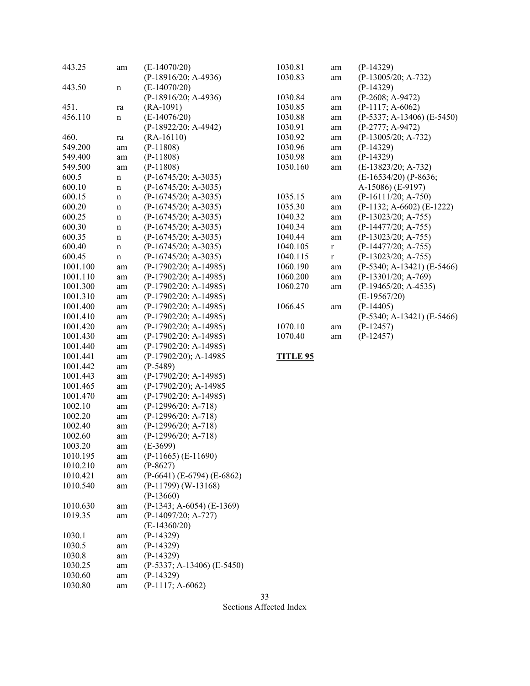| 443.25   | am          | $(E-14070/20)$                                   | 1030.81         | am          | $(P-14329)$                    |
|----------|-------------|--------------------------------------------------|-----------------|-------------|--------------------------------|
|          |             | (P-18916/20; A-4936)                             | 1030.83         | am          | $(P-13005/20; A-732)$          |
| 443.50   | $\mathbf n$ | $(E-14070/20)$                                   |                 |             | $(P-14329)$                    |
|          |             | $(P-18916/20; A-4936)$                           | 1030.84         | am          | $(P-2608; A-9472)$             |
| 451.     | ra          | $(RA-1091)$                                      | 1030.85         | am          | $(P-1117; A-6062)$             |
| 456.110  | $\mathbf n$ | $(E-14076/20)$                                   | 1030.88         | am          | $(P-5337; A-13406)$ $(E-5450)$ |
|          |             | (P-18922/20; A-4942)                             | 1030.91         | am          | $(P-2777; A-9472)$             |
| 460.     | ra          | $(RA-16110)$                                     | 1030.92         | am          | $(P-13005/20; A-732)$          |
| 549.200  | am          | $(P-11808)$                                      | 1030.96         | am          | $(P-14329)$                    |
| 549.400  | am          | $(P-11808)$                                      | 1030.98         | am          | $(P-14329)$                    |
| 549.500  | am          | $(P-11808)$                                      | 1030.160        | am          | (E-13823/20; A-732)            |
| 600.5    | $\mathbf n$ | $(P-16745/20; A-3035)$                           |                 |             | (E-16534/20) (P-8636;          |
| 600.10   | $\mathbf n$ | (P-16745/20; A-3035)                             |                 |             | A-15086) (E-9197)              |
| 600.15   | $\mathbf n$ | $(P-16745/20; A-3035)$                           | 1035.15         | am          | $(P-16111/20; A-750)$          |
| 600.20   | $\mathbf n$ | $(P-16745/20; A-3035)$                           | 1035.30         | am          | $(P-1132; A-6602) (E-1222)$    |
| 600.25   | $\mathbf n$ | $(P-16745/20; A-3035)$                           | 1040.32         | am          | $(P-13023/20; A-755)$          |
| 600.30   | $\mathbf n$ | $(P-16745/20; A-3035)$                           | 1040.34         | am          | $(P-14477/20; A-755)$          |
| 600.35   | $\mathbf n$ | $(P-16745/20; A-3035)$                           | 1040.44         | am          | $(P-13023/20; A-755)$          |
| 600.40   | $\mathbf n$ | $(P-16745/20; A-3035)$                           | 1040.105        | $\mathbf r$ | (P-14477/20; A-755)            |
| 600.45   | $\mathbf n$ | $(P-16745/20; A-3035)$                           | 1040.115        | $\mathbf r$ | $(P-13023/20; A-755)$          |
| 1001.100 | am          | $(P-17902/20; A-14985)$                          | 1060.190        | am          | $(P-5340; A-13421) (E-5466)$   |
| 1001.110 | am          | $(P-17902/20; A-14985)$                          | 1060.200        | am          | $(P-13301/20; A-769)$          |
| 1001.300 | am          | (P-17902/20; A-14985)                            | 1060.270        | am          | $(P-19465/20; A-4535)$         |
| 1001.310 | am          | $(P-17902/20; A-14985)$                          |                 |             | $(E-19567/20)$                 |
| 1001.400 | am          | $(P-17902/20; A-14985)$                          | 1066.45         |             | $(P-14405)$                    |
| 1001.410 |             | $(P-17902/20; A-14985)$                          |                 | am          | $(P-5340; A-13421) (E-5466)$   |
| 1001.420 | am          | $(P-17902/20; A-14985)$                          | 1070.10         |             | $(P-12457)$                    |
| 1001.430 | am          | $(P-17902/20; A-14985)$                          | 1070.40         | am          | $(P-12457)$                    |
|          | am          | $(P-17902/20; A-14985)$                          |                 | am          |                                |
| 1001.440 | am          |                                                  |                 |             |                                |
| 1001.441 | am          | (P-17902/20); A-14985                            | <b>TITLE 95</b> |             |                                |
| 1001.442 | am          | $(P-5489)$                                       |                 |             |                                |
| 1001.443 | am          | $(P-17902/20; A-14985)$                          |                 |             |                                |
| 1001.465 | am          | (P-17902/20); A-14985                            |                 |             |                                |
| 1001.470 | am          | $(P-17902/20; A-14985)$<br>$(P-12996/20; A-718)$ |                 |             |                                |
| 1002.10  | am          |                                                  |                 |             |                                |
| 1002.20  | am          | $(P-12996/20; A-718)$                            |                 |             |                                |
| 1002.40  | am          | $(P-12996/20; A-718)$                            |                 |             |                                |
| 1002.60  | am          | $(P-12996/20; A-718)$<br>$(E-3699)$              |                 |             |                                |
| 1003.20  | am          |                                                  |                 |             |                                |
| 1010.195 | am          | $(P-11665)$ $(E-11690)$                          |                 |             |                                |
| 1010.210 | am          | $(P-8627)$                                       |                 |             |                                |
| 1010.421 | am          | $(P-6641)$ (E-6794) (E-6862)                     |                 |             |                                |
| 1010.540 | am          | $(P-11799)$ (W-13168)                            |                 |             |                                |
|          |             | $(P-13660)$                                      |                 |             |                                |
| 1010.630 | am          | $(P-1343; A-6054) (E-1369)$                      |                 |             |                                |
| 1019.35  | am          | $(P-14097/20; A-727)$                            |                 |             |                                |
|          |             | $(E-14360/20)$                                   |                 |             |                                |
| 1030.1   | am          | $(P-14329)$                                      |                 |             |                                |
| 1030.5   | am          | $(P-14329)$                                      |                 |             |                                |
| 1030.8   | am          | $(P-14329)$                                      |                 |             |                                |
| 1030.25  | am          | $(P-5337; A-13406)$ $(E-5450)$                   |                 |             |                                |
| 1030.60  | am          | $(P-14329)$                                      |                 |             |                                |
| 1030.80  | am          | $(P-1117; A-6062)$                               |                 |             |                                |
|          |             |                                                  | 33              |             |                                |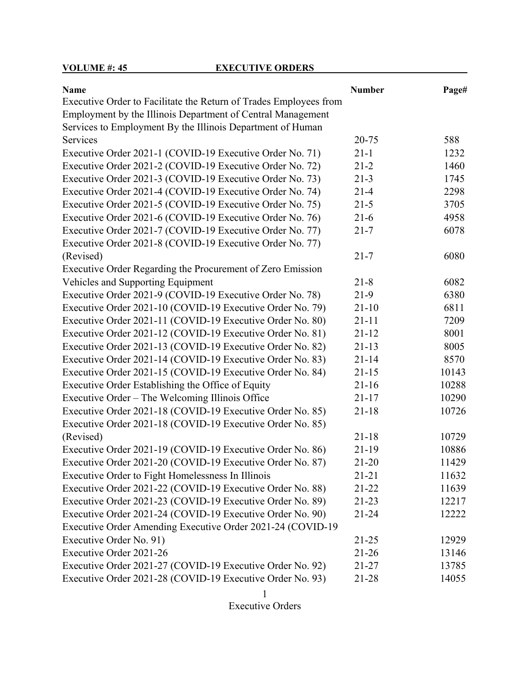**VOLUME #: 45** EXECUTIVE ORDERS

| <b>Name</b>                                                       | <b>Number</b> | Page# |
|-------------------------------------------------------------------|---------------|-------|
| Executive Order to Facilitate the Return of Trades Employees from |               |       |
| Employment by the Illinois Department of Central Management       |               |       |
| Services to Employment By the Illinois Department of Human        |               |       |
| Services                                                          | 20-75         | 588   |
| Executive Order 2021-1 (COVID-19 Executive Order No. 71)          | $21 - 1$      | 1232  |
| Executive Order 2021-2 (COVID-19 Executive Order No. 72)          | $21 - 2$      | 1460  |
| Executive Order 2021-3 (COVID-19 Executive Order No. 73)          | $21 - 3$      | 1745  |
| Executive Order 2021-4 (COVID-19 Executive Order No. 74)          | $21 - 4$      | 2298  |
| Executive Order 2021-5 (COVID-19 Executive Order No. 75)          | $21 - 5$      | 3705  |
| Executive Order 2021-6 (COVID-19 Executive Order No. 76)          | $21-6$        | 4958  |
| Executive Order 2021-7 (COVID-19 Executive Order No. 77)          | $21 - 7$      | 6078  |
| Executive Order 2021-8 (COVID-19 Executive Order No. 77)          |               |       |
| (Revised)                                                         | $21 - 7$      | 6080  |
| Executive Order Regarding the Procurement of Zero Emission        |               |       |
| Vehicles and Supporting Equipment                                 | $21 - 8$      | 6082  |
| Executive Order 2021-9 (COVID-19 Executive Order No. 78)          | $21-9$        | 6380  |
| Executive Order 2021-10 (COVID-19 Executive Order No. 79)         | $21 - 10$     | 6811  |
| Executive Order 2021-11 (COVID-19 Executive Order No. 80)         | $21 - 11$     | 7209  |
| Executive Order 2021-12 (COVID-19 Executive Order No. 81)         | $21 - 12$     | 8001  |
| Executive Order 2021-13 (COVID-19 Executive Order No. 82)         | $21 - 13$     | 8005  |
| Executive Order 2021-14 (COVID-19 Executive Order No. 83)         | $21 - 14$     | 8570  |
| Executive Order 2021-15 (COVID-19 Executive Order No. 84)         | $21 - 15$     | 10143 |
| Executive Order Establishing the Office of Equity                 | $21 - 16$     | 10288 |
| Executive Order – The Welcoming Illinois Office                   | $21 - 17$     | 10290 |
| Executive Order 2021-18 (COVID-19 Executive Order No. 85)         | $21 - 18$     | 10726 |
| Executive Order 2021-18 (COVID-19 Executive Order No. 85)         |               |       |
| (Revised)                                                         | $21 - 18$     | 10729 |
| Executive Order 2021-19 (COVID-19 Executive Order No. 86)         | $21-19$       | 10886 |
| Executive Order 2021-20 (COVID-19 Executive Order No. 87)         | $21 - 20$     | 11429 |
| Executive Order to Fight Homelessness In Illinois                 | $21 - 21$     | 11632 |
| Executive Order 2021-22 (COVID-19 Executive Order No. 88)         | $21 - 22$     | 11639 |
| Executive Order 2021-23 (COVID-19 Executive Order No. 89)         | $21 - 23$     | 12217 |
| Executive Order 2021-24 (COVID-19 Executive Order No. 90)         | $21 - 24$     | 12222 |
| Executive Order Amending Executive Order 2021-24 (COVID-19        |               |       |
| Executive Order No. 91)                                           | $21 - 25$     | 12929 |
| Executive Order 2021-26                                           | $21 - 26$     | 13146 |
| Executive Order 2021-27 (COVID-19 Executive Order No. 92)         | $21 - 27$     | 13785 |
| Executive Order 2021-28 (COVID-19 Executive Order No. 93)         | $21 - 28$     | 14055 |

Executive Orders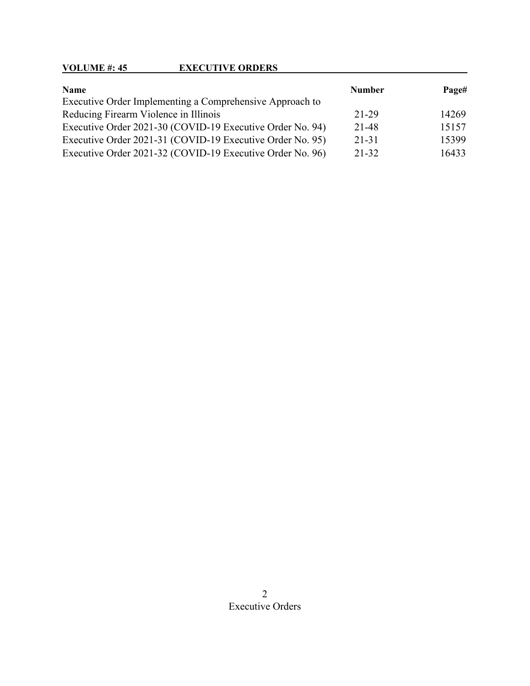## **VOLUME #: 45 EXECUTIVE ORDERS**

| Name                                                      | <b>Number</b> | Page# |
|-----------------------------------------------------------|---------------|-------|
| Executive Order Implementing a Comprehensive Approach to  |               |       |
| Reducing Firearm Violence in Illinois                     | 21-29         | 14269 |
| Executive Order 2021-30 (COVID-19 Executive Order No. 94) | 21-48         | 15157 |
| Executive Order 2021-31 (COVID-19 Executive Order No. 95) | $21 - 31$     | 15399 |
| Executive Order 2021-32 (COVID-19 Executive Order No. 96) | 21-32         | 16433 |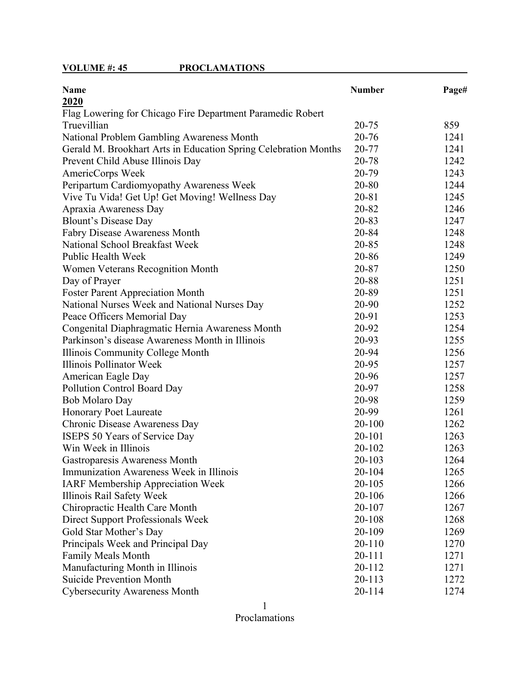## **VOLUME #: 45 PROCLAMATIONS**

| <b>Name</b>                                                     | <b>Number</b> | Page# |
|-----------------------------------------------------------------|---------------|-------|
| 2020                                                            |               |       |
| Flag Lowering for Chicago Fire Department Paramedic Robert      |               |       |
| Truevillian                                                     | 20-75         | 859   |
| National Problem Gambling Awareness Month                       | 20-76         | 1241  |
| Gerald M. Brookhart Arts in Education Spring Celebration Months | 20-77         | 1241  |
| Prevent Child Abuse Illinois Day                                | 20-78         | 1242  |
| AmericCorps Week                                                | 20-79         | 1243  |
| Peripartum Cardiomyopathy Awareness Week                        | 20-80         | 1244  |
| Vive Tu Vida! Get Up! Get Moving! Wellness Day                  | 20-81         | 1245  |
| Apraxia Awareness Day                                           | 20-82         | 1246  |
| <b>Blount's Disease Day</b>                                     | 20-83         | 1247  |
| <b>Fabry Disease Awareness Month</b>                            | 20-84         | 1248  |
| National School Breakfast Week                                  | 20-85         | 1248  |
| Public Health Week                                              | 20-86         | 1249  |
| Women Veterans Recognition Month                                | 20-87         | 1250  |
| Day of Prayer                                                   | 20-88         | 1251  |
| <b>Foster Parent Appreciation Month</b>                         | 20-89         | 1251  |
| National Nurses Week and National Nurses Day                    | 20-90         | 1252  |
| Peace Officers Memorial Day                                     | 20-91         | 1253  |
| Congenital Diaphragmatic Hernia Awareness Month                 | 20-92         | 1254  |
| Parkinson's disease Awareness Month in Illinois                 | 20-93         | 1255  |
| Illinois Community College Month                                | 20-94         | 1256  |
| <b>Illinois Pollinator Week</b>                                 | 20-95         | 1257  |
| American Eagle Day                                              | 20-96         | 1257  |
| Pollution Control Board Day                                     | 20-97         | 1258  |
| Bob Molaro Day                                                  | 20-98         | 1259  |
| <b>Honorary Poet Laureate</b>                                   | 20-99         | 1261  |
| Chronic Disease Awareness Day                                   | $20 - 100$    | 1262  |
| ISEPS 50 Years of Service Day                                   | 20-101        | 1263  |
| Win Week in Illinois                                            | 20-102        | 1263  |
| Gastroparesis Awareness Month                                   | 20-103        | 1264  |
| Immunization Awareness Week in Illinois                         | 20-104        | 1265  |
| <b>IARF Membership Appreciation Week</b>                        | 20-105        | 1266  |
| Illinois Rail Safety Week                                       | 20-106        | 1266  |
| Chiropractic Health Care Month                                  | 20-107        | 1267  |
| Direct Support Professionals Week                               | 20-108        | 1268  |
| Gold Star Mother's Day                                          | 20-109        | 1269  |
| Principals Week and Principal Day                               | 20-110        | 1270  |
| <b>Family Meals Month</b>                                       | $20 - 111$    | 1271  |
| Manufacturing Month in Illinois                                 | 20-112        | 1271  |
| <b>Suicide Prevention Month</b>                                 | 20-113        | 1272  |
| <b>Cybersecurity Awareness Month</b>                            | 20-114        | 1274  |

1

Proclamations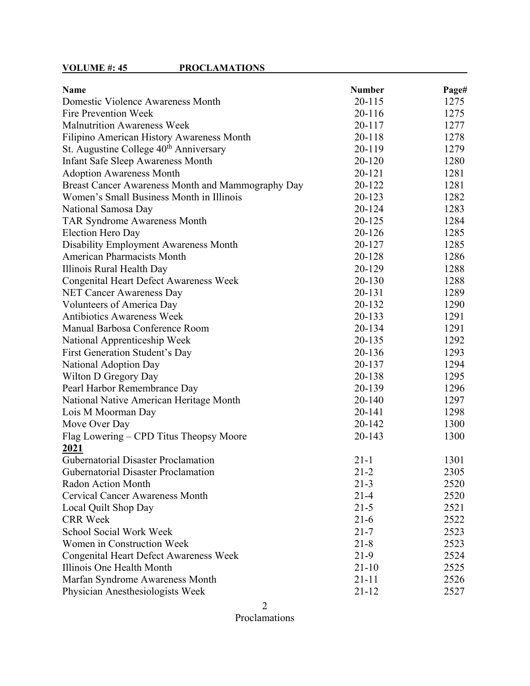| <b>Name</b>                                        | <b>Number</b> | Page# |
|----------------------------------------------------|---------------|-------|
| Domestic Violence Awareness Month                  | 20-115        | 1275  |
| Fire Prevention Week                               | 20-116        | 1275  |
| <b>Malnutrition Awareness Week</b>                 | 20-117        | 1277  |
| Filipino American History Awareness Month          | 20-118        | 1278  |
| St. Augustine College 40 <sup>th</sup> Anniversary | 20-119        | 1279  |
| <b>Infant Safe Sleep Awareness Month</b>           | 20-120        | 1280  |
| <b>Adoption Awareness Month</b>                    | 20-121        | 1281  |
| Breast Cancer Awareness Month and Mammography Day  | 20-122        | 1281  |
| Women's Small Business Month in Illinois           | 20-123        | 1282  |
| National Samosa Day                                | 20-124        | 1283  |
| <b>TAR Syndrome Awareness Month</b>                | 20-125        | 1284  |
| Election Hero Day                                  | 20-126        | 1285  |
| Disability Employment Awareness Month              | 20-127        | 1285  |
| <b>American Pharmacists Month</b>                  | 20-128        | 1286  |
| Illinois Rural Health Day                          | 20-129        | 1288  |
| <b>Congenital Heart Defect Awareness Week</b>      | 20-130        | 1288  |
| <b>NET Cancer Awareness Day</b>                    | 20-131        | 1289  |
| Volunteers of America Day                          | 20-132        | 1290  |
| <b>Antibiotics Awareness Week</b>                  | 20-133        | 1291  |
| Manual Barbosa Conference Room                     | 20-134        | 1291  |
| National Apprenticeship Week                       | 20-135        | 1292  |
| First Generation Student's Day                     | 20-136        | 1293  |
| National Adoption Day                              | 20-137        | 1294  |
| Wilton D Gregory Day                               | 20-138        | 1295  |
| Pearl Harbor Remembrance Day                       | 20-139        | 1296  |
| National Native American Heritage Month            | 20-140        | 1297  |
| Lois M Moorman Day                                 | 20-141        | 1298  |
| Move Over Day                                      | 20-142        | 1300  |
| Flag Lowering – CPD Titus Theopsy Moore            | 20-143        | 1300  |
| 2021                                               |               |       |
| <b>Gubernatorial Disaster Proclamation</b>         | $21 - 1$      | 1301  |
| Gubernatorial Disaster Proclamation                | $21 - 2$      | 2305  |
| Radon Action Month                                 | $21 - 3$      | 2520  |
| <b>Cervical Cancer Awareness Month</b>             | $21 - 4$      | 2520  |
| Local Quilt Shop Day                               | $21 - 5$      | 2521  |
| <b>CRR</b> Week                                    | $21-6$        | 2522  |
| <b>School Social Work Week</b>                     | $21 - 7$      | 2523  |
| Women in Construction Week                         | $21 - 8$      | 2523  |
| <b>Congenital Heart Defect Awareness Week</b>      | $21-9$        | 2524  |
| Illinois One Health Month                          | $21-10$       | 2525  |
| Marfan Syndrome Awareness Month                    | $21 - 11$     | 2526  |
| Physician Anesthesiologists Week                   | $21 - 12$     | 2527  |

Proclamations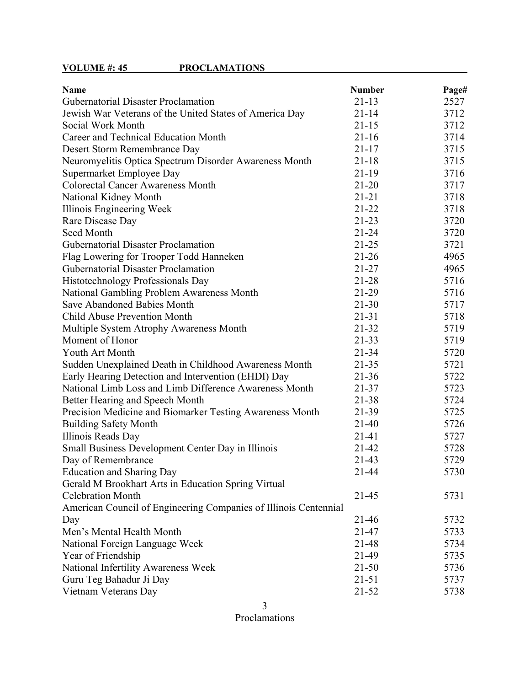# **VOLUME #: 45 PROCLAMATIONS**

| <b>Name</b>                                                      | <b>Number</b> | Page# |
|------------------------------------------------------------------|---------------|-------|
| <b>Gubernatorial Disaster Proclamation</b>                       | $21 - 13$     | 2527  |
| Jewish War Veterans of the United States of America Day          | $21 - 14$     | 3712  |
| Social Work Month                                                | $21 - 15$     | 3712  |
| Career and Technical Education Month                             | $21 - 16$     | 3714  |
| Desert Storm Remembrance Day                                     | $21 - 17$     | 3715  |
| Neuromyelitis Optica Spectrum Disorder Awareness Month           | $21 - 18$     | 3715  |
| Supermarket Employee Day                                         | $21 - 19$     | 3716  |
| <b>Colorectal Cancer Awareness Month</b>                         | $21 - 20$     | 3717  |
| National Kidney Month                                            | $21 - 21$     | 3718  |
| Illinois Engineering Week                                        | $21 - 22$     | 3718  |
| Rare Disease Day                                                 | $21 - 23$     | 3720  |
| Seed Month                                                       | $21 - 24$     | 3720  |
| <b>Gubernatorial Disaster Proclamation</b>                       | $21 - 25$     | 3721  |
| Flag Lowering for Trooper Todd Hanneken                          | $21 - 26$     | 4965  |
| <b>Gubernatorial Disaster Proclamation</b>                       | $21 - 27$     | 4965  |
| Histotechnology Professionals Day                                | $21 - 28$     | 5716  |
| National Gambling Problem Awareness Month                        | $21-29$       | 5716  |
| Save Abandoned Babies Month                                      | $21 - 30$     | 5717  |
| <b>Child Abuse Prevention Month</b>                              | $21 - 31$     | 5718  |
| Multiple System Atrophy Awareness Month                          | $21 - 32$     | 5719  |
| Moment of Honor                                                  | $21 - 33$     | 5719  |
| Youth Art Month                                                  | 21-34         | 5720  |
| Sudden Unexplained Death in Childhood Awareness Month            | $21 - 35$     | 5721  |
| Early Hearing Detection and Intervention (EHDI) Day              | $21 - 36$     | 5722  |
| National Limb Loss and Limb Difference Awareness Month           | 21-37         | 5723  |
| Better Hearing and Speech Month                                  | 21-38         | 5724  |
| Precision Medicine and Biomarker Testing Awareness Month         | 21-39         | 5725  |
| <b>Building Safety Month</b>                                     | $21-40$       | 5726  |
| Illinois Reads Day                                               | 21-41         | 5727  |
| Small Business Development Center Day in Illinois                | 21-42         | 5728  |
| Day of Remembrance                                               | $21 - 43$     | 5729  |
| <b>Education and Sharing Day</b>                                 | $21 - 44$     | 5730  |
| Gerald M Brookhart Arts in Education Spring Virtual              |               |       |
| <b>Celebration Month</b>                                         | $21 - 45$     | 5731  |
| American Council of Engineering Companies of Illinois Centennial |               |       |
| Day                                                              | 21-46         | 5732  |
| Men's Mental Health Month                                        | 21-47         | 5733  |
| National Foreign Language Week                                   | 21-48         | 5734  |
| Year of Friendship                                               | 21-49         | 5735  |
| National Infertility Awareness Week                              | $21 - 50$     | 5736  |
| Guru Teg Bahadur Ji Day                                          | $21 - 51$     | 5737  |
| Vietnam Veterans Day                                             | $21 - 52$     | 5738  |

3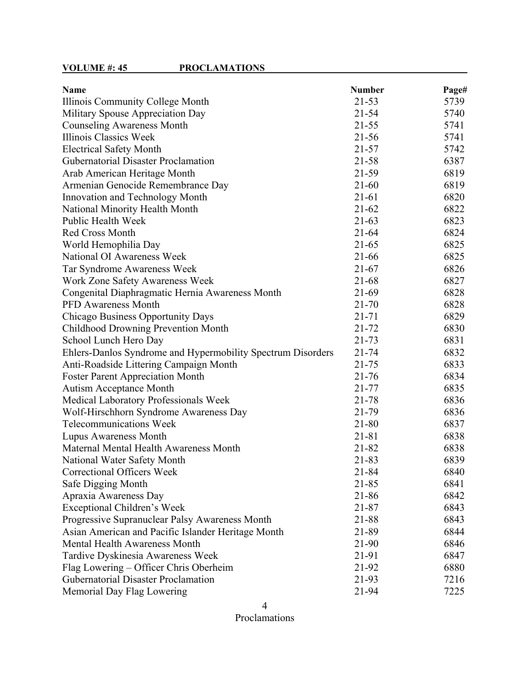| <b>Name</b>                                                 | <b>Number</b> | Page# |
|-------------------------------------------------------------|---------------|-------|
| Illinois Community College Month                            | 21-53         | 5739  |
| Military Spouse Appreciation Day                            | $21 - 54$     | 5740  |
| <b>Counseling Awareness Month</b>                           | $21 - 55$     | 5741  |
| Illinois Classics Week                                      | $21 - 56$     | 5741  |
| <b>Electrical Safety Month</b>                              | $21 - 57$     | 5742  |
| <b>Gubernatorial Disaster Proclamation</b>                  | $21 - 58$     | 6387  |
| Arab American Heritage Month                                | 21-59         | 6819  |
| Armenian Genocide Remembrance Day                           | $21 - 60$     | 6819  |
| Innovation and Technology Month                             | $21 - 61$     | 6820  |
| <b>National Minority Health Month</b>                       | $21 - 62$     | 6822  |
| Public Health Week                                          | $21-63$       | 6823  |
| Red Cross Month                                             | $21 - 64$     | 6824  |
| World Hemophilia Day                                        | $21 - 65$     | 6825  |
| National OI Awareness Week                                  | 21-66         | 6825  |
| Tar Syndrome Awareness Week                                 | $21 - 67$     | 6826  |
| Work Zone Safety Awareness Week                             | 21-68         | 6827  |
| Congenital Diaphragmatic Hernia Awareness Month             | $21-69$       | 6828  |
| <b>PFD Awareness Month</b>                                  | 21-70         | 6828  |
| Chicago Business Opportunity Days                           | 21-71         | 6829  |
| <b>Childhood Drowning Prevention Month</b>                  | $21 - 72$     | 6830  |
| School Lunch Hero Day                                       | $21 - 73$     | 6831  |
| Ehlers-Danlos Syndrome and Hypermobility Spectrum Disorders | $21 - 74$     | 6832  |
| Anti-Roadside Littering Campaign Month                      | 21-75         | 6833  |
| <b>Foster Parent Appreciation Month</b>                     | 21-76         | 6834  |
| <b>Autism Acceptance Month</b>                              | 21-77         | 6835  |
| <b>Medical Laboratory Professionals Week</b>                | 21-78         | 6836  |
| Wolf-Hirschhorn Syndrome Awareness Day                      | 21-79         | 6836  |
| Telecommunications Week                                     | 21-80         | 6837  |
| Lupus Awareness Month                                       | 21-81         | 6838  |
| Maternal Mental Health Awareness Month                      | 21-82         | 6838  |
| National Water Safety Month                                 | 21-83         | 6839  |
| Correctional Officers Week                                  | 21-84         | 6840  |
| Safe Digging Month                                          | 21-85         | 6841  |
| Apraxia Awareness Day                                       | 21-86         | 6842  |
| Exceptional Children's Week                                 | 21-87         | 6843  |
| Progressive Supranuclear Palsy Awareness Month              | 21-88         | 6843  |
| Asian American and Pacific Islander Heritage Month          | 21-89         | 6844  |
| Mental Health Awareness Month                               | 21-90         | 6846  |
| Tardive Dyskinesia Awareness Week                           | 21-91         | 6847  |
| Flag Lowering – Officer Chris Oberheim                      | 21-92         | 6880  |
| <b>Gubernatorial Disaster Proclamation</b>                  | 21-93         | 7216  |
| Memorial Day Flag Lowering                                  | 21-94         | 7225  |

4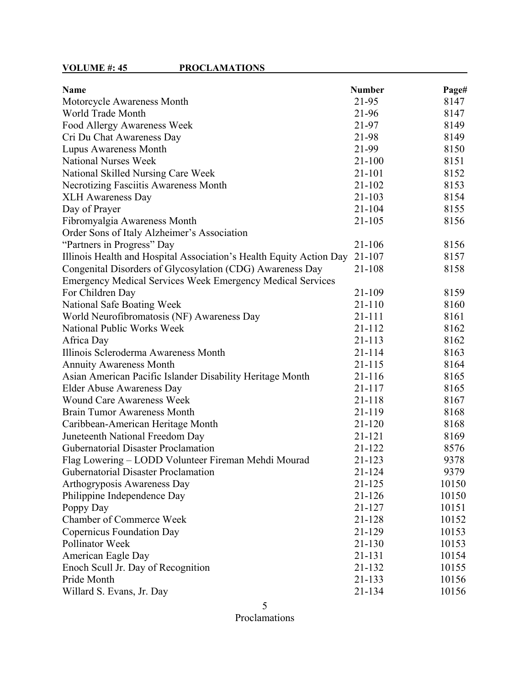# **VOLUME #: 45 PROCLAMATIONS**

| <b>Name</b>                                                         | <b>Number</b> | Page# |
|---------------------------------------------------------------------|---------------|-------|
| Motorcycle Awareness Month                                          | 21-95         | 8147  |
| World Trade Month                                                   | 21-96         | 8147  |
| Food Allergy Awareness Week                                         | 21-97         | 8149  |
| Cri Du Chat Awareness Day                                           | 21-98         | 8149  |
| Lupus Awareness Month                                               | 21-99         | 8150  |
| <b>National Nurses Week</b>                                         | $21 - 100$    | 8151  |
| National Skilled Nursing Care Week                                  | 21-101        | 8152  |
| Necrotizing Fasciitis Awareness Month                               | $21 - 102$    | 8153  |
| <b>XLH Awareness Day</b>                                            | 21-103        | 8154  |
| Day of Prayer                                                       | 21-104        | 8155  |
| Fibromyalgia Awareness Month                                        | $21 - 105$    | 8156  |
| Order Sons of Italy Alzheimer's Association                         |               |       |
| "Partners in Progress" Day                                          | 21-106        | 8156  |
| Illinois Health and Hospital Association's Health Equity Action Day | 21-107        | 8157  |
| Congenital Disorders of Glycosylation (CDG) Awareness Day           | 21-108        | 8158  |
| Emergency Medical Services Week Emergency Medical Services          |               |       |
| For Children Day                                                    | 21-109        | 8159  |
| National Safe Boating Week                                          | $21 - 110$    | 8160  |
| World Neurofibromatosis (NF) Awareness Day                          | 21-111        | 8161  |
| National Public Works Week                                          | 21-112        | 8162  |
| Africa Day                                                          | 21-113        | 8162  |
| Illinois Scleroderma Awareness Month                                | 21-114        | 8163  |
| <b>Annuity Awareness Month</b>                                      | 21-115        | 8164  |
| Asian American Pacific Islander Disability Heritage Month           | 21-116        | 8165  |
| Elder Abuse Awareness Day                                           | 21-117        | 8165  |
| <b>Wound Care Awareness Week</b>                                    | 21-118        | 8167  |
| <b>Brain Tumor Awareness Month</b>                                  | 21-119        | 8168  |
| Caribbean-American Heritage Month                                   | 21-120        | 8168  |
| Juneteenth National Freedom Day                                     | 21-121        | 8169  |
| <b>Gubernatorial Disaster Proclamation</b>                          | 21-122        | 8576  |
| Flag Lowering – LODD Volunteer Fireman Mehdi Mourad                 | 21-123        | 9378  |
| <b>Gubernatorial Disaster Proclamation</b>                          | 21-124        | 9379  |
| Arthogryposis Awareness Day                                         | 21-125        | 10150 |
| Philippine Independence Day                                         | 21-126        | 10150 |
| Poppy Day                                                           | 21-127        | 10151 |
| <b>Chamber of Commerce Week</b>                                     | 21-128        | 10152 |
| <b>Copernicus Foundation Day</b>                                    | 21-129        | 10153 |
| Pollinator Week                                                     | 21-130        | 10153 |
| American Eagle Day                                                  | 21-131        | 10154 |
| Enoch Scull Jr. Day of Recognition                                  | 21-132        | 10155 |
| Pride Month                                                         | 21-133        | 10156 |
| Willard S. Evans, Jr. Day                                           | 21-134        | 10156 |

5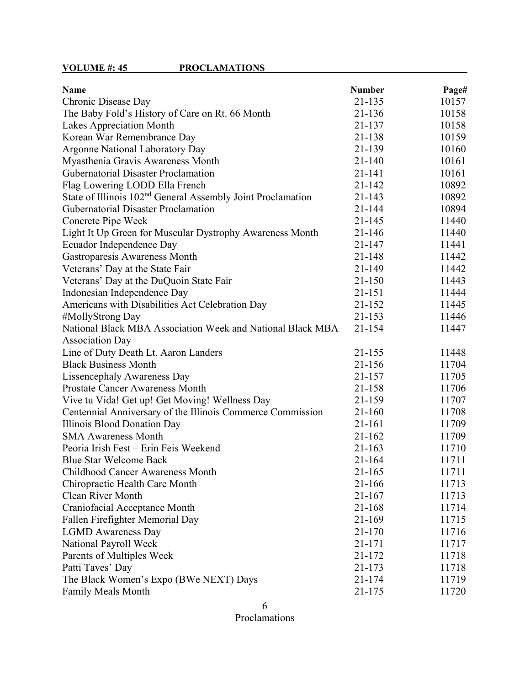| <b>Name</b>                                                             | <b>Number</b> | Page# |
|-------------------------------------------------------------------------|---------------|-------|
| Chronic Disease Day                                                     | 21-135        | 10157 |
| The Baby Fold's History of Care on Rt. 66 Month                         | 21-136        | 10158 |
| Lakes Appreciation Month                                                | 21-137        | 10158 |
| Korean War Remembrance Day                                              | 21-138        | 10159 |
| <b>Argonne National Laboratory Day</b>                                  | 21-139        | 10160 |
| Myasthenia Gravis Awareness Month                                       | $21 - 140$    | 10161 |
| <b>Gubernatorial Disaster Proclamation</b>                              | 21-141        | 10161 |
| Flag Lowering LODD Ella French                                          | 21-142        | 10892 |
| State of Illinois 102 <sup>nd</sup> General Assembly Joint Proclamation | 21-143        | 10892 |
| <b>Gubernatorial Disaster Proclamation</b>                              | 21-144        | 10894 |
| Concrete Pipe Week                                                      | 21-145        | 11440 |
| Light It Up Green for Muscular Dystrophy Awareness Month                | 21-146        | 11440 |
| Ecuador Independence Day                                                | 21-147        | 11441 |
| Gastroparesis Awareness Month                                           | 21-148        | 11442 |
| Veterans' Day at the State Fair                                         | 21-149        | 11442 |
| Veterans' Day at the DuQuoin State Fair                                 | $21 - 150$    | 11443 |
| Indonesian Independence Day                                             | 21-151        | 11444 |
| Americans with Disabilities Act Celebration Day                         | 21-152        | 11445 |
| #MollyStrong Day                                                        | 21-153        | 11446 |
| National Black MBA Association Week and National Black MBA              | 21-154        | 11447 |
| <b>Association Day</b>                                                  |               |       |
| Line of Duty Death Lt. Aaron Landers                                    | 21-155        | 11448 |
| <b>Black Business Month</b>                                             | 21-156        | 11704 |
| Lissencephaly Awareness Day                                             | 21-157        | 11705 |
| <b>Prostate Cancer Awareness Month</b>                                  | 21-158        | 11706 |
| Vive tu Vida! Get up! Get Moving! Wellness Day                          | 21-159        | 11707 |
| Centennial Anniversary of the Illinois Commerce Commission              | 21-160        | 11708 |
| Illinois Blood Donation Day                                             | 21-161        | 11709 |
| <b>SMA Awareness Month</b>                                              | $21 - 162$    | 11709 |
| Peoria Irish Fest - Erin Feis Weekend                                   | 21-163        | 11710 |
| <b>Blue Star Welcome Back</b>                                           | $21 - 164$    | 11711 |
| Childhood Cancer Awareness Month                                        | 21-165        | 11711 |
| Chiropractic Health Care Month                                          | 21-166        | 11713 |
| <b>Clean River Month</b>                                                | 21-167        | 11713 |
| Craniofacial Acceptance Month                                           | 21-168        | 11714 |
| Fallen Firefighter Memorial Day                                         | 21-169        | 11715 |
| <b>LGMD</b> Awareness Day                                               | $21 - 170$    | 11716 |
| National Payroll Week                                                   | 21-171        | 11717 |
| Parents of Multiples Week                                               | 21-172        | 11718 |
| Patti Taves' Day                                                        | 21-173        | 11718 |
| The Black Women's Expo (BWe NEXT) Days                                  | 21-174        | 11719 |
| <b>Family Meals Month</b>                                               | 21-175        | 11720 |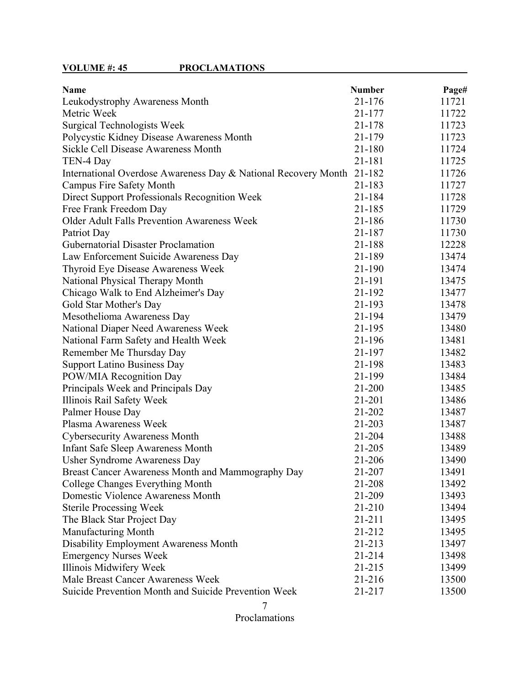| <b>Name</b>                                                    | <b>Number</b> | Page# |
|----------------------------------------------------------------|---------------|-------|
| Leukodystrophy Awareness Month                                 | 21-176        | 11721 |
| Metric Week                                                    | 21-177        | 11722 |
| <b>Surgical Technologists Week</b>                             | 21-178        | 11723 |
| Polycystic Kidney Disease Awareness Month                      | 21-179        | 11723 |
| Sickle Cell Disease Awareness Month                            | 21-180        | 11724 |
| TEN-4 Day                                                      | 21-181        | 11725 |
| International Overdose Awareness Day & National Recovery Month | 21-182        | 11726 |
| <b>Campus Fire Safety Month</b>                                | 21-183        | 11727 |
| Direct Support Professionals Recognition Week                  | 21-184        | 11728 |
| Free Frank Freedom Day                                         | 21-185        | 11729 |
| Older Adult Falls Prevention Awareness Week                    | 21-186        | 11730 |
| Patriot Day                                                    | 21-187        | 11730 |
| Gubernatorial Disaster Proclamation                            | 21-188        | 12228 |
| Law Enforcement Suicide Awareness Day                          | 21-189        | 13474 |
| Thyroid Eye Disease Awareness Week                             | 21-190        | 13474 |
| National Physical Therapy Month                                | 21-191        | 13475 |
| Chicago Walk to End Alzheimer's Day                            | 21-192        | 13477 |
| Gold Star Mother's Day                                         | 21-193        | 13478 |
| Mesothelioma Awareness Day                                     | 21-194        | 13479 |
| National Diaper Need Awareness Week                            | 21-195        | 13480 |
| National Farm Safety and Health Week                           | 21-196        | 13481 |
| Remember Me Thursday Day                                       | 21-197        | 13482 |
| <b>Support Latino Business Day</b>                             | 21-198        | 13483 |
| POW/MIA Recognition Day                                        | 21-199        | 13484 |
| Principals Week and Principals Day                             | 21-200        | 13485 |
| Illinois Rail Safety Week                                      | 21-201        | 13486 |
| Palmer House Day                                               | 21-202        | 13487 |
| Plasma Awareness Week                                          | 21-203        | 13487 |
| <b>Cybersecurity Awareness Month</b>                           | 21-204        | 13488 |
| <b>Infant Safe Sleep Awareness Month</b>                       | 21-205        | 13489 |
| Usher Syndrome Awareness Day                                   | 21-206        | 13490 |
| Breast Cancer Awareness Month and Mammography Day              | 21-207        | 13491 |
| College Changes Everything Month                               | 21-208        | 13492 |
| Domestic Violence Awareness Month                              | 21-209        | 13493 |
| <b>Sterile Processing Week</b>                                 | $21 - 210$    | 13494 |
| The Black Star Project Day                                     | 21-211        | 13495 |
| Manufacturing Month                                            | 21-212        | 13495 |
| Disability Employment Awareness Month                          | 21-213        | 13497 |
| <b>Emergency Nurses Week</b>                                   | 21-214        | 13498 |
| Illinois Midwifery Week                                        | 21-215        | 13499 |
| Male Breast Cancer Awareness Week                              | 21-216        | 13500 |
| Suicide Prevention Month and Suicide Prevention Week           | 21-217        | 13500 |

<sup>7</sup>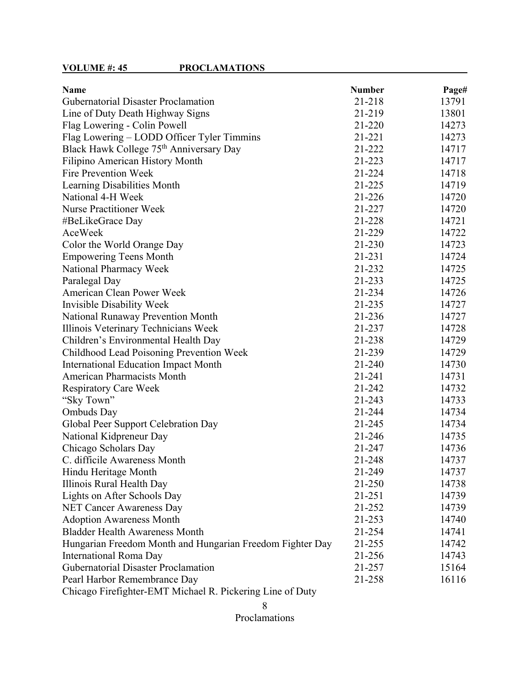| <b>Name</b>                                               | <b>Number</b> | Page# |
|-----------------------------------------------------------|---------------|-------|
| <b>Gubernatorial Disaster Proclamation</b>                | 21-218        | 13791 |
| Line of Duty Death Highway Signs                          | 21-219        | 13801 |
| Flag Lowering - Colin Powell                              | 21-220        | 14273 |
| Flag Lowering – LODD Officer Tyler Timmins                | 21-221        | 14273 |
| Black Hawk College 75 <sup>th</sup> Anniversary Day       | 21-222        | 14717 |
| Filipino American History Month                           | 21-223        | 14717 |
| Fire Prevention Week                                      | 21-224        | 14718 |
| Learning Disabilities Month                               | 21-225        | 14719 |
| National 4-H Week                                         | 21-226        | 14720 |
| <b>Nurse Practitioner Week</b>                            | 21-227        | 14720 |
| #BeLikeGrace Day                                          | 21-228        | 14721 |
| AceWeek                                                   | 21-229        | 14722 |
| Color the World Orange Day                                | 21-230        | 14723 |
| <b>Empowering Teens Month</b>                             | $21 - 231$    | 14724 |
| National Pharmacy Week                                    | 21-232        | 14725 |
| Paralegal Day                                             | 21-233        | 14725 |
| <b>American Clean Power Week</b>                          | 21-234        | 14726 |
| Invisible Disability Week                                 | 21-235        | 14727 |
| <b>National Runaway Prevention Month</b>                  | 21-236        | 14727 |
| Illinois Veterinary Technicians Week                      | 21-237        | 14728 |
| Children's Environmental Health Day                       | 21-238        | 14729 |
| Childhood Lead Poisoning Prevention Week                  | 21-239        | 14729 |
| <b>International Education Impact Month</b>               | 21-240        | 14730 |
| <b>American Pharmacists Month</b>                         | 21-241        | 14731 |
| <b>Respiratory Care Week</b>                              | 21-242        | 14732 |
| "Sky Town"                                                | 21-243        | 14733 |
| <b>Ombuds</b> Day                                         | 21-244        | 14734 |
| Global Peer Support Celebration Day                       | 21-245        | 14734 |
| National Kidpreneur Day                                   | 21-246        | 14735 |
| Chicago Scholars Day                                      | 21-247        | 14736 |
| C. difficile Awareness Month                              | 21-248        | 14737 |
| Hindu Heritage Month                                      | 21-249        | 14737 |
| Illinois Rural Health Day                                 | 21-250        | 14738 |
| Lights on After Schools Day                               | 21-251        | 14739 |
| <b>NET Cancer Awareness Day</b>                           | 21-252        | 14739 |
| <b>Adoption Awareness Month</b>                           | 21-253        | 14740 |
| <b>Bladder Health Awareness Month</b>                     | 21-254        | 14741 |
| Hungarian Freedom Month and Hungarian Freedom Fighter Day | 21-255        | 14742 |
| International Roma Day                                    | 21-256        | 14743 |
| <b>Gubernatorial Disaster Proclamation</b>                | 21-257        | 15164 |
| Pearl Harbor Remembrance Day                              | 21-258        | 16116 |
| Chicago Firefighter-EMT Michael R. Pickering Line of Duty |               |       |

<sup>8</sup>